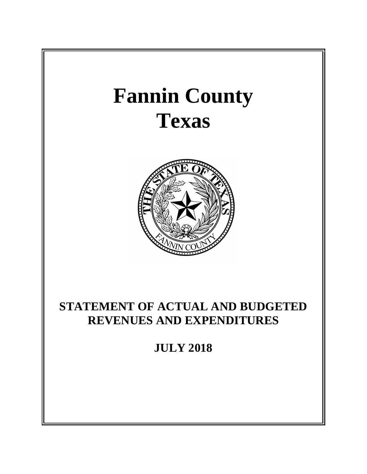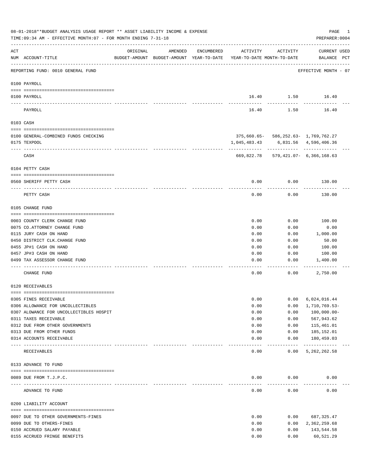|          | 08-01-2018**BUDGET ANALYSIS USAGE REPORT ** ASSET LIABILITY INCOME & EXPENSE<br>TIME: 09:34 AM - EFFECTIVE MONTH: 07 - FOR MONTH ENDING 7-31-18 |                                  |                                                                                |            |              |                                      | PAGE<br>PREPARER: 0004             | 1 |
|----------|-------------------------------------------------------------------------------------------------------------------------------------------------|----------------------------------|--------------------------------------------------------------------------------|------------|--------------|--------------------------------------|------------------------------------|---|
| ACT      | NUM ACCOUNT-TITLE                                                                                                                               | ORIGINAL                         | AMENDED<br>BUDGET-AMOUNT BUDGET-AMOUNT YEAR-TO-DATE YEAR-TO-DATE MONTH-TO-DATE | ENCUMBERED | ACTIVITY     | ACTIVITY                             | <b>CURRENT USED</b><br>BALANCE PCT |   |
|          | REPORTING FUND: 0010 GENERAL FUND                                                                                                               |                                  |                                                                                |            |              |                                      | EFFECTIVE MONTH - 07               |   |
|          | 0100 PAYROLL                                                                                                                                    |                                  |                                                                                |            |              |                                      |                                    |   |
|          | 0100 PAYROLL                                                                                                                                    |                                  |                                                                                |            |              | 16.40 1.50 16.40                     |                                    |   |
| ---- --- | PAYROLL                                                                                                                                         |                                  |                                                                                |            | 16.40        | 1.50                                 | 16.40                              |   |
|          | 0103 CASH                                                                                                                                       |                                  |                                                                                |            |              |                                      |                                    |   |
|          | 0100 GENERAL-COMBINED FUNDS CHECKING                                                                                                            |                                  |                                                                                |            |              | 375,660.65- 586,252.63- 1,769,762.27 |                                    |   |
|          | 0175 TEXPOOL                                                                                                                                    |                                  |                                                                                |            | 1,045,483.43 |                                      | 6,831.56 4,596,406.36              |   |
|          |                                                                                                                                                 |                                  |                                                                                |            |              |                                      |                                    |   |
|          | CASH                                                                                                                                            |                                  |                                                                                |            |              | 669,822.78 579,421.07- 6,366,168.63  |                                    |   |
|          | 0104 PETTY CASH                                                                                                                                 |                                  |                                                                                |            |              |                                      |                                    |   |
|          |                                                                                                                                                 |                                  |                                                                                |            |              |                                      |                                    |   |
|          | 0560 SHERIFF PETTY CASH                                                                                                                         |                                  |                                                                                |            | 0.00         | 0.00                                 | 130.00                             |   |
|          | PETTY CASH                                                                                                                                      |                                  |                                                                                |            | 0.00         | 0.00                                 | 130.00                             |   |
|          | 0105 CHANGE FUND                                                                                                                                |                                  |                                                                                |            |              |                                      |                                    |   |
|          | 0003 COUNTY CLERK CHANGE FUND                                                                                                                   |                                  |                                                                                |            | 0.00         | 0.00                                 | 100.00                             |   |
|          | 0075 CO. ATTORNEY CHANGE FUND                                                                                                                   |                                  |                                                                                |            | 0.00         | 0.00                                 | 0.00                               |   |
|          | 0115 JURY CASH ON HAND                                                                                                                          |                                  |                                                                                |            | 0.00         | 0.00                                 | 1,000.00                           |   |
|          | 0450 DISTRICT CLK. CHANGE FUND                                                                                                                  |                                  |                                                                                |            | 0.00         | 0.00                                 | 50.00                              |   |
|          | 0455 JP#1 CASH ON HAND                                                                                                                          |                                  |                                                                                |            | 0.00         | 0.00                                 | 100.00                             |   |
|          | 0457 JP#3 CASH ON HAND                                                                                                                          |                                  |                                                                                |            | 0.00         | 0.00                                 | 100.00                             |   |
|          | 0499 TAX ASSESSOR CHANGE FUND                                                                                                                   |                                  |                                                                                |            | 0.00         | 0.00                                 | 1,400.00                           |   |
|          | CHANGE FUND                                                                                                                                     |                                  |                                                                                |            | 0.00         | 0.00                                 | 2,750.00                           |   |
|          | 0120 RECEIVABLES                                                                                                                                |                                  |                                                                                |            |              |                                      |                                    |   |
|          | 0305 FINES RECEIVABLE                                                                                                                           |                                  |                                                                                |            | 0.00         | 0.00                                 | 6,024,016.44                       |   |
|          | 0306 ALLOWANCE FOR UNCOLLECTIBLES                                                                                                               |                                  |                                                                                |            | 0.00         | 0.00                                 | 1,710,769.53-                      |   |
|          | 0307 ALOWANCE FOR UNCOLLECTIBLES HOSPIT                                                                                                         |                                  |                                                                                |            | 0.00         | 0.00                                 | $100,000.00-$                      |   |
|          | 0311 TAXES RECEIVABLE                                                                                                                           |                                  |                                                                                |            | 0.00         | 0.00                                 | 567,943.62                         |   |
|          | 0312 DUE FROM OTHER GOVERNMENTS                                                                                                                 |                                  |                                                                                |            | 0.00         | 0.00                                 | 115,461.01                         |   |
|          | 0313 DUE FROM OTHER FUNDS                                                                                                                       |                                  |                                                                                |            | 0.00         | 0.00                                 | 185,152.01                         |   |
|          | 0314 ACCOUNTS RECEIVABLE                                                                                                                        | ________________________________ |                                                                                |            | 0.00         | 0.00<br>$- - - - -$                  | 180,459.03<br>-------------        |   |
|          | RECEIVABLES                                                                                                                                     |                                  |                                                                                |            | 0.00         | 0.00                                 | 5, 262, 262.58                     |   |
|          | 0133 ADVANCE TO FUND                                                                                                                            |                                  |                                                                                |            |              |                                      |                                    |   |
|          |                                                                                                                                                 |                                  |                                                                                |            |              |                                      |                                    |   |
|          | 0089 DUE FROM T.J.P.C.<br>--------------------- -------------                                                                                   |                                  |                                                                                |            | 0.00         | 0.00                                 | 0.00                               |   |
|          | ADVANCE TO FUND                                                                                                                                 |                                  |                                                                                |            | 0.00         | 0.00                                 | 0.00                               |   |
|          | 0200 LIABILITY ACCOUNT                                                                                                                          |                                  |                                                                                |            |              |                                      |                                    |   |
|          | 0097 DUE TO OTHER GOVERNMENTS-FINES                                                                                                             |                                  |                                                                                |            | 0.00         | 0.00                                 | 687,325.47                         |   |
|          | 0099 DUE TO OTHERS-FINES                                                                                                                        |                                  |                                                                                |            | 0.00         | 0.00                                 | 2,362,259.68                       |   |
|          | 0150 ACCRUED SALARY PAYABLE                                                                                                                     |                                  |                                                                                |            | 0.00         | 0.00                                 | 143,544.58                         |   |
|          | 0155 ACCRUED FRINGE BENEFITS                                                                                                                    |                                  |                                                                                |            | 0.00         | 0.00                                 | 60,521.29                          |   |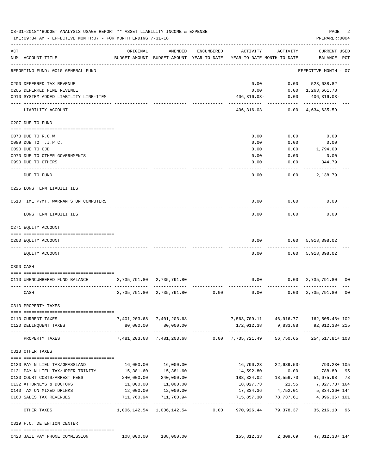|     | 08-01-2018**BUDGET ANALYSIS USAGE REPORT ** ASSET LIABILITY INCOME & EXPENSE<br>TIME: 09:34 AM - EFFECTIVE MONTH: 07 - FOR MONTH ENDING 7-31-18 |              |                                                     |            |                                          |                    | PAGE<br>PREPARER: 0004                    | 2  |
|-----|-------------------------------------------------------------------------------------------------------------------------------------------------|--------------|-----------------------------------------------------|------------|------------------------------------------|--------------------|-------------------------------------------|----|
| ACT | NUM ACCOUNT-TITLE                                                                                                                               | ORIGINAL     | AMENDED<br>BUDGET-AMOUNT BUDGET-AMOUNT YEAR-TO-DATE | ENCUMBERED | ACTIVITY<br>YEAR-TO-DATE MONTH-TO-DATE   | ACTIVITY           | CURRENT USED<br>BALANCE PCT               |    |
|     | REPORTING FUND: 0010 GENERAL FUND                                                                                                               |              |                                                     |            |                                          |                    | EFFECTIVE MONTH - 07                      |    |
|     | 0200 DEFERRED TAX REVENUE                                                                                                                       |              |                                                     |            | 0.00                                     | 0.00               | 523,638.82                                |    |
|     | 0205 DEFERRED FINE REVENUE                                                                                                                      |              |                                                     |            | 0.00                                     |                    | $0.00 \quad 1,263,661.78$                 |    |
|     | 0910 SYSTEM ADDED LIABILITY LINE-ITEM                                                                                                           |              |                                                     |            | $406, 316.03 -$                          | 0.00               | $406, 316.03 -$                           |    |
|     | LIABILITY ACCOUNT                                                                                                                               |              |                                                     |            | 406,316.03-                              | ---------          | ------------<br>$0.00 \quad 4,634,635.59$ |    |
|     | 0207 DUE TO FUND                                                                                                                                |              |                                                     |            |                                          |                    |                                           |    |
|     | 0070 DUE TO R.O.W.                                                                                                                              |              |                                                     |            | 0.00                                     | 0.00               | 0.00                                      |    |
|     | 0089 DUE TO T.J.P.C.                                                                                                                            |              |                                                     |            | 0.00                                     | 0.00               | 0.00                                      |    |
|     | 0090 DUE TO CJD                                                                                                                                 |              |                                                     |            | 0.00                                     | 0.00               | 1,794.00                                  |    |
|     | 0970 DUE TO OTHER GOVERNMENTS                                                                                                                   |              |                                                     |            | 0.00                                     | 0.00               | 0.00                                      |    |
|     | 0990 DUE TO OTHERS                                                                                                                              |              |                                                     |            | 0.00                                     | 0.00               | 344.79                                    |    |
|     |                                                                                                                                                 |              |                                                     |            |                                          |                    |                                           |    |
|     | DUE TO FUND                                                                                                                                     |              |                                                     |            | 0.00                                     | 0.00               | 2,138.79                                  |    |
|     | 0225 LONG TERM LIABILITIES                                                                                                                      |              |                                                     |            |                                          |                    |                                           |    |
|     | 0510 TIME PYMT. WARRANTS ON COMPUTERS                                                                                                           |              |                                                     |            | 0.00                                     | 0.00               | 0.00                                      |    |
|     | LONG TERM LIABILITIES                                                                                                                           |              |                                                     |            | 0.00                                     | 0.00               | 0.00                                      |    |
|     | 0271 EQUITY ACCOUNT                                                                                                                             |              |                                                     |            |                                          |                    |                                           |    |
|     |                                                                                                                                                 |              |                                                     |            |                                          |                    |                                           |    |
|     | 0200 EQUITY ACCOUNT                                                                                                                             |              |                                                     |            | 0.00                                     | 0.00               | 5,918,398.02                              |    |
|     | EQUITY ACCOUNT                                                                                                                                  |              |                                                     |            | 0.00                                     |                    | 0.00 5,918,398.02                         |    |
|     | 0300 CASH                                                                                                                                       |              |                                                     |            |                                          |                    |                                           |    |
|     | 0110 UNENCUMBERED FUND BALANCE                                                                                                                  |              | 2,735,791.80 2,735,791.80                           |            | 0.00                                     |                    | $0.00 \quad 2,735,791.80 \quad 00$        |    |
|     | CASH                                                                                                                                            | 2,735,791.80 | 2,735,791.80                                        | 0.00       | 0.00                                     | 0.00               | 2,735,791.80                              | 00 |
|     | 0310 PROPERTY TAXES                                                                                                                             |              |                                                     |            |                                          |                    |                                           |    |
|     | 0110 CURRENT TAXES                                                                                                                              |              | 7,401,203.68 7,401,203.68                           |            | 7,563,709.11  46,916.77  162,505.43+ 102 |                    |                                           |    |
|     | 0120 DELINQUENT TAXES                                                                                                                           | 80,000.00    | 80,000.00                                           |            | 172,012.38                               | 9,833.88           | 92,012.38+ 215                            |    |
|     | --------------------- -------------<br>PROPERTY TAXES                                                                                           |              | -------------<br>7,481,203.68 7,481,203.68          |            | $0.00 \quad 7,735,721.49$                | 56,750.65          | 254, 517.81+ 103                          |    |
|     | 0318 OTHER TAXES                                                                                                                                |              |                                                     |            |                                          |                    |                                           |    |
|     |                                                                                                                                                 |              |                                                     |            |                                          |                    |                                           |    |
|     | 0120 PAY N LIEU TAX/GRASSLAND                                                                                                                   | 16,000.00    | 16,000.00                                           |            | 16,790.23                                | 22,689.50-         | 790.23+ 105                               |    |
|     | 0121 PAY N LIEU TAX/UPPER TRINITY                                                                                                               | 15,381.60    | 15,381.60                                           |            | 14,592.80                                | 0.00               | 788.80 95                                 |    |
|     | 0130 COURT COSTS/ARREST FEES                                                                                                                    | 240,000.00   | 240,000.00                                          |            | 188,324.02                               | 18,556.70          | 51,675.98 78                              |    |
|     | 0132 ATTORNEYS & DOCTORS                                                                                                                        | 11,000.00    | 11,000.00                                           |            | 18,027.73                                |                    | 21.55 7,027.73+164                        |    |
|     | 0140 TAX ON MIXED DRINKS                                                                                                                        | 12,000.00    | 12,000.00                                           |            |                                          | 17,334.36 4,752.01 | 5,334.36+ 144                             |    |
|     | 0160 SALES TAX REVENUES                                                                                                                         | 711,760.94   | 711,760.94                                          |            | 715,857.30                               | 78,737.61          | 4,096.36+ 101                             |    |
|     | OTHER TAXES                                                                                                                                     |              | 1,006,142.54 1,006,142.54                           | 0.00       | 970,926.44                               |                    | 79,378.37 35,216.10 96                    |    |
|     | 0319 F.C. DETENTION CENTER                                                                                                                      |              |                                                     |            |                                          |                    |                                           |    |
|     | 0420 JAIL PAY PHONE COMMISSION                                                                                                                  | 108,000.00   | 108,000.00                                          |            | 155,812.33                               | 2,309.69           | 47,812.33+ 144                            |    |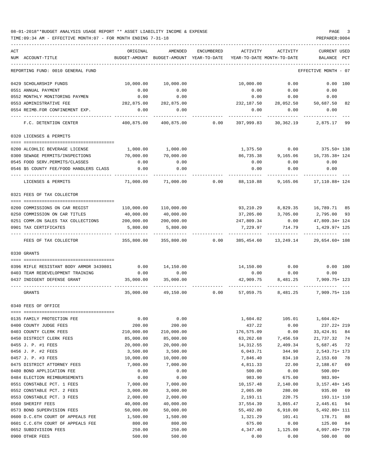| ACT<br>NUM ACCOUNT-TITLE                                    | ORIGINAL<br>BUDGET-AMOUNT | AMENDED<br>BUDGET-AMOUNT | ENCUMBERED<br>YEAR-TO-DATE | <b>ACTIVITY</b><br>YEAR-TO-DATE MONTH-TO-DATE | ACTIVITY           | <b>CURRENT USED</b><br>BALANCE<br>PCT |
|-------------------------------------------------------------|---------------------------|--------------------------|----------------------------|-----------------------------------------------|--------------------|---------------------------------------|
| REPORTING FUND: 0010 GENERAL FUND                           |                           |                          |                            |                                               |                    | EFFECTIVE MONTH - 07                  |
|                                                             |                           |                          |                            |                                               |                    |                                       |
| 0429 SCHOLARSHIP FUNDS                                      | 10,000.00                 | 10,000.00                |                            | 10,000.00                                     | 0.00               | 0.00 100                              |
| 0551 ANNUAL PAYMENT                                         | 0.00                      | 0.00                     |                            | 0.00                                          | 0.00               | 0.00                                  |
| 0552 MONTHLY MONITORING PAYMEN<br>0553 ADMINISTRATIVE FEE   | 0.00<br>282,875.00        | 0.00<br>282,875.00       |                            | 0.00<br>232,187.50                            | 0.00<br>28,052.50  | 0.00<br>50,687.50<br>82               |
| 0554 REIMB.FOR CONFINEMENT EXP.                             | 0.00                      | 0.00                     |                            | 0.00                                          | 0.00               | 0.00                                  |
| F.C. DETENTION CENTER                                       | 400,875.00                | 400,875.00               | 0.00                       | 397,999.83                                    | 30,362.19          | 2,875.17 99                           |
| 0320 LICENSES & PERMITS                                     |                           |                          |                            |                                               |                    |                                       |
|                                                             |                           |                          |                            |                                               |                    |                                       |
| 0200 ALCOHLIC BEVERAGE LICENSE                              | 1,000.00                  | 1,000.00                 |                            | 1,375.50                                      | 0.00               | 375.50+ 138                           |
| 0300 SEWAGE PERMITS/INSPECTIONS                             | 70,000.00                 | 70,000.00                |                            | 86,735.38                                     | 9,165.06           | 16,735.38+ 124                        |
| 0545 FOOD SERV. PERMITS/CLASSES                             | 0.00                      | 0.00                     |                            | 0.00                                          | 0.00               | 0.00                                  |
| 0546 \$5 COUNTY FEE/FOOD HANDLERS CLASS                     | 0.00                      | 0.00                     |                            | 0.00                                          | 0.00               | 0.00                                  |
| LICENSES & PERMITS                                          | 71,000.00                 | 71,000.00                | 0.00                       | 88,110.88                                     | 9,165.06           | 17,110.88+ 124                        |
| 0321 FEES OF TAX COLLECTOR                                  |                           |                          |                            |                                               |                    |                                       |
|                                                             |                           |                          |                            |                                               |                    |                                       |
| 0200 COMMISSIONS ON CAR REGIST                              | 110,000.00                | 110,000.00               |                            | 93,210.29                                     | 8,829.35           | 16,789.71 85                          |
| 0250 COMMISSION ON CAR TITLES                               | 40,000.00                 | 40,000.00                |                            | 37,205.00                                     | 3,705.00           | 2,795.00 93                           |
| 0251 COMM.ON SALES TAX COLLECTIONS<br>0901 TAX CERTIFICATES | 200,000.00<br>5,800.00    | 200,000.00<br>5,800.00   |                            | 247,809.34<br>7,229.97                        | 0.00<br>714.79     | 47,809.34+ 124<br>1,429.97+ 125       |
|                                                             |                           |                          |                            |                                               |                    |                                       |
| FEES OF TAX COLLECTOR                                       | 355,800.00                | 355,800.00               | 0.00                       | 385,454.60                                    | 13,249.14          | 29,654.60+ 108                        |
| 0330 GRANTS                                                 |                           |                          |                            |                                               |                    |                                       |
| 0396 RIFLE RESISTANT BODY ARMOR 3439801                     | 0.00                      | 14,150.00                |                            |                                               | 14,150.00 0.00     | $0.00$ 100                            |
| 0403 TEAM REDEVELOPMENT TRAINING                            | 0.00                      | 0.00                     |                            | 0.00                                          | 0.00               | 0.00                                  |
| 0437 INDIGENT DEFENSE GRANT                                 | 35,000.00                 | 35,000.00                |                            | 42,909.75                                     | 8,481.25           | 7,909.75+ 123                         |
| GRANTS                                                      | 35,000.00                 | 49,150.00                | 0.00                       | 57,059.75                                     | 8,481.25           | 7,909.75+ 116                         |
| 0340 FEES OF OFFICE                                         |                           |                          |                            |                                               |                    |                                       |
| 0135 FAMILY PROTECTION FEE                                  | 0.00                      | 0.00                     |                            | 1,604.02                                      | 105.01             | $1,604.02+$                           |
| 0400 COUNTY JUDGE FEES                                      | 200.00                    | 200.00                   |                            | 437.22                                        | 0.00               | 237.22+ 219                           |
| 0403 COUNTY CLERK FEES                                      | 210,000.00                | 210,000.00               |                            | 176,575.09                                    | 0.00               | 33, 424.91<br>84                      |
| 0450 DISTRICT CLERK FEES                                    | 85,000.00                 | 85,000.00                |                            | 63,262.68                                     | 7,456.59           | 21,737.32<br>74                       |
| 0455 J. P. #1 FEES                                          | 20,000.00                 | 20,000.00                |                            | 14, 312.55                                    | 2,409.34           | 5,687.45<br>72                        |
| 0456 J. P. #2 FEES                                          | 3,500.00                  | 3,500.00                 |                            | 6,043.71                                      | 344.90             | $2,543.71+173$                        |
| 0457 J. P. #3 FEES                                          | 10,000.00                 | 10,000.00                |                            | 7,846.40                                      | 834.10             | 2,153.60<br>78                        |
| 0475 DISTRICT ATTORNEY FEES                                 | 7,000.00                  | 7,000.00                 |                            | 4,811.33                                      | 22.00              | 2,188.67<br>69                        |
| 0480 BOND APPLICATION FEE                                   | 0.00                      | 0.00                     |                            | 500.00                                        | 0.00               | $500.00+$                             |
| 0484 ELECTION REIMBURSEMENTS<br>0551 CONSTABLE PCT. 1 FEES  | 0.00<br>7,000.00          | 0.00<br>7,000.00         |                            | 983.90<br>10,157.48                           | 675.00<br>2,140.00 | 983.90+<br>3, 157. 48+ 145            |
| 0552 CONSTABLE PCT. 2 FEES                                  | 3,000.00                  | 3,000.00                 |                            | 2,065.00                                      | 280.00             | 935.00<br>69                          |
| 0553 CONSTABLE PCT. 3 FEES                                  | 2,000.00                  | 2,000.00                 |                            | 2,193.11                                      | 220.75             | $193.11 + 110$                        |
| 0560 SHERIFF FEES                                           | 40,000.00                 | 40,000.00                |                            | 37,554.39                                     | 3,865.47           | 2,445.61<br>94                        |
| 0573 BOND SUPERVISION FEES                                  | 50,000.00                 | 50,000.00                |                            | 55,492.80                                     | 6,910.00           | 5,492.80+ 111                         |
| 0600 D.C.6TH COURT OF APPEALS FEE                           | 1,500.00                  | 1,500.00                 |                            | 1,321.29                                      | 101.41             | 178.71<br>88                          |
| 0601 C.C.6TH COURT OF APPEALS FEE                           | 800.00                    | 800.00                   |                            | 675.00                                        | 0.00               | 125.00<br>84                          |
| 0652 SUBDIVISION FEES                                       | 250.00                    | 250.00                   |                            | 4,347.40                                      | 1,125.00           | 4,097.40+739                          |
| 0900 OTHER FEES                                             | 500.00                    | 500.00                   |                            | 0.00                                          | 0.00               | 500.00<br>00                          |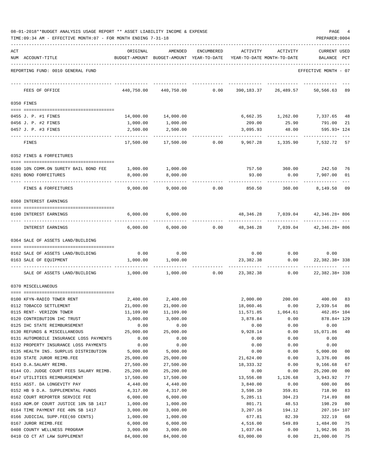| 08-01-2018**BUDGET ANALYSIS USAGE REPORT ** ASSET LIABILITY INCOME & EXPENSE |  |  | PAGE |  |
|------------------------------------------------------------------------------|--|--|------|--|
|                                                                              |  |  |      |  |

TIME:09:34 AM - EFFECTIVE MONTH:07 - FOR MONTH ENDING 7-31-18 PREPARER:0004

| ACT |                                                                   | ORIGINAL               | AMENDED                                  | <b>ENCUMBERED</b> | ACTIVITY          | ACTIVITY                            | CURRENT USED          |          |
|-----|-------------------------------------------------------------------|------------------------|------------------------------------------|-------------------|-------------------|-------------------------------------|-----------------------|----------|
|     | NUM ACCOUNT-TITLE                                                 |                        | BUDGET-AMOUNT BUDGET-AMOUNT YEAR-TO-DATE |                   |                   | YEAR-TO-DATE MONTH-TO-DATE          | BALANCE               | PCT      |
|     | REPORTING FUND: 0010 GENERAL FUND                                 |                        |                                          |                   |                   |                                     | EFFECTIVE MONTH - 07  |          |
|     | FEES OF OFFICE                                                    | 440,750.00             | 440,750.00                               | 0.00              |                   | 390, 183. 37 26, 489. 57            | 50,566.63             | -89      |
|     | 0350 FINES                                                        |                        |                                          |                   |                   |                                     |                       |          |
|     | 0455 J. P. #1 FINES                                               |                        |                                          |                   |                   |                                     |                       | 48       |
|     | 0456 J. P. #2 FINES                                               | 14,000.00<br>1,000.00  | 14,000.00<br>1,000.00                    |                   | 209.00            | 6,662.35 1,262.00 7,337.65<br>25.90 | 791.00                | 21       |
|     | 0457 J. P. #3 FINES                                               | 2,500.00               | 2,500.00                                 |                   | 3,095.93          | 48.00                               | 595.93+ 124           |          |
|     |                                                                   |                        |                                          |                   |                   |                                     |                       |          |
|     | FINES                                                             | 17,500.00              | 17,500.00                                | 0.00              | 9,967.28          | 1,335.90                            | 7,532.72 57           |          |
|     | 0352 FINES & FORFEITURES                                          |                        |                                          |                   |                   |                                     |                       |          |
|     | 0100 10% COMM.ON SURETY BAIL BOND FEE                             | 1,000.00               | 1,000.00                                 |                   | 757.50            | 360.00                              | 242.50                | 76       |
|     | 0201 BOND FORFEITURES                                             | 8,000.00               | 8,000.00                                 |                   | 93.00             | 0.00                                | 7,907.00              | 01       |
|     | FINES & FORFEITURES                                               | 9,000.00               | 9,000.00                                 | 0.00              | 850.50            | 360.00                              | 8,149.50              | 09       |
|     | 0360 INTEREST EARNINGS                                            |                        |                                          |                   |                   |                                     |                       |          |
|     |                                                                   |                        |                                          |                   |                   |                                     |                       |          |
|     | 0100 INTEREST EARNINGS                                            | 6,000.00               | 6,000.00                                 |                   |                   | 48,346.28 7,039.04 42,346.28+806    |                       |          |
|     | INTEREST EARNINGS                                                 | 6,000.00               | 6,000.00                                 | 0.00              | 48,346.28         | 7,039.04                            | 42,346.28+806         |          |
|     | 0364 SALE OF ASSETS LAND/BUILDING                                 |                        |                                          |                   |                   |                                     |                       |          |
|     | 0162 SALE OF ASSETS LAND/BUILDING                                 | 0.00                   | 0.00                                     |                   | 0.00              | 0.00                                | 0.00                  |          |
|     | 0163 SALE OF EQUIPMENT                                            | 1,000.00               | 1,000.00                                 |                   | 23, 382.38        | 0.00                                | 22, 382. 38+ 338      |          |
|     |                                                                   |                        |                                          |                   |                   |                                     | ---------             |          |
|     | SALE OF ASSETS LAND/BUILDING                                      | 1,000.00               | 1,000.00                                 | 0.00              | 23,382.38         | 0.00                                | 22,382.38+338         |          |
|     | 0370 MISCELLANEOUS                                                |                        |                                          |                   |                   |                                     |                       |          |
|     | 0100 KFYN-RADIO TOWER RENT                                        | 2,400.00               | 2,400.00                                 |                   |                   | 2,000.00 200.00 400.00              |                       | 83       |
|     | 0112 TOBACCO SETTLEMENT                                           | 21,000.00              | 21,000.00                                |                   | 18,060.46         | 0.00                                | 2,939.54              | 86       |
|     | 0115 RENT- VERIZON TOWER                                          | 11,109.00              | 11,109.00                                |                   | 11,571.85         | 1,064.61                            | 462.85+ 104           |          |
|     | 0120 CONTRIBUTION IHC TRUST                                       | 3,000.00               | 3,000.00                                 |                   | 3,878.84          | 0.00                                | 878.84+ 129           |          |
|     | 0125 IHC STATE REIMBURSEMENT                                      | 0.00                   | 0.00                                     |                   | 0.00              | 0.00                                | 0.00                  |          |
|     | 0130 REFUNDS & MISCELLANEOUS                                      | 25,000.00              | 25,000.00                                |                   | 9,928.14          | 0.00                                | 15,071.86             | 40       |
|     | 0131 AUTOMOBILE INSURANCE LOSS PAYMENTS                           | 0.00                   | 0.00                                     |                   | 0.00              | 0.00                                | 0.00                  |          |
|     | 0132 PROPERTY INSURANCE LOSS PAYMENTS                             | 0.00                   | 0.00                                     |                   | 0.00              | 0.00                                | 0.00                  |          |
|     | 0135 HEALTH INS. SURPLUS DISTRIBUTION                             | 5,000.00               | 5,000.00                                 |                   | 0.00              | 0.00                                | 5,000.00              | 00       |
|     | 0139 STATE JUROR REIMB.FEE                                        | 25,000.00              | 25,000.00                                |                   | 21,624.00         | 0.00                                | 3,376.00              | 86       |
|     | 0143 D.A.SALARY REIMB.<br>0144 CO. JUDGE COURT FEES SALARY REIMB. | 27,500.00<br>25,200.00 | 27,500.00<br>25,200.00                   |                   | 18,333.32<br>0.00 | 0.00<br>0.00                        | 9,166.68<br>25,200.00 | 67<br>00 |
|     | 0147 UTILITIES REIMBURSEMENT                                      | 17,500.00              | 17,500.00                                |                   | 13,556.08         | 1,126.68                            | 3,943.92              | 77       |
|     | 0151 ASST. DA LONGEVITY PAY                                       | 4,440.00               | 4,440.00                                 |                   | 3,840.00          | 0.00                                | 600.00                | 86       |
|     | 0152 HB 9 D.A. SUPPLEMENTAL FUNDS                                 | 4,317.00               | 4,317.00                                 |                   | 3,598.10          | 359.81                              | 718.90                | 83       |
|     | 0162 COURT REPORTER SERVICE FEE                                   | 6,000.00               | 6,000.00                                 |                   | 5,285.11          | 304.23                              | 714.89                | 88       |
|     | 0163 ADM.OF COURT JUSTICE 10% SB 1417                             | 1,000.00               | 1,000.00                                 |                   | 801.71            | 48.53                               | 198.29                | 80       |
|     | 0164 TIME PAYMENT FEE 40% SB 1417                                 | 3,000.00               | 3,000.00                                 |                   | 3,207.16          | 194.12                              | 207.16+ 107           |          |
|     | 0166 JUDICIAL SUPP.FEE(60 CENTS)                                  | 1,000.00               | 1,000.00                                 |                   | 677.81            | 82.39                               | 322.19                | 68       |
|     | 0167 JUROR REIMB.FEE                                              | 6,000.00               | 6,000.00                                 |                   | 4,516.00          | 549.89                              | 1,484.00              | 75       |
|     | 0408 COUNTY WELLNESS PROGRAM                                      | 3,000.00               | 3,000.00                                 |                   | 1,037.04          | 0.00                                | 1,962.96              | 35       |

0410 CO CT AT LAW SUPPLEMENT 84,000.00 84,000.00 63,000.00 0.00 21,000.00 75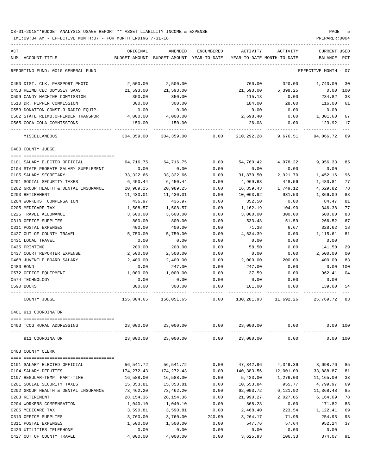| ACT                                               | ORIGINAL         | AMENDED                                                             | ENCUMBERED     | ACTIVITY           | ACTIVITY             | <b>CURRENT USED</b>  |          |
|---------------------------------------------------|------------------|---------------------------------------------------------------------|----------------|--------------------|----------------------|----------------------|----------|
| NUM ACCOUNT-TITLE                                 |                  | BUDGET-AMOUNT BUDGET-AMOUNT YEAR-TO-DATE YEAR-TO-DATE MONTH-TO-DATE |                |                    |                      | BALANCE PCT          |          |
| REPORTING FUND: 0010 GENERAL FUND                 |                  |                                                                     |                |                    |                      | EFFECTIVE MONTH - 07 |          |
| 0450 DIST. CLK. PASSPORT PHOTO                    | 2,500.00         | 2,500.00                                                            |                | 760.00             | 320.00               | 1,740.00             | 30       |
| 0453 REIMB.CEC ODYSSEY SAAS                       | 21,593.00        | 21,593.00                                                           |                | 21,593.00          | 5,398.25             | 0.00                 | 100      |
| 0509 CANDY MACHINE COMMISSION                     | 350.00           | 350.00                                                              |                | 115.18             | 0.00                 | 234.82               | 33       |
| 0510 DR. PEPPER COMMISSION                        | 300.00           | 300.00                                                              |                | 184.00             | 28.00                | 116.00               | 61       |
| 0553 DONATION CONST.3 RADIO EQUIP.                | 0.00             | 0.00                                                                |                | 0.00               | 0.00                 | 0.00                 |          |
| 0562 STATE REIMB.OFFENDER TRANSPORT               | 4,000.00         | 4,000.00                                                            |                | 2,698.40           | 0.00                 | 1,301.60             | 67       |
| 0565 COCA-COLA COMMISSIONS                        | 150.00           | 150.00                                                              |                | 26.08              | 0.00                 | 123.92               | 17       |
| MISCELLANEOUS                                     |                  | 304,359.00 304,359.00                                               | 0.00           |                    | 210,292.28 9,676.51  | 94,066.72 69         |          |
| 0400 COUNTY JUDGE                                 |                  |                                                                     |                |                    |                      |                      |          |
|                                                   |                  |                                                                     |                |                    |                      |                      |          |
| 0101 SALARY ELECTED OFFICIAL                      | 64,716.75        | 64,716.75                                                           | 0.00           | 54,760.42          | 4,978.22             | 9,956.33             | 85       |
| 0104 STATE PROBATE SALARY SUPPLEMENT              | 0.00             | 0.00                                                                | 0.00           | 0.00               | 0.00                 | 0.00                 |          |
| 0105 SALARY SECRETARY                             | 33,322.66        | 33, 322.66                                                          | 0.00           | 31,870.50          | 2,921.70             | 1,452.16             | 96       |
| 0201 SOCIAL SECURITY TAXES                        | 6,450.44         | 6,450.44                                                            | 0.00           | 4,969.63           | 448.56               | 1,480.81             | 77       |
| 0202 GROUP HEALTH & DENTAL INSURANCE              | 20,989.25        | 20,989.25                                                           | 0.00           | 16,359.43          | 1,749.12             | 4,629.82             | 78       |
| 0203 RETIREMENT                                   | 11,430.01        | 11,430.01                                                           | 0.00           | 10,063.92          | 931.50               | 1,366.09             | 88       |
| 0204 WORKERS' COMPENSATION                        | 436.97           | 436.97                                                              | 0.00           | 352.50             | 0.00                 | 84.47                | 81<br>77 |
| 0205 MEDICARE TAX                                 | 1,508.57         | 1,508.57                                                            | 0.00           | 1,162.19           | 104.90               | 346.38               |          |
| 0225 TRAVEL ALLOWANCE                             | 3,600.00         | 3,600.00                                                            | 0.00           | 3,000.00<br>533.48 | 300.00               | 600.00               | 83       |
| 0310 OFFICE SUPPLIES                              | 800.00           | 800.00                                                              | 0.00           |                    | 51.59                | 266.52               | 67<br>18 |
| 0311 POSTAL EXPENSES<br>0427 OUT OF COUNTY TRAVEL | 400.00           | 400.00<br>5,750.00                                                  | 0.00           | 71.38              | 6.67                 | 328.62               | 81       |
| 0431 LOCAL TRAVEL                                 | 5,750.00<br>0.00 | 0.00                                                                | 0.00<br>0.00   | 4,634.39<br>0.00   | 0.00<br>0.00         | 1,115.61<br>0.00     |          |
| 0435 PRINTING                                     | 200.00           | 200.00                                                              | 0.00           | 58.50              | 0.00                 | 141.50               | 29       |
| 0437 COURT REPORTER EXPENSE                       | 2,500.00         | 2,500.00                                                            | 0.00           | 0.00               | 0.00                 | 2,500.00             | 00       |
| 0468 JUVENILE BOARD SALARY                        | 2,400.00         | 2,400.00                                                            | 0.00           | 2,000.00           | 200.00               | 400.00               | 83       |
| 0480 BOND                                         | 0.00             | 247.00                                                              | 0.00           | 247.00             | 0.00                 | 0.00                 | 100      |
| 0572 OFFICE EQUIPMENT                             | 1,000.00         | 1,000.00                                                            | 0.00           | 37.59              | 0.00                 | 962.41               | 04       |
| 0574 TECHNOLOGY                                   | 0.00             | 0.00                                                                | 0.00           | 0.00               | 0.00                 | 0.00                 |          |
| 0590 BOOKS                                        | 300.00           | 300.00                                                              | 0.00           | 161.00             | 0.00                 | 139.00               | 54       |
|                                                   |                  |                                                                     |                |                    |                      |                      |          |
| COUNTY JUDGE                                      | 155,804.65       | 156,051.65                                                          | 0.00           |                    | 130,281.93 11,692.26 | 25,769.72 83         |          |
| 0401 911 COORDINATOR                              |                  |                                                                     |                |                    |                      |                      |          |
| 0403 TCOG RURAL ADDRESSING                        | 23,000.00        |                                                                     | 23,000.00 0.00 |                    | 23,000.00 0.00       | 0.00 100             |          |
|                                                   |                  |                                                                     |                |                    |                      |                      |          |
| 911 COORDINATOR                                   | 23,000.00        |                                                                     | 23,000.00 0.00 | 23,000.00          | 0.00                 |                      | 0.00 100 |
| 0403 COUNTY CLERK                                 |                  |                                                                     |                |                    |                      |                      |          |
| 0101 SALARY ELECTED OFFICIAL                      | 56,541.72        | 56,541.72                                                           | 0.00           |                    | 47,842.96 4,349.36   | 8,698.76             | 85       |
| 0104 SALARY DEPUTIES                              | 174,272.43       | 174, 272. 43                                                        | 0.00           | 140,383.56         | 12,001.09            | 33,888.87            | 81       |
| 0107 REGULAR-TEMP. PART-TIME                      | 16,588.00        | 16,588.00                                                           | 0.00           | 5,423.00           | 1,276.00             | 11,165.00            | 33       |
| 0201 SOCIAL SECURITY TAXES                        | 15,353.81        | 15,353.81                                                           | 0.00           | 10,553.84          | 955.77               | 4,799.97             | 69       |
| 0202 GROUP HEALTH & DENTAL INSURANCE              | 73,462.20        | 73,462.20                                                           | 0.00           | 62,093.72          | 6,121.92             | 11,368.48            | 85       |
| 0203 RETIREMENT                                   | 28,154.36        | 28,154.36                                                           | 0.00           | 21,990.27          | 2,027.05             | 6,164.09             | 78       |
| 0204 WORKERS COMPENSATION                         | 1,040.10         | 1,040.10                                                            | 0.00           | 868.28             | 0.00                 | 171.82               | 83       |
| 0205 MEDICARE TAX                                 | 3,590.81         | 3,590.81                                                            | 0.00           | 2,468.40           | 223.54               | 1,122.41             | 69       |
| 0310 OFFICE SUPPLIES                              | 3,760.00         | 3,760.00                                                            | 240.90         | 3,264.17           | 71.95                | 254.93               | 93       |
| 0311 POSTAL EXPENSES                              | 1,500.00         | 1,500.00                                                            | 0.00           | 547.76             | 57.64                | 952.24               | 37       |
| 0420 UTILITIES TELEPHONE                          | 0.00             | 0.00                                                                | 0.00           | 0.00               | 0.00                 | 0.00                 |          |
| 0427 OUT OF COUNTY TRAVEL                         | 4,000.00         | 4,000.00                                                            | 0.00           | 3,625.93           | 106.33               | 374.07               | 91       |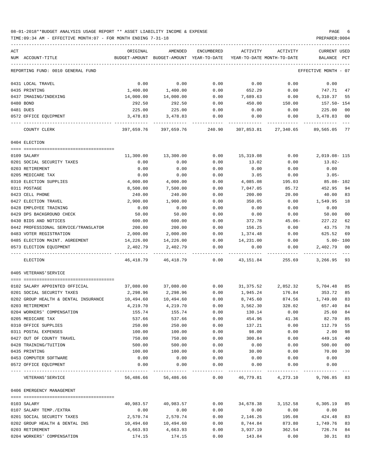### 08-01-2018\*\*BUDGET ANALYSIS USAGE REPORT \*\* ASSET LIABILITY INCOME & EXPENSE PAGE 6 TIME:09:34 AM - EFFECTIVE MONTH:07 - FOR MONTH ENDING 7-31-18 PREPARER:0004

| ACT | NUM ACCOUNT-TITLE                    | ORIGINAL  | AMENDED<br>BUDGET-AMOUNT BUDGET-AMOUNT YEAR-TO-DATE | ENCUMBERED | ACTIVITY  | ACTIVITY<br>YEAR-TO-DATE MONTH-TO-DATE                         | CURRENT USED<br>BALANCE PCT |    |
|-----|--------------------------------------|-----------|-----------------------------------------------------|------------|-----------|----------------------------------------------------------------|-----------------------------|----|
|     | REPORTING FUND: 0010 GENERAL FUND    |           |                                                     |            |           |                                                                | EFFECTIVE MONTH - 07        |    |
|     | 0431 LOCAL TRAVEL                    | 0.00      | 0.00                                                | 0.00       | 0.00      | 0.00                                                           | 0.00                        |    |
|     | 0435 PRINTING                        | 1,400.00  | 1,400.00                                            | 0.00       | 652.29    | 0.00                                                           | 747.71                      | 47 |
|     | 0437 IMAGING/INDEXING                | 14,000.00 | 14,000.00                                           | 0.00       | 7,689.63  | 0.00                                                           | 6,310.37                    | 55 |
|     | 0480 BOND                            | 292.50    | 292.50                                              | 0.00       | 450.00    | 150.00                                                         | 157.50- 154                 |    |
|     | 0481 DUES                            | 225.00    | 225.00                                              | 0.00       | 0.00      | 0.00                                                           | 225.00                      | 00 |
|     | 0572 OFFICE EQUIPMENT                | 3,478.83  | 3,478.83                                            | 0.00       | 0.00      | 0.00                                                           | 3,478.83 00                 |    |
|     | COUNTY CLERK                         |           |                                                     |            |           | 397,659.76 397,659.76 240.90 307,853.81 27,340.65 89,565.05 77 |                             |    |
|     | 0404 ELECTION                        |           |                                                     |            |           |                                                                |                             |    |
|     |                                      |           |                                                     |            |           |                                                                |                             |    |
|     | 0109 SALARY                          | 11,300.00 | 13,300.00                                           | 0.00       | 15,319.08 | 0.00                                                           | 2,019.08-115                |    |
|     | 0201 SOCIAL SECURITY TAXES           | 0.00      | 0.00                                                | 0.00       | 13.02     | 0.00                                                           | 13.02-                      |    |
|     | 0203 RETIREMENT                      | 0.00      | 0.00                                                | 0.00       | 0.00      | 0.00                                                           | 0.00                        |    |
|     | 0205 MEDICARE TAX                    | 0.00      | 0.00                                                | 0.00       | 3.05      | 0.00                                                           | $3.05 -$                    |    |
|     | 0310 ELECTION SUPPLIES               | 4,000.00  | 4,000.00                                            | 0.00       | 4,085.08  | 195.03                                                         | 85.08- 102                  |    |
|     | 0311 POSTAGE                         | 8,500.00  | 7,500.00                                            | 0.00       | 7,047.05  | 85.72                                                          | 452.95                      | 94 |
|     | 0423 CELL PHONE                      | 240.00    | 240.00                                              | 0.00       | 200.00    | 20.00                                                          | 40.00                       | 83 |
|     | 0427 ELECTION TRAVEL                 | 2,900.00  | 1,900.00                                            | 0.00       | 350.05    | 0.00                                                           | 1,549.95                    | 18 |
|     | 0428 EMPLOYEE TRAINING               | 0.00      | 0.00                                                | 0.00       | 0.00      | 0.00                                                           | 0.00                        |    |
|     | 0429 DPS BACKGROUND CHECK            | 50.00     | 50.00                                               | 0.00       | 0.00      | 0.00                                                           | 50.00                       | 00 |
|     | 0430 BIDS AND NOTICES                | 600.00    | 600.00                                              | 0.00       | 372.78    | $45.06-$                                                       | 227.22                      | 62 |
|     | 0442 PROFESSIONAL SERVICE/TRANSLATOR | 200.00    | 200.00                                              | 0.00       | 156.25    | 0.00                                                           | 43.75                       | 78 |
|     | 0483 VOTER REGISTRATION              | 2,000.00  | 2,000.00                                            | 0.00       | 1,374.48  | 0.00                                                           | 625.52                      | 69 |
|     | 0485 ELECTION MAINT. AGREEMENT       | 14,226.00 | 14,226.00                                           | 0.00       | 14,231.00 | 0.00                                                           | $5.00 - 100$                |    |
|     | 0573 ELECTION EQUIPMENT              | 2,402.79  | 2,402.79                                            | 0.00       | 0.00      | 0.00                                                           | 2,402.79                    | 00 |
|     | ELECTION                             |           | 46,418.79 46,418.79 0.00 43,151.84                  |            |           | 255.69                                                         | 3,266.95 93                 |    |
|     | 0405 VETERANS'SERVICE                |           |                                                     |            |           |                                                                |                             |    |
|     | 0102 SALARY APPOINTED OFFICIAL       | 37,080.00 | 37,080.00                                           | 0.00       |           | 31, 375.52 2, 852.32                                           | 5,704.48                    | 85 |
|     | 0201 SOCIAL SECURITY TAXES           | 2,298.96  | 2,298.96                                            | 0.00       | 1,945.24  | 176.84                                                         | 353.72                      | 85 |
|     | 0202 GROUP HEALTH & DENTAL INSURANCE | 10,494.60 | 10,494.60                                           | 0.00       | 8,745.60  | 874.56 1,749.00                                                |                             | 83 |
|     | 0203 RETIREMENT                      | 4,219.70  | 4,219.70                                            | 0.00       | 3,562.30  | 328.02                                                         | 657.40                      | 84 |
|     | 0204 WORKERS' COMPENSATION           | 155.74    | 155.74                                              | 0.00       | 130.14    | 0.00                                                           | 25.60 84                    |    |
|     | 0205 MEDICARE TAX                    | 537.66    | 537.66                                              | 0.00       | 454.96    | 41.36                                                          | 82.70                       | 85 |
|     | 0310 OFFICE SUPPLIES                 | 250.00    | 250.00                                              | 0.00       | 137.21    | 0.00                                                           | 112.79                      | 55 |
|     | 0311 POSTAL EXPENSES                 | 100.00    | 100.00                                              | 0.00       | 98.00     | 0.00                                                           | 2.00                        | 98 |
|     | 0427 OUT OF COUNTY TRAVEL            | 750.00    | 750.00                                              | 0.00       | 300.84    | 0.00                                                           | 449.16                      | 40 |
|     | 0428 TRAINING/TUITION                | 500.00    | 500.00                                              | 0.00       | 0.00      | 0.00                                                           | 500.00                      | 00 |
|     | 0435 PRINTING                        | 100.00    | 100.00                                              | 0.00       | 30.00     | 0.00                                                           | 70.00                       | 30 |
|     | 0453 COMPUTER SOFTWARE               | 0.00      | 0.00                                                | 0.00       | 0.00      | 0.00                                                           | 0.00                        |    |
|     | 0572 OFFICE EQUIPMENT                | 0.00      | 0.00                                                | 0.00       | 0.00      | 0.00                                                           | 0.00                        |    |
|     | VETERANS ' SERVICE                   | 56,486.66 |                                                     |            |           | 56,486.66  0.00  46,779.81  4,273.10  9,706.85  83             |                             |    |
|     | 0406 EMERGENCY MANAGEMENT            |           |                                                     |            |           |                                                                |                             |    |
|     | 0103 SALARY                          | 40,983.57 | 40,983.57                                           | 0.00       |           | 34,678.38 3,152.58                                             | 6,305.19                    | 85 |
|     | 0107 SALARY TEMP./EXTRA              | 0.00      | 0.00                                                | 0.00       | 0.00      | 0.00                                                           | 0.00                        |    |
|     | 0201 SOCIAL SECURITY TAXES           | 2,570.74  | 2,570.74                                            | 0.00       | 2,146.26  | 195.08                                                         | 424.48                      | 83 |
|     | 0202 GROUP HEALTH & DENTAL INS       | 10,494.60 | 10,494.60                                           | 0.00       | 8,744.84  | 873.80                                                         | 1,749.76                    | 83 |
|     | 0203 RETIREMENT                      | 4,663.93  | 4,663.93                                            | 0.00       | 3,937.19  | 362.54                                                         | 726.74                      | 84 |
|     | 0204 WORKERS' COMPENSATION           | 174.15    | 174.15                                              | 0.00       | 143.84    | 0.00                                                           | 30.31                       | 83 |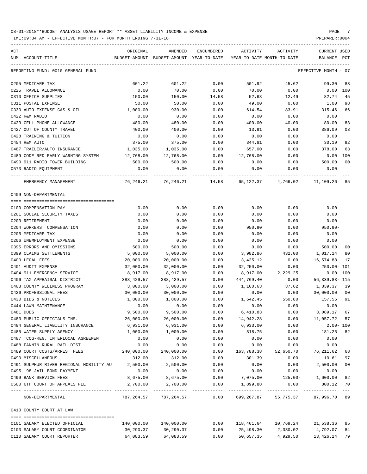| ACT                                              | ORIGINAL     | AMENDED                                  | ENCUMBERED   | ACTIVITY       | ACTIVITY                   | CURRENT USED           |                |
|--------------------------------------------------|--------------|------------------------------------------|--------------|----------------|----------------------------|------------------------|----------------|
| NUM ACCOUNT-TITLE                                |              | BUDGET-AMOUNT BUDGET-AMOUNT YEAR-TO-DATE |              |                | YEAR-TO-DATE MONTH-TO-DATE | BALANCE                | PCT            |
| REPORTING FUND: 0010 GENERAL FUND                |              |                                          |              |                |                            | EFFECTIVE MONTH - 07   |                |
| 0205 MEDICARE TAX                                | 601.22       | 601.22                                   | 0.00         | 501.92         | 45.62                      | 99.30                  | 83             |
| 0225 TRAVEL ALLOWANCE                            | 0.00         | 70.00                                    | 0.00         | 70.00          | 0.00                       | $0.00$ $100$           |                |
| 0310 OFFICE SUPPLIES                             | 150.00       | 150.00                                   | 14.58        | 52.68          | 12.49                      | 82.74                  | -45            |
| 0311 POSTAL EXPENSE                              | 50.00        | 50.00                                    | 0.00         | 49.00          | 0.00                       | 1.00                   | 98             |
| 0330 AUTO EXPENSE-GAS & OIL                      | 1,000.00     | 930.00                                   | 0.00         | 614.54         | 83.91                      | 315.46                 | 66             |
| 0422 R&M RADIO                                   | 0.00         | 0.00                                     | 0.00         | 0.00           | 0.00                       | 0.00                   |                |
| 0423 CELL PHONE ALLOWANCE                        | 480.00       | 480.00                                   | 0.00         | 400.00         | 40.00                      | 80.00                  | 83             |
| 0427 OUT OF COUNTY TRAVEL                        | 400.00       | 400.00                                   | 0.00         | 13.91          | 0.00                       | 386.09                 | 03             |
| 0428 TRAINING & TUITION                          | 0.00         | 0.00                                     | 0.00         | 0.00           | 0.00                       | 0.00                   |                |
| 0454 R&M AUTO                                    | 375.00       | 375.00                                   | 0.00         | 344.81         | 0.00                       | 30.19                  | 92             |
| 0487 TRAILER/AUTO INSURANCE                      | 1,035.00     | 1,035.00                                 | 0.00         | 657.00         | 0.00                       | 378.00                 | 63             |
| 0489 CODE RED EARLY WARNING SYSTEM               | 12,768.00    | 12,768.00                                | 0.00         | 12,768.00      | 0.00                       | 0.00                   | 100            |
| 0490 911 RADIO TOWER BUILDING                    | 500.00       | 500.00                                   | 0.00         | 0.00           | 0.00                       | 500.00                 | 0 <sub>0</sub> |
| 0573 RADIO EQUIPMENT                             | 0.00         | 0.00                                     | 0.00         | 0.00           | 0.00                       | 0.00                   |                |
| EMERGENCY MANAGEMENT                             |              | 76,246.21 76,246.21                      | 14.58        |                | 65,122.37 4,766.02         | 11,109.26 85           |                |
| 0409 NON-DEPARTMENTAL                            |              |                                          |              |                |                            |                        |                |
|                                                  |              |                                          |              |                |                            |                        |                |
| 0100 COMPENSATION PAY                            | 0.00         | 0.00                                     | 0.00         | 0.00           | 0.00                       | 0.00                   |                |
| 0201 SOCIAL SECURITY TAXES                       | 0.00         | 0.00                                     | 0.00         | 0.00           | 0.00                       | 0.00                   |                |
| 0203 RETIREMENT                                  | 0.00         | 0.00                                     | 0.00         | 0.00           | 0.00                       | 0.00                   |                |
| 0204 WORKERS' COMPENSATION                       | 0.00         | 0.00<br>0.00                             | 0.00<br>0.00 | 950.90<br>0.00 | 0.00                       | $950.90 -$<br>0.00     |                |
| 0205 MEDICARE TAX<br>0206 UNEMPLOYMENT EXPENSE   | 0.00<br>0.00 | 0.00                                     | 0.00         | 0.00           | 0.00<br>0.00               | 0.00                   |                |
| 0395 ERRORS AND OMISSIONS                        | 500.00       | 500.00                                   | 0.00         | 0.00           | 0.00                       | 500.00                 | 00             |
| 0399 CLAIMS SETTLEMENTS                          | 5,000.00     | 5,000.00                                 | 0.00         | 3,982.86       | 432.00                     | 1,017.14               | 80             |
| 0400 LEGAL FEES                                  | 20,000.00    | 20,000.00                                | 0.00         | 3,425.12       | 0.00                       | 16,574.88              | 17             |
| 0401 AUDIT EXPENSE                               | 32,000.00    | 32,000.00                                | 0.00         | 32,250.00      | 0.00                       | 250.00- 101            |                |
| 0404 911 EMERGENCY SERVICE                       | 8,917.00     | 8,917.00                                 | 0.00         | 8,917.00       | 2,229.25                   | $0.00$ 100             |                |
| 0406 TAX APPRAISAL DISTRICT                      | 388,429.57   | 388,429.57                               | 0.00         | 444,769.40     | 0.00                       | $56,339.83 - 115$      |                |
| 0408 COUNTY WELLNESS PROGRAM                     | 3,000.00     | 3,000.00                                 | 0.00         | 1,160.63       | 37.62                      | 1,839.37 39            |                |
| 0426 PROFESSIONAL FEES                           | 30,000.00    | 30,000.00                                | 0.00         | 0.00           | 0.00                       | 30,000.00 00           |                |
| 0430 BIDS & NOTICES                              | 1,800.00     | 1,800.00                                 | 0.00         | 1,642.45       | 550.80                     | 157.55                 | 91             |
| 0444 LAWN MAINTENANCE                            | 0.00         | 0.00                                     | 0.00         | 0.00           | 0.00                       | 0.00                   |                |
| 0481 DUES                                        | 9,500.00     | 9,500.00                                 | 0.00         | 6,410.83       | 0.00                       | 3,089.17 67            |                |
| 0483 PUBLIC OFFICIALS INS.                       | 26,000.00    | 26,000.00                                | 0.00         | 14,942.28      | 0.00                       | 11,057.72 57           |                |
| 0484 GENERAL LIABILITY INSURANCE                 | 6,931.00     | 6,931.00                                 | 0.00         | 6,933.00       | 0.00                       | $2.00 - 100$           |                |
| 0485 WATER SUPPLY AGENCY                         | 1,000.00     | 1,000.00                                 | 0.00         | 818.75         | 0.00                       | 181.25                 | 82             |
| 0487 TCOG-REG. INTERLOCAL AGREEMENT              | 0.00         | 0.00                                     | 0.00         | 0.00           | 0.00                       | 0.00                   |                |
| 0488 FANNIN RURAL RAIL DIST                      | 0.00         | 0.00                                     | 0.00         | 0.00           | 0.00                       | 0.00                   |                |
| 0489 COURT COSTS/ARREST FEES                     | 240,000.00   | 240,000.00                               | 0.00         | 163,788.38     | 52,650.70                  | 76,211.62              | 68             |
| 0490 MISCELLANEOUS                               | 312.00       | 312.00                                   | 0.00         | 301.39         | 0.00                       | 10.61                  | 97             |
| 0491 SULPHUR RIVER REGIONAL MOBILITY AU 2,500.00 |              | 2,500.00                                 | 0.00         | 0.00           | 0.00                       | 2,500.00               | 00             |
| 0495 '98 JAIL BOND PAYMENT                       | 0.00         | 0.00                                     | 0.00         | 0.00           | 0.00                       | 0.00                   |                |
| 0499 BANK SERVICE FEES                           | 8,675.00     | 8,675.00                                 | 0.00         | 7,075.00       | $125.00-$                  | 1,600.00               | 82             |
| 0500 6TH COURT OF APPEALS FEE                    | 2,700.00     | 2,700.00                                 | 0.00         | 1,899.88       | 0.00                       | 800.12 70              |                |
| NON-DEPARTMENTAL                                 |              | 787,264.57 787,264.57 0.00               |              | 699,267.87     |                            | 55,775.37 87,996.70 89 |                |
| 0410 COUNTY COURT AT LAW                         |              |                                          |              |                |                            |                        |                |
| 0101 SALARY ELECTED OFFICIAL                     | 140,000.00   | 140,000.00                               | 0.00         | 118,461.64     | 10,769.24                  | 21,538.36 85           |                |
| 0103 SALARY COURT COORDINATOR                    | 30,290.37    | 30,290.37                                | 0.00         | 25,498.30      | 2,330.02                   | 4,792.07               | 84             |
| 0110 SALARY COURT REPORTER                       | 64,083.59    | 64,083.59                                | 0.00         | 50,657.35      | 4,929.50                   | 13, 426. 24 79         |                |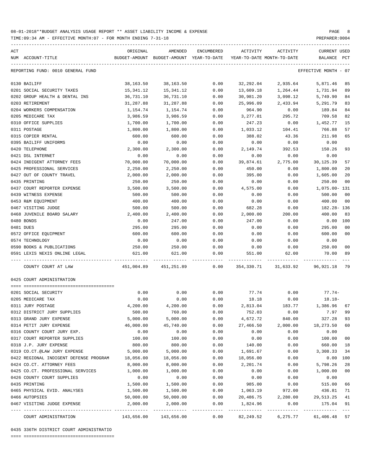TIME:09:34 AM - EFFECTIVE MONTH:07 - FOR MONTH ENDING 7-31-18

| ACT |                                        | ORIGINAL  | AMENDED                                                                    | ENCUMBERED | ACTIVITY                   | ACTIVITY | CURRENT USED         |              |
|-----|----------------------------------------|-----------|----------------------------------------------------------------------------|------------|----------------------------|----------|----------------------|--------------|
|     | NUM ACCOUNT-TITLE                      |           | BUDGET-AMOUNT BUDGET-AMOUNT YEAR-TO-DATE                                   |            | YEAR-TO-DATE MONTH-TO-DATE |          | BALANCE              | $_{\rm PCT}$ |
|     | REPORTING FUND: 0010 GENERAL FUND      |           |                                                                            |            |                            |          | EFFECTIVE MONTH - 07 |              |
|     | 0130 BAILIFF                           | 38,163.50 | 38,163.50                                                                  | 0.00       | 32,292.04                  | 2,935.64 | 5,871.46             | 85           |
|     | 0201 SOCIAL SECURITY TAXES             | 15,341.12 | 15, 341.12                                                                 | 0.00       | 13,609.18                  | 1,264.44 | 1,731.94             | 89           |
|     | 0202 GROUP HEALTH & DENTAL INS         | 36,731.10 | 36,731.10                                                                  | 0.00       | 30,981.20                  | 3,098.12 | 5,749.90             | 84           |
|     | 0203 RETIREMENT                        | 31,287.88 | 31,287.88                                                                  | 0.00       | 25,996.09                  | 2,433.94 | 5,291.79             | 83           |
|     | 0204 WORKERS COMPENSATION              | 1,154.74  | 1,154.74                                                                   | 0.00       | 964.90                     | 0.00     | 189.84               | 84           |
|     | 0205 MEDICARE TAX                      | 3,986.59  | 3,986.59                                                                   | 0.00       | 3,277.01                   | 295.72   | 709.58               | 82           |
|     | 0310 OFFICE SUPPLIES                   | 1,700.00  | 1,700.00                                                                   | 0.00       | 247.23                     | 0.00     | 1,452.77             | 15           |
|     | 0311 POSTAGE                           | 1,800.00  | 1,800.00                                                                   | 0.00       | 1,033.12                   | 104.41   | 766.88               | 57           |
|     | 0315 COPIER RENTAL                     | 600.00    | 600.00                                                                     | 0.00       | 388.02                     | 43.36    | 211.98               | 65           |
|     | 0395 BAILIFF UNIFORMS                  | 0.00      | 0.00                                                                       | 0.00       | 0.00                       | 0.00     | 0.00                 |              |
|     | 0420 TELEPHONE                         | 2,300.00  | 2,300.00                                                                   | 0.00       | 2,149.74                   | 392.53   | 150.26               | 93           |
|     | 0421 DSL INTERNET                      | 0.00      | 0.00                                                                       | 0.00       | 0.00                       | 0.00     | 0.00                 |              |
|     | 0424 INDIGENT ATTORNEY FEES            | 70,000.00 | 70,000.00                                                                  | 0.00       | 39,874.61                  | 2,775.00 | 30,125.39            | 57           |
|     | 0425 PROFESSIONAL SERVICES             | 2,250.00  | 2,250.00                                                                   | 0.00       | 450.00                     | 0.00     | 1,800.00             | 20           |
|     | 0427 OUT OF COUNTY TRAVEL              | 2,000.00  | 2,000.00                                                                   | 0.00       | 395.00                     | 0.00     | 1,605.00             | 20           |
|     | 0435 PRINTING                          | 250.00    | 250.00                                                                     | 0.00       | 0.00                       | 0.00     | 250.00               | 00           |
|     | 0437 COURT REPORTER EXPENSE            | 3,500.00  | 3,500.00                                                                   | 0.00       | 4,575.00                   | 0.00     | 1,075.00- 131        |              |
|     | 0439 WITNESS EXPENSE                   | 500.00    | 500.00                                                                     | 0.00       | 0.00                       | 0.00     | 500.00               | 00           |
|     | 0453 R&M EQUIPMENT                     | 400.00    | 400.00                                                                     | 0.00       | 0.00                       | 0.00     | 400.00               | 00           |
|     | 0467 VISITING JUDGE                    | 500.00    | 500.00                                                                     | 0.00       | 682.28                     | 0.00     | 182.28- 136          |              |
|     | 0468 JUVENILE BOARD SALARY             | 2,400.00  | 2,400.00                                                                   | 0.00       | 2,000.00                   | 200.00   | 400.00               | 83           |
|     | 0480 BONDS                             | 0.00      | 247.00                                                                     | 0.00       | 247.00                     | 0.00     | 0.00 100             |              |
|     | 0481 DUES                              | 295.00    | 295.00                                                                     | 0.00       | 0.00                       | 0.00     | 295.00               | 00           |
|     | 0572 OFFICE EQUIPMENT                  | 600.00    | 600.00                                                                     | 0.00       | 0.00                       | 0.00     | 600.00               | 00           |
|     | 0574 TECHNOLOGY                        | 0.00      | 0.00                                                                       | 0.00       | 0.00                       | 0.00     | 0.00                 |              |
|     | 0590 BOOKS & PUBLICATIONS              | 250.00    | 250.00                                                                     | 0.00       | 0.00                       | 0.00     | 250.00               | 00           |
|     | 0591 LEXIS NEXIS ONLINE LEGAL          | 621.00    | 621.00                                                                     | 0.00       | 551.00                     | 62.00    | 70.00                | 89           |
|     | COUNTY COURT AT LAW                    |           | 451,004.89   451,251.89      0.00   354,330.71   31,633.92   96,921.18  79 |            |                            |          |                      |              |
|     | 0425 COURT ADMINISTRATION              |           |                                                                            |            |                            |          |                      |              |
|     |                                        |           |                                                                            |            |                            |          |                      |              |
|     | 0201 SOCIAL SECURITY                   | 0.00      | 0.00                                                                       | 0.00       | 77.74                      | 0.00     | $77.74-$             |              |
|     | 0205 MEDICARE TAX                      | 0.00      | 0.00                                                                       | 0.00       | 18.18                      | 0.00     | $18.18-$             |              |
|     | 0311 JURY POSTAGE                      | 4,200.00  | 4,200.00                                                                   | 0.00       | 2,813.04                   | 183.77   | 1,386.96 67          |              |
|     | 0312 DISTRICT JURY SUPPLIES            | 500.00    | 760.00                                                                     | 0.00       | 752.03                     | 0.00     | 7.97 99              |              |
|     | 0313 GRAND JURY EXPENSE                | 5,000.00  | 5,000.00                                                                   | 0.00       | 4,672.72                   | 840.00   | 327.28               | 93           |
|     | 0314 PETIT JURY EXPENSE                | 46,000.00 | 45,740.00                                                                  | 0.00       | 27,466.50                  | 2,000.00 | 18,273.50            | 60           |
|     | 0316 COUNTY COURT JURY EXP.            | 0.00      | 0.00                                                                       | 0.00       | 0.00                       | 0.00     | 0.00                 |              |
|     | 0317 COURT REPORTER SUPPLIES           | 100.00    | 100.00                                                                     | 0.00       | 0.00                       | 0.00     | 100.00               | 00           |
|     | 0318 J.P. JURY EXPENSE                 | 800.00    | 800.00                                                                     | 0.00       | 140.00                     | 0.00     | 660.00               | 18           |
|     | 0319 CO.CT.@LAW JURY EXPENSE           | 5,000.00  | 5,000.00                                                                   | 0.00       | 1,691.67                   | 0.00     | 3,308.33             | 34           |
|     | 0422 REGIONAL INDIGENT DEFENSE PROGRAM | 18,056.00 | 18,056.00                                                                  | 0.00       | 18,056.00                  | 0.00     | 0.00                 | 100          |
|     | 0424 CO.CT. ATTORNEY FEES              | 8,000.00  | 8,000.00                                                                   | 0.00       | 2,201.74                   | 0.00     | 5,798.26             | 28           |
|     | 0425 CO.CT. PROFESSIONAL SERVICES      | 1,000.00  | 1,000.00                                                                   | 0.00       | 0.00                       | 0.00     | 1,000.00             | 00           |
|     | 0426 COUNTY COURT SUPPLIES             | 0.00      | 0.00                                                                       | 0.00       | 0.00                       | 0.00     | 0.00                 |              |
|     | 0435 PRINTING                          | 1,500.00  | 1,500.00                                                                   | 0.00       | 985.00                     | 0.00     | 515.00               | 66           |
|     | 0465 PHYSICAL EVID. ANALYSES           | 1,500.00  | 1,500.00                                                                   | 0.00       | 1,063.19                   | 972.00   | 436.81               | 71           |
|     | 0466 AUTOPSIES                         | 50,000.00 | 50,000.00                                                                  | 0.00       | 20,486.75                  | 2,280.00 | 29,513.25            | 41           |
|     | 0467 VISITING JUDGE EXPENSE            | 2,000.00  | 2,000.00                                                                   | 0.00       | 1,824.96                   | 0.00     | 175.04               | 91           |
|     |                                        |           |                                                                            |            |                            |          | ----------           | $- - -$      |

COURT ADMINISTRATION 143,656.00 143,656.00 0.00 82,249.52 6,275.77 61,406.48 57

0435 336TH DISTRICT COURT ADMINISTRATIO

==== ===================================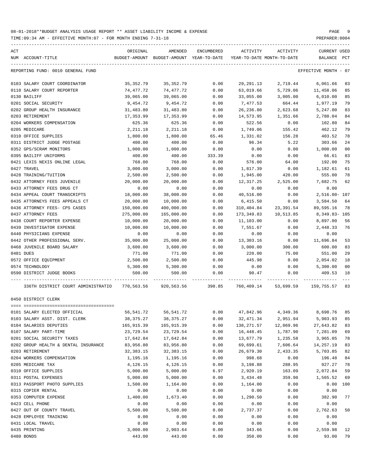TIME:09:34 AM - EFFECTIVE MONTH:07 - FOR MONTH ENDING 7-31-18 PREPARER:0004

| ACT | NUM ACCOUNT-TITLE                                                                                  | ORIGINAL    | AMENDED<br>BUDGET-AMOUNT BUDGET-AMOUNT YEAR-TO-DATE | ENCUMBERED | ACTIVITY<br>YEAR-TO-DATE MONTH-TO-DATE | ACTIVITY  | CURRENT USED<br>BALANCE PCT |                |
|-----|----------------------------------------------------------------------------------------------------|-------------|-----------------------------------------------------|------------|----------------------------------------|-----------|-----------------------------|----------------|
|     | REPORTING FUND: 0010 GENERAL FUND                                                                  |             |                                                     |            |                                        |           | EFFECTIVE MONTH - 07        |                |
|     |                                                                                                    |             |                                                     |            |                                        |           |                             |                |
|     | 0103 SALARY COURT COORDINATOR                                                                      | 35,352.79   | 35,352.79                                           | 0.00       | 29,291.13                              | 2,719.44  | 6,061.66                    | 83             |
|     | 0110 SALARY COURT REPORTER                                                                         | 74,477.72   | 74,477.72                                           | 0.00       | 63,019.66                              | 5,729.06  | 11,458.06                   | 85             |
|     | 0130 BAILIFF                                                                                       | 39,065.00   | 39,065.00                                           | 0.00       | 33,055.00                              | 3,005.00  | 6,010.00                    | 85             |
|     | 0201 SOCIAL SECURITY                                                                               | 9,454.72    | 9,454.72                                            | 0.00       | 7,477.53                               | 664.44    | 1,977.19                    | 79             |
|     | 0202 GROUP HEALTH INSURANCE                                                                        | 31,483.80   | 31,483.80                                           | 0.00       | 26,236.80                              | 2,623.68  | 5,247.00                    | 83             |
|     | 0203 RETIREMENT                                                                                    | 17,353.99   | 17,353.99                                           | 0.00       | 14,573.95                              | 1,351.66  | 2,780.04                    | 84             |
|     | 0204 WORKERS COMPENSATION                                                                          | 625.36      | 625.36                                              | 0.00       | 522.56                                 | 0.00      | 102.80                      | 84             |
|     | 0205 MEDICARE                                                                                      | 2,211.18    | 2,211.18                                            | 0.00       | 1,749.06                               | 155.42    | 462.12                      | 79             |
|     | 0310 OFFICE SUPPLIES                                                                               | 1,800.00    | 1,800.00                                            | 65.46      | 1,331.02                               | 156.28    | 403.52                      | 78             |
|     | 0311 DISTRICT JUDGE POSTAGE                                                                        | 400.00      | 400.00                                              | 0.00       | 96.34                                  | 5.22      | 303.66                      | 24             |
|     | 0352 GPS/SCRAM MONITORS                                                                            | 1,000.00    | 1,000.00                                            | 0.00       | 0.00                                   | 0.00      | 1,000.00                    | 0 <sub>0</sub> |
|     | 0395 BAILIFF UNIFORMS                                                                              | 400.00      | 400.00                                              | 333.39     | 0.00                                   | 0.00      | 66.61                       | 83             |
|     | 0421 LEXIS NEXIS ONLINE LEGAL                                                                      | 768.00      | 768.00                                              | 0.00       | 576.00                                 | 64.00     | 192.00                      | 75             |
|     | 0427 TRAVEL                                                                                        | 3,000.00    | 3,000.00                                            | 0.00       | 1,817.39                               | 0.00      | 1,182.61                    | 61             |
|     | 0428 TRAINING/TUITION                                                                              | 2,500.00    | 2,500.00                                            | 0.00       | 1,945.00                               | 420.00    | 555.00                      | 78             |
|     | 0432 ATTORNEY FEES JUVENILE                                                                        | 20,000.00   | 20,000.00                                           | 0.00       | 12,317.25                              | 2,525.00  | 7,682.75                    | 62             |
|     | 0433 ATTORNEY FEES DRUG CT                                                                         | 0.00        | 0.00                                                | 0.00       | 0.00                                   | 0.00      | 0.00                        |                |
|     | 0434 APPEAL COURT TRANSCRIPTS                                                                      | 18,000.00   | 38,000.00                                           | 0.00       | 40,516.00                              | 0.00      | 2,516.00- 107               |                |
|     | 0435 ATTORNEYS FEES APPEALS CT                                                                     | 20,000.00   | 10,000.00                                           | 0.00       | 6,415.50                               | 0.00      | 3,584.50                    | 64             |
|     | 0436 ATTORNEY FEES- CPS CASES                                                                      | 150,000.00  | 400,000.00                                          | 0.00       | 310,404.84                             | 23,391.54 | 89,595.16                   | -78            |
|     | 0437 ATTORNEY FEES                                                                                 | 275,000.00  | 165,000.00                                          | 0.00       | 173,349.83                             | 10,513.85 | 8,349.83-105                |                |
|     | 0438 COURT REPORTER EXPENSE                                                                        | 10,000.00   | 20,000.00                                           | 0.00       | 11,103.00                              | 0.00      | 8,897.00                    | 56             |
|     | 0439 INVESTIGATOR EXPENSE                                                                          | 10,000.00   | 10,000.00                                           | 0.00       | 7,551.67                               | 0.00      | 2,448.33                    | 76             |
|     | 0440 PHYSICIANS EXPENSE                                                                            | 0.00        | 0.00                                                | 0.00       | 0.00                                   | 0.00      | 0.00                        |                |
|     | 0442 OTHER PROFESSIONAL SERV.                                                                      | 35,000.00   | 25,000.00                                           | 0.00       | 13,303.16                              | 0.00      | 11,696.84                   | 53             |
|     | 0468 JUVENILE BOARD SALARY                                                                         | 3,600.00    | 3,600.00                                            | 0.00       | 3,000.00                               | 300.00    | 600.00                      | 83             |
|     | 0481 DUES                                                                                          | 771.00      | 771.00                                              | 0.00       | 220.00                                 | 75.00     | 551.00                      | 29             |
|     | 0572 OFFICE EQUIPMENT                                                                              | 2,500.00    | 2,500.00                                            | 0.00       | 445.98                                 | 0.00      | 2,054.02                    | 18             |
|     | 0574 TECHNOLOGY                                                                                    | 5,300.00    | 5,300.00                                            | 0.00       | 0.00                                   | 0.00      | 5,300.00                    | 00             |
|     | 0590 DISTRICT JUDGE BOOKS                                                                          | 500.00      | 500.00                                              | 0.00       | 90.47                                  | 0.00      | 409.53                      | 18             |
|     |                                                                                                    |             |                                                     |            |                                        |           |                             |                |
|     | 336TH DISTRICT COURT ADMINISTRATIO 770,563.56 920,563.56 398.85 760,409.14 53,699.59 159,755.57 83 |             |                                                     |            |                                        |           |                             |                |
|     | 0450 DISTRICT CLERK                                                                                |             |                                                     |            |                                        |           |                             |                |
|     |                                                                                                    |             |                                                     |            |                                        |           |                             |                |
|     | 0101 SALARY ELECTED OFFICIAL                                                                       | 56,541.72   | 56,541.72                                           | 0.00       | 47,842.96                              | 4,349.36  | 8,698.76                    | 85             |
|     | 0103 SALARY ASST. DIST. CLERK                                                                      | 38, 375. 27 | 38, 375. 27                                         | 0.00       | 32,471.34                              | 2,951.94  | 5,903.93                    | 85             |
|     | 0104 SALARIES DEPUTIES                                                                             | 165,915.39  | 165,915.39                                          | 0.00       | 138,271.57                             | 12,069.96 | 27,643.82                   | 83             |
|     | 0107 SALARY PART-TIME                                                                              | 23,729.54   | 23,729.54                                           | 0.00       | 16,448.45                              | 1,787.90  | 7,281.09                    | 69             |
|     | 0201 SOCIAL SECURITY TAXES                                                                         | 17,642.84   | 17,642.84                                           | 0.00       | 13,677.79                              | 1,235.58  | 3,965.05                    | 78             |
|     | 0202 GROUP HEALTH & DENTAL INSURANCE                                                               | 83,956.80   | 83,956.80                                           | 0.00       | 69,699.61                              | 7,606.64  | 14,257.19                   | 83             |
|     | 0203 RETIREMENT                                                                                    | 32, 383. 15 | 32, 383. 15                                         | 0.00       | 26,679.30                              | 2,433.35  | 5,703.85                    | 82             |
|     | 0204 WORKERS COMPENSATION                                                                          | 1,195.16    | 1,195.16                                            | 0.00       | 998.68                                 | 0.00      | 196.48                      | 84             |
|     | 0205 MEDICARE TAX                                                                                  | 4,126.15    | 4,126.15                                            | 0.00       | 3,198.88                               | 288.95    | 927.27                      | 78             |
|     | 0310 OFFICE SUPPLIES                                                                               | 5,000.00    | 5,000.00                                            | 6.97       | 2,920.19                               | 163.09    | 2,072.84                    | 59             |
|     | 0311 POSTAL EXPENSES                                                                               | 5,000.00    | 5,000.00                                            | 0.00       | 3,434.48                               | 359.90    | 1,565.52                    | 69             |
|     | 0313 PASSPORT PHOTO SUPPLIES                                                                       | 1,500.00    | 1,164.00                                            | 0.00       | 1,164.00                               | 0.00      | 0.00                        | 100            |
|     | 0315 COPIER RENTAL                                                                                 | 0.00        | 0.00                                                | 0.00       | 0.00                                   | 0.00      | 0.00                        |                |
|     | 0353 COMPUTER EXPENSE                                                                              | 1,400.00    | 1,673.40                                            | 0.00       | 1,290.50                               | 0.00      | 382.90                      | 77             |
|     | 0423 CELL PHONE                                                                                    | 0.00        | 0.00                                                | 0.00       | 0.00                                   | 0.00      | 0.00                        |                |
|     | 0427 OUT OF COUNTY TRAVEL                                                                          | 5,500.00    | 5,500.00                                            | 0.00       | 2,737.37                               | 0.00      | 2,762.63                    | 50             |
|     | 0428 EMPLOYEE TRAINING                                                                             | 0.00        | 0.00                                                | 0.00       | 0.00                                   | 0.00      | 0.00                        |                |
|     | 0431 LOCAL TRAVEL                                                                                  | 0.00        | 0.00                                                | 0.00       | 0.00                                   | 0.00      | 0.00                        |                |
|     | 0435 PRINTING                                                                                      | 3,000.00    | 2,903.64                                            | 0.00       | 343.66                                 | 0.00      | 2,559.98                    | 12             |

0480 BONDS 443.00 443.00 0.00 350.00 0.00 93.00 79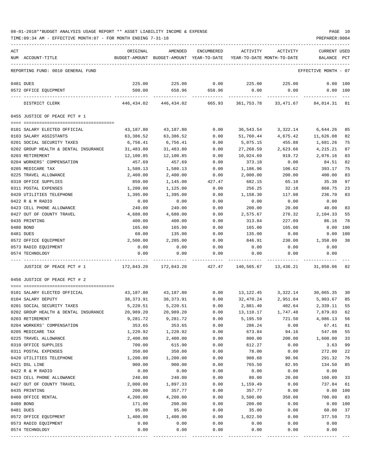| ACT |                                      | ORIGINAL   | AMENDED                                  | <b>ENCUMBERED</b> | ACTIVITY                   | ACTIVITY  | CURRENT USED         |              |
|-----|--------------------------------------|------------|------------------------------------------|-------------------|----------------------------|-----------|----------------------|--------------|
|     | NUM ACCOUNT-TITLE                    |            | BUDGET-AMOUNT BUDGET-AMOUNT YEAR-TO-DATE |                   | YEAR-TO-DATE MONTH-TO-DATE |           | BALANCE              | $_{\rm PCT}$ |
|     |                                      |            |                                          |                   |                            |           |                      |              |
|     | REPORTING FUND: 0010 GENERAL FUND    |            |                                          |                   |                            |           | EFFECTIVE MONTH - 07 |              |
|     | 0481 DUES                            | 225.00     | 225.00                                   | 0.00              | 225.00                     | 225.00    | 0.00                 | 100          |
|     | 0572 OFFICE EQUIPMENT                | 500.00     | 658.96                                   | 658.96            | 0.00                       | 0.00      | 0.00 100             |              |
|     |                                      |            |                                          |                   |                            |           |                      |              |
|     | DISTRICT CLERK                       | 446,434.02 | 446,434.02                               | 665.93            | 361,753.78                 | 33,471.67 | 84,014.31            | 81           |
|     | 0455 JUSTICE OF PEACE PCT # 1        |            |                                          |                   |                            |           |                      |              |
|     | 0101 SALARY ELECTED OFFICIAL         | 43,187.80  | 43,187.80                                | 0.00              | 36,543.54                  | 3,322.14  | 6,644.26             | 85           |
|     | 0103 SALARY ASSISTANTS               | 63,386.52  | 63,386.52                                | 0.00              | 51,760.44                  | 4,675.42  | 11,626.08            | 82           |
|     | 0201 SOCIAL SECURITY TAXES           | 6,756.41   | 6,756.41                                 | 0.00              | 5,075.15                   | 455.88    | 1,681.26             | 75           |
|     | 0202 GROUP HEALTH & DENTAL INSURANCE |            | 31,483.80                                |                   | 27,268.59                  |           | 4,215.21             | 87           |
|     |                                      | 31,483.80  |                                          | 0.00              |                            | 2,623.66  |                      |              |
|     | 0203 RETIREMENT                      | 12,100.85  | 12,100.85                                | 0.00              | 10,024.69                  | 919.72    | 2,076.16             | 83           |
|     | 0204 WORKERS' COMPENSATION           | 457.69     | 457.69                                   | 0.00              | 373.18                     | 0.00      | 84.51                | 82           |
|     | 0205 MEDICARE TAX                    | 1,580.13   | 1,580.13                                 | 0.00              | 1,186.96                   | 106.62    | 393.17               | 75           |
|     | 0225 TRAVEL ALLOWANCE                | 2,400.00   | 2,400.00                                 | 0.00              | 2,000.00                   | 200.00    | 400.00               | 83           |
|     | 0310 OFFICE SUPPLIES                 | 850.00     | 1,145.00                                 | 427.47            | 682.15                     | 65.10     | 35.38                | 97           |
|     | 0311 POSTAL EXPENSES                 | 1,200.00   | 1,125.00                                 | 0.00              | 256.25                     | 32.18     | 868.75               | 23           |
|     | 0420 UTILITIES TELEPHONE             | 1,395.00   | 1,395.00                                 | 0.00              | 1,158.30                   | 117.08    | 236.70               | 83           |
|     | 0422 R & M RADIO                     | 0.00       | 0.00                                     | 0.00              | 0.00                       | 0.00      | 0.00                 |              |
|     | 0423 CELL PHONE ALLOWANCE            | 240.00     | 240.00                                   | 0.00              | 200.00                     | 20.00     | 40.00                | 83           |
|     | 0427 OUT OF COUNTY TRAVEL            | 4,680.00   | 4,680.00                                 | 0.00              | 2,575.67                   | 276.32    | 2,104.33             | 55           |
|     | 0435 PRINTING                        | 400.00     | 400.00                                   | 0.00              | 313.84                     | 227.09    | 86.16                | 78           |
|     | 0480 BOND                            | 165.00     | 165.00                                   | 0.00              | 165.00                     | 165.00    | 0.00                 | 100          |
|     | 0481 DUES                            | 60.00      | 135.00                                   | 0.00              | 135.00                     | 0.00      | 0.00                 | 100          |
|     | 0572 OFFICE EQUIPMENT                | 2,500.00   | 2,205.00                                 | 0.00              | 846.91                     | 230.00    | 1,358.09             | 38           |
|     | 0573 RADIO EQUIPMENT                 | 0.00       | 0.00                                     | 0.00              | 0.00                       | 0.00      | 0.00                 |              |
|     | 0574 TECHNOLOGY                      | 0.00       | 0.00                                     | 0.00              | 0.00                       | 0.00      | 0.00                 |              |
|     |                                      |            |                                          |                   |                            |           |                      |              |
|     | JUSTICE OF PEACE PCT # 1             | 172,843.20 | 172,843.20                               | 427.47            | 140,565.67                 | 13,436.21 | 31,850.06            | 82           |
|     | 0456 JUSTICE OF PEACE PCT # 2        |            |                                          |                   |                            |           |                      |              |
|     |                                      |            |                                          |                   |                            |           |                      |              |
|     | 0101 SALARY ELECTED OFFICIAL         | 43,187.80  | 43,187.80                                | 0.00              | 13,122.45                  | 3,322.14  | 30,065.35            | 30           |
|     | 0104 SALARY DEPUTY                   | 38,373.91  | 38,373.91                                | 0.00              | 32,470.24                  | 2,951.84  | 5,903.67             | 85           |
|     | 0201 SOCIAL SECURITY TAXES           | 5,220.51   | 5,220.51                                 | 0.00              | 2,881.40                   | 402.64    | 2,339.11             | 55           |
|     | 0202 GROUP HEALTH & DENTAL INSURANCE | 20,989.20  | 20,989.20                                | 0.00              | 13,110.17                  | 1,747.48  | 7,879.03             | 62           |
|     | 0203 RETIREMENT                      | 9,281.72   | 9,281.72                                 | 0.00              | 5,195.59                   | 721.50    | 4,086.13             | 56           |
|     | 0204 WORKERS' COMPENSATION           | 353.65     | 353.65                                   | 0.00              | 286.24                     | 0.00      | 67.41                | 81           |
|     | 0205 MEDICARE TAX                    | 1,220.92   | 1,220.92                                 | 0.00              | 673.84                     | 94.16     | 547.08               | 55           |
|     | 0225 TRAVEL ALLOWANCE                | 2,400.00   | 2,400.00                                 | 0.00              | 800.00                     | 200.00    | 1,600.00             | 33           |
|     | 0310 OFFICE SUPPLIES                 | 700.00     | 615.90                                   | 0.00              | 612.27                     | 0.00      | 3.63                 | 99           |
|     | 0311 POSTAL EXPENSES                 | 350.00     | 350.00                                   | 0.00              | 78.00                      | 0.00      | 272.00               | 22           |
|     | 0420 UTILITIES TELEPHONE             | 1,200.00   | 1,200.00                                 | 0.00              | 908.68                     | 90.96     | 291.32               | 76           |
|     | 0421 DSL LINE                        | 900.00     | 900.00                                   | 0.00              | 765.50                     | 82.95     | 134.50               | 85           |
|     | 0422 R & M RADIO                     | 0.00       | 0.00                                     | 0.00              | 0.00                       | 0.00      | 0.00                 |              |
|     | 0423 CELL PHONE ALLOWANCE            | 240.00     | 240.00                                   | 0.00              | 80.00                      | 20.00     | 160.00               | 33           |
|     | 0427 OUT OF COUNTY TRAVEL            | 2,000.00   | 1,897.33                                 | 0.00              | 1,159.49                   | 0.00      | 737.84               | 61           |
|     | 0435 PRINTING                        | 200.00     | 357.77                                   | 0.00              | 357.77                     | 0.00      | 0.00                 | 100          |
|     | 0460 OFFICE RENTAL                   | 4,200.00   | 4,200.00                                 | 0.00              | 3,500.00                   | 350.00    | 700.00               | 83           |
|     | 0480 BOND                            | 171.00     | 200.00                                   | 0.00              | 200.00                     | 0.00      | 0.00                 | 100          |
|     | 0481 DUES                            | 95.00      | 95.00                                    | 0.00              | 35.00                      | 0.00      | 60.00                | 37           |
|     | 0572 OFFICE EQUIPMENT                | 1,400.00   | 1,400.00                                 | 0.00              | 1,022.50                   | 0.00      | 377.50               | 73           |
|     | 0573 RADIO EQUIPMENT                 | 0.00       | 0.00                                     | 0.00              | 0.00                       | 0.00      | 0.00                 |              |
|     |                                      |            |                                          |                   |                            |           |                      |              |
|     | 0574 TECHNOLOGY                      | 0.00       | 0.00                                     | 0.00              | 0.00                       | 0.00      | 0.00                 |              |
|     |                                      |            |                                          |                   |                            |           |                      |              |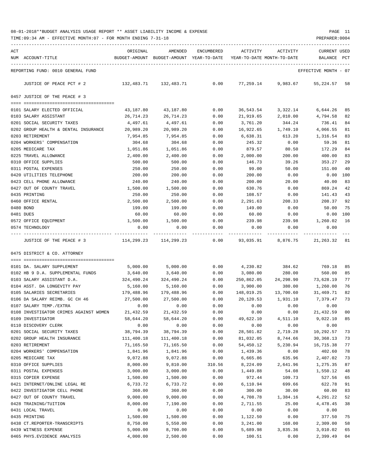TIME:09:34 AM - EFFECTIVE MONTH:07 - FOR MONTH ENDING 7-31-18 PREPARER:0004

| ACT | NUM ACCOUNT-TITLE                      | ORIGINAL              | AMENDED<br>BUDGET-AMOUNT BUDGET-AMOUNT YEAR-TO-DATE | ENCUMBERED | ACTIVITY<br>YEAR-TO-DATE MONTH-TO-DATE | ACTIVITY           | CURRENT USED<br>BALANCE | PCT |
|-----|----------------------------------------|-----------------------|-----------------------------------------------------|------------|----------------------------------------|--------------------|-------------------------|-----|
|     |                                        |                       |                                                     |            |                                        |                    |                         |     |
|     | REPORTING FUND: 0010 GENERAL FUND      |                       |                                                     |            |                                        |                    | EFFECTIVE MONTH - 07    |     |
|     | JUSTICE OF PEACE PCT # 2               | 132,483.71 132,483.71 |                                                     |            | $0.00$ $77,259.14$ $9,983.67$          |                    | 55, 224.57 58           |     |
|     | 0457 JUSTICE OF THE PEACE # 3          |                       |                                                     |            |                                        |                    |                         |     |
|     | 0101 SALARY ELECTED OFFICIAL           | 43,187.80             | 43,187.80                                           | 0.00       |                                        | 36,543.54 3,322.14 | 6,644.26                | 85  |
|     | 0103 SALARY ASSISTANT                  | 26,714.23             | 26,714.23                                           | 0.00       |                                        | 21,919.65 2,010.00 | 4,794.58                | 82  |
|     | 0201 SOCIAL SECURITY TAXES             | 4,497.61              | 4,497.61                                            | 0.00       | 3,761.20                               | 344.24             | 736.41                  | 84  |
|     | 0202 GROUP HEALTH & DENTAL INSURANCE   | 20,989.20             | 20,989.20                                           | 0.00       | 16,922.65                              | 1,749.10           | 4,066.55                | 81  |
|     | 0203 RETIREMENT                        | 7,954.85              | 7,954.85                                            | 0.00       | 6,638.31                               | 613.20             | 1,316.54                | 83  |
|     | 0204 WORKERS' COMPENSATION             | 304.68                | 304.68                                              | 0.00       | 245.32                                 | 0.00               | 59.36                   | 81  |
|     | 0205 MEDICARE TAX                      | 1,051.86              | 1,051.86                                            | 0.00       | 879.57                                 | 80.50              | 172.29                  | 84  |
|     | 0225 TRAVEL ALLOWANCE                  | 2,400.00              | 2,400.00                                            | 0.00       | 2,000.00                               | 200.00             | 400.00                  | 83  |
|     | 0310 OFFICE SUPPLIES                   | 500.00                | 500.00                                              | 0.00       | 146.73                                 | 39.26              | 353.27                  | 29  |
|     | 0311 POSTAL EXPENSES                   | 250.00                | 250.00                                              | 0.00       | 99.00                                  | 50.00              | 151.00                  | 40  |
|     | 0420 UTILITIES TELEPHONE               | 200.00                | 200.00                                              | 0.00       | 200.00                                 | 0.00               | 0.00                    | 100 |
|     | 0423 CELL PHONE ALLOWANCE              | 240.00                | 240.00                                              | 0.00       | 200.00                                 | 20.00              | 40.00                   | 83  |
|     | 0427 OUT OF COUNTY TRAVEL              | 1,500.00              | 1,500.00                                            | 0.00       | 630.76                                 | 0.00               | 869.24                  | 42  |
|     | 0435 PRINTING                          | 250.00                | 250.00                                              | 0.00       | 108.57                                 | 0.00               | 141.43                  | 43  |
|     | 0460 OFFICE RENTAL                     | 2,500.00              | 2,500.00                                            | 0.00       | 2,291.63                               | 208.33             | 208.37                  | 92  |
|     | 0480 BOND                              | 199.00                | 199.00                                              | 0.00       | 149.00                                 | 0.00               | 50.00                   | 75  |
|     | 0481 DUES                              | 60.00                 | 60.00                                               | 0.00       | 60.00                                  | 0.00               | $0.00$ 100              |     |
|     | 0572 OFFICE EQUIPMENT                  | 1,500.00              | 1,500.00                                            | 0.00       | 239.98                                 | 239.98             | 1,260.02                | 16  |
|     | 0574 TECHNOLOGY                        | 0.00                  | 0.00                                                | 0.00       | 0.00                                   | 0.00               | 0.00                    |     |
|     | JUSTICE OF THE PEACE # 3               |                       | 114,299.23 114,299.23                               | 0.00       |                                        | 93,035.91 8,876.75 | 21, 263. 32 81          |     |
|     | 0475 DISTRICT & CO. ATTORNEY           |                       |                                                     |            |                                        |                    |                         |     |
|     |                                        |                       |                                                     |            |                                        |                    |                         |     |
|     | 0101 DA. SALARY SUPPLEMENT             | 5,000.00              | 5,000.00                                            | 0.00       | 4,230.82                               | 384.62             | 769.18                  | 85  |
|     | 0102 HB 9 D.A. SUPPLEMENTAL FUNDS      | 3,640.00              | 3,640.00                                            | 0.00       | 3,080.00                               | 280.00             | 560.00                  | 85  |
|     | 0103 SALARY ASSISTANT D.A.             | 324,490.24            | 324,490.24                                          | 0.00       | 250,862.05                             | 24,298.90          | 73,628.19               | 77  |
|     | 0104 ASST. DA LONGEVITY PAY            | 5,160.00              | 5,160.00                                            | 0.00       | 3,900.00                               | 380.00             | 1,260.00                | 76  |
|     | 0105 SALARIES SECRETARIES              | 179,488.96            | 179,488.96                                          |            | $0.00$ 148,019.25                      | 13,700.60          | 31,469.71               | 82  |
|     | 0106 DA SALARY REIMB. GC CH 46         | 27,500.00             | 27,500.00                                           | 0.00       | 20,120.53                              | 1,931.10           | 7,379.47                | 73  |
|     | 0107 SALARY TEMP./EXTRA                | 0.00                  | 0.00                                                | 0.00       | 0.00                                   | 0.00               | 0.00                    |     |
|     | 0108 INVESTIGATOR CRIMES AGAINST WOMEN | 21,432.59             | 21, 432.59                                          | 0.00       | 0.00                                   | 0.00               | 21,432.59               | 00  |
|     | 0109 INVESTIGATOR                      | 58,644.20             | 58,644.20                                           | 0.00       | 49,622.10                              | 4,511.10           | 9,022.10                | 85  |
|     | 0110 DISCOVERY CLERK                   | 0.00                  | 0.00                                                | 0.00       | 0.00                                   | 0.00               | 0.00                    |     |
|     | 0201 SOCIAL SECURITY TAXES             | 38,794.39             | 38,794.39                                           | 0.00       | 28,501.82                              | 2,719.28           | 10,292.57               | 73  |
|     | 0202 GROUP HEALTH INSURANCE            | 111,400.18            | 111,400.18                                          | 0.00       | 81,032.05                              | 8,744.66           | 30,368.13               | 73  |
|     | 0203 RETIREMENT                        | 71,165.50             | 71,165.50                                           | 0.00       | 54,450.12                              | 5,230.94           | 16,715.38               | 77  |
|     | 0204 WORKERS' COMPENSATION             | 1,841.96              | 1,841.96                                            | 0.00       | 1,439.36                               | 0.00               | 402.60                  | 78  |
|     | 0205 MEDICARE TAX                      | 9,072.88              | 9,072.88                                            | 0.00       | 6,665.86                               | 635.96             | 2,407.02                | 73  |
|     | 0310 OFFICE SUPPLIES                   | 8,000.00              | 9,810.00                                            | 310.56     | 8,224.09                               | 2,641.96           | 1,275.35                | 87  |
|     | 0311 POSTAL EXPENSES                   | 3,000.00              | 3,000.00                                            | 0.00       | 1,449.88                               | 54.08              | 1,550.12                | 48  |
|     | 0315 COPIER EXPENSE                    | 1,500.00              | 1,500.00                                            | 0.00       | 972.44                                 | 109.73             | 527.56                  | 65  |
|     | 0421 INTERNET/ONLINE LEGAL RE          | 6,733.72              | 6,733.72                                            | 0.00       | 6,110.94                               | 699.66             | 622.78                  | 91  |
|     | 0422 INVESTIGATOR CELL PHONE           | 360.00                | 360.00                                              | 0.00       | 300.00                                 | 30.00              | 60.00                   | 83  |
|     | 0427 OUT OF COUNTY TRAVEL              | 9,000.00              | 9,000.00                                            | 0.00       | 4,708.78                               | 1,384.16           | 4,291.22                | 52  |
|     | 0428 TRAINING/TUITION                  | 8,000.00              | 7,190.00                                            | 0.00       | 2,711.55                               | 25.00              | 4,478.45                | 38  |
|     | 0431 LOCAL TRAVEL                      | 0.00                  | 0.00                                                | 0.00       | 0.00                                   | 0.00               | 0.00                    |     |
|     | 0435 PRINTING                          | 1,500.00              | 1,500.00                                            | 0.00       | 1,122.50                               | 0.00               | 377.50                  | 75  |
|     | 0438 CT.REPORTER-TRANSCRIPTS           | 8,750.00              | 5,550.00                                            | 0.00       | 3,241.00                               | 168.00             | 2,309.00                | 58  |
|     | 0439 WITNESS EXPENSE                   | 5,000.00              | 8,700.00                                            | 0.00       | 5,689.98                               | 3,835.36           | 3,010.02                | 65  |

0465 PHYS.EVIDENCE ANALYSIS 4,000.00 2,500.00 0.00 100.51 0.00 2,399.49 04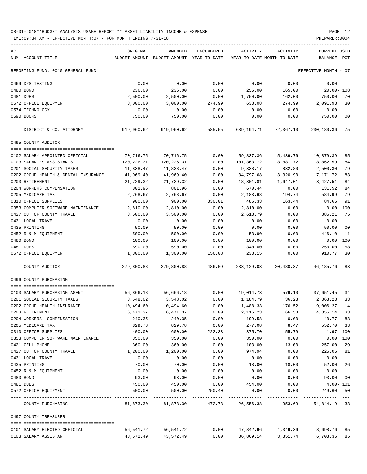| ACT<br>NUM ACCOUNT-TITLE                                   | ORIGINAL                         | AMENDED<br>BUDGET-AMOUNT BUDGET-AMOUNT YEAR-TO-DATE YEAR-TO-DATE MONTH-TO-DATE | ENCUMBERED        | ACTIVITY           | ACTIVITY                                 | CURRENT USED<br>BALANCE PCT |          |
|------------------------------------------------------------|----------------------------------|--------------------------------------------------------------------------------|-------------------|--------------------|------------------------------------------|-----------------------------|----------|
| REPORTING FUND: 0010 GENERAL FUND                          |                                  |                                                                                |                   |                    |                                          | EFFECTIVE MONTH - 07        |          |
| 0469 DPS TESTING                                           | 0.00                             | 0.00                                                                           | 0.00              | 0.00               | 0.00                                     | 0.00                        |          |
| 0480 BOND                                                  | 236.00                           | 236.00                                                                         | 0.00              | 256.00             | 165.00                                   | 20.00- 108                  |          |
| 0481 DUES                                                  | 2,500.00                         | 2,500.00                                                                       | 0.00              | 1,750.00           | 162.00                                   | 750.00                      | 70       |
| 0572 OFFICE EQUIPMENT                                      | 3,000.00                         | 3,000.00                                                                       | 274.99            | 633.08             | 274.99                                   | 2,091.93                    | 30       |
| 0574 TECHNOLOGY                                            | 0.00                             | 0.00                                                                           | 0.00              | 0.00               | 0.00                                     | 0.00                        |          |
| 0590 BOOKS                                                 | 750.00                           | 750.00                                                                         | 0.00              | 0.00               | 0.00                                     | 750.00                      | 00       |
| DISTRICT & CO. ATTORNEY                                    | $919,960.62$ $919,960.62$ 585.55 |                                                                                |                   |                    | 689, 194. 71 72, 367. 10 230, 180. 36 75 |                             |          |
| 0495 COUNTY AUDITOR                                        |                                  |                                                                                |                   |                    |                                          |                             |          |
| 0102 SALARY APPOINTED OFFICIAL                             | 70,716.75                        | 70,716.75                                                                      | 0.00              | 59,837.36          | 5,439.76                                 | 10,879.39                   | 85       |
| 0103 SALARIES ASSISTANTS                                   | 120,226.31                       | 120,226.31                                                                     | 0.00              | 101,363.72         | 8,881.72                                 | 18,862.59                   | 84       |
| 0201 SOCIAL SECURITY TAXES                                 | 11,838.47                        | 11,838.47                                                                      | 0.00              | 9,338.17           | 832.80                                   | 2,500.30                    | 79       |
| 0202 GROUP HEALTH & DENTAL INSURANCE                       | 41,969.40                        | 41,969.40                                                                      | 0.00              | 34,797.68          | 3,320.90                                 | 7,171.72                    | 83       |
| 0203 RETIREMENT                                            | 21,729.32                        | 21,729.32                                                                      | 0.00              | 18,301.81          | 1,647.01                                 | 3,427.51                    | 84       |
| 0204 WORKERS COMPENSATION                                  | 801.96                           | 801.96                                                                         | 0.00              | 670.44             | 0.00                                     | 131.52                      | 84       |
| 0205 MEDICARE TAX<br>0310 OFFICE SUPPLIES                  | 2,768.67<br>900.00               | 2,768.67<br>900.00                                                             | 0.00<br>330.01    | 2,183.68<br>485.33 | 194.74<br>163.44                         | 584.99<br>84.66             | 79<br>91 |
| 0353 COMPUTER SOFTWARE MAINTENANCE                         | 2,810.00                         | 2,810.00                                                                       | 0.00              | 2,810.00           | 0.00                                     | 0.00                        | 100      |
| 0427 OUT OF COUNTY TRAVEL                                  | 3,500.00                         | 3,500.00                                                                       | 0.00              | 2,613.79           | 0.00                                     | 886.21                      | 75       |
| 0431 LOCAL TRAVEL                                          | 0.00                             | 0.00                                                                           | 0.00              | 0.00               | 0.00                                     | 0.00                        |          |
| 0435 PRINTING                                              | 50.00                            | 50.00                                                                          | 0.00              | 0.00               | 0.00                                     | 50.00                       | 00       |
| 0452 R & M EQUIPMENT                                       | 500.00                           | 500.00                                                                         | 0.00              | 53.90              | 0.00                                     | 446.10                      | 11       |
| 0480 BOND                                                  | 100.00                           | 100.00                                                                         | 0.00              | 100.00             | 0.00                                     | 0.00                        | 100      |
| 0481 DUES                                                  | 590.00                           | 590.00                                                                         | 0.00              | 340.00             | 0.00                                     | 250.00                      | 58       |
| 0572 OFFICE EQUIPMENT                                      | 1,300.00                         | 1,300.00                                                                       | 156.08            | 233.15             | 0.00                                     | 910.77                      | 30       |
| COUNTY AUDITOR                                             | 279,800.88                       |                                                                                | 279,800.88 486.09 | 233,129.03         | 20,480.37                                | 46, 185. 76 83              |          |
| 0496 COUNTY PURCHASING                                     |                                  |                                                                                |                   |                    |                                          |                             |          |
|                                                            |                                  | 56,866.18 56,666.18                                                            |                   |                    |                                          |                             |          |
| 0103 SALARY PURCHASING AGENT<br>0201 SOCIAL SECURITY TAXES | 3,548.02                         | 3,548.02                                                                       | 0.00              | 1,184.79           | 0.00 19,014.73 579.10 37,651.45 34       | 36.23 2,363.23              | 33       |
| 0202 GROUP HEALTH INSURANCE                                | 10,494.60                        | 10,494.60                                                                      | 0.00              | 1,488.33           | 176.52                                   | 9,006.27                    | 14       |
| 0203 RETIREMENT                                            | 6,471.37                         | 6,471.37                                                                       | 0.00              | 2,116.23           | 66.58                                    | 4,355.14 33                 |          |
| 0204 WORKERS' COMPENSATION                                 | 240.35                           | 240.35                                                                         | 0.00              | 199.58             | 0.00                                     | 40.77 83                    |          |
| 0205 MEDICARE TAX                                          | 829.78                           | 829.78                                                                         | 0.00              | 277.08             | 8.47                                     | 552.70                      | 33       |
| 0310 OFFICE SUPPLIES                                       | 400.00                           | 600.00                                                                         | 222.33            | 375.70             | 55.79                                    | 1.97 100                    |          |
| 0353 COMPUTER SOFTWARE MAINTENANCE                         | 350.00                           | 350.00                                                                         | 0.00              | 350.00             | 0.00                                     | $0.00$ 100                  |          |
| 0421 CELL PHONE                                            | 360.00                           | 360.00                                                                         | 0.00              | 103.00             | 13.00                                    | 257.00                      | 29       |
| 0427 OUT OF COUNTY TRAVEL                                  | 1,200.00                         | 1,200.00                                                                       | 0.00              | 974.94             | 0.00                                     | 225.06                      | 81       |
| 0431 LOCAL TRAVEL                                          | 0.00                             | 0.00                                                                           | 0.00              | 0.00               | 0.00                                     | 0.00                        |          |
| 0435 PRINTING                                              | 70.00                            | 70.00                                                                          | 0.00              | 18.00              | 18.00                                    | 52.00 26                    |          |
| 0452 R & M EQUIPMENT                                       | 0.00                             | 0.00                                                                           | 0.00              | 0.00               | 0.00                                     | 0.00                        |          |
| 0480 BOND<br>0481 DUES                                     | 93.00<br>450.00                  | 93.00                                                                          | 0.00              | 0.00<br>454.00     | 0.00<br>0.00                             | 93.00<br>$4.00 - 101$       | 00       |
| 0572 OFFICE EQUIPMENT                                      | 500.00                           | 450.00<br>500.00                                                               | 0.00<br>250.40    | 0.00               | 0.00                                     | 249.60                      | 50       |
| COUNTY PURCHASING                                          | 81,873.30                        | 81,873.30                                                                      |                   | 472.73 26,556.38   | 953.69                                   | 54,844.19 33                |          |
| 0497 COUNTY TREASURER                                      |                                  |                                                                                |                   |                    |                                          |                             |          |
| 0101 SALARY ELECTED OFFICIAL                               | 56,541.72                        | 56,541.72                                                                      | 0.00              | 47,842.96          | 4,349.36                                 | 8,698.76 85                 |          |
| 0103 SALARY ASSISTANT                                      | 43,572.49                        | 43,572.49                                                                      | 0.00              | 36,869.14          | 3,351.74                                 | 6,703.35 85                 |          |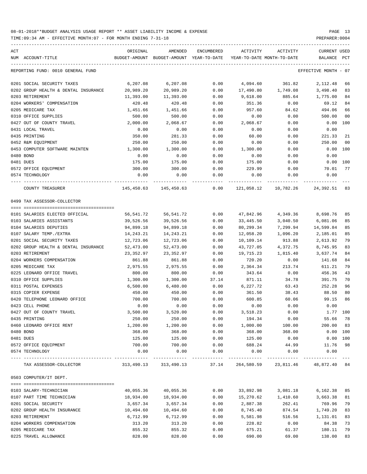TIME:09:34 AM - EFFECTIVE MONTH:07 - FOR MONTH ENDING 7-31-18 PREPARER:0004

| ACT<br>NUM ACCOUNT-TITLE             | ORIGINAL<br>BUDGET-AMOUNT | AMENDED<br>BUDGET-AMOUNT YEAR-TO-DATE | ENCUMBERED | ACTIVITY<br>YEAR-TO-DATE MONTH-TO-DATE | ACTIVITY                                                      | CURRENT USED<br>BALANCE | PCT            |
|--------------------------------------|---------------------------|---------------------------------------|------------|----------------------------------------|---------------------------------------------------------------|-------------------------|----------------|
| REPORTING FUND: 0010 GENERAL FUND    |                           |                                       |            |                                        |                                                               | EFFECTIVE MONTH - 07    |                |
| 0201 SOCIAL SECURITY TAXES           | 6,207.08                  | 6,207.08                              | 0.00       | 4,094.60                               | 361.82                                                        | 2,112.48                | 66             |
| 0202 GROUP HEALTH & DENTAL INSURANCE | 20,989.20                 | 20,989.20                             | 0.00       | 17,490.80                              | 1,749.08                                                      | 3,498.40                | 83             |
| 0203 RETIREMENT                      | 11,393.00                 | 11,393.00                             | 0.00       | 9,618.00                               | 885.64                                                        | 1,775.00                | 84             |
| 0204 WORKERS' COMPENSATION           | 420.48                    | 420.48                                | 0.00       | 351.36                                 | 0.00                                                          | 69.12                   | 84             |
| 0205 MEDICARE TAX                    | 1,451.66                  | 1,451.66                              | 0.00       | 957.60                                 | 84.62                                                         | 494.06                  | 66             |
| 0310 OFFICE SUPPLIES                 | 500.00                    | 500.00                                | 0.00       | 0.00                                   | 0.00                                                          | 500.00                  | 0 <sub>0</sub> |
| 0427 OUT OF COUNTY TRAVEL            | 2,000.00                  | 2,068.67                              | 0.00       | 2,068.67                               | 0.00                                                          | 0.00                    | 100            |
| 0431 LOCAL TRAVEL                    | 0.00                      | 0.00                                  | 0.00       | 0.00                                   | 0.00                                                          | 0.00                    |                |
| 0435 PRINTING                        | 350.00                    | 281.33                                | 0.00       | 60.00                                  | 0.00                                                          | 221.33                  | 21             |
| 0452 R&M EQUIPMENT                   | 250.00                    | 250.00                                | 0.00       | 0.00                                   | 0.00                                                          | 250.00                  | 0 <sub>0</sub> |
| 0453 COMPUTER SOFTWARE MAINTEN       | 1,300.00                  | 1,300.00                              | 0.00       | 1,300.00                               | 0.00                                                          | 0.00 100                |                |
| 0480 BOND                            | 0.00                      | 0.00                                  | 0.00       | 0.00                                   | 0.00                                                          | 0.00                    |                |
| 0481 DUES                            | 175.00                    | 175.00                                | 0.00       | 175.00                                 | 0.00                                                          | 0.00 100                |                |
| 0572 OFFICE EQUIPMENT                | 300.00                    | 300.00                                | 0.00       | 229.99                                 | 0.00                                                          | 70.01                   | 77             |
| 0574 TECHNOLOGY                      | 0.00                      | 0.00                                  | 0.00       | 0.00                                   | 0.00                                                          | 0.00                    |                |
| COUNTY TREASURER                     |                           | 145,450.63 145,450.63 0.00            |            | 121,058.12                             | 10,782.26                                                     | 24,392.51               | 83             |
| 0499 TAX ASSESSOR-COLLECTOR          |                           |                                       |            |                                        |                                                               |                         |                |
|                                      |                           |                                       |            |                                        |                                                               |                         |                |
| 0101 SALARIES ELECTED OFFICIAL       | 56,541.72                 | 56,541.72                             | 0.00       | 47,842.96                              | 4,349.36                                                      | 8,698.76                | 85             |
| 0103 SALARIES ASSISTANTS             | 39,526.56                 | 39,526.56                             | 0.00       | 33,445.50                              | 3,040.50                                                      | 6,081.06                | 85             |
| 0104 SALARIES DEPUTIES               | 94,899.18                 | 94,899.18                             | 0.00       | 80,299.34                              | 7,299.94                                                      | 14,599.84               | 85             |
| 0107 SALARY TEMP./EXTRA              | 14,243.21                 | 14,243.21                             | 0.00       | 12,058.20                              | 1,096.20                                                      | 2,185.01                | 85             |
| 0201 SOCIAL SECURITY TAXES           | 12,723.06                 | 12,723.06                             | 0.00       | 10,109.14                              | 913.88                                                        | 2,613.92                | 79             |
| 0202 GROUP HEALTH & DENTAL INSURANCE | 52,473.00                 | 52,473.00                             | 0.00       | 43,727.05                              | 4,372.75                                                      | 8,745.95                | 83             |
| 0203 RETIREMENT                      | 23,352.97                 | 23,352.97                             | 0.00       | 19,715.23                              | 1,815.40                                                      | 3,637.74                | 84             |
| 0204 WORKERS COMPENSATION            | 861.88                    | 861.88                                | 0.00       | 720.20                                 | 0.00                                                          | 141.68                  | 84             |
| 0205 MEDICARE TAX                    | 2,975.55                  | 2,975.55                              | 0.00       | 2,364.34                               | 213.74                                                        | 611.21                  | 79             |
| 0225 LEONARD OFFICE TRAVEL           | 800.00                    | 800.00                                | 0.00       | 343.64                                 | 0.00                                                          | 456.36                  | 43             |
| 0310 OFFICE SUPPLIES                 | 1,300.00                  | 1,300.00                              | 37.14      | 871.11                                 | 34.78                                                         | 391.75                  | 70             |
| 0311 POSTAL EXPENSES                 | 6,500.00                  | 6,480.00                              | 0.00       | 6,227.72                               | 63.43                                                         | 252.28                  | 96             |
| 0315 COPIER EXPENSE                  | 450.00                    | 450.00                                | 0.00       | 361.50                                 | 38.43                                                         | 88.50                   | 80             |
| 0420 TELEPHONE LEONARD OFFICE        | 700.00                    | 700.00                                | 0.00       | 600.85                                 | 60.06                                                         | 99.15                   | 86             |
| 0423 CELL PHONE                      | 0.00                      | 0.00                                  | 0.00       | 0.00                                   | 0.00                                                          | 0.00                    |                |
| 0427 OUT OF COUNTY TRAVEL            | 3,500.00                  | 3,520.00                              | 0.00       | 3,518.23                               | 0.00                                                          | 1.77 100                |                |
| 0435 PRINTING                        | 250.00                    | 250.00                                | 0.00       | 194.34                                 | 0.00                                                          | 55.66                   | 78             |
| 0460 LEONARD OFFICE RENT             | 1,200.00                  | 1,200.00                              | 0.00       | 1,000.00                               | 100.00                                                        | 200.00                  | 83             |
| 0480 BOND                            | 368.00                    | 368.00                                | 0.00       | 368.00                                 | 368.00                                                        | 0.00 100                |                |
| 0481 DUES                            | 125.00                    | 125.00                                | 0.00       | 125.00                                 | 0.00                                                          | $0.00$ 100              |                |
| 0572 OFFICE EQUIPMENT                | 700.00                    | 700.00                                | 0.00       | 688.24                                 | 44.99                                                         | 11.76                   | 98             |
| 0574 TECHNOLOGY                      | 0.00                      | 0.00                                  | 0.00       | 0.00                                   | 0.00                                                          | 0.00                    |                |
| TAX ASSESSOR-COLLECTOR               |                           |                                       |            |                                        | 313,490.13 313,490.13 37.14 264,580.59 23,811.46 48,872.40 84 |                         |                |
| 0503 COMPUTER/IT DEPT.               |                           |                                       |            |                                        |                                                               |                         |                |
| 0103 SALARY-TECHNICIAN               | 40,055.36                 | 40,055.36                             | 0.00       | 33,892.98                              | 3,081.18                                                      | 6,162.38                | 85             |
| 0107 PART TIME TECHNICIAN            | 18,934.00                 | 18,934.00                             | 0.00       | 15,270.62                              | 1,410.60                                                      | 3,663.38                | 81             |
| 0201 SOCIAL SECURITY                 | 3,657.34                  | 3,657.34                              | 0.00       | 2,887.38                               | 262.41                                                        | 769.96                  | 79             |
| 0202 GROUP HEALTH INSURANCE          | 10,494.60                 | 10,494.60                             | 0.00       | 8,745.40                               | 874.54                                                        | 1,749.20                | 83             |
| 0203 RETIREMENT                      | 6,712.99                  | 6,712.99                              | 0.00       | 5,581.98                               | 516.56                                                        | 1,131.01                | 83             |
| 0204 WORKERS COMPENSATION            | 313.20                    | 313.20                                | 0.00       | 228.82                                 | 0.00                                                          | 84.38                   | 73             |
| 0205 MEDICARE TAX                    | 855.32                    | 855.32                                | 0.00       | 675.21                                 | 61.37                                                         | 180.11                  | 79             |

0225 TRAVEL ALLOWANCE 828.00 828.00 0.00 690.00 69.00 138.00 83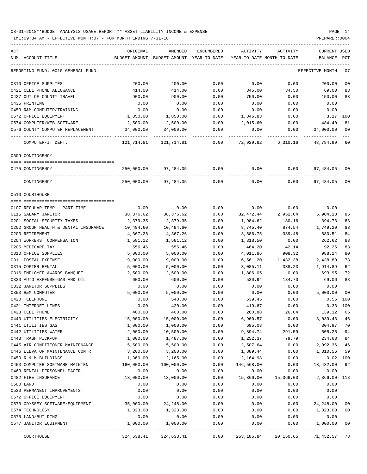| ACT |                                              | ORIGINAL   | AMENDED                                  | ENCUMBERED     |              | ACTIVITY ACTIVITY             | CURRENT USED            |                |
|-----|----------------------------------------------|------------|------------------------------------------|----------------|--------------|-------------------------------|-------------------------|----------------|
|     | NUM ACCOUNT-TITLE                            |            | BUDGET-AMOUNT BUDGET-AMOUNT YEAR-TO-DATE |                |              | YEAR-TO-DATE MONTH-TO-DATE    | BALANCE PCT             |                |
|     | REPORTING FUND: 0010 GENERAL FUND            |            |                                          |                |              |                               | EFFECTIVE MONTH - 07    |                |
|     | 0310 OFFICE SUPPLIES                         | 200.00     | 200.00                                   | 0.00           | 0.00         | 0.00                          | 200.00                  | 00             |
|     | 0421 CELL PHONE ALLOWANCE                    | 414.00     | 414.00                                   | 0.00           | 345.00       | 34.50                         | 69.00                   | 83             |
|     | 0427 OUT OF COUNTY TRAVEL                    | 900.00     | 900.00                                   | 0.00           | 750.00       | 0.00                          | 150.00                  | 83             |
|     | 0435 PRINTING                                | 0.00       | 0.00                                     | 0.00           | 0.00         | 0.00                          | 0.00                    |                |
|     | 0453 R&M COMPUTER/TRAINING                   | 0.00       | 0.00                                     | 0.00           | 0.00         | 0.00                          | 0.00                    |                |
|     | 0572 OFFICE EQUIPMENT                        | 1,850.00   | 1,850.00                                 | 0.00           | 1,846.83     | 0.00                          | 3.17                    | 100            |
|     | 0574 COMPUTER/WEB SOFTWARE                   | 2,500.00   | 2,500.00                                 | 0.00           | 2,015.60     | 0.00                          | 484.40                  | 81             |
|     | 0576 COUNTY COMPUTER REPLACEMENT             | 34,000.00  | 34,000.00                                | 0.00           | 0.00         | 0.00                          | 34,000.00               | 0 <sub>0</sub> |
|     | COMPUTER/IT DEPT.                            | .          | ------------                             |                |              | $0.00$ $72,929.82$ $6,310.16$ | 48,784.99               | 60             |
|     | 0509 CONTINGENCY                             |            |                                          |                |              |                               |                         |                |
|     |                                              |            |                                          |                |              |                               |                         |                |
|     | 0475 CONTINGENCY                             | 250,000.00 |                                          | 97,484.05 0.00 |              | $0.00$ 0.00                   | 97,484.05               | 00             |
|     | CONTINGENCY                                  |            | 250,000.00 97,484.05                     | 0.00           | 0.00         | 0.00                          | 97,484.05               | 0 <sub>0</sub> |
|     | 0510 COURTHOUSE                              |            |                                          |                |              |                               |                         |                |
|     | 0107 REGULAR TEMP.- PART TIME                | 0.00       | 0.00                                     | 0.00           | 0.00         | 0.00                          | 0.00                    |                |
|     | 0115 SALARY JANITOR                          | 38,376.62  | 38,376.62                                | 0.00           | 32,472.44    | 2,952.04                      | 5,904.18                | 85             |
|     | 0201 SOCIAL SECURITY TAXES                   | 2,379.35   | 2,379.35                                 | 0.00           | 1,984.62     | 180.16                        | 394.73                  | 83             |
|     | 0202 GROUP HEALTH & DENTAL INSURANCE         | 10,494.60  | 10,494.60                                | 0.00           | 8,745.40     | 874.54                        | 1,749.20                | 83             |
|     | 0203 RETIREMENT                              | 4,367.26   | 4,367.26                                 | 0.00           | 3,686.75     | 339.48                        | 680.51                  | 84             |
|     | 0204 WORKERS' COMPENSATION                   | 1,581.12   | 1,581.12                                 | 0.00           | 1,318.50     | 0.00                          | 262.62                  | 83             |
|     | 0205 MEDICARE TAX                            | 556.46     | 556.46                                   | 0.00           | 464.20       | 42.14                         | 92.26                   | 83             |
|     | 0310 OFFICE SUPPLIES                         | 5,000.00   | 5,000.00                                 | 0.00           | 4,011.86     | 908.32                        | 988.14                  | 80             |
|     | 0311 POSTAL EXPENSE                          | 9,000.00   | 9,000.00                                 | 0.00           | 6,561.20     | 1,432.38-                     | 2,438.80                | 73             |
|     | 0315 COPIER RENTAL                           | 5,000.00   | 5,000.00                                 | 0.00           | 3,085.11     | 338.23                        | 1,914.89                | 62             |
|     | 0316 EMPLOYEE AWARDS BANQUET                 | 2,500.00   | 2,500.00                                 | 0.00           | 1,806.05     | 0.00                          | 693.95                  | 72             |
|     | 0330 AUTO EXPENSE-GAS AND OIL                | 600.00     | 600.00                                   | 0.00           | 530.94       | 184.70                        | 69.06                   | 88             |
|     | 0332 JANITOR SUPPLIES                        | 0.00       | 0.00                                     | 0.00           | 0.00         | 0.00                          | 0.00                    |                |
|     | 0353 R&M COMPUTER                            | 5,000.00   | 5,000.00                                 | 0.00           | 0.00         | 0.00                          | 5,000.00                | 0 <sub>0</sub> |
|     | 0420 TELEPHONE                               | 0.00       | 540.00                                   | 0.00           | 539.45       | 0.00                          | $0.55$ 100              |                |
|     | 0421 INTERNET LINES                          | 0.00       | 420.00                                   | 0.00           | 419.67       | 0.00                          | 0.33 100                |                |
|     | 0423 CELL PHONE                              | 400.00     | 400.00                                   | 0.00           | 260.88       | 26.04                         | 139.12 65               |                |
|     | 0440 UTILITIES ELECTRICITY                   | 15,000.00  | 15,000.00                                | 0.00           | 6,960.57     | 0.00                          | 8,039.43                | 46             |
|     | 0441 UTILITIES GAS                           | 1,000.00   | 1,000.00                                 | 0.00           | 695.03       | 0.00                          | 304.97                  | 70             |
|     | 0442 UTILITIES WATER                         | 2,000.00   | 10,500.00                                | 0.00           | 9,894.74     | 291.59                        | 605.26                  | 94             |
|     | 0443 TRASH PICK-UP                           | 1,000.00   | 1,487.00                                 | 0.00           | 1,252.37     | 79.79                         | 234.63                  | 84             |
|     | 0445 AIR CONDITIONER MAINTENANCE             | 5,500.00   | 5,500.00                                 | 0.00           | 2,507.64     | 0.00                          | 2,992.36                | 46             |
|     | 0446 ELEVATOR MAINTENANCE CONTR              | 3,200.00   | 3,200.00                                 | 0.00           | 1,889.44     | 0.00                          | 1,310.56                | 59             |
|     | 0450 R & M BUILDINGS                         | 1,360.00   | 2,165.00                                 | 0.00           | 2,164.98     | 0.00                          | $0.02$ 100              |                |
|     | 0453 COMPUTER SOFTWARE MAINTEN               | 160,000.00 | 160,000.00                               | 0.00           | 146,568.00   | 0.00                          | 13,432.00               | 92             |
|     | 0463 RENTAL PERSONNEL PAGER                  | 0.00       | 0.00                                     | 0.00           | 0.00         | 0.00                          | 0.00                    |                |
|     | 0482 FIRE INSURANCE                          | 13,000.00  | 13,000.00                                | 0.00           | 15,366.00    | 15,366.00                     | 2,366.00- 118           |                |
|     | 0500 LAND                                    | 0.00       | 0.00                                     | 0.00           | 0.00         | 0.00                          | 0.00                    |                |
|     | 0530 PERMANENT IMPROVEMENTS                  | 0.00       | 0.00                                     | 0.00           | 0.00         | 0.00                          | 0.00                    |                |
|     | 0572 OFFICE EQUIPMENT                        | 0.00       | 0.00                                     | 0.00           | 0.00         | 0.00                          | 0.00                    |                |
|     | 0573 ODYSSEY SOFTWARE/EQUIPMENT              | 35,000.00  | 24,248.00                                | 0.00           | 0.00         | 0.00                          | 24,248.00               | 0 <sub>0</sub> |
|     | 0574 TECHNOLOGY                              | 1,323.00   | 1,323.00                                 | 0.00           | 0.00         | 0.00                          | 1,323.00                | 0 <sub>0</sub> |
|     |                                              | 0.00       | 0.00                                     | 0.00           |              |                               | 0.00                    |                |
|     | 0575 LAND/BUILDING<br>0577 JANITOR EQUIPMENT | 1,000.00   | 1,000.00                                 | 0.00           | 0.00<br>0.00 | 0.00<br>0.00                  | 1,000.00                | 0 <sub>0</sub> |
|     | COURTHOUSE                                   | 324,638.41 | 324,638.41                               | 0.00           |              | 253, 185.84 20, 150.65        | . <u>.</u><br>71,452.57 | $---$<br>78    |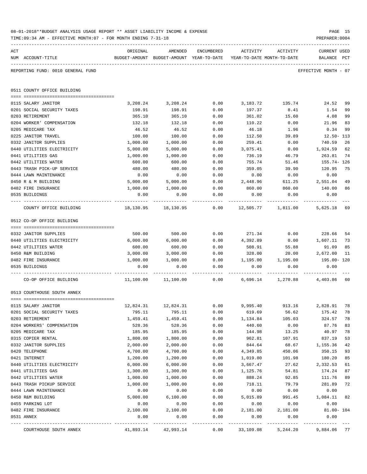|     | TIME: 09:34 AM - EFFECTIVE MONTH: 07 - FOR MONTH ENDING 7-31-18 |                  |                                                     |              |                                        |                           | PREPARER: 0004                          |
|-----|-----------------------------------------------------------------|------------------|-----------------------------------------------------|--------------|----------------------------------------|---------------------------|-----------------------------------------|
| ACT | NUM ACCOUNT-TITLE                                               | ORIGINAL         | AMENDED<br>BUDGET-AMOUNT BUDGET-AMOUNT YEAR-TO-DATE | ENCUMBERED   | ACTIVITY<br>YEAR-TO-DATE MONTH-TO-DATE | ACTIVITY                  | CURRENT USED<br>BALANCE<br>$_{\rm PCT}$ |
|     | REPORTING FUND: 0010 GENERAL FUND                               |                  |                                                     |              |                                        |                           | EFFECTIVE MONTH - 07                    |
|     | 0511 COUNTY OFFICE BUILDING                                     |                  |                                                     |              |                                        |                           |                                         |
|     | 0115 SALARY JANITOR                                             | 3,208.24         | 3,208.24                                            | 0.00         | 3,183.72                               | 135.74                    | 24.52<br>99                             |
|     | 0201 SOCIAL SECURITY TAXES                                      | 198.91           | 198.91                                              | 0.00         | 197.37                                 | 8.41                      | 1.54<br>99                              |
|     | 0203 RETIREMENT                                                 | 365.10           | 365.10                                              | 0.00         | 361.02                                 | 15.60                     | 4.08<br>99                              |
|     | 0204 WORKER' COMPENSATION                                       | 132.18           | 132.18                                              | 0.00         | 110.22                                 | 0.00                      | 21.96<br>83                             |
|     | 0205 MEDICARE TAX                                               | 46.52            | 46.52                                               | 0.00         | 46.18                                  | 1.96                      | 99<br>0.34                              |
|     | 0225 JANITOR TRAVEL                                             | 100.00           | 100.00                                              | 0.00         | 112.50                                 | 39.89                     | $12.50 - 113$                           |
|     | 0332 JANITOR SUPPLIES                                           | 1,000.00         | 1,000.00                                            | 0.00         | 259.41                                 | 0.00                      | 740.59<br>26                            |
|     | 0440 UTILITIES ELECTRICITY                                      | 5,000.00         | 5,000.00                                            | 0.00         | 3,075.41                               | 0.00                      | 1,924.59<br>62                          |
|     | 0441 UTILITIES GAS                                              | 1,000.00         | 1,000.00                                            | 0.00         | 736.19                                 | 46.79                     | 263.81<br>74                            |
|     | 0442 UTILITIES WATER                                            | 600.00           | 600.00                                              | 0.00         | 755.74                                 | 51.46                     | 155.74- 126                             |
|     | 0443 TRASH PICK-UP SERVICE                                      | 480.00           | 480.00                                              | 0.00         | 359.05                                 | 39.90                     | 120.95<br>75                            |
|     | 0444 LAWN MAINTENANCE                                           | 0.00             | 0.00                                                | 0.00         | 0.00                                   | 0.00                      | 0.00                                    |
|     | 0450 R & M BUILDING<br>0482 FIRE INSURANCE                      | 5,000.00         | 5,000.00                                            | 0.00         | 2,448.96<br>860.00                     | 611.25                    | 2,551.04<br>49<br>140.00<br>86          |
|     | 0535 BUILDINGS                                                  | 1,000.00<br>0.00 | 1,000.00<br>0.00                                    | 0.00<br>0.00 | 0.00                                   | 860.00<br>0.00            | 0.00                                    |
|     |                                                                 |                  |                                                     |              |                                        |                           |                                         |
|     | COUNTY OFFICE BUILDING                                          | 18,130.95        | 18,130.95                                           |              | $0.00$ $12,505.77$ $1,811.00$          |                           | 5,625.18 69                             |
|     | 0512 CO-OP OFFICE BUILDING                                      |                  |                                                     |              |                                        |                           |                                         |
|     |                                                                 |                  |                                                     |              |                                        |                           |                                         |
|     | 0332 JANITOR SUPPLIES                                           | 500.00           | 500.00                                              | 0.00         | 271.34                                 | 0.00                      | 228.66<br>54                            |
|     | 0440 UTILITIES ELECTRICITY                                      | 6,000.00         | 6,000.00                                            | 0.00         | 4,392.89                               | 0.00                      | 1,607.11<br>73                          |
|     | 0442 UTILITIES WATER                                            | 600.00           | 600.00                                              | 0.00         | 508.91                                 | 55.88                     | 85<br>91.09                             |
|     | 0450 R&M BUILDING                                               | 3,000.00         | 3,000.00                                            | 0.00         | 328.00                                 | 20.00                     | 2,672.00<br>11                          |
|     | 0482 FIRE INSURANCE<br>0535 BUILDINGS                           | 1,000.00<br>0.00 | 1,000.00<br>0.00                                    | 0.00<br>0.00 | 0.00                                   | 1,195.00 1,195.00<br>0.00 | 195.00- 120<br>0.00                     |
|     |                                                                 |                  |                                                     |              |                                        |                           |                                         |
|     | CO-OP OFFICE BUILDING                                           | 11,100.00        | 11,100.00                                           | 0.00         |                                        |                           | 6,696.14 1,270.88 4,403.86 60           |
|     | 0513 COURTHOUSE SOUTH ANNEX                                     |                  |                                                     |              |                                        |                           |                                         |
|     | 0115 SALARY JANITOR                                             | 12,824.31        | 12,824.31                                           | 0.00         | 9,995.40                               | 913.16                    | 2,828.91<br>78                          |
|     | 0201 SOCIAL SECURITY TAXES                                      | 795.11           | 795.11                                              | 0.00         | 619.69                                 | 56.62                     | 175.42<br>78                            |
|     | 0203 RETIREMENT                                                 | 1,459.41         | 1,459.41                                            | 0.00         | 1,134.84                               | 105.03                    | 324.57<br>78                            |
|     | 0204 WORKERS' COMPENSATION                                      | 528.36           | 528.36                                              | 0.00         | 440.60                                 | 0.00                      | 87.76<br>83                             |
|     | 0205 MEDICARE TAX                                               | 185.95           | 185.95                                              | 0.00         | 144.98                                 | 13.25                     | 40.97<br>78                             |
|     | 0315 COPIER RENTAL                                              | 1,800.00         | 1,800.00                                            | 0.00         | 962.81                                 | 107.91                    | 837.19<br>53                            |
|     | 0332 JANITOR SUPPLIES                                           | 2,000.00         | 2,000.00                                            | 0.00         | 844.64                                 | 68.67                     | 42<br>1,155.36                          |
|     | 0420 TELEPHONE                                                  | 4,700.00         | 4,700.00                                            | 0.00         | 4,349.85                               | 450.06                    | 93<br>350.15                            |
|     | 0421 INTERNET                                                   | 1,200.00         | 1,200.00                                            | 0.00         | 1,019.80                               | 101.98                    | 180.20<br>85                            |
|     | 0440 UTILITIES ELECTRICITY                                      | 6,000.00         | 6,000.00                                            | 0.00         | 3,667.47                               | 27.62                     | 2,332.53<br>61                          |
|     | 0441 UTILITIES GAS                                              | 1,300.00         | 1,300.00                                            | 0.00         | 1,125.76                               | 54.81                     | 174.24<br>87                            |
|     | 0442 UTILITIES WATER                                            | 1,000.00         | 1,000.00                                            | 0.00         | 888.24                                 | 92.85                     | 111.76<br>89                            |
|     | 0443 TRASH PICKUP SERVICE<br>0444 LAWN MAINTENANCE              | 1,000.00<br>0.00 | 1,000.00<br>0.00                                    | 0.00<br>0.00 | 718.11<br>0.00                         | 79.79<br>0.00             | 281.89<br>72<br>0.00                    |
|     | 0450 R&M BUILDING                                               | 5,000.00         | 6,100.00                                            | 0.00         | 5,015.89                               | 991.45                    | 1,084.11<br>82                          |
|     | 0455 PARKING LOT                                                | 0.00             | 0.00                                                | 0.00         | 0.00                                   | 0.00                      | 0.00                                    |
|     | 0482 FIRE INSURANCE                                             | 2,100.00         | 2,100.00                                            | 0.00         | 2,181.00                               | 2,181.00                  | $81.00 - 104$                           |
|     | 0531 ANNEX                                                      | 0.00             | 0.00                                                | 0.00         | 0.00                                   | 0.00                      | 0.00                                    |
|     | COURTHOUSE SOUTH ANNEX                                          | 41,893.14        | 42,993.14                                           | 0.00         | 33,109.08                              | 5,244.20                  | 9,884.06 77                             |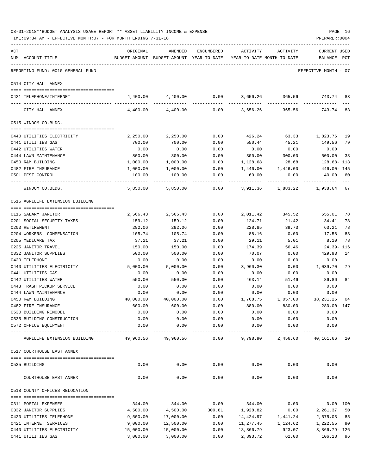|     | 08-01-2018**BUDGET ANALYSIS USAGE REPORT ** ASSET LIABILITY INCOME & EXPENSE<br>TIME: 09:34 AM - EFFECTIVE MONTH: 07 - FOR MONTH ENDING 7-31-18 |           |                                                     |            |                                        |          | PAGE 16<br>PREPARER: 0004               |
|-----|-------------------------------------------------------------------------------------------------------------------------------------------------|-----------|-----------------------------------------------------|------------|----------------------------------------|----------|-----------------------------------------|
| ACT | NUM ACCOUNT-TITLE                                                                                                                               | ORIGINAL  | AMENDED<br>BUDGET-AMOUNT BUDGET-AMOUNT YEAR-TO-DATE | ENCUMBERED | ACTIVITY<br>YEAR-TO-DATE MONTH-TO-DATE | ACTIVITY | CURRENT USED<br>BALANCE<br>$_{\rm PCT}$ |
|     | REPORTING FUND: 0010 GENERAL FUND                                                                                                               |           |                                                     |            |                                        |          | EFFECTIVE MONTH - 07                    |
|     | 0514 CITY HALL ANNEX                                                                                                                            |           |                                                     |            |                                        |          |                                         |
|     | 0421 TELEPHONE/INTERNET                                                                                                                         |           | 4,400.00 4,400.00                                   |            |                                        |          | $0.00$ 3,656.26 365.56 743.74 83        |
|     | CITY HALL ANNEX                                                                                                                                 | 4,400.00  | 4,400.00                                            | 0.00       | 3,656.26                               | 365.56   | 743.74 83                               |
|     | 0515 WINDOM CO.BLDG.                                                                                                                            |           |                                                     |            |                                        |          |                                         |
|     | 0440 UTILITIES ELECTRICITY                                                                                                                      | 2,250.00  | 2,250.00                                            | 0.00       | 426.24                                 | 63.33    | 1,823.76 19                             |
|     | 0441 UTILITIES GAS                                                                                                                              | 700.00    | 700.00                                              | 0.00       | 550.44                                 | 45.21    | 149.56 79                               |
|     | 0442 UTILITIES WATER                                                                                                                            | 0.00      | 0.00                                                | 0.00       | 0.00                                   | 0.00     | 0.00                                    |
|     | 0444 LAWN MAINTENANCE                                                                                                                           | 800.00    | 800.00                                              | 0.00       | 300.00                                 | 300.00   | 500.00<br>-38                           |
|     | 0450 R&M BUILDING                                                                                                                               | 1,000.00  | 1,000.00                                            | 0.00       | 1,128.68                               | 28.68    | 128.68- 113                             |
|     | 0482 FIRE INSURANCE                                                                                                                             | 1,000.00  | 1,000.00                                            | 0.00       | 1,446.00                               | 1,446.00 | 446.00- 145                             |
|     | 0501 PEST CONTROL                                                                                                                               | 100.00    | 100.00                                              | 0.00       | 60.00                                  | 0.00     | 40.00<br>60                             |
|     | WINDOM CO.BLDG.                                                                                                                                 | 5,850.00  | 5,850.00                                            | 0.00       | 3,911.36                               |          | 1,883.22 1,938.64 67                    |
|     | 0516 AGRILIFE EXTENSION BUILDING                                                                                                                |           |                                                     |            |                                        |          |                                         |
|     | 0115 SALARY JANITOR                                                                                                                             | 2,566.43  | 2,566.43                                            | 0.00       | 2,011.42                               | 345.52   | 555.01 78                               |
|     | 0201 SOCIAL SECURITY TAXES                                                                                                                      | 159.12    | 159.12                                              | 0.00       | 124.71                                 | 21.42    | 34.41<br>78                             |
|     | 0203 RETIREMENT                                                                                                                                 | 292.06    | 292.06                                              | 0.00       | 228.85                                 | 39.73    | 63.21<br>78                             |
|     | 0204 WORKERS' COMPENSATION                                                                                                                      | 105.74    | 105.74                                              | 0.00       | 88.16                                  | 0.00     | 17.58<br>83                             |
|     | 0205 MEDICARE TAX                                                                                                                               | 37.21     | 37.21                                               | 0.00       | 29.11                                  | 5.01     | 8.10<br>78                              |
|     | 0225 JANITOR TRAVEL                                                                                                                             | 150.00    | 150.00                                              | 0.00       | 174.39                                 | 56.46    | 24.39- 116                              |
|     | 0332 JANITOR SUPPLIES                                                                                                                           | 500.00    | 500.00                                              | 0.00       | 70.07                                  | 0.00     | 429.93<br>14                            |
|     | 0420 TELEPHONE                                                                                                                                  | 0.00      | 0.00                                                | 0.00       | 0.00                                   | 0.00     | 0.00                                    |
|     | 0440 UTILITIES ELECTRICITY                                                                                                                      | 5,000.00  | 5,000.00                                            | 0.00       | 3,960.30                               | 0.00     | 1,039.70<br>79                          |
|     | 0441 UTILITIES GAS                                                                                                                              | 0.00      | 0.00                                                | 0.00       | 0.00                                   | 0.00     | 0.00                                    |
|     | 0442 UTILITIES WATER                                                                                                                            | 550.00    | 550.00                                              | 0.00       | 463.14                                 | 51.46    | 86.86<br>84                             |
|     | 0443 TRASH PICKUP SERVICE                                                                                                                       | 0.00      | 0.00                                                | 0.00       | 0.00                                   | 0.00     | 0.00                                    |
|     | 0444 LAWN MAINTENANCE                                                                                                                           | 0.00      | 0.00                                                | 0.00       | 0.00                                   | 0.00     | 0.00                                    |
|     | 0450 R&M BUILDING                                                                                                                               | 40,000.00 | 40,000.00                                           | 0.00       | 1,768.75                               | 1,057.00 | 38, 231. 25 04                          |
|     | 0482 FIRE INSURANCE                                                                                                                             | 600.00    | 600.00                                              | 0.00       | 880.00                                 | 880.00   | 280.00-147                              |
|     | 0530 BUILDING REMODEL                                                                                                                           | 0.00      | 0.00                                                | 0.00       | 0.00                                   | 0.00     | 0.00                                    |
|     | 0535 BUILDING CONSTRUCTION                                                                                                                      | 0.00      | 0.00                                                | 0.00       | 0.00                                   | 0.00     | 0.00                                    |
|     | 0572 OFFICE EQUIPMENT                                                                                                                           | 0.00      | 0.00                                                | 0.00       | 0.00                                   | 0.00     | 0.00                                    |
|     | AGRILIFE EXTENSION BUILDING                                                                                                                     | 49,960.56 | 49,960.56                                           | 0.00       | 9,798.90                               | 2,456.60 | 40,161.66 20                            |
|     | 0517 COURTHOUSE EAST ANNEX                                                                                                                      |           |                                                     |            |                                        |          |                                         |
|     | 0535 BUILDING                                                                                                                                   | 0.00      | 0.00                                                | 0.00       | 0.00                                   | 0.00     | 0.00                                    |
|     |                                                                                                                                                 |           |                                                     |            |                                        |          |                                         |
|     | COURTHOUSE EAST ANNEX                                                                                                                           | 0.00      | 0.00                                                | 0.00       | 0.00                                   | 0.00     | 0.00                                    |
|     | 0518 COUNTY OFFICES RELOCATION                                                                                                                  |           |                                                     |            |                                        |          |                                         |
|     | 0311 POSTAL EXPENSES                                                                                                                            | 344.00    | 344.00                                              | 0.00       | 344.00                                 | 0.00     | 0.00 100                                |
|     | 0332 JANITOR SUPPLIES                                                                                                                           | 4,500.00  | 4,500.00                                            | 309.81     | 1,928.82                               | 0.00     | 2,261.37<br>50                          |
|     | 0420 UTILITIES TELEPHONE                                                                                                                        | 9,500.00  | 17,000.00                                           | 0.00       | 14,424.97                              | 1,441.24 | 2,575.03<br>85                          |
|     | 0421 INTERNET SERVICES                                                                                                                          | 9,000.00  | 12,500.00                                           | 0.00       | 11,277.45                              | 1,124.62 | 1,222.55<br>90                          |
|     | 0440 UTILITIES ELECTRICITY                                                                                                                      | 15,000.00 | 15,000.00                                           | 0.00       | 18,866.79                              | 923.07   | 3,866.79- 126                           |
|     | 0441 UTILITIES GAS                                                                                                                              | 3,000.00  | 3,000.00                                            | 0.00       | 2,893.72                               | 62.00    | 106.28<br>96                            |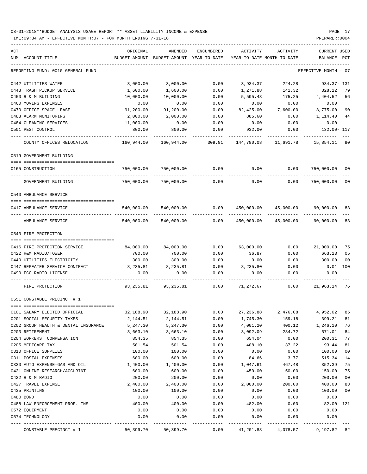TIME:09:34 AM - EFFECTIVE MONTH:07 - FOR MONTH ENDING 7-31-18 PREPARER:0004

----------------------------------------------------------------------------------------------------------------------------------- ACT ORIGINAL AMENDED ENCUMBERED ACTIVITY ACTIVITY CURRENT USED NUM ACCOUNT-TITLE BUDGET-AMOUNT BUDGET-AMOUNT YEAR-TO-DATE YEAR-TO-DATE MONTH-TO-DATE BALANCE PCT ----------------------------------------------------------------------------------------------------------------------------------- REPORTING FUND: 0010 GENERAL FUND EFFECTIVE MONTH - 07 0442 UTILITIES WATER 3,000.00 3,000.00 0.00 3,934.37 224.28 934.37- 131 0443 TRASH PICKUP SERVICE 1,600.00 1,600.00 0.00 1,271.88 141.32 328.12 79 0450 R & M BUILDING 10,000.00 10,000.00 0.00 0.00 5,595.48 175.25 4,404.52 56 0460 MOVING EXPENSES 0.00 0.00 0.00 0.00 0.00 0.00 0470 OFFICE SPACE LEASE  $91,200.00$   $91,200.00$   $0.00$   $82,425.00$   $7,600.00$   $8,775.00$   $90$ 0483 ALARM MONITORING 2,000.00 2,000.00 0.00 885.60 0.00 1,114.40 44 0484 CLEANING SERVICES 11,000.00 0.00 0.00 0.00 0.00 0.00 0501 PEST CONTROL 800.00 800.00 0.00 932.00 0.00 132.00- 117 ---- ---------------------------------- ------------- ------------- ------------ ------------- ------------ ------------- --- COUNTY OFFICES RELOCATION 160,944.00 160,944.00 309.81 144,780.08 11,691.78 15,854.11 90 0519 GOVERNMENT BUILDING ==== =================================== 0165 CONSTRUCTION 750,000.00 750,000.00 0.00 0.00 0.00 750,000.00 00 ---- ---------------------------------- ------------- ------------- ------------ ------------- ------------ ------------- --- GOVERNMENT BUILDING 750,000.00 750,000.00 0.00 0.00 0.00 750,000.00 00 0540 AMBULANCE SERVICE ==== =================================== 0417 AMBULANCE SERVICE 6 640,000.00 540,000.00 0.00 450,000.00 450,000.00 45,000.00 90,000.00 83 ---- ---------------------------------- ------------- ------------- ------------ ------------- ------------ ------------- --- AMBULANCE SERVICE 540,000.00 540,000.00 0.00 450,000.00 45,000.00 90,000.00 83 0543 FIRE PROTECTION ==== =================================== 0416 FIRE PROTECTION SERVICE 84,000.00 84,000.00 0.00 63,000.00 0.00 21,000.00 75 0422 R&M RADIO/TOWER 700.00 700.00 0.00 36.87 0.00 663.13 05 0440 UTILITIES ELECTRICITY 300.00 300.00 0.00 0.00 0.00 300.00 00 0447 REPEATER SERVICE CONTRACT **8**,235.81 8,235.81 0.00 8,235.80 0.00 0.01 100 0490 FCC RADIO LICENSE 0.00 0.00 0.00 0.00 0.00 0.00 ---- ---------------------------------- ------------- ------------- ------------ ------------- ------------ ------------- --- FIRE PROTECTION 93,235.81 93,235.81 0.00 71,272.67 0.00 21,963.14 76 0551 CONSTABLE PRECINCT # 1 ==== =================================== 0101 SALARY ELECTED OFFICIAL 32,188.90 32,188.90 0.00 27,236.88 2,476.08 4,952.02 85 0201 SOCIAL SECURITY TAXES 2,144.51 2,144.51 0.00 1,745.30 159.18 399.21 81 0202 GROUP HEALTH & DENTAL INSURANCE 5,247.30 5,247.30 0.00 4,001.20 400.12 1,246.10 76 0203 RETIREMENT 3,663.10 3,663.10 0.00 3,092.09 284.72 571.01 84 0204 WORKERS' COMPENSATION 854.35 854.35 0.00 654.04 0.00 200.31 77 0205 MEDICARE TAX 501.54 501.54 0.00 408.10 37.22 93.44 81 0310 OFFICE SUPPLIES 100.00 100.00 0.00 0.00 0.00 100.00 00 0311 POSTAL EXPENSES 600.00 600.00 0.00 84.66 3.77 515.34 14 0330 AUTO EXPENSE-GAS AND OIL 1,400.00 1,400.00 0.00 1,047.61 467.48 352.39 75 0421 ONLINE RESEARCH/ACCURINT 600.00 600.00 0.00 450.00 50.00 150.00 75 0422 R & M RADIO 200.00 200.00 0.00 0.00 0.00 200.00 00 0427 TRAVEL EXPENSE 2,400.00 2,400.00 0.00 2,000.00 200.00 400.00 83 0435 PRINTING 100.00 100.00 0.00 0.00 0.00 100.00 00 0480 BOND 0.00 0.00 0.00 0.00 0.00 0.00 0488 LAW ENFORCEMENT PROF. INS 400.00 400.00 0.00 482.00 0.00 82.00- 121 0572 EQUIPMENT 0.00 0.00 0.00 0.00 0.00 0.00 0574 TECHNOLOGY 0.00 0.00 0.00 0.00 0.00 0.00 ---- ---------------------------------- ------------- ------------- ------------ ------------- ------------ ------------- ---

CONSTABLE PRECINCT # 1 50,399.70 50,399.70 0.00 41,201.88 4,078.57 9,197.82 82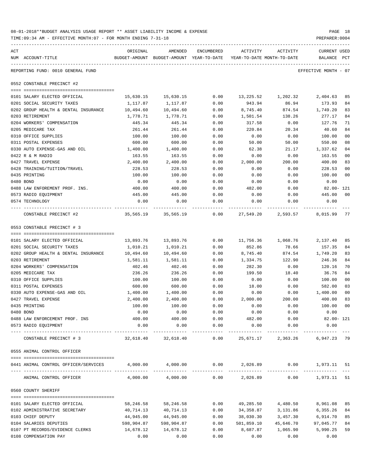| 08-01-2018**BUDGET ANALYSIS USAGE REPORT ** ASSET LIABILITY INCOME & EXPENSE | PAGE 18        |  |
|------------------------------------------------------------------------------|----------------|--|
| TIME:09:34 AM - EFFECTIVE MONTH:07 - FOR MONTH ENDING 7-31-18                | PREPARER: 0004 |  |

| ACT |                                                                          | ORIGINAL       | AMENDED                                                             | ENCUMBERED   | ACTIVITY       | ACTIVITY           | <b>CURRENT USED</b>  |                |
|-----|--------------------------------------------------------------------------|----------------|---------------------------------------------------------------------|--------------|----------------|--------------------|----------------------|----------------|
|     | NUM ACCOUNT-TITLE                                                        |                | BUDGET-AMOUNT BUDGET-AMOUNT YEAR-TO-DATE YEAR-TO-DATE MONTH-TO-DATE |              |                |                    | BALANCE PCT          |                |
|     | REPORTING FUND: 0010 GENERAL FUND                                        |                |                                                                     |              |                |                    | EFFECTIVE MONTH - 07 |                |
|     | 0552 CONSTABLE PRECINCT #2                                               |                |                                                                     |              |                |                    |                      |                |
|     | 0101 SALARY ELECTED OFFICIAL                                             | 15,630.15      | 15,630.15                                                           | 0.00         |                | 13,225.52 1,202.32 | 2,404.63             | 85             |
|     | 0201 SOCIAL SECURITY TAXES                                               | 1,117.87       | 1,117.87                                                            | 0.00         | 943.94         | 86.94              | 173.93               | 84             |
|     | 0202 GROUP HEALTH & DENTAL INSURANCE                                     | 10,494.60      | 10,494.60                                                           | 0.00         | 8,745.40       | 874.54             | 1,749.20             | 83             |
|     | 0203 RETIREMENT                                                          | 1,778.71       | 1,778.71                                                            | 0.00         | 1,501.54       | 138.26             | 277.17               | 84             |
|     | 0204 WORKERS' COMPENSATION                                               | 445.34         | 445.34                                                              | 0.00         | 317.58         | 0.00               | 127.76               | 71             |
|     | 0205 MEDICARE TAX                                                        | 261.44         | 261.44                                                              | 0.00         | 220.84         | 20.34              | 40.60                | 84             |
|     | 0310 OFFICE SUPPLIES                                                     | 100.00         | 100.00                                                              | 0.00         | 0.00           | 0.00               | 100.00               | 0 <sub>0</sub> |
|     | 0311 POSTAL EXPENSES                                                     | 600.00         | 600.00                                                              | 0.00         | 50.00          | 50.00              | 550.00               | 08             |
|     | 0330 AUTO EXPENSE-GAS AND OIL                                            | 1,400.00       | 1,400.00                                                            | 0.00         | 62.38          | 21.17              | 1,337.62             | 0 <sub>4</sub> |
|     | 0422 R & M RADIO                                                         | 163.55         | 163.55                                                              | 0.00         | 0.00           | 0.00               | 163.55               | 00             |
|     | 0427 TRAVEL EXPENSE                                                      | 2,400.00       | 2,400.00                                                            | 0.00         | 2,000.00       | 200.00             | 400.00               | 83             |
|     | 0428 TRAINING/TUITION/TRAVEL                                             | 228.53         | 228.53                                                              | 0.00         | 0.00           | 0.00               | 228.53               | 0 <sub>0</sub> |
|     | 0435 PRINTING                                                            | 100.00         | 100.00                                                              | 0.00         | 0.00           | 0.00               | 100.00               | 0 <sub>0</sub> |
|     | 0480 BOND                                                                | 0.00           | 0.00                                                                | 0.00         | 0.00           | 0.00               | 0.00                 |                |
|     | 0488 LAW ENFOREMENT PROF. INS.                                           | 400.00         | 400.00                                                              | 0.00         | 482.00         | 0.00               | 82.00- 121           |                |
|     | 0573 RADIO EQUIPMENT                                                     | 445.00         | 445.00                                                              | 0.00         | 0.00           | 0.00               | 445.00               | 0 <sup>0</sup> |
|     | 0574 TECHNOLOGY                                                          | 0.00           | 0.00                                                                | 0.00         | 0.00           | 0.00               | 0.00                 |                |
|     | CONSTABLE PRECINCT #2                                                    |                | 35,565.19   35,565.19      0.00   27,549.20    2,593.57    8,015.99 |              |                |                    |                      | 77             |
|     | 0553 CONSTABLE PRECINCT # 3                                              |                |                                                                     |              |                |                    |                      |                |
|     |                                                                          |                |                                                                     |              |                |                    |                      |                |
|     | 0101 SALARY ELECTED OFFICIAL                                             | 13,893.76      | 13,893.76                                                           | 0.00         | 11,756.36      | 1,068.76           | 2,137.40             | 85             |
|     | 0201 SOCIAL SECURITY TAXES                                               | 1,010.21       | 1,010.21                                                            | 0.00         | 852.86         | 78.66              | 157.35               | 84             |
|     | 0202 GROUP HEALTH & DENTAL INSURANCE                                     | 10,494.60      | 10,494.60                                                           | 0.00         | 8,745.40       | 874.54             | 1,749.20             | 83             |
|     | 0203 RETIREMENT                                                          | 1,581.11       | 1,581.11                                                            | 0.00         | 1,334.75       | 122.90             | 246.36               | 84             |
|     | 0204 WORKERS' COMPENSATION                                               | 402.46         | 402.46                                                              | 0.00         | 282.30         | 0.00               | 120.16               | 70             |
|     | 0205 MEDICARE TAX                                                        | 236.26         | 236.26                                                              | 0.00         | 199.50         | 18.40              | 36.76                | 84             |
|     | 0310 OFFICE SUPPLIES                                                     | 100.00         | 100.00                                                              | 0.00         | 0.00           | 0.00               | 100.00               | 0 <sub>0</sub> |
|     | 0311 POSTAL EXPENSES                                                     | 600.00         | 600.00                                                              | 0.00         | 18.00          | 0.00               | 582.00               | 03             |
|     | 0330 AUTO EXPENSE-GAS AND OIL                                            | 1,400.00       | 1,400.00                                                            | 0.00         | 0.00           | 0.00               | 1,400.00             | 0 <sub>0</sub> |
|     | 0427 TRAVEL EXPENSE                                                      | 2,400.00       | 2,400.00                                                            | 0.00         | 2,000.00       | 200.00             | 400.00               | 83             |
|     | 0435 PRINTING                                                            | 100.00         | 100.00                                                              | 0.00         | 0.00           | 0.00               | 100.00               | 00             |
|     | 0480 BOND                                                                | 0.00           | 0.00                                                                | 0.00         | 0.00           | 0.00               | 0.00                 |                |
|     | 0488 LAW ENFORCEMENT PROF. INS<br>0573 RADIO EQUIPMENT                   | 400.00<br>0.00 | 400.00<br>0.00                                                      | 0.00<br>0.00 | 482.00<br>0.00 | 0.00<br>0.00       | 82.00- 121<br>0.00   |                |
|     |                                                                          |                | -------------                                                       |              |                |                    |                      |                |
|     | CONSTABLE PRECINCT # 3                                                   | 32,618.40      | 32,618.40                                                           | 0.00         | 25,671.17      | 2,363.26           | 6,947.23 79          |                |
|     | 0555 ANIMAL CONTROL OFFICER                                              |                |                                                                     |              |                |                    |                      |                |
|     |                                                                          |                |                                                                     |              |                |                    |                      |                |
|     | 0441 ANIMAL CONTROL OFFICER/SERVICES<br>-------------------------------- |                | $4,000.00$ $4,000.00$ $0.00$ $2,026.89$ $0.00$ $1,973.11$           | ------------ |                | ------------       |                      | 51             |
|     | ANIMAL CONTROL OFFICER                                                   |                | 4,000.00 4,000.00                                                   | 0.00         | 2,026.89       | 0.00               | 1,973.11             | 51             |
|     | 0560 COUNTY SHERIFF                                                      |                |                                                                     |              |                |                    |                      |                |
|     | 0101 SALARY ELECTED OFFICIAL                                             | 58,246.58      | 58,246.58                                                           | 0.00         | 49,285.50      | 4,480.50           | 8,961.08             | 85             |
|     | 0102 ADMINISTRATIVE SECRETARY                                            | 40,714.13      | 40,714.13                                                           | 0.00         | 34,358.87      | 3,131.86           | 6,355.26             | 84             |
|     | 0103 CHIEF DEPUTY                                                        | 44,945.00      | 44,945.00                                                           | 0.00         | 38,030.30      | 3,457.30           | 6,914.70             | 85             |
|     | 0104 SALARIES DEPUTIES                                                   | 598,904.87     | 598,904.87                                                          | 0.00         | 501,859.10     | 45,646.70          | 97,045.77            | 84             |
|     | 0107 PT RECORDS/EVIDENCE CLERKS                                          | 14,678.12      | 14,678.12                                                           | 0.00         | 8,687.87       | 1,065.90           | 5,990.25             | 59             |
|     |                                                                          |                |                                                                     |              |                |                    |                      |                |

0108 COMPENSATION PAY 0.00 0.00 0.00 0.00 0.00 0.00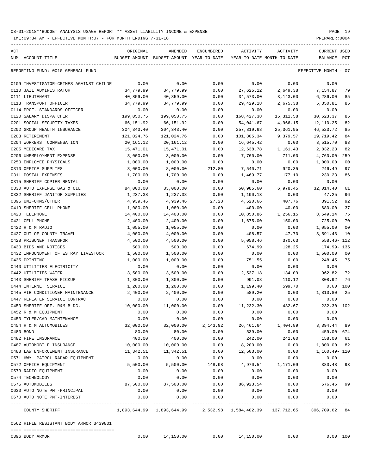| ACT | NUM ACCOUNT-TITLE                                      | ORIGINAL                | AMENDED<br>BUDGET-AMOUNT BUDGET-AMOUNT YEAR-TO-DATE | ENCUMBERED   | ACTIVITY                | ACTIVITY<br>YEAR-TO-DATE MONTH-TO-DATE | CURRENT USED<br>BALANCE<br>$_{\rm PCT}$ |
|-----|--------------------------------------------------------|-------------------------|-----------------------------------------------------|--------------|-------------------------|----------------------------------------|-----------------------------------------|
|     | REPORTING FUND: 0010 GENERAL FUND                      |                         |                                                     |              |                         |                                        | EFFECTIVE MONTH - 07                    |
|     |                                                        |                         |                                                     |              |                         |                                        |                                         |
|     | 0109 INVESTIGATOR-CRIMES AGAINST CHILDR                | 0.00                    | 0.00                                                | 0.00         | 0.00                    | 0.00                                   | 0.00                                    |
|     | 0110 JAIL ADMINISTRATOR                                | 34,779.99               | 34,779.99                                           | 0.00         | 27,625.12               | 2,649.38                               | 7,154.87<br>79                          |
|     | 0111 LIEUTENANT                                        | 40,859.00               | 40,859.00                                           | 0.00         | 34,573.00               | 3,143.00                               | 6,286.00<br>85                          |
|     | 0113 TRANSPORT OFFICER<br>0114 PROF. STANDARDS OFFICER | 34,779.99               | 34,779.99<br>0.00                                   | 0.00<br>0.00 | 29,429.18               | 2,675.38                               | 5,350.81<br>85                          |
|     | 0120 SALARY DISPATCHER                                 | 0.00                    |                                                     |              | 0.00                    | 0.00                                   | 0.00                                    |
|     | 0201 SOCIAL SECURITY TAXES                             | 199,050.75              | 199,050.75                                          | 0.00         | 168,427.38<br>54,041.67 | 15,311.58                              | 30,623.37<br>85<br>82                   |
|     | 0202 GROUP HEALTH INSURANCE                            | 66,151.92<br>304,343.40 | 66,151.92<br>304,343.40                             | 0.00<br>0.00 | 257,819.68              | 4,966.15<br>25,361.95                  | 12,110.25<br>46,523.72<br>85            |
|     | 0203 RETIREMENT                                        | 121,024.76              | 121,024.76                                          | 0.00         | 101,305.34              | 9,379.57                               | 19,719.42<br>84                         |
|     | 0204 WORKERS' COMPENSATION                             | 20,161.12               | 20,161.12                                           |              | 16,645.42               | 0.00                                   | 3,515.70<br>83                          |
|     | 0205 MEDICARE TAX                                      | 15,471.01               | 15,471.01                                           | 0.00<br>0.00 | 12,638.78               | 1,161.43                               | 2,832.23<br>82                          |
|     | 0206 UNEMPLOYMENT EXPENSE                              | 3,000.00                | 3,000.00                                            | 0.00         | 7,760.00                | 711.00                                 | 4,760.00-259                            |
|     | 0250 EMPLOYEE PHYSICALS                                | 1,000.00                | 1,000.00                                            | 0.00         | 0.00                    | 0.00                                   | 1,000.00<br>00                          |
|     | 0310 OFFICE SUPPLIES                                   | 8,000.00                | 8,000.00                                            | 212.80       | 7,540.71                | 920.35                                 | 246.49<br>97                            |
|     | 0311 POSTAL EXPENSES                                   | 1,700.00                | 1,700.00                                            | 0.00         | 1,469.77                | 177.10                                 | 230.23<br>86                            |
|     | 0315 SHERIFF COPIER RENTAL                             | 0.00                    | 0.00                                                | 0.00         | 0.00                    | 0.00                                   | 0.00                                    |
|     | 0330 AUTO EXPENSE GAS & OIL                            | 84,000.00               | 83,000.00                                           | 0.00         | 50,985.60               | 6,978.45                               | 32,014.40<br>61                         |
|     | 0332 SHERIFF JANITOR SUPPLIES                          | 1,237.38                | 1,237.38                                            | 0.00         | 1,190.13                | 0.00                                   | 47.25<br>96                             |
|     | 0395 UNIFORMS/OTHER                                    | 4,939.46                | 4,939.46                                            | 27.28        | 4,520.66                | 407.76                                 | 391.52<br>92                            |
|     | 0419 SHERIFF CELL PHONE                                | 1,080.00                | 1,080.00                                            | 0.00         | 400.00                  | 40.00                                  | 680.00<br>37                            |
|     | 0420 TELEPHONE                                         | 14,400.00               | 14,400.00                                           | 0.00         | 10,850.86               | 1,256.15                               | 3,549.14<br>75                          |
|     | 0421 CELL PHONE                                        | 2,400.00                | 2,400.00                                            | 0.00         | 1,675.00                | 150.00                                 | 725.00<br>70                            |
|     | 0422 R & M RADIO                                       | 1,055.00                | 1,055.00                                            | 0.00         | 0.00                    | 0.00                                   | 1,055.00<br>00                          |
|     | 0427 OUT OF COUNTY TRAVEL                              | 4,000.00                | 4,000.00                                            | 0.00         | 408.57                  | 47.70                                  | 3,591.43<br>10                          |
|     | 0428 PRISONER TRANSPORT                                | 4,500.00                | 4,500.00                                            | 0.00         | 5,058.46                | 370.63                                 | 558.46- 112                             |
|     | 0430 BIDS AND NOTICES                                  | 500.00                  | 500.00                                              | 0.00         | 674.99                  | 128.25                                 | 174.99-135                              |
|     | 0432 IMPOUNDMENT OF ESTRAY LIVESTOCK                   | 1,500.00                | 1,500.00                                            | 0.00         | 0.00                    | 0.00                                   | 1,500.00<br>- 00                        |
|     | 0435 PRINTING                                          | 1,000.00                | 1,000.00                                            | 0.00         | 751.55                  | 0.00                                   | 248.45<br>75                            |
|     | 0440 UTILITIES ELECTRICITY                             | 0.00                    | 0.00                                                | 0.00         | 0.00                    | 0.00                                   | 0.00                                    |
|     | 0442 UTILITIES WATER                                   | 3,500.00                | 3,500.00                                            | 0.00         | 2,537.18                | 134.09                                 | 962.82<br>-72                           |
|     | 0443 SHERIFF TRASH PICKUP                              | 1,300.00                | 1,300.00                                            | 0.00         | 991.08                  | 110.12                                 | 308.92<br>- 76                          |
|     | 0444 INTERNET SERVICE                                  | 1,200.00                | 1,200.00                                            | 0.00         | 1,199.40                | 599.70                                 | $0.60$ 100                              |
|     | 0445 AIR CONDITIONER MAINTENANCE                       | 2,400.00                | 2,400.00                                            | 0.00         | 589.20                  | 0.00                                   | 1,810.80<br>25                          |
|     | 0447 REPEATER SERVICE CONTRACT                         | 0.00                    | 0.00                                                | 0.00         | 0.00                    | 0.00                                   | 0.00                                    |
|     | 0450 SHERIFF OFF. R&M BLDG.                            | 10,000.00               | 11,000.00                                           | 0.00         | 11,232.30               | 432.67                                 | 232.30- 102                             |
|     | 0452 R & M EQUIPMENT                                   | 0.00                    | 0.00                                                | 0.00         | 0.00                    | 0.00                                   | 0.00                                    |
|     | 0453 TYLER/CAD MAINTENANCE                             | 0.00                    | 0.00                                                | 0.00         | 0.00                    | 0.00                                   | 0.00                                    |
|     | 0454 R & M AUTOMOBILES                                 | 32,000.00               | 32,000.00                                           | 2,143.92     | 26,461.64               | 1,404.89                               | 3,394.44<br>89                          |
|     | 0480 BOND                                              | 80.00                   | 80.00                                               | 0.00         | 539.00                  | 0.00                                   | 459.00- 674                             |
|     | 0482 FIRE INSURANCE                                    | 400.00                  | 400.00                                              | 0.00         | 242.00                  | 242.00                                 | 158.00<br>61                            |
|     | 0487 AUTOMOBILE INSURANCE                              | 10,000.00               | 10,000.00                                           | 0.00         | 8,200.00                | 0.00                                   | 1,800.00<br>82                          |
|     | 0488 LAW ENFORCEMENT INSURANCE                         | 11,342.51               | 11,342.51                                           | 0.00         | 12,503.00               | 0.00                                   | 1,160.49- 110                           |
|     | 0571 HWY. PATROL RADAR EQUIPMENT                       | 0.00                    | 0.00                                                | 0.00         | 0.00                    | 0.00                                   | 0.00                                    |
|     | 0572 OFFICE EQUIPMENT                                  | 5,500.00                | 5,500.00                                            | 148.98       | 4,970.54                | 1,171.09                               | 380.48<br>93                            |
|     | 0573 RADIO EQUIPMENT                                   | 0.00                    | 0.00                                                | 0.00         | 0.00                    | 0.00                                   | 0.00                                    |
|     | 0574 TECHNOLOGY                                        | 0.00                    | 0.00                                                | 0.00         | 0.00                    | 0.00                                   | 0.00                                    |
|     | 0575 AUTOMOBILES                                       | 87,500.00               | 87,500.00                                           | 0.00         | 86,923.54               | 0.00                                   | 576.46<br>99                            |
|     | 0630 AUTO NOTE PMT-PRINCIPAL                           | 0.00                    | 0.00                                                | 0.00         | 0.00                    | 0.00                                   | 0.00                                    |
|     | 0670 AUTO NOTE PMT-INTEREST                            | 0.00                    | 0.00                                                | 0.00         | 0.00                    | 0.00                                   | 0.00                                    |
|     | COUNTY SHERIFF                                         |                         | 1,893,644.99 1,893,644.99                           |              | 2,532.98 1,584,402.39   | 137,712.65                             | 306,709.62 84                           |
|     | 0562 RIFLE RESISTANT BODY ARMOR 3439801                |                         |                                                     |              |                         |                                        |                                         |
|     | 0396 BODY ARMOR                                        | 0.00                    | 14,150.00                                           | 0.00         | 14,150.00               | 0.00                                   | 0.00 100                                |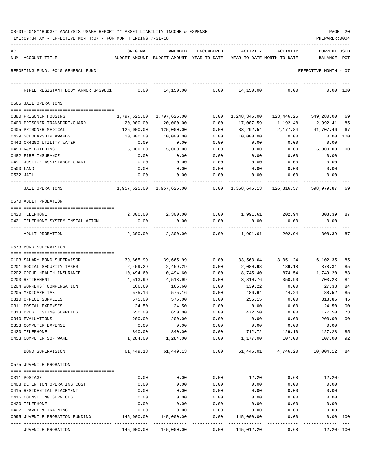|  |  | 08-01-2018**BUDGET ANALYSIS USAGE REPORT ** ASSET LIABILITY INCOME & EXPENSE | PAGE | -20 |
|--|--|------------------------------------------------------------------------------|------|-----|
|  |  |                                                                              |      |     |

| ACT |                                                        | ORIGINAL            | AMENDED                                  | ENCUMBERED          | ACTIVITY                   | ACTIVITY                   | CURRENT USED            |                |
|-----|--------------------------------------------------------|---------------------|------------------------------------------|---------------------|----------------------------|----------------------------|-------------------------|----------------|
|     | NUM ACCOUNT-TITLE                                      |                     | BUDGET-AMOUNT BUDGET-AMOUNT YEAR-TO-DATE |                     |                            | YEAR-TO-DATE MONTH-TO-DATE | BALANCE                 | PCT            |
|     |                                                        |                     |                                          |                     |                            |                            |                         |                |
|     | REPORTING FUND: 0010 GENERAL FUND                      |                     |                                          |                     |                            |                            | EFFECTIVE MONTH - 07    |                |
|     | RIFLE RESISTANT BODY ARMOR 3439801                     | 0.00                | 14,150.00                                | 0.00                | 14,150.00                  | 0.00                       | 0.00 100                |                |
|     | 0565 JAIL OPERATIONS                                   |                     |                                          |                     |                            |                            |                         |                |
|     | 0380 PRISONER HOUSING                                  | 1,797,625.00        | 1,797,625.00                             | 0.00                | 1,248,345.00               | 123,446.25                 | 549,280.00              | 69             |
|     | 0400 PRISONER TRANSPORT/GUARD                          | 20,000.00           | 20,000.00                                | 0.00                | 17,007.59                  | 1,192.48                   | 2,992.41                | 85             |
|     | 0405 PRISONER MEDICAL                                  | 125,000.00          | 125,000.00                               | 0.00                | 83,292.54                  | 2,177.84                   | 41,707.46               | 67             |
|     | 0429 SCHOLARSHIP AWARDS                                | 10,000.00           | 10,000.00                                | 0.00                | 10,000.00                  | 0.00                       | 0.00                    | 100            |
|     | 0442 CR4200 UTILITY WATER                              | 0.00                | 0.00                                     | 0.00                | 0.00                       | 0.00                       | 0.00                    |                |
|     | 0450 R&M BUILDING                                      | 5,000.00            | 5,000.00                                 | 0.00                | 0.00                       | 0.00                       | 5,000.00                | 00             |
|     | 0482 FIRE INSURANCE                                    | 0.00                | 0.00                                     | 0.00                | 0.00                       | 0.00                       | 0.00                    |                |
|     | 0491 JUSTICE ASSISTANCE GRANT                          | 0.00                | 0.00                                     | 0.00                | 0.00                       | 0.00                       | 0.00                    |                |
|     | 0500 LAND                                              | 0.00                | 0.00                                     | 0.00                | 0.00                       | 0.00                       | 0.00                    |                |
|     | 0532 JAIL                                              | 0.00                | 0.00                                     | 0.00                | 0.00                       | 0.00                       | 0.00                    |                |
|     | <b>JAIL OPERATIONS</b>                                 |                     | 1,957,625.00 1,957,625.00                | 0.00                |                            | 1,358,645.13 126,816.57    | 598,979.87              | 69             |
|     | 0570 ADULT PROBATION                                   |                     |                                          |                     |                            |                            |                         |                |
|     |                                                        |                     |                                          |                     |                            |                            |                         |                |
|     | 0420 TELEPHONE                                         | 2,300.00            | 2,300.00                                 | 0.00                | 1,991.61                   | 202.94                     | 308.39                  | 87             |
|     | 0421 TELEPHONE SYSTEM INSTALLATION                     | 0.00                | 0.00                                     | 0.00                | 0.00                       | 0.00                       | 0.00                    |                |
|     | ADULT PROBATION                                        | 2,300.00            | 2,300.00                                 | 0.00                | 1,991.61                   | 202.94                     | 308.39                  | 87             |
|     | 0573 BOND SUPERVISION                                  |                     |                                          |                     |                            |                            |                         |                |
|     | 0103 SALARY-BOND SUPERVISOR                            | 39,665.99           | 39,665.99                                | 0.00                | 33,563.64                  | 3,051.24                   | 6,102.35                | 85             |
|     | 0201 SOCIAL SECURITY TAXES                             | 2,459.29            | 2,459.29                                 | 0.00                | 2,080.98                   | 189.18                     | 378.31                  | 85             |
|     | 0202 GROUP HEALTH INSURANCE                            | 10,494.60           | 10,494.60                                | 0.00                | 8,745.40                   | 874.54                     | 1,749.20                | 83             |
|     | 0203 RETIREMENT                                        | 4,513.99            | 4,513.99                                 | 0.00                | 3,810.76                   | 350.90                     | 703.23                  | 84             |
|     | 0204 WORKERS' COMPENSATION                             | 166.60              | 166.60                                   | 0.00                | 139.22                     | 0.00                       | 27.38                   | 84             |
|     | 0205 MEDICARE TAX                                      | 575.16              | 575.16                                   | 0.00                | 486.64                     | 44.24                      | 88.52                   | 85             |
|     | 0310 OFFICE SUPPLIES                                   | 575.00              | 575.00                                   | 0.00                | 256.15                     | 0.00                       | 318.85                  | 45             |
|     | 0311 POSTAL EXPENSES                                   | 24.50               | 24.50                                    | 0.00                | 0.00                       | 0.00                       | 24.50                   | 0 <sub>0</sub> |
|     | 0313 DRUG TESTING SUPPLIES                             | 650.00              | 650.00                                   | 0.00                | 472.50                     | 0.00                       | 177.50                  | 73             |
|     | 0340 EVALUATIONS                                       | 200.00              | 200.00                                   | 0.00                | 0.00                       | 0.00                       | 200.00                  | 00             |
|     | 0353 COMPUTER EXPENSE                                  | 0.00                | 0.00                                     | 0.00                | 0.00                       | 0.00                       | 0.00                    |                |
|     | 0420 TELEPHONE<br>0453 COMPUTER SOFTWARE               | 840.00<br>1,284.00  | 840.00<br>1,284.00                       | 0.00<br>0.00        | 712.72<br>1,177.00         | 129.10<br>107.00           | 127.28<br>107.00        | 85<br>92       |
|     |                                                        | ----- ------------- |                                          |                     |                            |                            |                         |                |
|     | BOND SUPERVISION                                       | 61,449.13           | 61,449.13                                | 0.00                | 51,445.01                  | 4,746.20                   | 10,004.12               | 84             |
|     | 0575 JUVENILE PROBATION                                |                     |                                          |                     |                            |                            |                         |                |
|     |                                                        |                     |                                          |                     |                            |                            |                         |                |
|     | 0311 POSTAGE                                           | 0.00                | 0.00                                     | 0.00                | 12.20                      | 8.68                       | $12.20 -$               |                |
|     | 0408 DETENTION OPERATING COST                          | 0.00                | 0.00                                     | 0.00                | 0.00                       | 0.00                       | 0.00                    |                |
|     | 0415 RESIDENTIAL PLACEMENT<br>0416 COUNSELING SERVICES | 0.00<br>0.00        | 0.00<br>0.00                             | 0.00<br>0.00        | 0.00<br>0.00               | 0.00<br>0.00               | 0.00<br>0.00            |                |
|     | 0420 TELEPHONE                                         | 0.00                | 0.00                                     | 0.00                | 0.00                       | 0.00                       | 0.00                    |                |
|     | 0427 TRAVEL & TRAINING                                 | 0.00                | 0.00                                     | 0.00                | 0.00                       | 0.00                       | 0.00                    |                |
|     | 0995 JUVENILE PROBATION FUNDING                        | 145,000.00          | 145,000.00                               | 0.00                | 145,000.00                 | 0.00                       | 0.00 100                |                |
|     | ---------------- --------------<br>JUVENILE PROBATION  | 145,000.00          | -------------<br>145,000.00              | -----------<br>0.00 | ------------<br>145,012.20 | ---------<br>8.68          | ------<br>$12.20 - 100$ |                |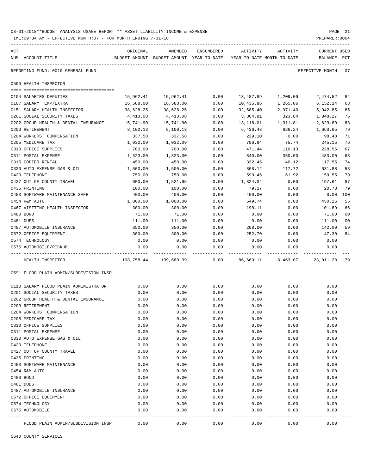|     | TIME:09:34 AM - EFFECTIVE MONTH:07 - FOR MONTH ENDING 7-31-18 |                |                                                                                |            |                                |                                                          | PREPARER: 0004                     |                |
|-----|---------------------------------------------------------------|----------------|--------------------------------------------------------------------------------|------------|--------------------------------|----------------------------------------------------------|------------------------------------|----------------|
| ACT | NUM ACCOUNT-TITLE                                             | ORIGINAL       | AMENDED<br>BUDGET-AMOUNT BUDGET-AMOUNT YEAR-TO-DATE YEAR-TO-DATE MONTH-TO-DATE | ENCUMBERED | ACTIVITY                       | ACTIVITY                                                 | <b>CURRENT USED</b><br>BALANCE PCT |                |
|     | REPORTING FUND: 0010 GENERAL FUND                             |                |                                                                                |            |                                |                                                          | EFFECTIVE MONTH - 07               |                |
|     | 0590 HEALTH INSPECTOR                                         |                |                                                                                |            |                                |                                                          |                                    |                |
|     | 0104 SALARIES DEPUTIES                                        | 15,962.41      | 15,962.41                                                                      | 0.00       | 13,487.89                      | 1,209.09                                                 | 2,474.52                           | 84             |
|     | 0107 SALARY TEMP/EXTRA                                        | 16,588.00      | 16,588.00                                                                      | 0.00       | 10,435.86                      | 1,265.06                                                 | 6,152.14                           | 63             |
|     | 0151 SALARY HEALTH INSPECTOR                                  | 38,628.25      | 38,628.25                                                                      | 0.00       | 32,685.40                      | 2,971.40                                                 | 5,942.85                           | 85             |
|     | 0201 SOCIAL SECURITY TAXES                                    | 4,413.08       | 4,413.08                                                                       | 0.00       | 3,364.81                       | 323.84                                                   | 1,048.27                           | 76             |
|     | 0202 GROUP HEALTH & DENTAL INSURANCE                          | 15,741.90      | 15,741.90                                                                      | 0.00       | 13,118.01                      | 1,311.81                                                 | 2,623.89                           | 83             |
|     | 0203 RETIREMENT                                               | 8,100.13       | 8,100.13                                                                       | 0.00       | 6,436.48                       | 626.24                                                   | 1,663.65                           | 79             |
|     | 0204 WORKERS' COMPENSATION                                    | 337.58         | 337.58                                                                         | 0.00       | 239.10                         | 0.00                                                     | 98.48                              | 71             |
|     | 0205 MEDICARE TAX                                             | 1,032.09       | 1,032.09                                                                       | 0.00       | 786.94                         | 75.74                                                    | 245.15                             | 76             |
|     | 0310 OFFICE SUPPLIES                                          | 700.00         | 700.00                                                                         | 0.00       | 471.44                         | 110.13                                                   | 228.56                             | 67             |
|     | 0311 POSTAL EXPENSE                                           | 1,323.00       | 1,323.00                                                                       | 0.00       | 840.00                         | 350.00                                                   | 483.00                             | 63             |
|     | 0315 COPIER RENTAL                                            | 450.00         | 450.00                                                                         | 0.00       | 332.45                         | 40.12                                                    | 117.55                             | 74             |
|     | 0330 AUTO EXPENSE GAS & OIL                                   | 1,500.00       | 1,500.00                                                                       | 0.00       | 868.12                         | 117.72                                                   | 631.88                             | 58             |
|     | 0420 TELEPHONE                                                | 750.00         | 750.00                                                                         | 0.00       | 590.45                         | 61.92                                                    | 159.55                             | 79             |
|     | 0427 OUT OF COUNTY TRAVEL                                     | 600.00         | 1,521.95                                                                       | 0.00       | 1,324.34                       | 0.00                                                     | 197.61                             | 87             |
|     | 0435 PRINTING                                                 | 100.00         | 100.00                                                                         | 0.00       | 79.27                          | 0.00                                                     | 20.73                              | 79             |
|     | 0453 SOFTWARE MAINTENANCE SAFE                                | 400.00         | 400.00                                                                         | 0.00       | 400.00                         | 0.00                                                     | 0.00                               | 100            |
|     | 0454 R&M AUTO                                                 | 1,000.00       | 1,000.00                                                                       | 0.00       | 549.74                         | 0.00                                                     | 450.26                             | 55             |
|     | 0467 VISITING HEALTH INSPECTOR                                | 300.00         | 300.00                                                                         | 0.00       | 198.11                         | 0.00                                                     | 101.89                             | 66             |
|     | 0480 BOND                                                     | 71.00          | 71.00                                                                          | 0.00       | 0.00                           | 0.00                                                     | 71.00                              | 0 <sub>0</sub> |
|     | 0481 DUES                                                     | 111.00         | 111.00                                                                         | 0.00       | 0.00                           | 0.00                                                     | 111.00                             | 0 <sub>0</sub> |
|     | 0487 AUTOMOBILE INSURANCE                                     | 350.00         | 350.00                                                                         | 0.00       | 208.00                         | 0.00                                                     | 142.00                             | 59             |
|     | 0572 OFFICE EQUIPMENT                                         | 300.00         | 300.00                                                                         | 0.00       | 252.70                         | 0.00                                                     | 47.30                              | 84             |
|     | 0574 TECHNOLOGY                                               | 0.00           | 0.00                                                                           | 0.00       | 0.00                           | 0.00                                                     | 0.00                               |                |
|     | 0575 AUTOMOBILE/PICKUP                                        | 0.00           | 0.00                                                                           | 0.00       | 0.00                           | 0.00                                                     | 0.00                               |                |
|     |                                                               | -------------- | -------------                                                                  |            |                                |                                                          |                                    |                |
|     | HEALTH INSPECTOR                                              |                | 108,758.44 109,680.39                                                          |            |                                | $0.00 \qquad 86,669.11 \qquad 8,463.07 \qquad 23,011.28$ |                                    | 79             |
|     | 0591 FLOOD PLAIN ADMIN/SUBDIVISION INSP                       |                |                                                                                |            |                                |                                                          |                                    |                |
|     |                                                               |                |                                                                                |            |                                |                                                          |                                    |                |
|     | 0110 SALARY FLOOD PLAIN ADMINISTRATOR                         | 0.00           | 0.00                                                                           | 0.00       | 0.00                           | 0.00                                                     | 0.00                               |                |
|     | 0201 SOCIAL SECURITY TAXES                                    | 0.00           | 0.00                                                                           | 0.00       | 0.00                           | 0.00                                                     | 0.00                               |                |
|     | 0202 GROUP HEALTH & DENTAL INSURANCE                          | 0.00           | 0.00                                                                           | 0.00       | 0.00                           | 0.00                                                     | 0.00                               |                |
|     | 0203 RETIREMENT                                               | 0.00           | 0.00                                                                           | 0.00       | 0.00                           | 0.00                                                     | 0.00                               |                |
|     | 0204 WORKERS' COMPENSATION                                    | 0.00           | 0.00                                                                           | 0.00       | 0.00                           | 0.00                                                     | 0.00                               |                |
|     | 0205 MEDICARE TAX                                             | 0.00           | 0.00                                                                           | 0.00       | 0.00                           | 0.00                                                     | 0.00                               |                |
|     | 0310 OFFICE SUPPLIES                                          | 0.00           | 0.00                                                                           | 0.00       | 0.00                           | 0.00                                                     | 0.00                               |                |
|     | 0311 POSTAL EXPENSE                                           | 0.00           | 0.00                                                                           | 0.00       | 0.00                           | 0.00                                                     | 0.00                               |                |
|     | 0330 AUTO EXPENSE GAS & OIL                                   | 0.00           | 0.00                                                                           | 0.00       | 0.00                           | 0.00                                                     | 0.00                               |                |
|     | 0420 TELEPHONE                                                | 0.00           | 0.00                                                                           | 0.00       | 0.00                           | 0.00                                                     | 0.00                               |                |
|     | 0427 OUT OF COUNTY TRAVEL                                     | 0.00           | 0.00                                                                           | 0.00       | 0.00                           | 0.00                                                     | 0.00                               |                |
|     | 0435 PRINTING                                                 | 0.00           | 0.00                                                                           | 0.00       | 0.00                           | 0.00                                                     | 0.00                               |                |
|     | 0453 SOFTWARE MAINTENANCE                                     | 0.00           | 0.00                                                                           | 0.00       | 0.00                           | 0.00                                                     | 0.00                               |                |
|     | 0454 R&M AUTO                                                 | 0.00           | 0.00                                                                           | 0.00       | 0.00                           | 0.00                                                     | 0.00                               |                |
|     | 0480 BOND                                                     | 0.00           | 0.00                                                                           | 0.00       | 0.00                           | 0.00                                                     | 0.00                               |                |
|     | 0481 DUES                                                     | 0.00           | 0.00                                                                           | 0.00       | 0.00                           | 0.00                                                     | 0.00                               |                |
|     | 0487 AUTOMOBILE INSURANCE                                     | 0.00           | 0.00                                                                           | 0.00       | 0.00                           | 0.00                                                     | 0.00                               |                |
|     | 0572 OFFICE EQUIPMENT                                         | 0.00           | 0.00                                                                           | 0.00       | 0.00                           | 0.00                                                     | 0.00                               |                |
|     | 0574 TECHNOLOGY                                               | 0.00           | 0.00                                                                           | 0.00       | 0.00                           | 0.00                                                     | 0.00                               |                |
|     | 0575 AUTOMOBILE                                               | 0.00           | 0.00                                                                           | 0.00       | 0.00                           | 0.00                                                     | 0.00                               |                |
|     |                                                               |                | -------------                                                                  |            | ------------------------------ |                                                          |                                    |                |

FLOOD PLAIN ADMIN/SUBDIVISION INSP 0.00 0.00 0.00 0.00 0.00 0.00

0640 COUNTY SERVICES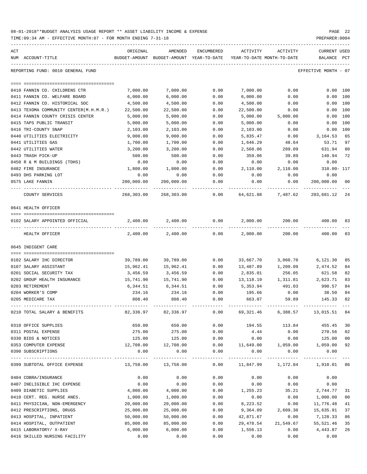| ACT                                    | ORIGINAL   | AMENDED                                                             | ENCUMBERED | ACTIVITY  | ACTIVITY                                 | <b>CURRENT USED</b>  |          |
|----------------------------------------|------------|---------------------------------------------------------------------|------------|-----------|------------------------------------------|----------------------|----------|
| NUM ACCOUNT-TITLE                      |            | BUDGET-AMOUNT BUDGET-AMOUNT YEAR-TO-DATE YEAR-TO-DATE MONTH-TO-DATE |            |           |                                          | BALANCE              | PCT      |
| REPORTING FUND: 0010 GENERAL FUND      |            |                                                                     |            |           |                                          | EFFECTIVE MONTH - 07 |          |
|                                        |            |                                                                     |            |           |                                          |                      |          |
| 0410 FANNIN CO. CHILDRENS CTR          | 7,000.00   | 7,000.00                                                            | 0.00       | 7,000.00  | 0.00                                     |                      | 0.00 100 |
| 0411 FANNIN CO. WELFARE BOARD          | 6,000.00   | 6,000.00                                                            | 0.00       | 6,000.00  | 0.00                                     |                      | 0.00 100 |
| 0412 FANNIN CO. HISTORICAL SOC         | 4,500.00   | 4,500.00                                                            | 0.00       | 4,500.00  | 0.00                                     |                      | 0.00 100 |
| 0413 TEXOMA COMMUNITY CENTER(M.H.M.R.) | 22,500.00  | 22,500.00                                                           | 0.00       | 22,500.00 | 0.00                                     |                      | 0.00 100 |
| 0414 FANNIN COUNTY CRISIS CENTER       | 5,000.00   | 5,000.00                                                            | 0.00       | 5,000.00  | 5,000.00                                 | 0.00                 | 100      |
| 0415 TAPS PUBLIC TRANSIT               | 5,000.00   | 5,000.00                                                            | 0.00       | 5,000.00  | 0.00                                     | 0.00                 | 100      |
| 0416 TRI-COUNTY SNAP                   | 2,103.00   | 2,103.00                                                            | 0.00       | 2,103.00  | 0.00                                     |                      | 0.00 100 |
| 0440 UTILITIES ELECTRICITY             | 9,000.00   | 9,000.00                                                            | 0.00       | 5,835.47  | 0.00                                     | 3,164.53             | 65       |
| 0441 UTILITIES GAS                     | 1,700.00   | 1,700.00                                                            | 0.00       | 1,646.29  | 48.64                                    | 53.71                | 97       |
| 0442 UTILITIES WATER                   | 3,200.00   | 3,200.00                                                            | 0.00       | 2,568.06  | 289.09                                   | 631.94               | 80       |
| 0443 TRASH PICK-UP                     | 500.00     | 500.00                                                              | 0.00       | 359.06    | 39.89                                    | 140.94               | 72       |
| 0450 R & M BUILDINGS (TDHS)            | 0.00       | 0.00                                                                | 0.00       | 0.00      | 0.00                                     | 0.00                 |          |
| 0482 FIRE INSURANCE                    | 1,800.00   | 1,800.00                                                            | 0.00       | 2,110.00  | 2,110.00                                 | 310.00- 117          |          |
| 0493 DHS PARKING LOT                   | 0.00       | 0.00                                                                | 0.00       | 0.00      | 0.00                                     | 0.00                 |          |
| 0575 LAKE FANNIN                       | 200,000.00 | 200,000.00                                                          | 0.00       | 0.00      | 0.00                                     | 200,000.00 00        |          |
| COUNTY SERVICES                        |            | 268,303.00 268,303.00                                               | 0.00       |           | 64,621.88 7,487.62                       | 203,681.12 24        |          |
| 0641 HEALTH OFFICER                    |            |                                                                     |            |           |                                          |                      |          |
| 0102 SALARY APPOINTED OFFICIAL         |            | 2,400.00 2,400.00                                                   | 0.00       | 2,000.00  |                                          | 200.00 400.00        | 83       |
| HEALTH OFFICER                         | 2,400.00   | 2,400.00                                                            | 0.00       | 2,000.00  | 200.00                                   | 400.00               | 83       |
| 0645 INDIGENT CARE                     |            |                                                                     |            |           |                                          |                      |          |
|                                        |            |                                                                     |            |           |                                          |                      |          |
| 0102 SALARY IHC DIRECTOR               | 39,789.00  | 39,789.00                                                           | 0.00       | 33,667.70 | 3,060.70                                 | 6,121.30             | 85       |
| 0107 SALARY ASSISTANT                  | 15,962.41  | 15,962.41                                                           | 0.00       | 13,487.89 | 1,209.09                                 | 2,474.52             | 84       |
| 0201 SOCIAL SECURITY TAX               | 3,456.59   | 3,456.59                                                            | 0.00       | 2,835.01  | 256.05                                   | 621.58               | 82       |
| 0202 GROUP HEALTH INSURANCE            | 15,741.90  | 15,741.90                                                           | 0.00       | 13,118.19 | 1,311.81                                 | 2,623.71             | 83       |
| 0203 RETIREMENT                        | 6,344.51   | 6,344.51                                                            | 0.00       | 5,353.94  | 491.03                                   | 990.57               | 84       |
| 0204 WORKER'S COMP                     | 234.16     | 234.16                                                              | 0.00       | 195.66    | 0.00                                     | 38.50                | 84       |
| 0205 MEDICARE TAX                      | 808.40     | 808.40                                                              | 0.00       | 663.07    | 59.89                                    | 145.33               | 82       |
| 0210 TOTAL SALARY & BENEFITS           |            | 82,336.97 82,336.97                                                 | 0.00       |           | 69,321.46    6,388.57    13,015.51    84 |                      |          |
| 0310 OFFICE SUPPLIES                   | 650.00     | 650.00                                                              | 0.00       |           | 194.55 113.84 455.45                     |                      | 30       |
| 0311 POSTAL EXPENSE                    | 275.00     | 275.00                                                              | 0.00       | 4.44      | 0.00                                     | 270.56               | 02       |
| 0330 BIDS & NOTICES                    | 125.00     | 125.00                                                              | 0.00       | 0.00      | 0.00                                     | 125.00               | 00       |
| 0353 COMPUTER EXPENSE                  |            | 12,708.00  12,708.00                                                |            |           | $0.00$ 11,649.00 1,059.00                | 1,059.00 92          |          |
| 0390 SUBSCRIPTIONS                     | 0.00       | 0.00                                                                | 0.00       | 0.00      | 0.00                                     | 0.00                 |          |
| 0399 SUBTOTAL OFFICE EXPENSE           | 13,758.00  | 13,758.00                                                           |            |           | $0.00$ 11,847.99 1,172.84                | 1,910.01 86          |          |
| 0404 COBRA/INSURANCE                   | 0.00       | 0.00                                                                | 0.00       | 0.00      | 0.00                                     | 0.00                 |          |
| 0407 INELIGIBLE IHC EXPENSE            | 0.00       | 0.00                                                                | 0.00       | 0.00      | 0.00                                     | 0.00                 |          |
| 0409 DIABETIC SUPPLIES                 | 4,000.00   | 4,000.00                                                            | 0.00       | 1,255.23  | 35.21                                    | 2,744.77             | 31       |
| 0410 CERT. REG. NURSE ANES.            | 1,000.00   | 1,000.00                                                            | 0.00       | 0.00      | 0.00                                     | 1,000.00             | 00       |
| 0411 PHYSICIAN, NON-EMERGENCY          | 20,000.00  | 20,000.00                                                           | 0.00       | 8,223.52  | 0.00                                     | 11,776.48            | 41       |
| 0412 PRESCRIPTIONS, DRUGS              | 25,000.00  | 25,000.00                                                           | 0.00       | 9,364.09  | 2,609.30                                 | 15,635.91            | 37       |
| 0413 HOSPITAL, INPATIENT               | 50,000.00  | 50,000.00                                                           | 0.00       | 42,871.67 | 0.00                                     | 7,128.33             | 86       |
| 0414 HOSPITAL, OUTPATIENT              | 85,000.00  | 85,000.00                                                           | 0.00       | 29,478.54 | 21,549.67                                | 55,521.46            | 35       |
| 0415 LABORATORY/ X-RAY                 | 6,000.00   | 6,000.00                                                            | 0.00       | 1,556.13  | 0.00                                     | 4,443.87             | 26       |
| 0416 SKILLED NURSING FACILITY          | 0.00       | 0.00                                                                | 0.00       | 0.00      | 0.00                                     | 0.00                 |          |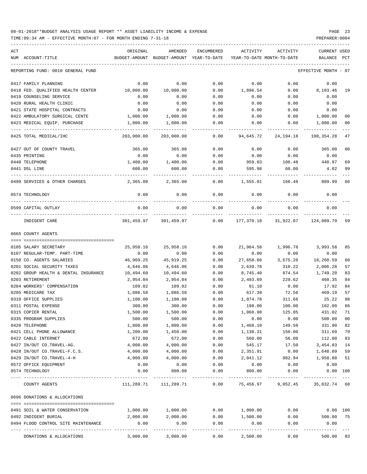| ACT                                  | ORIGINAL      | AMENDED                    | ENCUMBERED | ACTIVITY    | ACTIVITY                        | CURRENT USED         |              |
|--------------------------------------|---------------|----------------------------|------------|-------------|---------------------------------|----------------------|--------------|
| NUM ACCOUNT-TITLE                    | BUDGET-AMOUNT | BUDGET-AMOUNT YEAR-TO-DATE |            |             | YEAR-TO-DATE MONTH-TO-DATE      | BALANCE              | $_{\rm PCT}$ |
| REPORTING FUND: 0010 GENERAL FUND    |               |                            |            |             |                                 | EFFECTIVE MONTH - 07 |              |
| 0417 FAMILY PLANNING                 | 0.00          | 0.00                       | 0.00       | 0.00        | 0.00                            | 0.00                 |              |
| 0418 FED. QUALIFIED HEALTH CENTER    | 10,000.00     | 10,000.00                  | 0.00       | 1,896.54    | 0.00                            | 8,103.46             | 19           |
| 0419 COUNSELING SERVICE              | 0.00          | 0.00                       | 0.00       | 0.00        | 0.00                            | 0.00                 |              |
| 0420 RURAL HEALTH CLINIC             | 0.00          | 0.00                       | 0.00       | 0.00        | 0.00                            | 0.00                 |              |
| 0421 STATE HOSPITAL CONTRACTS        | 0.00          | 0.00                       | 0.00       | 0.00        | 0.00                            | 0.00                 |              |
| 0422 AMBULATORY SURGICAL CENTE       | 1,000.00      | 1,000.00                   | 0.00       | 0.00        | 0.00                            | 1,000.00             | 00           |
| 0423 MEDICAL EQUIP. PURCHASE         | 1,000.00      | 1,000.00                   | 0.00       | 0.00        | 0.00                            | 1,000.00             | 00           |
| 0425 TOTAL MEDICAL/IHC               | 203,000.00    | 203,000.00                 | 0.00       | 94,645.72   | 24,194.18                       | 108,354.28           | 47           |
| 0427 OUT OF COUNTY TRAVEL            | 365.00        | 365.00                     | 0.00       | 0.00        | 0.00                            | 365.00               | 00           |
| 0435 PRINTING                        | 0.00          | 0.00                       | 0.00       | 0.00        | 0.00                            | 0.00                 |              |
| 0440 TELEPHONE                       | 1,400.00      | 1,400.00                   | 0.00       | 959.03      | 106.48                          | 440.97               | 69           |
| 0441 DSL LINE                        | 600.00        | 600.00                     | 0.00       | 595.98      | 60.00                           | 4.02                 | 99           |
| 0499 SERVICES & OTHER CHARGES        | 2,365.00      | 2,365.00                   | 0.00       | 1,555.01    | 166.48                          | 809.99               | 66           |
| 0574 TECHNOLOGY                      | 0.00          | 0.00                       | 0.00       | 0.00        | 0.00                            | 0.00                 |              |
| 0599 CAPITAL OUTLAY                  | 0.00          | 0.00                       | 0.00       | 0.00        | 0.00                            | 0.00                 |              |
| INDIGENT CARE                        | 301,459.97    | 301,459.97                 | 0.00       | 177,370.18  | 31,922.07                       | 124,089.79           | 59           |
| 0665 COUNTY AGENTS                   |               |                            |            |             |                                 |                      |              |
| 0105 SALARY SECRETARY                | 25,958.16     | 25,958.16                  | 0.00       | 21,964.58   | 1,996.78                        | 3,993.58             | 85           |
| 0107 REGULAR-TEMP. PART-TIME         | 0.00          | 0.00                       | 0.00       | 0.00        | 0.00                            | 0.00                 |              |
| 0150 CO. AGENTS SALARIES             | 46,969.25     | 45,919.25                  | 0.00       | 27,658.66   | 3,675.26                        | 18,260.59            | 60           |
| 0201 SOCIAL SECURITY TAXES           | 4,646.06      | 4,646.06                   | 0.00       | 2,639.78    | 310.22                          | 2,006.28             | 57           |
| 0202 GROUP HEALTH & DENTAL INSURANCE | 10,494.60     | 10,494.60                  | 0.00       | 8,745.40    | 874.54                          | 1,749.20             | 83           |
| 0203 RETIREMENT                      | 2,954.04      | 2,954.04                   | 0.00       | 2,493.69    | 229.62                          | 460.35               | 84           |
| 0204 WORKERS' COMPENSATION           | 109.02        | 109.02                     | 0.00       | 91.10       | 0.00                            | 17.92                | 84           |
| 0205 MEDICARE TAX                    | 1,086.58      | 1,086.58                   | 0.00       | 617.39      | 72.56                           | 469.19               | 57           |
| 0310 OFFICE SUPPLIES                 | 1,100.00      | 1,100.00                   | 0.00       | 1,074.78    | 311.68                          | 25.22                | 98           |
| 0311 POSTAL EXPENSE                  | 300.00        | 300.00                     | 0.00       | 198.00      | 100.00                          | 102.00               | 66           |
| 0315 COPIER RENTAL                   | 1,500.00      | 1,500.00                   | 0.00       | 1,068.98    | 125.85                          | 431.02               | 71           |
| 0335 PROGRAM SUPPLIES                | 500.00        | 500.00                     | 0.00       | 0.00        | 0.00                            | 500.00               | 00           |
| 0420 TELEPHONE                       | 1,800.00      | 1,800.00                   | 0.00       | 1,468.10    | 149.50                          | 331.90               | 82           |
| 0421 CELL PHONE ALLOWANCE            | 1,200.00      | 1,450.00                   | 0.00       | 1,138.31    | 150.00                          | 311.69               | 79           |
| 0422 CABLE INTERNET                  | 672.00        | 672.00                     | 0.00       | 560.00      | 56.00                           | 112.00               | 83           |
| 0427 IN/OUT CO.TRAVEL-AG.            | 4,000.00      | 4,000.00                   | 0.00       | 545.17      | 17.50                           | 3,454.83             | 14           |
| 0428 IN/OUT CO.TRAVEL-F.C.S.         | 4,000.00      | 4,000.00                   | 0.00       | 2,351.91    | 0.00                            | 1,648.09             | 59           |
| 0429 IN/OUT CO.TRAVEL-4-H            | 4,000.00      | 4,000.00                   | 0.00       | 2,041.12    | 982.94                          | 1,958.88             | 51           |
| 0572 OFFICE EQUIPMENT                | 0.00          | 0.00                       | 0.00       | 0.00        | 0.00                            | 0.00                 |              |
| 0574 TECHNOLOGY                      | 0.00          | 800.00                     | 0.00       | 800.00      | 0.00                            | 0.00 100             |              |
| COUNTY AGENTS                        |               | 111,289.71 111,289.71      | 0.00       | ----------- | 75,456.97 9,052.45 35,832.74 68 |                      |              |
| 0696 DONATIONS & ALLOCATIONS         |               |                            |            |             |                                 |                      |              |
| 0491 SOIL & WATER CONSERVATION       | 1,000.00      | 1,000.00                   | 0.00       | 1,000.00    | 0.00                            | $0.00$ 100           |              |
| 0492 INDIGENT BURIAL                 | 2,000.00      | 2,000.00                   | 0.00       | 1,500.00    | 0.00                            | 500.00 75            |              |
| 0494 FLOOD CONTROL SITE MAINTENANCE  | 0.00          | 0.00                       | 0.00       | 0.00        | 0.00                            | 0.00                 |              |
| DONATIONS & ALLOCATIONS              |               |                            |            |             |                                 |                      |              |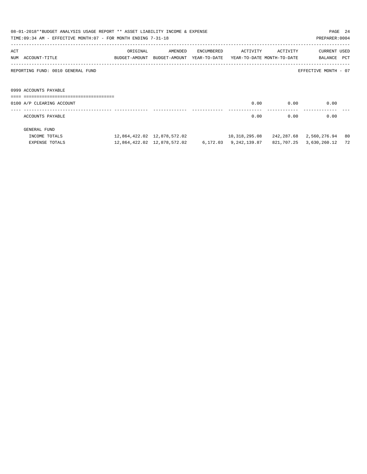| 08-01-2018**BUDGET ANALYSIS USAGE REPORT ** ASSET LIABILITY INCOME & EXPENSE<br>PAGE 24<br>TIME:09:34 AM - EFFECTIVE MONTH:07 - FOR MONTH ENDING 7-31-18<br>PREPARER: 0004 |                                                         |          |                                                                                |            |               |            |                                |            |
|----------------------------------------------------------------------------------------------------------------------------------------------------------------------------|---------------------------------------------------------|----------|--------------------------------------------------------------------------------|------------|---------------|------------|--------------------------------|------------|
| ACT<br>NUM                                                                                                                                                                 | ACCOUNT-TITLE                                           | ORIGINAL | AMENDED<br>BUDGET-AMOUNT BUDGET-AMOUNT YEAR-TO-DATE YEAR-TO-DATE MONTH-TO-DATE | ENCUMBERED | ACTIVITY      | ACTIVITY   | <b>CURRENT USED</b><br>BALANCE | <b>PCT</b> |
|                                                                                                                                                                            | REPORTING FUND: 0010 GENERAL FUND                       |          |                                                                                |            |               |            | EFFECTIVE MONTH - 07           |            |
|                                                                                                                                                                            | 0999 ACCOUNTS PAYABLE<br>============================== |          |                                                                                |            |               |            |                                |            |
|                                                                                                                                                                            | 0100 A/P CLEARING ACCOUNT                               |          |                                                                                |            | 0.00          | 0.00       | 0.00                           |            |
|                                                                                                                                                                            | ACCOUNTS PAYABLE                                        |          |                                                                                |            | 0.00          | 0.00       | 0.00                           |            |
|                                                                                                                                                                            | GENERAL FUND                                            |          |                                                                                |            |               |            |                                |            |
|                                                                                                                                                                            | INCOME TOTALS                                           |          |                                                                                |            | 10,318,295.08 |            | 242,287.68 2,560,276.94        | 80         |
|                                                                                                                                                                            | EXPENSE TOTALS                                          |          | 12,864,422.02 12,878,572.02 6,172.03 9,242,139.87                              |            |               | 821,707.25 | 3,630,260.12                   | 72         |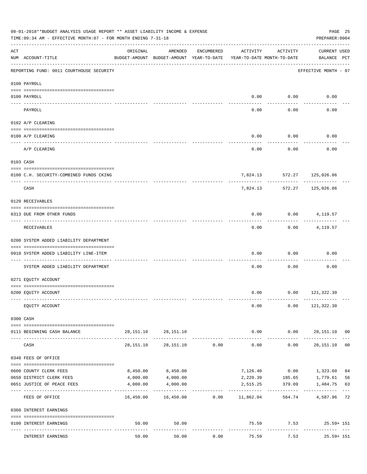|     | 08-01-2018**BUDGET ANALYSIS USAGE REPORT ** ASSET LIABILITY INCOME & EXPENSE<br>TIME: 09:34 AM - EFFECTIVE MONTH: 07 - FOR MONTH ENDING 7-31-18 |           |                                                     |            |                                        |                      | PREPARER: 0004                        | PAGE 25     |
|-----|-------------------------------------------------------------------------------------------------------------------------------------------------|-----------|-----------------------------------------------------|------------|----------------------------------------|----------------------|---------------------------------------|-------------|
| ACT | NUM ACCOUNT-TITLE                                                                                                                               | ORIGINAL  | AMENDED<br>BUDGET-AMOUNT BUDGET-AMOUNT YEAR-TO-DATE | ENCUMBERED | ACTIVITY<br>YEAR-TO-DATE MONTH-TO-DATE | ACTIVITY             | <b>CURRENT USED</b><br>BALANCE PCT    |             |
|     | REPORTING FUND: 0011 COURTHOUSE SECURITY                                                                                                        |           |                                                     |            |                                        |                      | EFFECTIVE MONTH - 07                  |             |
|     | 0100 PAYROLL                                                                                                                                    |           |                                                     |            |                                        |                      |                                       |             |
|     | 0100 PAYROLL                                                                                                                                    |           |                                                     |            | 0.00                                   | 0.00                 | 0.00                                  |             |
|     | ----- ----<br>PAYROLL                                                                                                                           |           |                                                     |            | 0.00                                   | 0.00                 | 0.00                                  |             |
|     | 0102 A/P CLEARING                                                                                                                               |           |                                                     |            |                                        |                      |                                       |             |
|     | 0100 A/P CLEARING                                                                                                                               |           |                                                     |            | 0.00                                   | 0.00                 | 0.00                                  |             |
|     | A/P CLEARING                                                                                                                                    |           |                                                     |            | 0.00                                   | 0.00                 | 0.00                                  |             |
|     | 0103 CASH                                                                                                                                       |           |                                                     |            |                                        |                      |                                       |             |
|     | 0100 C.H. SECURITY-COMBINED FUNDS CKING                                                                                                         |           |                                                     |            |                                        |                      | 7,824.13 572.27 125,026.86            |             |
|     | CASH                                                                                                                                            |           |                                                     |            | 7,824.13                               | ----------<br>572.27 | .<br>125,026.86                       |             |
|     | 0120 RECEIVABLES                                                                                                                                |           |                                                     |            |                                        |                      |                                       |             |
|     | 0313 DUE FROM OTHER FUNDS                                                                                                                       |           |                                                     |            | 0.00                                   |                      | $0.00$ 4, 119.57                      |             |
|     | RECEIVABLES                                                                                                                                     |           |                                                     |            | 0.00                                   | ---------<br>0.00    | 4,119.57                              |             |
|     | 0200 SYSTEM ADDED LIABILITY DEPARTMENT                                                                                                          |           |                                                     |            |                                        |                      |                                       |             |
|     | 0910 SYSTEM ADDED LIABILITY LINE-ITEM                                                                                                           |           |                                                     |            | 0.00                                   | 0.00                 | 0.00                                  |             |
|     | SYSTEM ADDED LIABILITY DEPARTMENT                                                                                                               |           |                                                     |            | 0.00                                   | 0.00                 | 0.00                                  |             |
|     | 0271 EQUITY ACCOUNT                                                                                                                             |           |                                                     |            |                                        |                      |                                       |             |
|     | 0200 EQUITY ACCOUNT                                                                                                                             |           |                                                     |            |                                        |                      | $0.00$ $0.00$ $121,322.30$            |             |
|     | EQUITY ACCOUNT                                                                                                                                  |           |                                                     |            | 0.00                                   |                      | $0.00$ 121,322.30                     |             |
|     | 0300 CASH                                                                                                                                       |           |                                                     |            |                                        |                      |                                       |             |
|     | 0111 BEGINNING CASH BALANCE                                                                                                                     |           | 28, 151. 10 28, 151. 10                             |            |                                        |                      | $0.00$ $0.00$ $28,151.10$ 00          |             |
|     | CASH                                                                                                                                            | 28,151.10 | 28,151.10                                           | 0.00       | -------------<br>0.00                  | -----------<br>0.00  | .<br>28,151.10 00                     |             |
|     | 0340 FEES OF OFFICE                                                                                                                             |           |                                                     |            |                                        |                      |                                       |             |
|     | 0600 COUNTY CLERK FEES                                                                                                                          | 8,450.00  | 8,450.00                                            |            | 7,126.40                               | 0.00                 | 1,323.60                              | 84          |
|     | 0650 DISTRICT CLERK FEES                                                                                                                        | 4,000.00  | 4,000.00                                            |            | 2,220.39                               | 185.65               | 1,779.61                              | 56          |
|     | 0651 JUSTICE OF PEACE FEES                                                                                                                      | 4,000.00  | 4,000.00<br>-------------                           |            | 2,515.25                               | 379.09               | 1,484.75                              | 63<br>$---$ |
|     | FEES OF OFFICE                                                                                                                                  |           | 16,450.00  16,450.00  0.00  11,862.04               |            |                                        | 564.74               | 4,587.96 72                           |             |
|     | 0360 INTEREST EARNINGS                                                                                                                          |           |                                                     |            |                                        |                      |                                       |             |
|     | 0100 INTEREST EARNINGS                                                                                                                          | 50.00     | 50.00                                               |            | -------------                          | ------------         | 75.59 7.53 25.59+ 151<br>------------ |             |
|     | INTEREST EARNINGS                                                                                                                               | 50.00     | 50.00                                               | 0.00       | 75.59                                  | 7.53                 | $25.59 + 151$                         |             |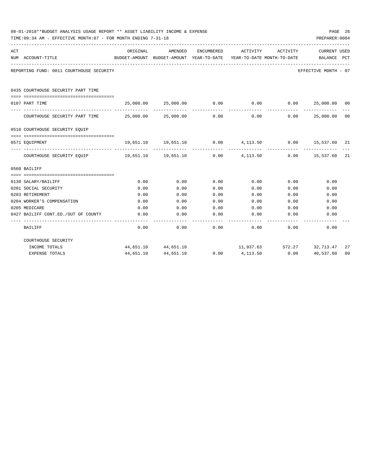|     | 08-01-2018**BUDGET ANALYSIS USAGE REPORT ** ASSET LIABILITY INCOME & EXPENSE<br>TIME: 09:34 AM - EFFECTIVE MONTH: 07 - FOR MONTH ENDING 7-31-18<br>PREPARER: 0004 |                     |                                                                                |            |                            |          |                                                     |              |  |  |
|-----|-------------------------------------------------------------------------------------------------------------------------------------------------------------------|---------------------|--------------------------------------------------------------------------------|------------|----------------------------|----------|-----------------------------------------------------|--------------|--|--|
| ACT | NUM ACCOUNT-TITLE                                                                                                                                                 | ORIGINAL            | AMENDED<br>BUDGET-AMOUNT BUDGET-AMOUNT YEAR-TO-DATE YEAR-TO-DATE MONTH-TO-DATE | ENCUMBERED | ACTIVITY                   | ACTIVITY | CURRENT USED<br>BALANCE                             | $_{\rm PCT}$ |  |  |
|     | REPORTING FUND: 0011 COURTHOUSE SECURITY                                                                                                                          |                     |                                                                                |            |                            |          | EFFECTIVE MONTH - 07                                |              |  |  |
|     | 0435 COURTHOUSE SECURITY PART TIME<br>----------------------------                                                                                                |                     |                                                                                |            |                            |          |                                                     |              |  |  |
|     | 0107 PART TIME                                                                                                                                                    | 25,000.00 25,000.00 |                                                                                |            |                            |          | $0.00$ $0.00$ $0.00$ $0.00$ $25,000.00$ $00$        |              |  |  |
|     | COURTHOUSE SECURITY PART TIME $25,000.00$ $25,000.00$                                                                                                             |                     |                                                                                | 0.00       | 0.00                       | 0.00     | 25,000.00                                           | 00           |  |  |
|     | 0510 COURTHOUSE SECURITY EQUIP                                                                                                                                    |                     |                                                                                |            |                            |          |                                                     |              |  |  |
|     | 0571 EOUIPMENT                                                                                                                                                    |                     |                                                                                |            |                            |          | 19,651.10 19,651.10 0.00 4,113.50 0.00 15,537.60 21 |              |  |  |
|     | COURTHOUSE SECURITY EQUIP $19,651.10$ $19,651.10$                                                                                                                 |                     |                                                                                |            | $0.00 \t 4.113.50 \t 0.00$ |          | 15,537.60                                           | 21           |  |  |
|     | 0560 BAILIFF                                                                                                                                                      |                     |                                                                                |            |                            |          |                                                     |              |  |  |
|     |                                                                                                                                                                   |                     |                                                                                |            |                            |          |                                                     |              |  |  |
|     | 0130 SALARY/BAILIFF                                                                                                                                               | 0.00                | 0.00                                                                           | 0.00       | 0.00                       | 0.00     | 0.00                                                |              |  |  |
|     | 0201 SOCIAL SECURITY                                                                                                                                              | 0.00                | 0.00                                                                           | 0.00       | 0.00                       | 0.00     | 0.00                                                |              |  |  |
|     | 0203 RETIREMENT                                                                                                                                                   | 0.00                | 0.00                                                                           | 0.00       | 0.00                       | 0.00     | 0.00                                                |              |  |  |
|     | 0204 WORKER'S COMPENSATION                                                                                                                                        | 0.00                | 0.00                                                                           | 0.00       | 0.00                       | 0.00     | 0.00                                                |              |  |  |
|     | 0205 MEDICARE                                                                                                                                                     | 0.00                | 0.00                                                                           | 0.00       | 0.00                       | 0.00     | 0.00                                                |              |  |  |
|     | 0427 BAILIFF CONT.ED./OUT OF COUNTY                                                                                                                               | 0.00                | 0.00                                                                           | 0.00       | 0.00                       | 0.00     | 0.00                                                |              |  |  |
|     | <b>BAILIFF</b>                                                                                                                                                    | 0.00                | 0.00                                                                           | 0.00       | 0.00                       | 0.00     | 0.00                                                |              |  |  |
|     | COURTHOUSE SECURITY                                                                                                                                               |                     |                                                                                |            |                            |          |                                                     |              |  |  |
|     | INCOME TOTALS                                                                                                                                                     |                     | 44,651.10 44,651.10                                                            |            |                            |          | 11,937.63 572.27 32,713.47                          | 27           |  |  |
|     | EXPENSE TOTALS                                                                                                                                                    |                     | 44,651.10 44,651.10                                                            | 0.00       | 4,113.50                   |          |                                                     | 09           |  |  |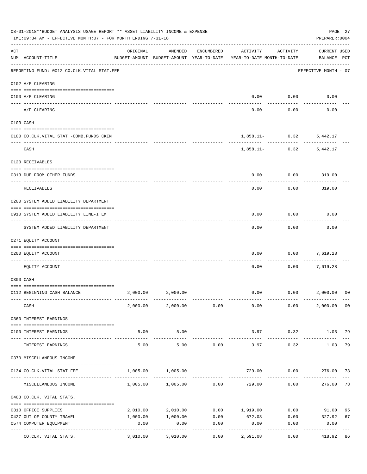| 08-01-2018**BUDGET ANALYSIS USAGE REPORT ** ASSET LIABILITY INCOME & EXPENSE<br>PAGE 27<br>TIME:09:34 AM - EFFECTIVE MONTH:07 - FOR MONTH ENDING 7-31-18<br>PREPARER: 0004 |                                                                                      |                     |                                                     |                     |                                        |                                  |                                    |                |  |
|----------------------------------------------------------------------------------------------------------------------------------------------------------------------------|--------------------------------------------------------------------------------------|---------------------|-----------------------------------------------------|---------------------|----------------------------------------|----------------------------------|------------------------------------|----------------|--|
| ACT                                                                                                                                                                        | NUM ACCOUNT-TITLE                                                                    | ORIGINAL            | AMENDED<br>BUDGET-AMOUNT BUDGET-AMOUNT YEAR-TO-DATE | ENCUMBERED          | ACTIVITY<br>YEAR-TO-DATE MONTH-TO-DATE | ACTIVITY                         | <b>CURRENT USED</b><br>BALANCE PCT |                |  |
|                                                                                                                                                                            | --------------------------------------<br>REPORTING FUND: 0012 CO.CLK.VITAL STAT.FEE |                     |                                                     |                     |                                        |                                  | EFFECTIVE MONTH - 07               |                |  |
|                                                                                                                                                                            | 0102 A/P CLEARING                                                                    |                     |                                                     |                     |                                        |                                  |                                    |                |  |
|                                                                                                                                                                            | 0100 A/P CLEARING                                                                    |                     |                                                     |                     | 0.00                                   | 0.00                             | 0.00                               |                |  |
|                                                                                                                                                                            | A/P CLEARING                                                                         |                     |                                                     |                     | 0.00                                   | 0.00                             | 0.00                               |                |  |
|                                                                                                                                                                            | 0103 CASH                                                                            |                     |                                                     |                     |                                        |                                  |                                    |                |  |
|                                                                                                                                                                            | 0100 CO.CLK.VITAL STAT.-COMB.FUNDS CKIN                                              |                     |                                                     |                     |                                        | $1,858.11 - 0.32$                | 5,442.17                           |                |  |
|                                                                                                                                                                            | CASH                                                                                 |                     |                                                     |                     |                                        | -----------<br>$1,858.11 - 0.32$ | 5,442.17                           |                |  |
|                                                                                                                                                                            | 0120 RECEIVABLES                                                                     |                     |                                                     |                     |                                        |                                  |                                    |                |  |
|                                                                                                                                                                            | 0313 DUE FROM OTHER FUNDS                                                            |                     |                                                     |                     | 0.00                                   | 0.00                             | 319.00                             |                |  |
|                                                                                                                                                                            | RECEIVABLES                                                                          |                     |                                                     |                     | 0.00                                   | 0.00                             | 319.00                             |                |  |
|                                                                                                                                                                            | 0200 SYSTEM ADDED LIABILITY DEPARTMENT                                               |                     |                                                     |                     |                                        |                                  |                                    |                |  |
|                                                                                                                                                                            | 0910 SYSTEM ADDED LIABILITY LINE-ITEM                                                |                     |                                                     |                     | 0.00                                   | 0.00                             | 0.00                               |                |  |
|                                                                                                                                                                            | SYSTEM ADDED LIABILITY DEPARTMENT                                                    |                     |                                                     |                     | 0.00                                   | 0.00                             | 0.00                               |                |  |
|                                                                                                                                                                            | 0271 EQUITY ACCOUNT                                                                  |                     |                                                     |                     |                                        |                                  |                                    |                |  |
|                                                                                                                                                                            | 0200 EQUITY ACCOUNT                                                                  |                     |                                                     |                     | 0.00                                   | 0.00                             | 7,619.28                           |                |  |
|                                                                                                                                                                            | EQUITY ACCOUNT                                                                       |                     |                                                     |                     | 0.00                                   | 0.00                             | 7,619.28                           |                |  |
|                                                                                                                                                                            | 0300 CASH                                                                            |                     |                                                     |                     |                                        |                                  |                                    |                |  |
|                                                                                                                                                                            | 0112 BEGINNING CASH BALANCE                                                          | 2,000.00            | 2,000.00                                            |                     | 0.00                                   |                                  | 0.00 2,000.00                      | 0 <sup>0</sup> |  |
|                                                                                                                                                                            | CASH                                                                                 |                     | 2,000.00 2,000.00 0.00                              |                     | 0.00                                   | 0.00                             | 2,000.00 00                        |                |  |
|                                                                                                                                                                            | 0360 INTEREST EARNINGS                                                               |                     |                                                     |                     |                                        |                                  |                                    |                |  |
|                                                                                                                                                                            | 0100 INTEREST EARNINGS                                                               | 5.00                | 5.00                                                |                     | 3.97                                   | 0.32                             | 1.03 79                            |                |  |
|                                                                                                                                                                            | INTEREST EARNINGS                                                                    | -----------<br>5.00 | . <u>.</u> .<br>5.00                                | 0.00                | 3.97                                   | ---------<br>0.32                | 1.03                               | 79             |  |
|                                                                                                                                                                            | 0370 MISCELLANEOUS INCOME                                                            |                     |                                                     |                     |                                        |                                  |                                    |                |  |
|                                                                                                                                                                            | 0134 CO. CLK. VITAL STAT. FEE                                                        | 1,005.00            | 1,005.00                                            |                     | 729.00                                 |                                  | $0.00$ 276.00 73                   |                |  |
|                                                                                                                                                                            | MISCELLANEOUS INCOME                                                                 |                     | $1,005.00$ $1,005.00$ 0.00                          |                     | 729.00                                 | 0.00                             | 276.00                             | 73             |  |
|                                                                                                                                                                            | 0403 CO.CLK. VITAL STATS.                                                            |                     |                                                     |                     |                                        |                                  |                                    |                |  |
|                                                                                                                                                                            | 0310 OFFICE SUPPLIES                                                                 | 2,010.00            | 2,010.00                                            |                     | $0.00$ 1,919.00                        | 0.00                             | 91.00                              | 95             |  |
|                                                                                                                                                                            | 0427 OUT OF COUNTY TRAVEL                                                            | 1,000.00            | 1,000.00                                            | 0.00                | 672.08                                 |                                  | $0.00$ 327.92                      | 67             |  |
|                                                                                                                                                                            | 0574 COMPUTER EQUIPMENT<br>-------------- -------------                              | 0.00                | 0.00                                                | 0.00                | 0.00<br>-----------                    | 0.00                             | 0.00                               |                |  |
|                                                                                                                                                                            | ---- -----------------<br>CO.CLK. VITAL STATS.                                       | 3,010.00            | 3,010.00                                            | -----------<br>0.00 | 2,591.08                               | 0.00                             | 418.92                             | 86             |  |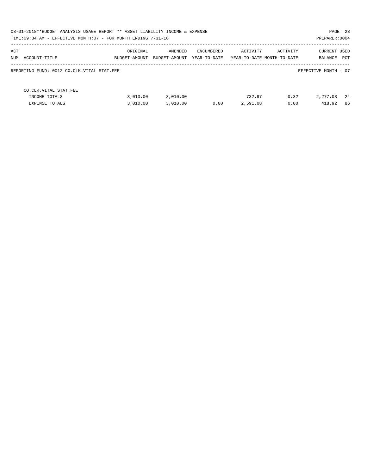|     | 08-01-2018**BUDGET ANALYSIS USAGE REPORT ** ASSET LIABILITY INCOME & EXPENSE<br>PAGE 28<br>PREPARER: 0004<br>TIME: 09:34 AM - EFFECTIVE MONTH: 07 - FOR MONTH ENDING 7-31-18 |               |               |              |                            |          |                      |     |  |
|-----|------------------------------------------------------------------------------------------------------------------------------------------------------------------------------|---------------|---------------|--------------|----------------------------|----------|----------------------|-----|--|
|     |                                                                                                                                                                              |               |               |              |                            |          |                      |     |  |
| ACT |                                                                                                                                                                              | ORIGINAL      | AMENDED       | ENCUMBERED   | ACTIVITY                   | ACTIVITY | <b>CURRENT USED</b>  |     |  |
|     | NUM ACCOUNT-TITLE                                                                                                                                                            | BUDGET-AMOUNT | BUDGET-AMOUNT | YEAR-TO-DATE | YEAR-TO-DATE MONTH-TO-DATE |          | BALANCE              | PCT |  |
|     | REPORTING FUND: 0012 CO.CLK.VITAL STAT.FEE                                                                                                                                   |               |               |              |                            |          | EFFECTIVE MONTH - 07 |     |  |
|     | CO.CLK.VITAL STAT.FEE                                                                                                                                                        |               |               |              |                            |          |                      |     |  |
|     | INCOME TOTALS                                                                                                                                                                | 3.010.00      | 3,010.00      |              | 732.97                     | 0.32     | 2,277.03             | -24 |  |
|     | <b>EXPENSE TOTALS</b>                                                                                                                                                        | 3.010.00      | 3.010.00      | 0.00         | 2,591.08                   | 0.00     | 418.92               | 86  |  |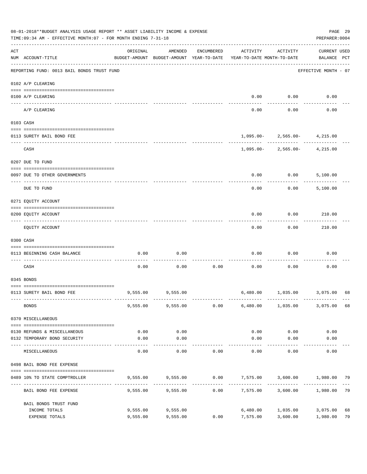|     | 08-01-2018**BUDGET ANALYSIS USAGE REPORT ** ASSET LIABILITY INCOME & EXPENSE<br>TIME: 09:34 AM - EFFECTIVE MONTH: 07 - FOR MONTH ENDING 7-31-18 |                      |                                                     |            |                                         |                                  | PREPARER: 0004                     | PAGE 29  |
|-----|-------------------------------------------------------------------------------------------------------------------------------------------------|----------------------|-----------------------------------------------------|------------|-----------------------------------------|----------------------------------|------------------------------------|----------|
| ACT | NUM ACCOUNT-TITLE                                                                                                                               | ORIGINAL             | AMENDED<br>BUDGET-AMOUNT BUDGET-AMOUNT YEAR-TO-DATE | ENCUMBERED | ACTIVITY<br>YEAR-TO-DATE MONTH-TO-DATE  | ACTIVITY                         | <b>CURRENT USED</b><br>BALANCE PCT |          |
|     | REPORTING FUND: 0013 BAIL BONDS TRUST FUND                                                                                                      |                      |                                                     |            |                                         |                                  | EFFECTIVE MONTH - 07               |          |
|     | 0102 A/P CLEARING                                                                                                                               |                      |                                                     |            |                                         |                                  |                                    |          |
|     | 0100 A/P CLEARING<br>---- ---------                                                                                                             |                      |                                                     |            | 0.00                                    | 0.00                             | 0.00                               |          |
|     | A/P CLEARING                                                                                                                                    |                      |                                                     |            | 0.00                                    | 0.00                             | 0.00                               |          |
|     | 0103 CASH                                                                                                                                       |                      |                                                     |            |                                         |                                  |                                    |          |
|     | 0113 SURETY BAIL BOND FEE                                                                                                                       |                      |                                                     |            |                                         | $1,095.00 - 2,565.00 - 4,215.00$ |                                    |          |
|     |                                                                                                                                                 |                      |                                                     |            |                                         | -------------                    |                                    |          |
|     | CASH                                                                                                                                            |                      |                                                     |            |                                         | $1,095.00 - 2,565.00 - 4,215.00$ |                                    |          |
|     | 0207 DUE TO FUND                                                                                                                                |                      |                                                     |            |                                         |                                  |                                    |          |
|     | 0097 DUE TO OTHER GOVERNMENTS                                                                                                                   |                      |                                                     |            | 0.00                                    | 0.00                             | 5,100.00                           |          |
|     | DUE TO FUND                                                                                                                                     |                      |                                                     |            | 0.00                                    | 0.00                             | 5,100.00                           |          |
|     | 0271 EQUITY ACCOUNT                                                                                                                             |                      |                                                     |            |                                         |                                  |                                    |          |
|     | 0200 EQUITY ACCOUNT                                                                                                                             |                      |                                                     |            | 0.00                                    | 0.00                             | 210.00                             |          |
|     | EQUITY ACCOUNT                                                                                                                                  |                      |                                                     |            | 0.00                                    | 0.00                             | 210.00                             |          |
|     | 0300 CASH                                                                                                                                       |                      |                                                     |            |                                         |                                  |                                    |          |
|     | 0113 BEGINNING CASH BALANCE                                                                                                                     | 0.00                 | 0.00                                                |            | 0.00                                    | 0.00                             | 0.00                               |          |
|     | CASH                                                                                                                                            | 0.00                 | 0.00                                                | 0.00       | 0.00                                    | 0.00                             | 0.00                               |          |
|     | 0345 BONDS                                                                                                                                      |                      |                                                     |            |                                         |                                  |                                    |          |
|     | 0113 SURETY BAIL BOND FEE                                                                                                                       |                      | 9,555.00 9,555.00                                   |            |                                         | 6,480.00 1,035.00 3,075.00       |                                    | 68       |
|     | <b>BONDS</b>                                                                                                                                    |                      | 9,555.00 9,555.00                                   | 0.00       |                                         | 6,480.00 1,035.00                | 3,075.00                           | 68       |
|     | 0370 MISCELLANEOUS                                                                                                                              |                      |                                                     |            |                                         |                                  |                                    |          |
|     | 0130 REFUNDS & MISCELLANEOUS                                                                                                                    | 0.00                 | 0.00                                                |            | 0.00                                    | 0.00                             | 0.00                               |          |
|     | 0132 TEMPORARY BOND SECURITY                                                                                                                    | 0.00                 | 0.00<br>---------                                   |            | 0.00                                    | 0.00<br>$- - - - - - - -$        | 0.00                               |          |
|     | MISCELLANEOUS                                                                                                                                   | 0.00                 | 0.00                                                | 0.00       | 0.00                                    | 0.00                             | 0.00                               |          |
|     | 0498 BAIL BOND FEE EXPENSE                                                                                                                      |                      |                                                     |            |                                         |                                  |                                    |          |
|     | 0489 10% TO STATE COMPTROLLER                                                                                                                   |                      | 9,555.00 9,555.00                                   |            | $0.00$ $7,575.00$ $3,600.00$ $1,980.00$ |                                  |                                    | 79       |
|     | BAIL BOND FEE EXPENSE                                                                                                                           | 9,555.00             | 9,555.00                                            | 0.00       |                                         | 7,575.00 3,600.00                | 1,980.00                           | 79       |
|     | BAIL BONDS TRUST FUND                                                                                                                           |                      |                                                     |            |                                         |                                  |                                    |          |
|     | INCOME TOTALS<br>EXPENSE TOTALS                                                                                                                 | 9,555.00<br>9,555.00 | 9,555.00<br>9,555.00                                | 0.00       | 7,575.00                                | 6,480.00 1,035.00<br>3,600.00    | 3,075.00<br>1,980.00               | 68<br>79 |
|     |                                                                                                                                                 |                      |                                                     |            |                                         |                                  |                                    |          |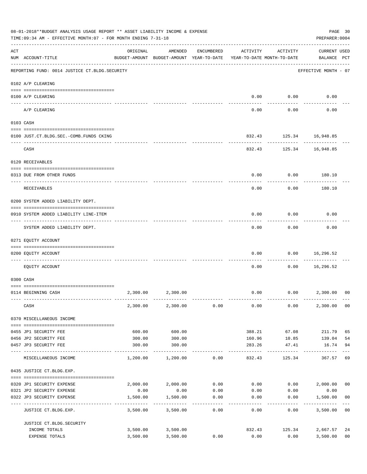|     | 08-01-2018**BUDGET ANALYSIS USAGE REPORT ** ASSET LIABILITY INCOME & EXPENSE<br>TIME: 09:34 AM - EFFECTIVE MONTH: 07 - FOR MONTH ENDING 7-31-18 |          |                                                                                |                   |                   |                     |                                    |                      |  |  |
|-----|-------------------------------------------------------------------------------------------------------------------------------------------------|----------|--------------------------------------------------------------------------------|-------------------|-------------------|---------------------|------------------------------------|----------------------|--|--|
| ACT | NUM ACCOUNT-TITLE                                                                                                                               | ORIGINAL | AMENDED<br>BUDGET-AMOUNT BUDGET-AMOUNT YEAR-TO-DATE YEAR-TO-DATE MONTH-TO-DATE | ENCUMBERED        | ACTIVITY          | ACTIVITY            | <b>CURRENT USED</b><br>BALANCE PCT |                      |  |  |
|     | REPORTING FUND: 0014 JUSTICE CT. BLDG. SECURITY                                                                                                 |          |                                                                                |                   |                   |                     | EFFECTIVE MONTH - 07               |                      |  |  |
|     | 0102 A/P CLEARING                                                                                                                               |          |                                                                                |                   |                   |                     |                                    |                      |  |  |
|     | 0100 A/P CLEARING                                                                                                                               |          |                                                                                |                   | 0.00              | 0.00                | 0.00                               |                      |  |  |
|     | A/P CLEARING                                                                                                                                    |          |                                                                                |                   | 0.00              | 0.00                | 0.00                               |                      |  |  |
|     | 0103 CASH                                                                                                                                       |          |                                                                                |                   |                   |                     |                                    |                      |  |  |
|     | 0100 JUST.CT.BLDG.SEC.-COMB.FUNDS CKING                                                                                                         |          |                                                                                |                   |                   |                     | 832.43 125.34 16,948.85            |                      |  |  |
|     | -----------------------------------<br>CASH                                                                                                     |          |                                                                                |                   |                   | ---------<br>832.43 | 125.34 16,948.85                   |                      |  |  |
|     | 0120 RECEIVABLES                                                                                                                                |          |                                                                                |                   |                   |                     |                                    |                      |  |  |
|     | 0313 DUE FROM OTHER FUNDS                                                                                                                       |          |                                                                                |                   | 0.00              | 0.00                | 180.10                             |                      |  |  |
|     | RECEIVABLES                                                                                                                                     |          |                                                                                |                   | 0.00              | 0.00                | 180.10                             |                      |  |  |
|     | 0200 SYSTEM ADDED LIABILITY DEPT.                                                                                                               |          |                                                                                |                   |                   |                     |                                    |                      |  |  |
|     | 0910 SYSTEM ADDED LIABILITY LINE-ITEM                                                                                                           |          |                                                                                |                   | 0.00              | 0.00                | 0.00                               |                      |  |  |
|     | SYSTEM ADDED LIABILITY DEPT.                                                                                                                    |          |                                                                                |                   | 0.00              | 0.00                | 0.00                               |                      |  |  |
|     | 0271 EQUITY ACCOUNT                                                                                                                             |          |                                                                                |                   |                   |                     |                                    |                      |  |  |
|     | 0200 EQUITY ACCOUNT                                                                                                                             |          |                                                                                |                   | 0.00              | 0.00                | 16,296.52                          |                      |  |  |
|     | --------------------- ---------                                                                                                                 |          |                                                                                |                   |                   |                     | . <u>.</u>                         |                      |  |  |
|     | EOUITY ACCOUNT                                                                                                                                  |          |                                                                                |                   | 0.00              | 0.00                | 16,296.52                          |                      |  |  |
|     | 0300 CASH                                                                                                                                       |          |                                                                                |                   |                   |                     |                                    |                      |  |  |
|     | 0114 BEGINNING CASH                                                                                                                             | 2,300.00 | 2,300.00                                                                       |                   | 0.00              |                     | $0.00$ 2,300.00                    | 00                   |  |  |
|     | CASH                                                                                                                                            |          | 2,300.00 2,300.00                                                              | 0.00              | 0.00              | 0.00                | 2,300.00                           | 0 <sub>0</sub>       |  |  |
|     | 0370 MISCELLANEOUS INCOME                                                                                                                       |          |                                                                                |                   |                   |                     |                                    |                      |  |  |
|     | 0455 JP1 SECURITY FEE                                                                                                                           | 600.00   | 600.00                                                                         |                   | 388.21            | 67.08               | 211.79                             | 65                   |  |  |
|     | 0456 JP2 SECURITY FEE                                                                                                                           | 300.00   | 300.00                                                                         |                   | 160.96            | 10.85               | 139.04                             | 54                   |  |  |
|     | 0457 JP3 SECURITY FEE<br>---- ---------------                                                                                                   | 300.00   | 300.00                                                                         |                   | 283.26<br>------- | 47.41               | 16.74                              | 94                   |  |  |
|     | MISCELLANEOUS INCOME                                                                                                                            | 1,200.00 | 1,200.00                                                                       | 0.00              | 832.43            | 125.34              | 367.57                             | 69                   |  |  |
|     | 0435 JUSTICE CT.BLDG.EXP.                                                                                                                       |          |                                                                                |                   |                   |                     |                                    |                      |  |  |
|     | 0320 JP1 SECURITY EXPENSE                                                                                                                       |          | $2,000.00$ $2,000.00$ $0.00$ $0.00$ $0.00$ $2,000.00$                          |                   |                   |                     |                                    | 0 <sub>0</sub>       |  |  |
|     | 0321 JP2 SECURITY EXPENSE                                                                                                                       | 0.00     | 0.00                                                                           | 0.00              | 0.00              | 0.00                | 0.00                               |                      |  |  |
|     | 0322 JP3 SECURITY EXPENSE                                                                                                                       | 1,500.00 | 1,500.00<br>----------                                                         | 0.00<br>--------- | 0.00              | 0.00<br>--------    | 1,500.00                           | 0 <sub>0</sub>       |  |  |
|     | JUSTICE CT.BLDG.EXP.                                                                                                                            | 3,500.00 | 3,500.00                                                                       | 0.00              | 0.00              | 0.00                | 3,500.00                           | 0 <sub>0</sub>       |  |  |
|     | JUSTICE CT.BLDG.SECURITY                                                                                                                        |          |                                                                                |                   |                   |                     |                                    |                      |  |  |
|     | INCOME TOTALS<br>EXPENSE TOTALS                                                                                                                 | 3,500.00 | 3,500.00 3,500.00<br>3,500.00                                                  | 0.00              | 832.43<br>0.00    | 125.34<br>0.00      | 2,667.57<br>3,500.00               | 24<br>0 <sub>0</sub> |  |  |
|     |                                                                                                                                                 |          |                                                                                |                   |                   |                     |                                    |                      |  |  |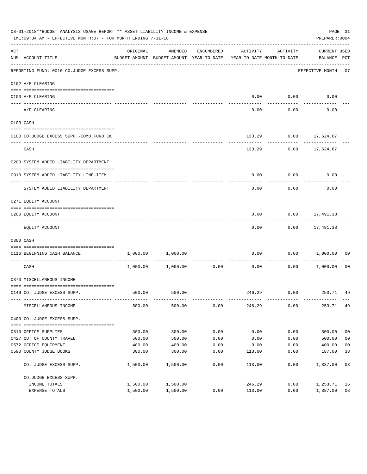|                    | 08-01-2018**BUDGET ANALYSIS USAGE REPORT ** ASSET LIABILITY INCOME & EXPENSE<br>TIME: 09:34 AM - EFFECTIVE MONTH: 07 - FOR MONTH ENDING 7-31-18<br>PREPARER: 0004 |          |                                                     |            |                                        |                   |                             |                |  |  |
|--------------------|-------------------------------------------------------------------------------------------------------------------------------------------------------------------|----------|-----------------------------------------------------|------------|----------------------------------------|-------------------|-----------------------------|----------------|--|--|
| $\mathop{\rm ACT}$ | NUM ACCOUNT-TITLE                                                                                                                                                 | ORIGINAL | AMENDED<br>BUDGET-AMOUNT BUDGET-AMOUNT YEAR-TO-DATE | ENCUMBERED | ACTIVITY<br>YEAR-TO-DATE MONTH-TO-DATE | ACTIVITY          | CURRENT USED<br>BALANCE PCT |                |  |  |
|                    | REPORTING FUND: 0016 CO.JUDGE EXCESS SUPP.                                                                                                                        |          |                                                     |            |                                        |                   | EFFECTIVE MONTH - 07        |                |  |  |
|                    | 0102 A/P CLEARING                                                                                                                                                 |          |                                                     |            |                                        |                   |                             |                |  |  |
|                    | 0100 A/P CLEARING                                                                                                                                                 |          |                                                     |            |                                        | $0.00$ 0.00       | 0.00                        |                |  |  |
|                    | ---- ---------<br>A/P CLEARING                                                                                                                                    |          |                                                     |            | 0.00                                   | 0.00              | 0.00                        |                |  |  |
|                    | 0103 CASH                                                                                                                                                         |          |                                                     |            |                                        |                   |                             |                |  |  |
|                    | 0100 CO.JUDGE EXCESS SUPP.-COMB.FUND CK                                                                                                                           |          |                                                     |            | 133.29                                 |                   | $0.00$ 17,624.67            |                |  |  |
|                    | CASH                                                                                                                                                              |          |                                                     |            | 133.29                                 |                   | $0.00$ 17,624.67            |                |  |  |
|                    | 0200 SYSTEM ADDED LIABILITY DEPARTMENT                                                                                                                            |          |                                                     |            |                                        |                   |                             |                |  |  |
|                    | 0910 SYSTEM ADDED LIABILITY LINE-ITEM                                                                                                                             |          |                                                     |            | 0.00                                   | 0.00              | 0.00                        |                |  |  |
|                    | SYSTEM ADDED LIABILITY DEPARTMENT                                                                                                                                 |          |                                                     |            | 0.00                                   | 0.00              | 0.00                        |                |  |  |
|                    | 0271 EQUITY ACCOUNT                                                                                                                                               |          |                                                     |            |                                        |                   |                             |                |  |  |
|                    | 0200 EQUITY ACCOUNT                                                                                                                                               |          |                                                     |            | 0.00                                   |                   | $0.00$ 17,491.38            |                |  |  |
|                    | EQUITY ACCOUNT                                                                                                                                                    |          |                                                     |            | 0.00                                   |                   | $0.00$ 17,491.38            |                |  |  |
|                    | 0300 CASH                                                                                                                                                         |          |                                                     |            |                                        |                   |                             |                |  |  |
|                    | 0116 BEGINNING CASH BALANCE                                                                                                                                       | 1,000.00 | 1,000.00                                            |            | 0.00                                   | 0.00              | 1,000.00                    | 00             |  |  |
|                    | ----------------------------- ----<br>CASH                                                                                                                        |          | 1,000.00 1,000.00                                   | 0.00       | 0.00                                   | ---------<br>0.00 | 1,000.00                    | 00             |  |  |
|                    | 0370 MISCELLANEOUS INCOME                                                                                                                                         |          |                                                     |            |                                        |                   |                             |                |  |  |
|                    | 0149 CO. JUDGE EXCESS SUPP.                                                                                                                                       |          | 500.00 500.00                                       |            |                                        |                   | 246.29 0.00 253.71 49       |                |  |  |
|                    | MISCELLANEOUS INCOME                                                                                                                                              | 500.00   | 500.00                                              | 0.00       | 246.29                                 | 0.00              | 253.71                      | 49             |  |  |
|                    | 0400 CO. JUDGE EXCESS SUPP.                                                                                                                                       |          |                                                     |            |                                        |                   |                             |                |  |  |
|                    | 0310 OFFICE SUPPLIES                                                                                                                                              | 300.00   | 300.00                                              | 0.00       | 0.00                                   | 0.00              | 300.00                      | 0 <sub>0</sub> |  |  |
|                    | 0427 OUT OF COUNTY TRAVEL                                                                                                                                         | 500.00   | 500.00                                              | 0.00       | 0.00                                   | 0.00              | 500.00                      | 0 <sub>0</sub> |  |  |
|                    | 0572 OFFICE EQUIPMENT                                                                                                                                             | 400.00   | 400.00                                              | 0.00       | 0.00                                   | 0.00              | 400.00                      | 0 <sub>0</sub> |  |  |
|                    | 0590 COUNTY JUDGE BOOKS                                                                                                                                           | 300.00   | 300.00                                              | 0.00       | 113.00                                 | 0.00              | 187.00                      | 38             |  |  |
|                    | CO. JUDGE EXCESS SUPP.                                                                                                                                            | 1,500.00 | 1,500.00                                            | 0.00       | 113.00                                 | 0.00              | 1,387.00                    | 08             |  |  |
|                    | CO.JUDGE EXCESS SUPP.                                                                                                                                             |          |                                                     |            |                                        |                   |                             |                |  |  |
|                    | INCOME TOTALS                                                                                                                                                     | 1,500.00 | 1,500.00                                            |            | 246.29                                 | 0.00              | 1,253.71                    | 16             |  |  |
|                    | EXPENSE TOTALS                                                                                                                                                    | 1,500.00 | 1,500.00                                            | 0.00       | 113.00                                 | 0.00              | 1,387.00                    | 08             |  |  |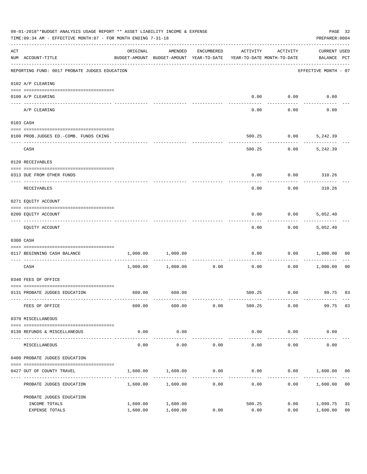| 08-01-2018**BUDGET ANALYSIS USAGE REPORT ** ASSET LIABILITY INCOME & EXPENSE<br>TIME: 09:34 AM - EFFECTIVE MONTH: 07 - FOR MONTH ENDING 7-31-18 |                                               |                                                                                 |                     |                      |          |          |                                    |                |
|-------------------------------------------------------------------------------------------------------------------------------------------------|-----------------------------------------------|---------------------------------------------------------------------------------|---------------------|----------------------|----------|----------|------------------------------------|----------------|
| ACT                                                                                                                                             | NUM ACCOUNT-TITLE                             | ORIGINAL<br>BUDGET-AMOUNT BUDGET-AMOUNT YEAR-TO-DATE YEAR-TO-DATE MONTH-TO-DATE | AMENDED             | ENCUMBERED           | ACTIVITY | ACTIVITY | <b>CURRENT USED</b><br>BALANCE PCT |                |
|                                                                                                                                                 | REPORTING FUND: 0017 PROBATE JUDGES EDUCATION |                                                                                 |                     |                      |          |          | EFFECTIVE MONTH - 07               |                |
|                                                                                                                                                 | 0102 A/P CLEARING                             |                                                                                 |                     |                      |          |          |                                    |                |
|                                                                                                                                                 | 0100 A/P CLEARING                             |                                                                                 |                     |                      | 0.00     | 0.00     | 0.00                               |                |
|                                                                                                                                                 | ---- --------<br>A/P CLEARING                 |                                                                                 |                     |                      | 0.00     | 0.00     | 0.00                               |                |
|                                                                                                                                                 | 0103 CASH                                     |                                                                                 |                     |                      |          |          |                                    |                |
|                                                                                                                                                 | 0100 PROB.JUDGES ED.-COMB. FUNDS CKING        |                                                                                 |                     |                      | 500.25   | 0.00     | 5,242.39                           |                |
|                                                                                                                                                 | CASH                                          |                                                                                 |                     |                      | 500.25   | 0.00     | 5,242.39                           |                |
|                                                                                                                                                 | 0120 RECEIVABLES                              |                                                                                 |                     |                      |          |          |                                    |                |
|                                                                                                                                                 | 0313 DUE FROM OTHER FUNDS                     |                                                                                 |                     |                      | 0.00     | 0.00     | 310.26                             |                |
|                                                                                                                                                 | RECEIVABLES                                   |                                                                                 |                     |                      | 0.00     | 0.00     | 310.26                             |                |
|                                                                                                                                                 | 0271 EQUITY ACCOUNT                           |                                                                                 |                     |                      |          |          |                                    |                |
|                                                                                                                                                 | 0200 EQUITY ACCOUNT                           |                                                                                 |                     |                      | 0.00     | 0.00     | 5,052.40                           |                |
|                                                                                                                                                 | EQUITY ACCOUNT                                |                                                                                 |                     |                      | 0.00     | 0.00     | 5,052.40                           |                |
|                                                                                                                                                 | 0300 CASH                                     |                                                                                 |                     |                      |          |          |                                    |                |
|                                                                                                                                                 | 0117 BEGINNING CASH BALANCE                   |                                                                                 | 1,000.00 1,000.00   |                      | 0.00     | 0.00     | 1,000.00                           | 00             |
|                                                                                                                                                 | CASH                                          |                                                                                 | 1,000.00 1,000.00   | -----------<br>0.00  | 0.00     | 0.00     | 1,000.00                           | 00             |
|                                                                                                                                                 | 0340 FEES OF OFFICE                           |                                                                                 |                     |                      |          |          |                                    |                |
|                                                                                                                                                 | 0131 PROBATE JUDGES EDUCATION                 |                                                                                 | 600.00 600.00       |                      |          |          | 500.25 0.00 99.75 83               |                |
|                                                                                                                                                 | FEES OF OFFICE                                | 600.00                                                                          | 600.00              | 0.00                 | 500.25   | 0.00     | 99.75                              | 83             |
|                                                                                                                                                 | 0370 MISCELLANEOUS                            |                                                                                 |                     |                      |          |          |                                    |                |
|                                                                                                                                                 | 0130 REFUNDS & MISCELLANEOUS                  | 0.00                                                                            | 0.00                |                      | 0.00     | 0.00     | 0.00                               |                |
|                                                                                                                                                 | MISCELLANEOUS                                 | 0.00                                                                            | -----------<br>0.00 | 0.00                 | 0.00     | 0.00     | 0.00                               |                |
|                                                                                                                                                 | 0400 PROBATE JUDGES EDUCATION                 |                                                                                 |                     |                      |          |          |                                    |                |
|                                                                                                                                                 | 0427 OUT OF COUNTY TRAVEL                     | 1,600.00                                                                        | 1,600.00            | 0.00                 | 0.00     |          | $0.00$ 1,600.00 00                 |                |
|                                                                                                                                                 | PROBATE JUDGES EDUCATION                      |                                                                                 | 1,600.00 1,600.00   | . <u>.</u> .<br>0.00 | 0.00     | 0.00     | 1,600.00                           | 0 <sub>0</sub> |
|                                                                                                                                                 | PROBATE JUDGES EDUCATION                      |                                                                                 |                     |                      |          |          |                                    |                |
|                                                                                                                                                 | INCOME TOTALS                                 | 1,600.00                                                                        | 1,600.00            |                      | 500.25   | 0.00     | 1,099.75                           | 31             |
|                                                                                                                                                 | EXPENSE TOTALS                                | 1,600.00                                                                        | 1,600.00            | 0.00                 | 0.00     | 0.00     | 1,600.00                           | 0 <sub>0</sub> |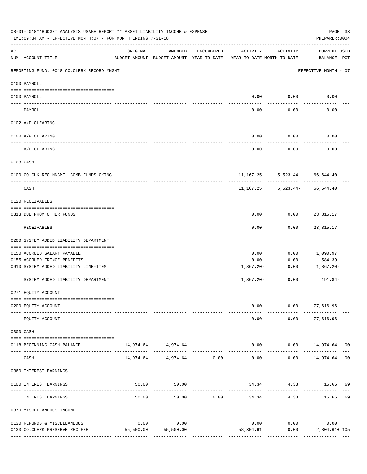|     | 08-01-2018**BUDGET ANALYSIS USAGE REPORT ** ASSET LIABILITY INCOME & EXPENSE<br>PAGE 33<br>TIME: 09:34 AM - EFFECTIVE MONTH: 07 - FOR MONTH ENDING 7-31-18<br>PREPARER: 0004 |           |                                                     |               |                                        |                                                              |                                              |  |  |  |
|-----|------------------------------------------------------------------------------------------------------------------------------------------------------------------------------|-----------|-----------------------------------------------------|---------------|----------------------------------------|--------------------------------------------------------------|----------------------------------------------|--|--|--|
| ACT | NUM ACCOUNT-TITLE                                                                                                                                                            | ORIGINAL  | AMENDED<br>BUDGET-AMOUNT BUDGET-AMOUNT YEAR-TO-DATE | ENCUMBERED    | ACTIVITY<br>YEAR-TO-DATE MONTH-TO-DATE | ACTIVITY                                                     | CURRENT USED<br>BALANCE PCT                  |  |  |  |
|     | REPORTING FUND: 0018 CO.CLERK RECORD MNGMT.                                                                                                                                  |           |                                                     |               |                                        |                                                              | EFFECTIVE MONTH - 07                         |  |  |  |
|     | 0100 PAYROLL                                                                                                                                                                 |           |                                                     |               |                                        |                                                              |                                              |  |  |  |
|     | 0100 PAYROLL                                                                                                                                                                 |           |                                                     |               |                                        | $0.00$ $0.00$                                                | 0.00                                         |  |  |  |
|     | $\frac{1}{2}$<br>PAYROLL                                                                                                                                                     |           |                                                     |               | 0.00                                   | 0.00                                                         | 0.00                                         |  |  |  |
|     | 0102 A/P CLEARING                                                                                                                                                            |           |                                                     |               |                                        |                                                              |                                              |  |  |  |
|     | 0100 A/P CLEARING                                                                                                                                                            |           |                                                     |               | 0.00                                   | 0.00                                                         | 0.00                                         |  |  |  |
|     | A/P CLEARING                                                                                                                                                                 |           |                                                     |               | 0.00                                   | 0.00                                                         | 0.00                                         |  |  |  |
|     | 0103 CASH                                                                                                                                                                    |           |                                                     |               |                                        |                                                              |                                              |  |  |  |
|     | 0100 CO.CLK.REC.MNGMT.-COMB.FUNDS CKING                                                                                                                                      |           |                                                     |               |                                        | 11, 167. 25 5, 523. 44 - 66, 644. 40                         |                                              |  |  |  |
|     | -----------------------------<br>CASH                                                                                                                                        |           |                                                     |               |                                        | ----------- --------<br>11, 167. 25 5, 523. 44 - 66, 644. 40 |                                              |  |  |  |
|     | 0120 RECEIVABLES                                                                                                                                                             |           |                                                     |               |                                        |                                                              |                                              |  |  |  |
|     | 0313 DUE FROM OTHER FUNDS                                                                                                                                                    |           |                                                     |               | 0.00                                   | $0.00$ 23,815.17                                             |                                              |  |  |  |
|     | RECEIVABLES                                                                                                                                                                  |           |                                                     |               | 0.00                                   |                                                              | $0.00$ 23,815.17                             |  |  |  |
|     | 0200 SYSTEM ADDED LIABILITY DEPARTMENT                                                                                                                                       |           |                                                     |               |                                        |                                                              |                                              |  |  |  |
|     | 0150 ACCRUED SALARY PAYABLE                                                                                                                                                  |           |                                                     |               | 0.00                                   | 0.00                                                         | 1,090.97                                     |  |  |  |
|     | 0155 ACCRUED FRINGE BENEFITS                                                                                                                                                 |           |                                                     |               | 0.00                                   | 0.00                                                         | 584.39                                       |  |  |  |
|     | 0910 SYSTEM ADDED LIABILITY LINE-ITEM                                                                                                                                        |           |                                                     |               | 1,867.20-                              | 0.00                                                         | 1,867.20-                                    |  |  |  |
|     | SYSTEM ADDED LIABILITY DEPARTMENT                                                                                                                                            |           |                                                     |               | $1,867.20-$                            | 0.00                                                         | 191.84-                                      |  |  |  |
|     | 0271 EQUITY ACCOUNT                                                                                                                                                          |           |                                                     |               |                                        |                                                              |                                              |  |  |  |
|     | 0200 EQUITY ACCOUNT                                                                                                                                                          |           |                                                     |               | 0.00                                   |                                                              | 0.00 77,616.96                               |  |  |  |
|     | EQUITY ACCOUNT                                                                                                                                                               |           |                                                     |               | 0.00                                   | 0.00                                                         | 77,616.96                                    |  |  |  |
|     | 0300 CASH                                                                                                                                                                    |           |                                                     |               |                                        |                                                              |                                              |  |  |  |
|     | 0118 BEGINNING CASH BALANCE                                                                                                                                                  |           | 14,974.64 14,974.64                                 | ------------- | $- - - - - -$                          | -----------                                                  | $0.00$ $0.00$ $14,974.64$ 00<br>------------ |  |  |  |
|     | CASH                                                                                                                                                                         |           | 14,974.64    14,974.64    0.00                      |               | 0.00                                   |                                                              | $0.00$ 14,974.64 00                          |  |  |  |
|     | 0360 INTEREST EARNINGS                                                                                                                                                       |           |                                                     |               |                                        |                                                              |                                              |  |  |  |
|     | 0100 INTEREST EARNINGS                                                                                                                                                       | 50.00     | 50.00                                               |               |                                        |                                                              | 34.34 4.38 15.66 69                          |  |  |  |
|     | INTEREST EARNINGS                                                                                                                                                            | 50.00     | 50.00                                               | 0.00          | -------------<br>34.34                 | 4.38                                                         | 15.66 69                                     |  |  |  |
|     | 0370 MISCELLANEOUS INCOME                                                                                                                                                    |           |                                                     |               |                                        |                                                              |                                              |  |  |  |
|     | 0130 REFUNDS & MISCELLANEOUS                                                                                                                                                 | 0.00      | 0.00                                                |               | 0.00                                   | 0.00                                                         | 0.00                                         |  |  |  |
|     | 0133 CO.CLERK PRESERVE REC FEE                                                                                                                                               | 55,500.00 | 55,500.00                                           |               | 58,304.61                              | 0.00                                                         | $2,804.61+105$                               |  |  |  |
|     |                                                                                                                                                                              |           |                                                     |               |                                        |                                                              |                                              |  |  |  |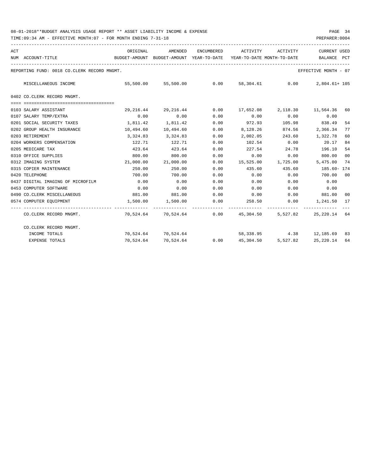| ACT |                                             | ORIGINAL  | AMENDED                                  | ENCUMBERED | ACTIVITY                                                 | ACTIVITY                    | <b>CURRENT USED</b>  |                |
|-----|---------------------------------------------|-----------|------------------------------------------|------------|----------------------------------------------------------|-----------------------------|----------------------|----------------|
|     | NUM ACCOUNT-TITLE                           |           | BUDGET-AMOUNT BUDGET-AMOUNT YEAR-TO-DATE |            | YEAR-TO-DATE MONTH-TO-DATE                               |                             | BALANCE PCT          |                |
|     | REPORTING FUND: 0018 CO.CLERK RECORD MNGMT. |           |                                          |            |                                                          |                             | EFFECTIVE MONTH - 07 |                |
|     | MISCELLANEOUS INCOME                        |           | 55,500.00 55,500.00                      | 0.00       |                                                          | 58,304.61 0.00              | 2,804.61+ 105        |                |
|     | 0402 CO.CLERK RECORD MNGMT.                 |           |                                          |            |                                                          |                             |                      |                |
|     |                                             |           |                                          |            |                                                          |                             |                      |                |
|     | 0103 SALARY ASSISTANT                       | 29,216.44 | 29,216.44                                |            | $0.00$ 17,652.08 2,118.30 11,564.36                      |                             |                      | 60             |
|     | 0107 SALARY TEMP/EXTRA                      | 0.00      | 0.00                                     | 0.00       | 0.00                                                     | 0.00                        | 0.00                 |                |
|     | 0201 SOCIAL SECURITY TAXES                  | 1,811.42  | 1,811.42                                 | 0.00       | 972.93                                                   | 105.98                      | 838.49               | 54             |
|     | 0202 GROUP HEALTH INSURANCE                 | 10,494.60 | 10,494.60                                | 0.00       | 8,128.26                                                 | 874.56                      | 2,366.34             | 77             |
|     | 0203 RETIREMENT                             | 3,324.83  | 3,324.83                                 | 0.00       | 2,002.05                                                 | 243.60                      | 1,322.78             | 60             |
|     | 0204 WORKERS COMPENSATION                   | 122.71    | 122.71                                   | 0.00       | 102.54                                                   | 0.00                        | 20.17                | 84             |
|     | 0205 MEDICARE TAX                           | 423.64    | 423.64                                   | 0.00       | 227.54                                                   | 24.78                       | 196.10               | 54             |
|     | 0310 OFFICE SUPPLIES                        | 800.00    | 800.00                                   | 0.00       | 0.00                                                     | 0.00                        | 800.00               | 0 <sub>0</sub> |
|     | 0312 IMAGING SYSTEM                         | 21,000.00 | 21,000.00                                | 0.00       |                                                          | 15,525.00 1,725.00          | 5,475.00             | 74             |
|     | 0315 COPIER MAINTENANCE                     | 250.00    | 250.00                                   | 0.00       | 435.60                                                   | 435.60                      | 185.60- 174          |                |
|     | 0420 TELEPHONE                              | 700.00    | 700.00                                   | 0.00       | 0.00                                                     | 0.00                        | 700.00               | 00             |
|     | 0437 DIGITAL IMAGING OF MICROFILM           | 0.00      | 0.00                                     | 0.00       | 0.00                                                     | 0.00                        | 0.00                 |                |
|     | 0453 COMPUTER SOFTWARE                      | 0.00      | 0.00                                     | 0.00       | 0.00                                                     | 0.00                        | 0.00                 |                |
|     | 0490 CO. CLERK MISCELLANEOUS                | 881.00    | 881.00                                   | 0.00       | $0.00$ $0.00$ $881.00$                                   |                             |                      | 00             |
|     | 0574 COMPUTER EQUIPMENT                     |           | 1,500.00 1,500.00                        | 0.00       | 258.50 0.00 1,241.50 17                                  |                             |                      |                |
|     | CO.CLERK RECORD MNGMT.                      |           |                                          |            | 70,524.64 70,524.64 0.00 45,304.50 5,527.82 25,220.14 64 |                             |                      |                |
|     | CO.CLERK RECORD MNGMT.                      |           |                                          |            |                                                          |                             |                      |                |
|     | INCOME TOTALS                               |           | 70,524.64 70,524.64                      |            |                                                          | 58,338.95 4.38 12,185.69 83 |                      |                |
|     | <b>EXPENSE TOTALS</b>                       |           | 70,524.64 70,524.64                      |            | $0.00$ $45,304.50$ $5,527.82$ $25,220.14$ $64$           |                             |                      |                |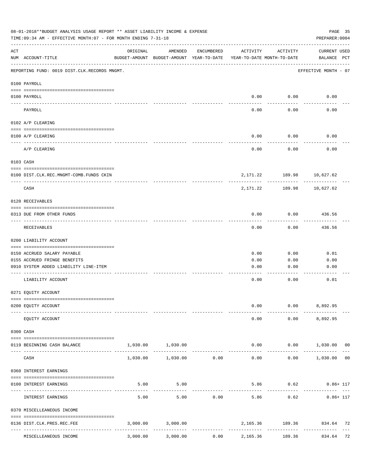| 08-01-2018**BUDGET ANALYSIS USAGE REPORT ** ASSET LIABILITY INCOME & EXPENSE<br>PAGE 35<br>TIME: 09:34 AM - EFFECTIVE MONTH: 07 - FOR MONTH ENDING 7-31-18<br>PREPARER: 0004 |                                                                                   |          |                                                     |            |                                        |                                |                                               |
|------------------------------------------------------------------------------------------------------------------------------------------------------------------------------|-----------------------------------------------------------------------------------|----------|-----------------------------------------------------|------------|----------------------------------------|--------------------------------|-----------------------------------------------|
| ACT                                                                                                                                                                          | NUM ACCOUNT-TITLE                                                                 | ORIGINAL | AMENDED<br>BUDGET-AMOUNT BUDGET-AMOUNT YEAR-TO-DATE | ENCUMBERED | ACTIVITY<br>YEAR-TO-DATE MONTH-TO-DATE | ACTIVITY                       | CURRENT USED<br>BALANCE PCT                   |
|                                                                                                                                                                              | REPORTING FUND: 0019 DIST.CLK.RECORDS MNGMT.                                      |          |                                                     |            |                                        |                                | EFFECTIVE MONTH - 07                          |
|                                                                                                                                                                              | 0100 PAYROLL                                                                      |          |                                                     |            |                                        |                                |                                               |
| ----- -------                                                                                                                                                                | 0100 PAYROLL                                                                      |          |                                                     |            | 0.00                                   | 0.00                           | 0.00                                          |
|                                                                                                                                                                              | PAYROLL                                                                           |          |                                                     |            | 0.00                                   | 0.00                           | 0.00                                          |
|                                                                                                                                                                              | 0102 A/P CLEARING                                                                 |          |                                                     |            |                                        |                                |                                               |
|                                                                                                                                                                              | 0100 A/P CLEARING                                                                 |          |                                                     |            | 0.00                                   | 0.00                           | 0.00                                          |
|                                                                                                                                                                              | A/P CLEARING                                                                      |          |                                                     |            | 0.00                                   | 0.00                           | 0.00                                          |
|                                                                                                                                                                              | 0103 CASH                                                                         |          |                                                     |            |                                        |                                |                                               |
|                                                                                                                                                                              | 0100 DIST.CLK.REC.MNGMT-COMB.FUNDS CKIN                                           |          |                                                     |            |                                        | 2, 171. 22 189. 98 10, 627. 62 |                                               |
|                                                                                                                                                                              | CASH                                                                              |          |                                                     |            | 2,171.22                               | ---------<br>189.98            | ---------<br>10,627.62                        |
|                                                                                                                                                                              | 0120 RECEIVABLES                                                                  |          |                                                     |            |                                        |                                |                                               |
|                                                                                                                                                                              | 0313 DUE FROM OTHER FUNDS                                                         |          |                                                     |            | 0.00                                   | 0.00                           | 436.56                                        |
|                                                                                                                                                                              | RECEIVABLES                                                                       |          |                                                     |            | 0.00                                   | 0.00                           | ---------<br>436.56                           |
|                                                                                                                                                                              | 0200 LIABILITY ACCOUNT                                                            |          |                                                     |            |                                        |                                |                                               |
|                                                                                                                                                                              | 0150 ACCRUED SALARY PAYABLE                                                       |          |                                                     |            | 0.00                                   | 0.00                           | 0.01                                          |
|                                                                                                                                                                              | 0155 ACCRUED FRINGE BENEFITS                                                      |          |                                                     |            | 0.00                                   | 0.00                           | 0.00                                          |
|                                                                                                                                                                              | 0910 SYSTEM ADDED LIABILITY LINE-ITEM                                             |          |                                                     |            | 0.00                                   | 0.00                           | 0.00                                          |
|                                                                                                                                                                              | LIABILITY ACCOUNT                                                                 |          |                                                     |            | 0.00                                   | 0.00                           | 0.01                                          |
|                                                                                                                                                                              | 0271 EQUITY ACCOUNT                                                               |          |                                                     |            |                                        |                                |                                               |
|                                                                                                                                                                              | 0200 EQUITY ACCOUNT                                                               |          |                                                     |            | 0.00                                   |                                | $0.00$ 8,892.95                               |
|                                                                                                                                                                              | EQUITY ACCOUNT                                                                    |          |                                                     |            | 0.00                                   |                                | $0.00$ $8,892.95$                             |
|                                                                                                                                                                              | 0300 CASH                                                                         |          |                                                     |            |                                        |                                |                                               |
|                                                                                                                                                                              | 0119 BEGINNING CASH BALANCE                                                       |          | 1,030.00 1,030.00                                   |            |                                        |                                | $0.00$ $0.00$ $1,030.00$ 00                   |
|                                                                                                                                                                              | CASH                                                                              |          | -------------<br>1,030.00 1,030.00 0.00             |            | 0.00                                   | ----------                     | --------<br>$0.00$ 1,030.00<br>0 <sub>0</sub> |
|                                                                                                                                                                              | 0360 INTEREST EARNINGS                                                            |          |                                                     |            |                                        |                                |                                               |
|                                                                                                                                                                              | 0100 INTEREST EARNINGS                                                            | 5.00     | 5.00                                                |            |                                        |                                | 5.86 0.62 0.86+ 117                           |
|                                                                                                                                                                              | INTEREST EARNINGS                                                                 | 5.00     | 5.00                                                | 0.00       | 5.86                                   | ---------<br>0.62              | $0.86 + 117$                                  |
|                                                                                                                                                                              | 0370 MISCELLEANEOUS INCOME                                                        |          |                                                     |            |                                        |                                |                                               |
|                                                                                                                                                                              |                                                                                   |          |                                                     |            |                                        |                                |                                               |
|                                                                                                                                                                              | 0136 DIST.CLK.PRES.REC.FEE<br>---------------- --------------<br>---------------- |          | 3,000.00 3,000.00                                   |            | -----------------------------          | -------------                  | 2,165.36 189.36 834.64 72                     |
|                                                                                                                                                                              | MISCELLEANEOUS INCOME                                                             | 3,000.00 | 3,000.00                                            | 0.00       | 2,165.36                               | 189.36                         | 834.64 72                                     |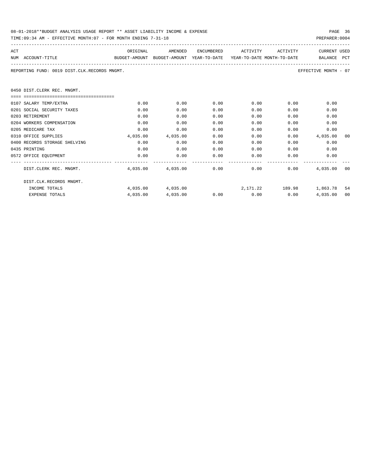| 08-01-2018**BUDGET ANALYSIS USAGE REPORT ** ASSET LIABILITY INCOME & EXPENSE |  |  |  |  |  |  | PAGE |  |
|------------------------------------------------------------------------------|--|--|--|--|--|--|------|--|
|                                                                              |  |  |  |  |  |  |      |  |

|     | TIME:09:34 AM - EFFECTIVE MONTH:07 - FOR MONTH ENDING 7-31-18                                                       |          |                   |      |                      |                   | PREPARER: 0004                            |      |
|-----|---------------------------------------------------------------------------------------------------------------------|----------|-------------------|------|----------------------|-------------------|-------------------------------------------|------|
| ACT |                                                                                                                     |          | ORIGINAL AMENDED  |      |                      |                   | ENCUMBERED ACTIVITY ACTIVITY CURRENT USED |      |
|     | NUM ACCOUNT-TITLE                               BUDGET-AMOUNT BUDGET-AMOUNT YEAR-TO-DATE YEAR-TO-DATE MONTH-TO-DATE |          |                   |      |                      |                   | BALANCE PCT                               |      |
|     | REPORTING FUND: 0019 DIST.CLK.RECORDS MNGMT.                                                                        |          |                   |      |                      |                   | EFFECTIVE MONTH - 07                      |      |
|     | 0450 DIST. CLERK REC. MNGMT.                                                                                        |          |                   |      |                      |                   |                                           |      |
|     |                                                                                                                     |          |                   |      |                      |                   |                                           |      |
|     | 0107 SALARY TEMP/EXTRA                                                                                              | 0.00     | 0.00              | 0.00 | 0.00                 | 0.00              | 0.00                                      |      |
|     | 0201 SOCIAL SECURITY TAXES                                                                                          | 0.00     | 0.00              | 0.00 | 0.00                 | 0.00              | 0.00                                      |      |
|     | 0203 RETIREMENT                                                                                                     | 0.00     | 0.00              | 0.00 | 0.00                 | 0.00              | 0.00                                      |      |
|     | 0204 WORKERS COMPENSATION                                                                                           | 0.00     | 0.00              | 0.00 | 0.00                 | 0.00              | 0.00                                      |      |
|     | 0205 MEDICARE TAX                                                                                                   | 0.00     | 0.00              | 0.00 | 0.00                 |                   | 0.00<br>0.00                              |      |
|     | 0310 OFFICE SUPPLIES                                                                                                |          | 4,035.00 4,035.00 | 0.00 | 0.00                 |                   | 4,035.00<br>0.00                          | - 00 |
|     | 0400 RECORDS STORAGE SHELVING                                                                                       | 0.00     | 0.00              | 0.00 | 0.00                 |                   | 0.00<br>0.00                              |      |
|     | 0435 PRINTING                                                                                                       | 0.00     | 0.00              | 0.00 |                      | $0.00$ and $0.00$ | 0.00<br>0.00                              |      |
|     | 0572 OFFICE EOUIPMENT                                                                                               | 0.00     | 0.00              | 0.00 |                      | $0.00$ and $0.00$ | 0.00<br>0.00                              |      |
|     | DIST.CLERK REC. MNGMT.                                                                                              |          | 4,035.00 4,035.00 |      | $0.00$ 0.00          |                   | 0.00<br>4,035.00 00                       |      |
|     | DIST.CLK.RECORDS MNGMT.                                                                                             |          |                   |      |                      |                   |                                           |      |
|     | INCOME TOTALS                                                                                                       |          | 4,035,00 4,035,00 |      |                      |                   | 2,171.22 189.98 1,863.78 54               |      |
|     | <b>EXPENSE TOTALS</b>                                                                                               | 4,035.00 | 4,035.00          |      | $0.00$ $0.00$ $0.00$ |                   | 4,035.00                                  | 00   |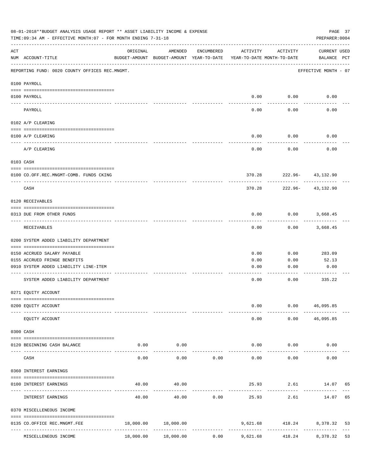|                    | 08-01-2018**BUDGET ANALYSIS USAGE REPORT ** ASSET LIABILITY INCOME & EXPENSE<br>TIME: 09:34 AM - EFFECTIVE MONTH: 07 - FOR MONTH ENDING 7-31-18 |           |                                                                                |                       |                           |                          | PAGE 37<br>PREPARER: 0004   |    |
|--------------------|-------------------------------------------------------------------------------------------------------------------------------------------------|-----------|--------------------------------------------------------------------------------|-----------------------|---------------------------|--------------------------|-----------------------------|----|
| $\mathop{\rm ACT}$ | NUM ACCOUNT-TITLE                                                                                                                               | ORIGINAL  | AMENDED<br>BUDGET-AMOUNT BUDGET-AMOUNT YEAR-TO-DATE YEAR-TO-DATE MONTH-TO-DATE | ENCUMBERED            | ACTIVITY                  | ACTIVITY                 | CURRENT USED<br>BALANCE PCT |    |
|                    | REPORTING FUND: 0020 COUNTY OFFICES REC.MNGMT.                                                                                                  |           |                                                                                |                       |                           |                          | EFFECTIVE MONTH - 07        |    |
|                    | 0100 PAYROLL                                                                                                                                    |           |                                                                                |                       |                           |                          |                             |    |
|                    | 0100 PAYROLL                                                                                                                                    |           |                                                                                |                       |                           | $0.00$ $0.00$            | 0.00                        |    |
|                    | PAYROLL                                                                                                                                         |           |                                                                                |                       | 0.00                      | 0.00                     | 0.00                        |    |
|                    | 0102 A/P CLEARING                                                                                                                               |           |                                                                                |                       |                           |                          |                             |    |
|                    | 0100 A/P CLEARING                                                                                                                               |           |                                                                                |                       | 0.00                      | 0.00                     | 0.00                        |    |
|                    | A/P CLEARING                                                                                                                                    |           |                                                                                |                       | 0.00                      | 0.00                     | 0.00                        |    |
|                    | 0103 CASH                                                                                                                                       |           |                                                                                |                       |                           |                          |                             |    |
|                    | 0100 CO.OFF.REC.MNGMT-COMB. FUNDS CKING                                                                                                         |           |                                                                                |                       |                           | 370.28 222.96- 43,132.90 |                             |    |
|                    | _______________________________<br>CASH                                                                                                         |           |                                                                                |                       | 370.28                    | ----------               | 222.96- 43,132.90           |    |
|                    | 0120 RECEIVABLES                                                                                                                                |           |                                                                                |                       |                           |                          |                             |    |
|                    | 0313 DUE FROM OTHER FUNDS                                                                                                                       |           |                                                                                |                       | 0.00                      |                          | $0.00$ 3,668.45             |    |
|                    | RECEIVABLES                                                                                                                                     |           |                                                                                |                       | 0.00                      | 0.00                     | 3,668.45                    |    |
|                    | 0200 SYSTEM ADDED LIABILITY DEPARTMENT                                                                                                          |           |                                                                                |                       |                           |                          |                             |    |
|                    | 0150 ACCRUED SALARY PAYABLE                                                                                                                     |           |                                                                                |                       | 0.00                      | 0.00                     | 283.09                      |    |
|                    | 0155 ACCRUED FRINGE BENEFITS                                                                                                                    |           |                                                                                |                       | 0.00                      | 0.00                     | 52.13                       |    |
|                    | 0910 SYSTEM ADDED LIABILITY LINE-ITEM                                                                                                           |           |                                                                                |                       | 0.00                      | 0.00                     | 0.00                        |    |
|                    | SYSTEM ADDED LIABILITY DEPARTMENT                                                                                                               |           |                                                                                |                       | 0.00                      | 0.00                     | 335.22                      |    |
|                    | 0271 EQUITY ACCOUNT                                                                                                                             |           |                                                                                |                       |                           |                          |                             |    |
|                    | 0200 EQUITY ACCOUNT                                                                                                                             |           |                                                                                |                       | 0.00                      |                          | 0.00 46,095.85              |    |
|                    | EQUITY ACCOUNT                                                                                                                                  |           |                                                                                |                       | 0.00                      |                          | $0.00$ 46,095.85            |    |
|                    | 0300 CASH                                                                                                                                       |           |                                                                                |                       |                           |                          |                             |    |
|                    | 0120 BEGINNING CASH BALANCE                                                                                                                     | 0.00      | 0.00                                                                           |                       |                           | $0.00$ 0.00              | 0.00                        |    |
|                    | -------------------------- ----------<br>CASH                                                                                                   | 0.00      | . <u>.</u><br>0.00                                                             | 0.00                  | 0.00                      | ----------<br>0.00       | 0.00                        |    |
|                    | 0360 INTEREST EARNINGS                                                                                                                          |           |                                                                                |                       |                           |                          |                             |    |
|                    | 0100 INTEREST EARNINGS                                                                                                                          | 40.00     | 40.00                                                                          |                       |                           |                          | 25.93 2.61 14.07 65         |    |
|                    | INTEREST EARNINGS                                                                                                                               | 40.00     | 40.00                                                                          | 0.00                  | -------------<br>25.93    | 2.61                     | 14.07 65                    |    |
|                    | 0370 MISCELLENEOUS INCOME                                                                                                                       |           |                                                                                |                       |                           |                          |                             |    |
|                    | 0135 CO.OFFICE REC.MNGMT.FEE                                                                                                                    |           | 18,000.00 18,000.00                                                            |                       |                           |                          | 9,621.68 418.24 8,378.32    | 53 |
|                    | MISCELLENEOUS INCOME                                                                                                                            | 18,000.00 | 18,000.00                                                                      | -------------<br>0.00 | -------------<br>9,621.68 | 418.24                   | 8,378.32 53                 |    |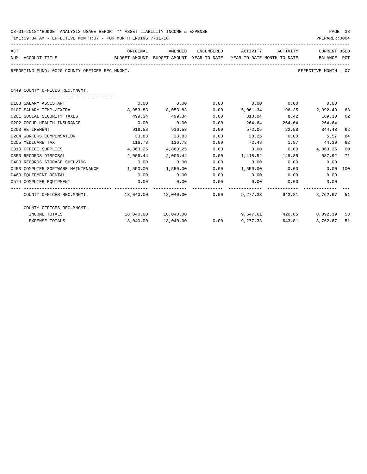| 08-01-2018**BUDGET ANALYSIS USAGE REPORT ** ASSET LIABILITY INCOME & EXPENSE | PAGE 38        |  |
|------------------------------------------------------------------------------|----------------|--|
| TIME:09:34 AM - EFFECTIVE MONTH:07 - FOR MONTH ENDING 7-31-18                | PREPARER: 0004 |  |

| PREPARER: 0004 |
|----------------|
|                |

| ACT |                                                                                          | ORIGINAL                   | AMENDED           |      | ENCUMBERED ACTIVITY ACTIVITY                                                        |                 | CURRENT USED         |                |
|-----|------------------------------------------------------------------------------------------|----------------------------|-------------------|------|-------------------------------------------------------------------------------------|-----------------|----------------------|----------------|
|     | NUM ACCOUNT-TITLE<br>BUDGET-AMOUNT BUDGET-AMOUNT YEAR-TO-DATE YEAR-TO-DATE_MONTH-TO-DATE |                            |                   |      |                                                                                     |                 | BALANCE PCT          |                |
|     | REPORTING FUND: 0020 COUNTY OFFICES REC.MNGMT.                                           |                            |                   |      |                                                                                     |                 | EFFECTIVE MONTH - 07 |                |
|     | 0449 COUNTY OFFICES REC.MNGMT.                                                           |                            |                   |      |                                                                                     |                 |                      |                |
|     | ======================================                                                   |                            |                   |      |                                                                                     |                 |                      |                |
|     | 0103 SALARY ASSISTANT                                                                    | 0.00                       | 0.00              | 0.00 | $0.00$ 0.00                                                                         |                 | 0.00                 |                |
|     | 0107 SALARY TEMP./EXTRA                                                                  | 8,053.83                   | 8,053.83          | 0.00 |                                                                                     | 5,061.34 196.35 | 2,992.49             | 63             |
|     | 0201 SOCIAL SECURITY TAXES                                                               | 499.34                     | 499.34            | 0.00 | 310.04 8.42                                                                         |                 | 189.30               | 62             |
|     | 0202 GROUP HEALTH INSURANCE                                                              | 0.00                       | 0.00              | 0.00 | 264.64                                                                              | 264.64          | $264.64-$            |                |
|     | 0203 RETIREMENT                                                                          | 916.53                     | 916.53            | 0.00 | 572.05                                                                              | 22.58           | 344.48               | 62             |
|     | 0204 WORKERS COMPENSATION                                                                | 33.83                      | 33.83             | 0.00 | 28.26                                                                               | 0.00            | 5.57                 | 84             |
|     | 0205 MEDICARE TAX                                                                        | 116.78                     | 116.78            | 0.00 | 72.48                                                                               | 1.97            | 44.30                | 62             |
|     | 0310 OFFICE SUPPLIES                                                                     | 4,863.25                   | 4,863.25          | 0.00 | 0.00                                                                                | 0.00            | 4,863.25             | 0 <sub>0</sub> |
|     | 0350 RECORDS DISPOSAL                                                                    |                            | 2,006.44 2,006.44 | 0.00 | 1,418.52 149.85                                                                     |                 | 587.92 71            |                |
|     | 0400 RECORDS STORAGE SHELVING                                                            | 0.00                       | 0.00              | 0.00 | 0.00                                                                                | 0.00            | 0.00                 |                |
|     | 0453 COMPUTER SOFTWARE MAINTENANCE                                                       | $1,550.00$ $1,550.00$ 0.00 |                   |      | 1,550.00 0.00                                                                       |                 | $0.00$ 100           |                |
|     | 0460 EQUIPMENT RENTAL                                                                    | 0.00                       | 0.00              | 0.00 | $0.00$ 0.00                                                                         |                 | 0.00                 |                |
|     | 0574 COMPUTER EQUIPMENT                                                                  | 0.00                       | 0.00              | 0.00 | 0.00                                                                                | 0.00            | 0.00                 |                |
|     | COUNTY OFFICES REC.MNGMT. 48,040.00 18,040.00 0.00 9,277.33                              |                            |                   |      |                                                                                     |                 | 643.81 8,762.67 51   |                |
|     | COUNTY OFFICES REC.MNGMT.                                                                |                            |                   |      |                                                                                     |                 |                      |                |
|     | INCOME TOTALS                                                                            |                            |                   |      | $18.040.00$ $18.040.00$ $18.040.00$ $18.040.00$ $18.040.00$ $18.040.00$ $18.040.00$ |                 |                      | 53             |
|     | <b>EXPENSE TOTALS</b>                                                                    | 18,040.00                  | 18,040.00         |      | $0.00$ 9,277.33                                                                     | 643.81          | 8,762.67             | 51             |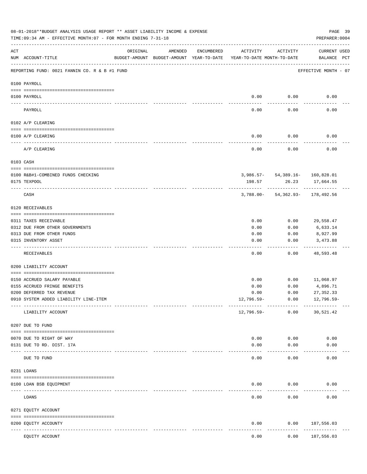|            | 08-01-2018**BUDGET ANALYSIS USAGE REPORT ** ASSET LIABILITY INCOME & EXPENSE<br>TIME: 09:34 AM - EFFECTIVE MONTH: 07 - FOR MONTH ENDING 7-31-18 |                            |                                                     |            |                                        |                                                   | PAGE 39<br>PREPARER: 0004          |  |
|------------|-------------------------------------------------------------------------------------------------------------------------------------------------|----------------------------|-----------------------------------------------------|------------|----------------------------------------|---------------------------------------------------|------------------------------------|--|
| ACT        | NUM ACCOUNT-TITLE                                                                                                                               | ORIGINAL                   | AMENDED<br>BUDGET-AMOUNT BUDGET-AMOUNT YEAR-TO-DATE | ENCUMBERED | ACTIVITY<br>YEAR-TO-DATE MONTH-TO-DATE | ACTIVITY                                          | <b>CURRENT USED</b><br>BALANCE PCT |  |
|            | REPORTING FUND: 0021 FANNIN CO. R & B #1 FUND                                                                                                   |                            |                                                     |            |                                        |                                                   | EFFECTIVE MONTH - 07               |  |
|            | 0100 PAYROLL                                                                                                                                    |                            |                                                     |            |                                        |                                                   |                                    |  |
|            | 0100 PAYROLL                                                                                                                                    |                            |                                                     |            | 0.00                                   | 0.00                                              | 0.00                               |  |
| ----- ---- | PAYROLL                                                                                                                                         |                            |                                                     |            | 0.00                                   | 0.00                                              | 0.00                               |  |
|            | 0102 A/P CLEARING                                                                                                                               |                            |                                                     |            |                                        |                                                   |                                    |  |
|            | 0100 A/P CLEARING                                                                                                                               |                            |                                                     |            | 0.00                                   | 0.00                                              | 0.00                               |  |
|            | A/P CLEARING                                                                                                                                    |                            |                                                     |            | 0.00                                   | 0.00                                              | 0.00                               |  |
|            | 0103 CASH                                                                                                                                       |                            |                                                     |            |                                        |                                                   |                                    |  |
|            |                                                                                                                                                 |                            |                                                     |            |                                        |                                                   |                                    |  |
|            | 0100 R&B#1-COMBINED FUNDS CHECKING<br>0175 TEXPOOL                                                                                              |                            |                                                     |            | 198.57                                 | $3,986.57 - 54,389.16 - 160,828.01$<br>26.23      | 17,664.55                          |  |
|            | CASH                                                                                                                                            |                            |                                                     |            |                                        | ----------<br>$3,788.00 - 54,362.93 - 178,492.56$ |                                    |  |
|            | 0120 RECEIVABLES                                                                                                                                |                            |                                                     |            |                                        |                                                   |                                    |  |
|            | 0311 TAXES RECEIVABLE                                                                                                                           |                            |                                                     |            | 0.00                                   | 0.00                                              | 29,558.47                          |  |
|            | 0312 DUE FROM OTHER GOVERNMENTS                                                                                                                 |                            |                                                     |            | 0.00                                   | 0.00                                              | 6,633.14                           |  |
|            | 0313 DUE FROM OTHER FUNDS                                                                                                                       |                            |                                                     |            | 0.00                                   | 0.00                                              | 8,927.99                           |  |
|            | 0315 INVENTORY ASSET                                                                                                                            |                            |                                                     |            | 0.00                                   | 0.00                                              | 3,473.88<br>. <u>.</u>             |  |
|            | RECEIVABLES                                                                                                                                     |                            |                                                     |            | 0.00                                   | 0.00                                              | 48,593.48                          |  |
|            | 0200 LIABILITY ACCOUNT                                                                                                                          |                            |                                                     |            |                                        |                                                   |                                    |  |
|            | 0150 ACCRUED SALARY PAYABLE                                                                                                                     |                            |                                                     |            | 0.00                                   | 0.00                                              | 11,068.97                          |  |
|            | 0155 ACCRUED FRINGE BENEFITS                                                                                                                    |                            |                                                     |            | 0.00                                   | 0.00                                              | 4,896.71                           |  |
|            | 0200 DEFERRED TAX REVENUE                                                                                                                       |                            |                                                     |            | 0.00                                   | 0.00                                              | 27, 352.33                         |  |
|            | 0910 SYSTEM ADDED LIABILITY LINE-ITEM                                                                                                           |                            |                                                     |            | 12,796.59-                             | 0.00                                              | $12,796.59-$                       |  |
|            | LIABILITY ACCOUNT                                                                                                                               |                            |                                                     |            | 12,796.59-                             | 0.00                                              | 30,521.42                          |  |
|            | 0207 DUE TO FUND                                                                                                                                |                            |                                                     |            |                                        |                                                   |                                    |  |
|            | 0070 DUE TO RIGHT OF WAY                                                                                                                        |                            |                                                     |            | 0.00                                   | 0.00                                              | 0.00                               |  |
|            | 0131 DUE TO RD. DIST. 17A                                                                                                                       |                            |                                                     |            | 0.00                                   | 0.00                                              | 0.00                               |  |
|            | DUE TO FUND                                                                                                                                     | ------------ ------------- |                                                     |            | 0.00                                   | 0.00                                              | 0.00                               |  |
|            | 0231 LOANS                                                                                                                                      |                            |                                                     |            |                                        |                                                   |                                    |  |
|            |                                                                                                                                                 |                            |                                                     |            |                                        |                                                   |                                    |  |
|            | 0100 LOAN BSB EQUIPMENT                                                                                                                         |                            |                                                     |            | 0.00                                   | 0.00                                              | 0.00                               |  |
|            | LOANS                                                                                                                                           |                            |                                                     |            | 0.00                                   | 0.00                                              | 0.00                               |  |
|            | 0271 EQUITY ACCOUNT                                                                                                                             |                            |                                                     |            |                                        |                                                   |                                    |  |
|            | 0200 EQUITY ACCOUNTY                                                                                                                            | ------ -------------       |                                                     |            | 0.00                                   | 0.00                                              | 187,556.03<br>----------           |  |
|            | EQUITY ACCOUNT                                                                                                                                  |                            |                                                     |            | 0.00                                   | 0.00                                              | 187,556.03                         |  |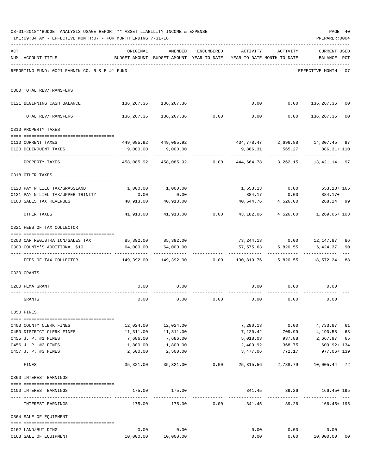|     | 08-01-2018**BUDGET ANALYSIS USAGE REPORT ** ASSET LIABILITY INCOME & EXPENSE<br>TIME: 09:34 AM - EFFECTIVE MONTH: 07 - FOR MONTH ENDING 7-31-18 |                                                                           |                                                                                |             |               |                                         | PAGE 40<br>PREPARER: 0004   |                |
|-----|-------------------------------------------------------------------------------------------------------------------------------------------------|---------------------------------------------------------------------------|--------------------------------------------------------------------------------|-------------|---------------|-----------------------------------------|-----------------------------|----------------|
| ACT | NUM ACCOUNT-TITLE                                                                                                                               | ORIGINAL                                                                  | AMENDED<br>BUDGET-AMOUNT BUDGET-AMOUNT YEAR-TO-DATE YEAR-TO-DATE MONTH-TO-DATE | ENCUMBERED  |               | ACTIVITY ACTIVITY                       | CURRENT USED<br>BALANCE PCT |                |
|     | REPORTING FUND: 0021 FANNIN CO. R & B #1 FUND                                                                                                   |                                                                           |                                                                                |             |               |                                         | EFFECTIVE MONTH - 07        |                |
|     | 0300 TOTAL REV/TRANSFERS                                                                                                                        |                                                                           |                                                                                |             |               |                                         |                             |                |
|     | 0121 BEGINNING CASH BALANCE                                                                                                                     | 136, 267.36 136, 267.36                                                   |                                                                                |             |               | $0.00$ $0.00$ $136,267.36$              |                             | 00             |
|     | TOTAL REV/TRANSFERS                                                                                                                             |                                                                           | $136,267.36$ $136,267.36$ $0.00$ $0.00$ $0.00$ $136,267.36$                    |             |               |                                         |                             | 00             |
|     | 0310 PROPERTY TAXES                                                                                                                             |                                                                           |                                                                                |             |               |                                         |                             |                |
|     |                                                                                                                                                 |                                                                           |                                                                                |             |               |                                         |                             |                |
|     | 0110 CURRENT TAXES                                                                                                                              |                                                                           | 449,085.92 449,085.92                                                          |             |               | 434,778.47 2,696.88 14,307.45           |                             | 97             |
|     | 0120 DELINQUENT TAXES<br>------------------- --                                                                                                 |                                                                           | $9,000.00$ $9,000.00$                                                          |             | ----------    | 9,886.31 565.27 886.31+110              |                             |                |
|     | PROPERTY TAXES                                                                                                                                  |                                                                           | 458,085.92 458,085.92 0.00 444,664.78 3,262.15 13,421.14 97                    |             |               |                                         |                             |                |
|     | 0318 OTHER TAXES                                                                                                                                |                                                                           |                                                                                |             |               |                                         |                             |                |
|     | 0120 PAY N LIEU TAX/GRASSLAND                                                                                                                   |                                                                           | 1,000.00 1,000.00                                                              |             |               | 1,653.13 0.00                           | $653.13 + 165$              |                |
|     | 0121 PAY N LIEU TAX/UPPER TRINITY                                                                                                               | 0.00                                                                      | 0.00                                                                           |             | 884.17        | 0.00                                    | 884.17+                     |                |
|     | 0160 SALES TAX REVENUES                                                                                                                         | 40,913.00                                                                 | 40,913.00                                                                      |             | 40,644.76     | 4,526.00                                | 268.24 99                   |                |
|     |                                                                                                                                                 |                                                                           |                                                                                |             |               |                                         |                             |                |
|     | OTHER TAXES                                                                                                                                     |                                                                           | $41,913.00$ $41,913.00$ $0.00$ $43,182.06$ $4,526.00$ $1,269.06$ $103$         |             |               |                                         |                             |                |
|     | 0321 FEES OF TAX COLLECTOR                                                                                                                      |                                                                           |                                                                                |             |               |                                         |                             |                |
|     | 0200 CAR REGISTRATION/SALES TAX                                                                                                                 |                                                                           | 85,392.00 85,392.00                                                            |             |               | 73, 244.13 0.00 12, 147.87              |                             | 86             |
|     | 0300 COUNTY'S ADDITIONAL \$10                                                                                                                   | 64,000.00                                                                 | 64,000.00                                                                      |             |               | 57,575.63 5,820.55                      | 6,424.37                    | 90             |
|     |                                                                                                                                                 |                                                                           |                                                                                |             |               |                                         | ------------                |                |
|     | FEES OF TAX COLLECTOR                                                                                                                           | 149,392.00   149,392.00       0.00    130,819.76    5,820.55    18,572.24 |                                                                                |             |               |                                         |                             | 88             |
|     | 0330 GRANTS                                                                                                                                     |                                                                           |                                                                                |             |               |                                         |                             |                |
|     | 0200 FEMA GRANT                                                                                                                                 | 0.00                                                                      | 0.00                                                                           |             |               | $0.00$ $0.00$ $0.00$                    |                             |                |
|     | GRANTS                                                                                                                                          | 0.00                                                                      | 0.00                                                                           | 0.00        | 0.00          | 0.00                                    | 0.00                        |                |
|     | 0350 FINES                                                                                                                                      |                                                                           |                                                                                |             |               |                                         |                             |                |
|     | 0403 COUNTY CLERK FINES                                                                                                                         |                                                                           | 12,024.00   12,024.00                                                          |             |               | 7,290.13 0.00 4,733.87 61               |                             |                |
|     | 0450 DISTRICT CLERK FINES                                                                                                                       |                                                                           | 11,311.00   11,311.00                                                          |             | 7,120.42      |                                         | 709.99 4,190.58             | 63             |
|     | 0455 J. P. #1 FINES                                                                                                                             | 7,686.00                                                                  | 7,686.00                                                                       |             | 5,018.03      | 937.88                                  | 2,667.97                    | 65             |
|     | 0456 J. P. #2 FINES                                                                                                                             | 1,800.00                                                                  | 1,800.00                                                                       |             | 2,409.92      | 368.75                                  | 609.92+ 134                 |                |
|     | 0457 J. P. #3 FINES                                                                                                                             | 2,500.00                                                                  | 2,500.00                                                                       |             | 3,477.06      | 772.17                                  | 977.06+ 139                 |                |
|     | FINES                                                                                                                                           |                                                                           | 35,321.00  35,321.00  0.00  25,315.56  2,788.79  10,005.44  72                 |             | ------------  | -------------                           | --------------              | $- - -$        |
|     |                                                                                                                                                 |                                                                           |                                                                                |             |               |                                         |                             |                |
|     | 0360 INTEREST EARNINGS                                                                                                                          |                                                                           |                                                                                |             |               |                                         |                             |                |
|     | 0100 INTEREST EARNINGS                                                                                                                          |                                                                           | 175.00 175.00<br>.                                                             |             | ------------- | 341.45 39.26 166.45+195<br>------------ | .                           |                |
|     | INTEREST EARNINGS                                                                                                                               | 175.00                                                                    |                                                                                | 175.00 0.00 |               | 341.45 39.26 166.45+195                 |                             |                |
|     | 0364 SALE OF EQUIPMENT                                                                                                                          |                                                                           |                                                                                |             |               |                                         |                             |                |
|     | 0162 LAND/BUILDING                                                                                                                              | 0.00                                                                      | 0.00                                                                           |             |               | 0.00                                    | 0.00<br>0.00                |                |
|     | 0163 SALE OF EQUIPMENT                                                                                                                          |                                                                           | 10,000.00  10,000.00                                                           |             | 0.00          |                                         | 0.00 10,000.00              | 0 <sub>0</sub> |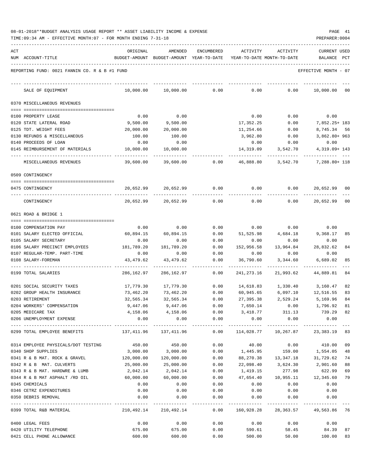| 08-01-2018**BUDGET ANALYSIS USAGE REPORT ** ASSET LIABILITY INCOME & EXPENSE |  |  |  |  | PAGE | 41 |
|------------------------------------------------------------------------------|--|--|--|--|------|----|
|                                                                              |  |  |  |  |      |    |

| ACT |                                                     | ORIGINAL                                                                 | AMENDED                                  | <b>ENCUMBERED</b> | ACTIVITY                   | ACTIVITY         | <b>CURRENT USED</b>                                          |              |
|-----|-----------------------------------------------------|--------------------------------------------------------------------------|------------------------------------------|-------------------|----------------------------|------------------|--------------------------------------------------------------|--------------|
|     | NUM ACCOUNT-TITLE                                   |                                                                          | BUDGET-AMOUNT BUDGET-AMOUNT YEAR-TO-DATE |                   | YEAR-TO-DATE MONTH-TO-DATE |                  | BALANCE                                                      | $_{\rm PCT}$ |
|     | REPORTING FUND: 0021 FANNIN CO. R & B #1 FUND       |                                                                          |                                          |                   |                            |                  | EFFECTIVE MONTH - 07                                         |              |
|     | SALE OF EQUIPMENT                                   | 10,000.00                                                                | 10,000.00                                | 0.00              | 0.00                       | 0.00             | 10,000.00                                                    | 00           |
|     | 0370 MISCELLANEOUS REVENUES                         |                                                                          |                                          |                   |                            |                  |                                                              |              |
|     |                                                     |                                                                          |                                          |                   |                            |                  |                                                              |              |
|     | 0100 PROPERTY LEASE                                 | 0.00                                                                     | 0.00                                     |                   | 0.00                       | 0.00             | 0.00                                                         |              |
|     | 0120 STATE LATERAL ROAD                             | 9,500.00                                                                 | 9,500.00                                 |                   | 17,352.25                  | 0.00             | 7,852.25+ 183                                                |              |
|     | 0125 TDT. WEIGHT FEES                               | 20,000.00                                                                | 20,000.00                                |                   | 11,254.66                  | 0.00             | 8,745.34 56                                                  |              |
|     | 0130 REFUNDS & MISCELLANEOUS                        | 100.00                                                                   | 100.00                                   |                   | 3,962.80                   | 0.00             | $3,862.80+963$                                               |              |
|     | 0140 PROCEEDS OF LOAN                               | 0.00                                                                     | 0.00                                     |                   | 0.00                       | 0.00             | 0.00                                                         |              |
|     | 0145 REIMBURSEMENT OF MATERIALS                     | 10,000.00                                                                | 10,000.00                                |                   | 14,319.09                  | 3,542.70         | 4, 319.09+ 143                                               |              |
|     | MISCELLANEOUS REVENUES                              | 39,600.00                                                                | 39,600.00                                | 0.00              | 46,888.80                  | 3,542.70         | 7,288.80+ 118                                                |              |
|     | 0509 CONTINGENCY                                    |                                                                          |                                          |                   |                            |                  |                                                              |              |
|     | 0475 CONTINGENCY                                    | 20,652.99                                                                | 20,652.99                                | 0.00              | 0.00                       | 0.00             | 20,652.99                                                    | 00           |
|     |                                                     |                                                                          |                                          |                   |                            |                  |                                                              |              |
|     | CONTINGENCY                                         | 20,652.99                                                                | 20,652.99                                | 0.00              | 0.00                       | 0.00             | 20,652.99 00                                                 |              |
|     | 0621 ROAD & BRIDGE 1                                |                                                                          |                                          |                   |                            |                  |                                                              |              |
|     |                                                     |                                                                          |                                          |                   |                            |                  |                                                              |              |
|     | 0100 COMPENSATION PAY                               | 0.00                                                                     | 0.00                                     | 0.00              | 0.00                       | 0.00             | 0.00                                                         |              |
|     | 0101 SALARY ELECTED OFFICIAL                        | 60,894.15                                                                | 60,894.15                                | 0.00              | 51,525.98                  | 4,684.18         | 9,368.17                                                     | 85           |
|     | 0105 SALARY SECRETARY                               | 0.00                                                                     | 0.00                                     | 0.00              | 0.00                       | 0.00             | 0.00                                                         |              |
|     | 0106 SALARY PRECINCT EMPLOYEES                      | 181,789.20                                                               | 181,789.20                               | 0.00              | 152,956.58                 | 13,964.84        | 28,832.62                                                    | 84           |
|     | 0107 REGULAR-TEMP. PART-TIME<br>0108 SALARY-FOREMAN | 0.00<br>43, 479.62                                                       | 0.00<br>43,479.62                        | 0.00<br>0.00      | 0.00<br>36,790.60          | 0.00<br>3,344.60 | 0.00<br>6,689.02                                             | 85           |
|     |                                                     |                                                                          |                                          |                   |                            |                  |                                                              |              |
|     | 0199 TOTAL SALARIES                                 | 286,162.97                                                               | 286,162.97                               | 0.00              | 241,273.16                 | 21,993.62        | 44,889.81                                                    | 84           |
|     | 0201 SOCIAL SECURITY TAXES                          | 17,779.30                                                                | 17,779.30                                | 0.00              | 14,618.83                  |                  | 1,330.40 3,160.47                                            | 82           |
|     | 0202 GROUP HEALTH INSURANCE                         | 73,462.20                                                                | 73,462.20                                | 0.00              | 60,945.65                  | 6,097.10         | 12,516.55                                                    | 83           |
|     | 0203 RETIREMENT                                     | 32,565.34                                                                | 32,565.34                                | 0.00              | 27,395.38                  | 2,529.24         | 5,169.96                                                     | 84           |
|     | 0204 WORKERS' COMPENSATION                          | 9,447.06                                                                 | 9,447.06                                 | 0.00              | 7,650.14                   | 0.00             | 1,796.92                                                     | 81           |
|     | 0205 MEDICARE TAX                                   |                                                                          | 4, 158.06 4, 158.06                      |                   |                            |                  | $0.00$ $3,418.77$ $311.13$ $739.29$ 82                       |              |
|     | 0206 UNEMPLOYMENT EXPENSE                           | 0.00                                                                     | 0.00                                     | 0.00              | 0.00                       | 0.00             | 0.00                                                         |              |
|     | 0299 TOTAL EMPLOYEE BENEFITS                        | $137,411.96$ $137,411.96$ $0.00$ $114,028.77$ $10,267.87$ $23,383.19$ 83 |                                          |                   |                            |                  |                                                              |              |
|     | 0314 EMPLOYEE PHYSICALS/DOT TESTING                 | 450.00                                                                   | 450.00                                   | 0.00              | 40.00                      |                  | $0.00$ 410.00                                                | 09           |
|     | 0340 SHOP SUPPLIES                                  | 3,000.00                                                                 | 3,000.00                                 |                   |                            |                  | $0.00$ 1,445.95 159.00 1,554.05                              | 48           |
|     | 0341 R & B MAT. ROCK & GRAVEL 120,000.00            |                                                                          | 120,000.00                               | 0.00              |                            |                  | 88, 270.38 13, 347.18 31, 729.62                             | 74           |
|     | 0342 R & B MAT. CULVERTS                            | 25,000.00                                                                | 25,000.00                                | 0.00              | 22,098.40                  | 3,624.30         | 2,901.60                                                     | 88           |
|     | 0343 R & B MAT. HARDWRE & LUMB                      | 2,042.14                                                                 | 2,042.14                                 | 0.00              | 1,419.15                   | 277.98           | 622.99                                                       | 69           |
|     | 0344 R & B MAT ASPHALT /RD OIL                      | 60,000.00                                                                | 60,000.00                                | 0.00              |                            |                  | 47,654.40    10,955.11    12,345.60                          | 79           |
|     | 0345 CHEMICALS                                      | 0.00                                                                     | 0.00                                     | 0.00              | 0.00                       | 0.00             | 0.00                                                         |              |
|     | 0346 CETRZ EXPENDITURES                             | 0.00                                                                     | 0.00                                     | 0.00              | 0.00                       | 0.00             | 0.00                                                         |              |
|     | 0350 DEBRIS REMOVAL                                 | 0.00                                                                     | 0.00                                     | 0.00              | 0.00                       | 0.00             | 0.00                                                         |              |
|     | 0399 TOTAL R&B MATERIAL                             |                                                                          |                                          |                   |                            |                  | 210,492.14 210,492.14 0.00 160,928.28 28,363.57 49,563.86 76 |              |
|     | 0400 LEGAL FEES                                     | 0.00                                                                     | 0.00                                     | 0.00              |                            |                  | $0.00$ $0.00$ $0.00$ $0.00$                                  |              |
|     | 0420 UTILITY TELEPHONE                              |                                                                          | 675.00                                   | 675.00            | 0.00                       |                  | 590.61 58.45 84.39                                           | 87           |
|     | 0421 CELL PHONE ALLOWANCE                           | 600.00                                                                   | 600.00                                   | 0.00              |                            | 500.00           | 50.00 100.00                                                 | 83           |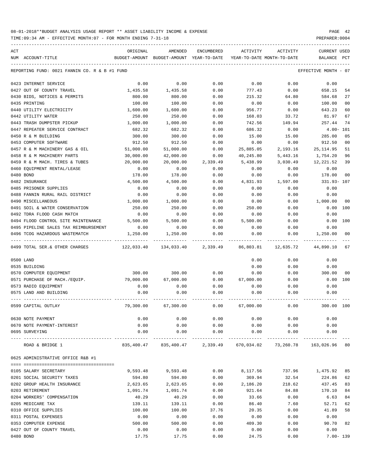TIME:09:34 AM - EFFECTIVE MONTH:07 - FOR MONTH ENDING 7-31-18

| ACT | NUM ACCOUNT-TITLE                             | ORIGINAL   | AMENDED<br>BUDGET-AMOUNT BUDGET-AMOUNT YEAR-TO-DATE | ENCUMBERED | ACTIVITY  | ACTIVITY<br>YEAR-TO-DATE MONTH-TO-DATE                            | <b>CURRENT USED</b><br>BALANCE PCT |                |
|-----|-----------------------------------------------|------------|-----------------------------------------------------|------------|-----------|-------------------------------------------------------------------|------------------------------------|----------------|
|     |                                               |            |                                                     |            |           |                                                                   |                                    |                |
|     | REPORTING FUND: 0021 FANNIN CO. R & B #1 FUND |            |                                                     |            |           |                                                                   | EFFECTIVE MONTH - 07               |                |
|     | 0423 INTERNET SERVICE                         | 0.00       | 0.00                                                | 0.00       | 0.00      | 0.00                                                              | 0.00                               |                |
|     | 0427 OUT OF COUNTY TRAVEL                     | 1,435.58   | 1,435.58                                            | 0.00       | 777.43    | 0.00                                                              | 658.15                             | 54             |
|     | 0430 BIDS, NOTICES & PERMITS                  | 800.00     | 800.00                                              | 0.00       | 215.32    | 64.80                                                             | 584.68                             | 27             |
|     | 0435 PRINTING                                 | 100.00     | 100.00                                              | 0.00       | 0.00      | 0.00                                                              | 100.00                             | 00             |
|     | 0440 UTILITY ELECTRICITY                      | 1,600.00   | 1,600.00                                            | 0.00       | 956.77    | 0.00                                                              | 643.23                             | 60             |
|     | 0442 UTILITY WATER                            | 250.00     | 250.00                                              | 0.00       | 168.03    | 33.72                                                             | 81.97                              | 67             |
|     | 0443 TRASH DUMPSTER PICKUP                    | 1,000.00   | 1,000.00                                            | 0.00       | 742.56    | 149.94                                                            | 257.44                             | 74             |
|     | 0447 REPEATER SERVICE CONTRACT                | 682.32     | 682.32                                              | 0.00       | 686.32    | 0.00                                                              | $4.00 - 101$                       |                |
|     | 0450 R & M BUILDING                           | 300.00     | 300.00                                              | 0.00       | 15.00     | 15.00                                                             | 285.00                             | 05             |
|     | 0453 COMPUTER SOFTWARE                        | 912.50     | 912.50                                              | 0.00       | 0.00      | 0.00                                                              | 912.50                             | 0 <sub>0</sub> |
|     | 0457 R & M MACHINERY GAS & OIL                | 51,000.00  | 51,000.00                                           | 0.00       | 25,885.05 | 2,193.16                                                          | 25, 114.95                         | 51             |
|     | 0458 R & M MACHINERY PARTS                    | 30,000.00  | 42,000.00                                           | 0.00       | 40,245.80 | 5,443.16                                                          | 1,754.20                           | 96             |
|     | 0459 R & M MACH. TIRES & TUBES                | 20,000.00  | 20,000.00                                           | 2,339.49   | 5,438.99  | 3,030.49                                                          | 12,221.52                          | 39             |
|     | 0460 EQUIPMENT RENTAL/LEASE                   | 0.00       | 0.00                                                | 0.00       | 0.00      | 0.00                                                              | 0.00                               |                |
|     | 0480 BOND                                     | 178.00     | 178.00                                              | 0.00       | 0.00      | 0.00                                                              | 178.00                             | 0 <sub>0</sub> |
|     | 0482 INSURANCE                                | 4,500.00   | 4,500.00                                            | 0.00       | 4,831.93  | 1,597.00                                                          | 331.93-107                         |                |
|     | 0485 PRISONER SUPPLIES                        | 0.00       | 0.00                                                | 0.00       | 0.00      | 0.00                                                              | 0.00                               |                |
|     | 0488 FANNIN RURAL RAIL DISTRICT               | 0.00       | 0.00                                                | 0.00       | 0.00      | 0.00                                                              | 0.00                               |                |
|     | 0490 MISCELLANEOUS                            | 1,000.00   | 1,000.00                                            | 0.00       | 0.00      | 0.00                                                              | 1,000.00                           | 00             |
|     | 0491 SOIL & WATER CONSERVATION                | 250.00     | 250.00                                              | 0.00       | 250.00    | 0.00                                                              | 0.00 100                           |                |
|     | 0492 TDRA FLOOD CASH MATCH                    | 0.00       | 0.00                                                | 0.00       | 0.00      | 0.00                                                              | 0.00                               |                |
|     | 0494 FLOOD CONTROL SITE MAINTENANCE           | 5,500.00   | 5,500.00                                            | 0.00       | 5,500.00  | 0.00                                                              | 0.00                               | 100            |
|     | 0495 PIPELINE SALES TAX REIMBURSEMENT         | 0.00       | 0.00                                                | 0.00       | 0.00      | 0.00                                                              | 0.00                               |                |
|     | 0496 TCOG HAZARDOUS WASTEMATCH                | 1,250.00   | 1,250.00                                            | 0.00       | 0.00      | 0.00                                                              | 1,250.00                           | 00             |
|     | 0499 TOTAL SER.& OTHER CHARGES                | 122,033.40 | 134,033.40                                          | 2,339.49   | 86,803.81 | 12,635.72                                                         | 44,890.10                          | 67             |
|     | 0500 LAND                                     |            |                                                     |            | 0.00      | 0.00                                                              | 0.00                               |                |
|     | 0535 BUILDING                                 |            |                                                     |            | 0.00      | 0.00                                                              | 0.00                               |                |
|     | 0570 COMPUTER EQUIPMENT                       | 300.00     | 300.00                                              | 0.00       | 0.00      | 0.00                                                              | 300.00                             | 00             |
|     | 0571 PURCHASE OF MACH./EQUIP.                 | 79,000.00  | 67,000.00                                           | 0.00       | 67,000.00 | 0.00                                                              | 0.00 100                           |                |
|     | 0573 RADIO EQUIPMENT                          | 0.00       | 0.00                                                | 0.00       | 0.00      | 0.00                                                              | 0.00                               |                |
|     | 0575 LAND AND BUILDING                        | 0.00       | 0.00                                                | 0.00       | 0.00      | 0.00                                                              | 0.00                               |                |
|     | 0599 CAPITAL OUTLAY                           | 79,300.00  | 67,300.00                                           | 0.00       | 67,000.00 | 0.00                                                              | 300.00 100                         |                |
|     | 0630 NOTE PAYMENT                             | 0.00       | 0.00                                                | 0.00       |           | 0.00<br>0.00                                                      | 0.00                               |                |
|     | 0670 NOTE PAYMENT-INTEREST                    | 0.00       | 0.00                                                |            |           | $0.00$ $0.00$ $0.00$ $0.00$                                       | 0.00                               |                |
|     | 0695 SURVEYING                                | 0.00       | 0.00                                                | 0.00       | 0.00      | 0.00                                                              | 0.00                               |                |
|     | ROAD & BRIDGE 1                               |            |                                                     |            |           | 835,400.47 835,400.47 2,339.49 670,034.02 73,260.78 163,026.96 80 |                                    |                |
|     | 0625 ADMINISTRATIVE OFFICE R&B #1             |            |                                                     |            |           |                                                                   |                                    |                |
|     |                                               |            |                                                     |            |           |                                                                   |                                    |                |
|     | 0105 SALARY SECRETARY                         | 9,593.48   | 9,593.48                                            | 0.00       | 8,117.56  | 737.96                                                            | 1,475.92                           | 85             |
|     | 0201 SOCIAL SECURITY TAXES                    | 594.80     | 594.80                                              | 0.00       | 369.94    | 32.54                                                             | 224.86                             | 62             |
|     | 0202 GROUP HEALTH INSURANCE                   | 2,623.65   | 2,623.65                                            | 0.00       | 2,186.20  | 218.62                                                            | 437.45                             | 83             |
|     | 0203 RETIREMENT                               | 1,091.74   | 1,091.74                                            | 0.00       | 921.64    | 84.88                                                             | 170.10                             | 84             |
|     | 0204 WORKERS' COMPENSATION                    | 40.29      | 40.29                                               | 0.00       | 33.66     | 0.00                                                              | 6.63                               | 84             |
|     | 0205 MEDICARE TAX                             | 139.11     | 139.11                                              | 0.00       | 86.40     | 7.60                                                              | 52.71                              | 62             |
|     | 0310 OFFICE SUPPLIES                          | 100.00     | 100.00                                              | 37.76      | 20.35     | 0.00                                                              | 41.89                              | 58             |
|     | 0311 POSTAL EXPENSES                          | 0.00       | 0.00                                                | 0.00       | 0.00      | 0.00                                                              | 0.00                               |                |
|     | 0353 COMPUTER EXPENSE                         | 500.00     | 500.00                                              | 0.00       | 409.30    | 0.00                                                              | 90.70                              | 82             |
|     | 0427 OUT OF COUNTY TRAVEL                     | 0.00       | 0.00                                                | 0.00       | 0.00      | 0.00                                                              | 0.00                               |                |

0480 BOND 17.75 17.75 0.00 24.75 0.00 7.00- 139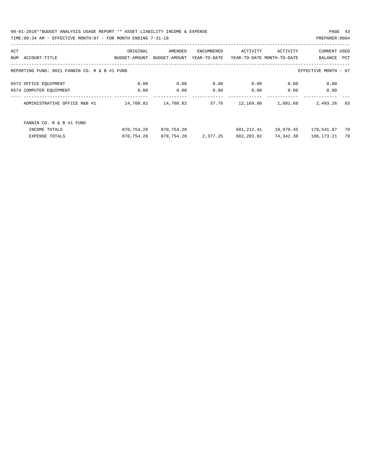08-01-2018\*\*BUDGET ANALYSIS USAGE REPORT \*\* ASSET LIABILITY INCOME & EXPENSE PAGE 43 TIME:09:34 AM - EFFECTIVE MONTH:07 - FOR MONTH ENDING 7-31-18

| ACT |                                               | ORIGINAL      | AMENDED       | ENCUMBERED   | ACTIVITY                   | ACTIVITY  | <b>CURRENT USED</b>  |     |
|-----|-----------------------------------------------|---------------|---------------|--------------|----------------------------|-----------|----------------------|-----|
| NUM | ACCOUNT-TITLE                                 | BUDGET-AMOUNT | BUDGET-AMOUNT | YEAR-TO-DATE | YEAR-TO-DATE MONTH-TO-DATE |           | BALANCE              | PCT |
|     |                                               |               |               |              |                            |           |                      |     |
|     | REPORTING FUND: 0021 FANNIN CO. R & B #1 FUND |               |               |              |                            |           | EFFECTIVE MONTH - 07 |     |
|     | 0572 OFFICE EQUIPMENT                         | 0.00          | 0.00          | 0.00         | 0.00                       | 0.00      | 0.00                 |     |
|     | 0574 COMPUTER EQUIPMENT                       | 0.00          | 0.00          | 0.00         | 0.00                       | 0.00      | 0.00                 |     |
|     | ADMINISTRATIVE OFFICE R&B #1                  | 14,700.82     | 14,700.82     | 37.76        | 12,169.80                  | 1,081.60  | 2,493.26             | 83  |
|     | FANNIN CO. R & B #1 FUND                      |               |               |              |                            |           |                      |     |
|     | INCOME TOTALS                                 | 870,754.28    | 870,754.28    |              | 691,212.41                 | 19,979.45 | 179,541.87           | 79  |
|     | <b>EXPENSE TOTALS</b>                         | 870,754.28    | 870,754.28    | 2,377.25     | 682,203.82                 | 74,342.38 | 186, 173. 21         | 79  |
|     |                                               |               |               |              |                            |           |                      |     |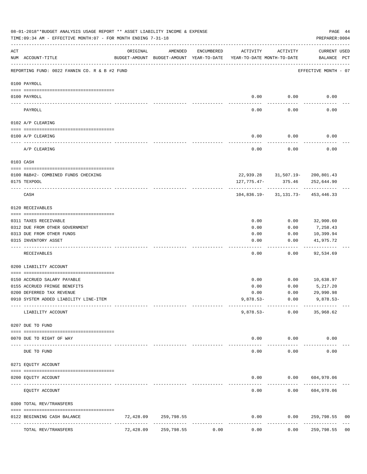|     | 08-01-2018**BUDGET ANALYSIS USAGE REPORT ** ASSET LIABILITY INCOME & EXPENSE<br>TIME: 09:34 AM - EFFECTIVE MONTH: 07 - FOR MONTH ENDING 7-31-18 |           |            |            |                                                                                 |                                       | PAGE 44<br>PREPARER: 0004   |                |
|-----|-------------------------------------------------------------------------------------------------------------------------------------------------|-----------|------------|------------|---------------------------------------------------------------------------------|---------------------------------------|-----------------------------|----------------|
| ACT | NUM ACCOUNT-TITLE                                                                                                                               | ORIGINAL  | AMENDED    | ENCUMBERED | ACTIVITY<br>BUDGET-AMOUNT BUDGET-AMOUNT YEAR-TO-DATE YEAR-TO-DATE MONTH-TO-DATE | ACTIVITY                              | CURRENT USED<br>BALANCE PCT |                |
|     | REPORTING FUND: 0022 FANNIN CO. R & B #2 FUND                                                                                                   |           |            |            |                                                                                 |                                       | EFFECTIVE MONTH - 07        |                |
|     | 0100 PAYROLL                                                                                                                                    |           |            |            |                                                                                 |                                       |                             |                |
|     | 0100 PAYROLL                                                                                                                                    |           |            |            | 0.00                                                                            | 0.00                                  | 0.00                        |                |
|     | ----- --------<br>PAYROLL                                                                                                                       |           |            |            | -----<br>0.00                                                                   | ---------<br>0.00                     | 0.00                        |                |
|     | 0102 A/P CLEARING                                                                                                                               |           |            |            |                                                                                 |                                       |                             |                |
|     | 0100 A/P CLEARING                                                                                                                               |           |            |            | 0.00                                                                            | 0.00                                  | 0.00                        |                |
|     | A/P CLEARING                                                                                                                                    |           |            |            | ---------<br>0.00                                                               | ---------<br>0.00                     | 0.00                        |                |
|     | 0103 CASH                                                                                                                                       |           |            |            |                                                                                 |                                       |                             |                |
|     | 0100 R&B#2- COMBINED FUNDS CHECKING                                                                                                             |           |            |            |                                                                                 | 22,939.28 31,507.19- 200,801.43       |                             |                |
|     | 0175 TEXPOOL                                                                                                                                    |           |            |            |                                                                                 | 127, 775. 47- 375. 46 252, 644. 90    |                             |                |
|     | CASH                                                                                                                                            |           |            |            |                                                                                 | $104,836.19 - 31,131.73 - 453,446.33$ |                             |                |
|     | 0120 RECEIVABLES                                                                                                                                |           |            |            |                                                                                 |                                       |                             |                |
|     | 0311 TAXES RECEIVABLE                                                                                                                           |           |            |            | 0.00                                                                            | 0.00                                  | 32,900.60                   |                |
|     | 0312 DUE FROM OTHER GOVERNMENT                                                                                                                  |           |            |            | 0.00                                                                            | 0.00                                  | 7,258.43                    |                |
|     | 0313 DUE FROM OTHER FUNDS                                                                                                                       |           |            |            | 0.00                                                                            | 0.00                                  | 10,399.94                   |                |
|     | 0315 INVENTORY ASSET                                                                                                                            |           |            |            | 0.00<br>$---$                                                                   | 0.00<br>$- - - - - -$                 | 41,975.72<br>----------     |                |
|     | RECEIVABLES                                                                                                                                     |           |            |            | 0.00                                                                            | 0.00                                  | 92,534.69                   |                |
|     | 0200 LIABILITY ACCOUNT                                                                                                                          |           |            |            |                                                                                 |                                       |                             |                |
|     | 0150 ACCRUED SALARY PAYABLE                                                                                                                     |           |            |            | 0.00                                                                            | 0.00                                  | 10,638.97                   |                |
|     | 0155 ACCRUED FRINGE BENEFITS                                                                                                                    |           |            |            | 0.00                                                                            | 0.00                                  | 5,217.20                    |                |
|     | 0200 DEFERRED TAX REVENUE                                                                                                                       |           |            |            | 0.00                                                                            | 0.00                                  | 29,990.98                   |                |
|     | 0910 SYSTEM ADDED LIABILITY LINE-ITEM                                                                                                           |           |            |            | $9,878.53-$                                                                     | 0.00                                  | $9,878.53-$                 |                |
|     | LIABILITY ACCOUNT                                                                                                                               |           |            |            | $9,878.53-$                                                                     | 0.00                                  | 35,968.62                   |                |
|     | 0207 DUE TO FUND                                                                                                                                |           |            |            |                                                                                 |                                       |                             |                |
|     | 0070 DUE TO RIGHT OF WAY                                                                                                                        |           |            |            | 0.00                                                                            | 0.00                                  | 0.00                        |                |
|     | DUE TO FUND                                                                                                                                     |           |            |            | 0.00                                                                            | 0.00                                  | 0.00                        |                |
|     | 0271 EQUITY ACCOUNT                                                                                                                             |           |            |            |                                                                                 |                                       |                             |                |
|     | 0200 EQUITY ACCOUNT                                                                                                                             |           |            |            | 0.00                                                                            |                                       | 0.00 604,970.06             |                |
|     | EQUITY ACCOUNT                                                                                                                                  |           |            |            | 0.00                                                                            | 0.00                                  | 604,970.06                  |                |
|     | 0300 TOTAL REV/TRANSFERS                                                                                                                        |           |            |            |                                                                                 |                                       |                             |                |
|     | 0122 BEGINNING CASH BALANCE                                                                                                                     | 72,428.09 | 259,798.55 |            | 0.00                                                                            | 0.00                                  | 259,798.55                  | 00             |
|     | TOTAL REV/TRANSFERS                                                                                                                             | 72,428.09 | 259,798.55 | 0.00       | 0.00                                                                            | 0.00                                  | 259,798.55                  | 0 <sub>0</sub> |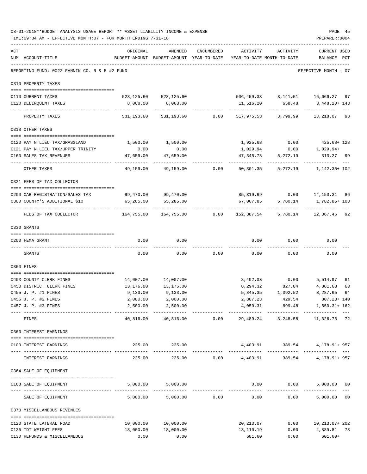|     | 08-01-2018**BUDGET ANALYSIS USAGE REPORT ** ASSET LIABILITY INCOME & EXPENSE<br>TIME: 09:34 AM - EFFECTIVE MONTH: 07 - FOR MONTH ENDING 7-31-18 |                                                                                 |                                |                |                           |                                        | PAGE 45<br>PREPARER: 0004                    |
|-----|-------------------------------------------------------------------------------------------------------------------------------------------------|---------------------------------------------------------------------------------|--------------------------------|----------------|---------------------------|----------------------------------------|----------------------------------------------|
| ACT | NUM ACCOUNT-TITLE                                                                                                                               | ORIGINAL<br>BUDGET-AMOUNT BUDGET-AMOUNT YEAR-TO-DATE YEAR-TO-DATE MONTH-TO-DATE | AMENDED                        | ENCUMBERED     | ACTIVITY                  | ACTIVITY                               | <b>CURRENT USED</b><br>BALANCE PCT           |
|     | REPORTING FUND: 0022 FANNIN CO. R & B #2 FUND                                                                                                   |                                                                                 |                                |                |                           |                                        | EFFECTIVE MONTH - 07                         |
|     | 0310 PROPERTY TAXES                                                                                                                             |                                                                                 |                                |                |                           |                                        |                                              |
|     | 0110 CURRENT TAXES                                                                                                                              |                                                                                 | 523, 125.60 523, 125.60        |                |                           |                                        | 506,459.33 3,141.51 16,666.27 97             |
|     | 0120 DELINQUENT TAXES                                                                                                                           | 8,068.00                                                                        | 8,068.00<br>-----------        |                | ------------              | 11,516.20 658.48<br>------------       | 3,448.20+ 143<br>-----------                 |
|     | PROPERTY TAXES                                                                                                                                  |                                                                                 | 531, 193.60 531, 193.60        |                |                           | $0.00$ 517,975.53 3,799.99             | 13,218.07 98                                 |
|     | 0318 OTHER TAXES                                                                                                                                |                                                                                 |                                |                |                           |                                        |                                              |
|     | 0120 PAY N LIEU TAX/GRASSLAND                                                                                                                   | 1,500.00                                                                        | 1,500.00                       |                | 1,925.68                  |                                        | $0.00$ $425.68 + 128$                        |
|     | 0121 PAY N LIEU TAX/UPPER TRINITY                                                                                                               | 0.00                                                                            | 0.00                           |                | 1,029.94                  |                                        | $0.00$ 1,029.94+                             |
|     | 0160 SALES TAX REVENUES                                                                                                                         | 47,659.00                                                                       | 47,659.00                      |                | 47,345.73                 | 5,272.19                               | 313.27 99                                    |
|     | OTHER TAXES                                                                                                                                     | ------------<br>49,159.00                                                       |                                | 49,159.00 0.00 | ------------<br>50,301.35 | ------------<br>5,272.19               | 1,142.35+ 102                                |
|     | 0321 FEES OF TAX COLLECTOR                                                                                                                      |                                                                                 |                                |                |                           |                                        |                                              |
|     | 0200 CAR REGISTRATION/SALES TAX                                                                                                                 |                                                                                 | 99,470.00 99,470.00            |                |                           |                                        | 85,319.69   0.00   14,150.31   86            |
|     | 0300 COUNTY'S ADDITIONAL \$10                                                                                                                   | 65,285.00                                                                       | 65,285.00                      |                |                           |                                        | 67,067.85 6,780.14 1,782.85+103              |
|     | FEES OF TAX COLLECTOR                                                                                                                           | 164,755.00                                                                      | -------------                  |                |                           |                                        |                                              |
|     | 0330 GRANTS                                                                                                                                     |                                                                                 |                                |                |                           |                                        |                                              |
|     | 0200 FEMA GRANT                                                                                                                                 | 0.00                                                                            | 0.00                           |                | 0.00                      | 0.00                                   | 0.00                                         |
|     |                                                                                                                                                 |                                                                                 |                                |                |                           |                                        |                                              |
|     | GRANTS                                                                                                                                          | 0.00                                                                            | 0.00                           | 0.00           | 0.00                      | 0.00                                   | 0.00                                         |
|     | 0350 FINES                                                                                                                                      |                                                                                 |                                |                |                           |                                        |                                              |
|     |                                                                                                                                                 |                                                                                 |                                |                |                           |                                        |                                              |
|     | 0403 COUNTY CLERK FINES                                                                                                                         | 14,007.00                                                                       | 14,007.00                      |                |                           | 8,492.03 0.00                          | 5,514.97<br>61                               |
|     | 0450 DISTRICT CLERK FINES<br>0455 J. P. #1 FINES                                                                                                | 13,176.00<br>9,133.00                                                           | 13,176.00<br>9,133.00          |                | 5,845.35                  | 8, 294.32 827.04 4, 881.68<br>1,092.52 | 63<br>3,287.65<br>64                         |
|     | 0456 J. P. #2 FINES                                                                                                                             | 2,000.00                                                                        | 2,000.00                       |                |                           | 2,807.23 429.54                        | 807.23+ 140                                  |
|     | 0457 J. P. #3 FINES                                                                                                                             | 2,500.00                                                                        | 2,500.00                       |                |                           |                                        | 4,050.31 899.48 1,550.31+162                 |
|     | ---------------------------------<br>FINES                                                                                                      | -------------<br>40,816.00                                                      | -------------                  | 40,816.00 0.00 |                           |                                        | 29,489.24 3,248.58 11,326.76 72              |
|     |                                                                                                                                                 |                                                                                 |                                |                |                           |                                        |                                              |
|     | 0360 INTEREST EARNINGS                                                                                                                          |                                                                                 |                                |                |                           |                                        |                                              |
|     | 0100 INTEREST EARNINGS                                                                                                                          |                                                                                 | 225.00 225.00<br>------------- |                |                           |                                        | $4,403.91$ $389.54$ $4,178.91+957$           |
|     | INTEREST EARNINGS                                                                                                                               | 225.00                                                                          | 225.00                         |                |                           |                                        | $0.00$ 4,403.91 389.54 4,178.91+957          |
|     | 0364 SALE OF EQUIPMENT                                                                                                                          |                                                                                 |                                |                |                           |                                        |                                              |
|     | 0163 SALE OF EQUIPMENT                                                                                                                          |                                                                                 | 5,000.00 5,000.00              |                |                           |                                        | $0.00$ $0.00$ $5,000.00$ $00$                |
|     | SALE OF EQUIPMENT                                                                                                                               | 5,000.00                                                                        |                                | 5,000.00 0.00  | 0.00                      | ------------<br>0.00                   | -------------<br>5,000.00 00                 |
|     | 0370 MISCELLANEOUS REVENUES                                                                                                                     |                                                                                 |                                |                |                           |                                        |                                              |
|     |                                                                                                                                                 |                                                                                 |                                |                |                           |                                        |                                              |
|     | 0120 STATE LATERAL ROAD<br>0125 TDT WEIGHT FEES                                                                                                 | 10,000.00<br>18,000.00                                                          | 10,000.00<br>18,000.00         |                | 20,213.07<br>13,110.19    |                                        | $0.00$ $10,213.07+202$<br>$0.00$ 4,889.81 73 |
|     | 0130 REFUNDS & MISCELLANEOUS                                                                                                                    | 0.00                                                                            | 0.00                           |                | 601.60                    | 0.00                                   | $601.60+$                                    |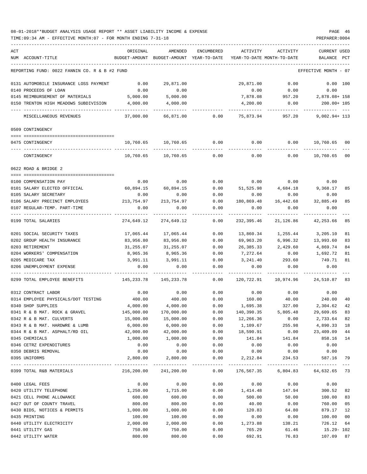| ACT |                                                         | ORIGINAL           | AMENDED                    | <b>ENCUMBERED</b> | ACTIVITY                   | ACTIVITY          | <b>CURRENT USED</b>     |
|-----|---------------------------------------------------------|--------------------|----------------------------|-------------------|----------------------------|-------------------|-------------------------|
|     | NUM ACCOUNT-TITLE                                       | BUDGET-AMOUNT      | BUDGET-AMOUNT YEAR-TO-DATE |                   | YEAR-TO-DATE MONTH-TO-DATE |                   | BALANCE<br>PCT          |
|     | REPORTING FUND: 0022 FANNIN CO. R & B #2 FUND           |                    |                            |                   |                            |                   | EFFECTIVE MONTH - 07    |
|     | 0131 AUTOMOBILE INSURANCE LOSS PAYMENT                  | 0.00               | 29,871.00                  |                   | 29,871.00                  | 0.00              | $0.00$ 100              |
|     | 0140 PROCEEDS OF LOAN                                   | 0.00               | 0.00                       |                   | 0.00                       | 0.00              | 0.00                    |
|     | 0145 REIMBURSEMENT OF MATERIALS                         | 5,000.00           | 5,000.00                   |                   | 7,878.08                   | 957.20            | 2,878.08+ 158           |
|     | 0150 TRENTON HIGH MEADOWS SUBDIVISION                   | 4,000.00           | 4,000.00                   |                   | 4,200.00                   | 0.00              | $200.00 + 105$          |
|     | MISCELLANEOUS REVENUES                                  | 37,000.00          | 66,871.00                  | 0.00              | 75,873.94                  | 957.20            | $9,002.94 + 113$        |
|     | 0509 CONTINGENCY                                        |                    |                            |                   |                            |                   |                         |
|     |                                                         |                    |                            |                   |                            |                   |                         |
|     | 0475 CONTINGENCY                                        | 10,760.65          | 10,760.65                  | 0.00              | 0.00                       | 0.00              | 10,760.65 00            |
|     | CONTINGENCY                                             | 10,760.65          | 10,760.65                  | 0.00              | 0.00                       | 0.00              | 10,760.65<br>00         |
|     | 0622 ROAD & BRIDGE 2                                    |                    |                            |                   |                            |                   |                         |
|     |                                                         |                    |                            |                   |                            |                   |                         |
|     | 0100 COMPENSATION PAY                                   | 0.00               | 0.00                       | 0.00              | 0.00                       | 0.00              | 0.00                    |
|     | 0101 SALARY ELECTED OFFICIAL                            | 60,894.15          | 60,894.15                  | 0.00              | 51,525.98                  | 4,684.18          | 9,368.17<br>85          |
|     | 0105 SALARY SECRETARY<br>0106 SALARY PRECINCT EMPLOYEES | 0.00               | 0.00                       | 0.00              | 0.00                       | 0.00<br>16,442.68 | 0.00                    |
|     | 0107 REGULAR-TEMP. PART-TIME                            | 213,754.97<br>0.00 | 213,754.97<br>0.00         | 0.00<br>0.00      | 180,869.48<br>0.00         | 0.00              | 32,885.49<br>85<br>0.00 |
|     |                                                         |                    |                            |                   |                            |                   |                         |
|     | 0199 TOTAL SALARIES                                     | 274,649.12         | 274,649.12                 | 0.00              | 232,395.46                 | 21,126.86         | 42,253.66<br>85         |
|     | 0201 SOCIAL SECURITY TAXES                              | 17,065.44          | 17,065.44                  | 0.00              | 13,860.34                  | 1,255.44          | 3,205.10<br>81          |
|     | 0202 GROUP HEALTH INSURANCE                             | 83,956.80          | 83,956.80                  | 0.00              | 69,963.20                  | 6,996.32          | 13,993.60<br>83         |
|     | 0203 RETIREMENT                                         | 31,255.07          | 31,255.07                  | 0.00              | 26,385.33                  | 2,429.60          | 4,869.74<br>84          |
|     | 0204 WORKERS' COMPENSATION                              | 8,965.36           | 8,965.36                   | 0.00              | 7,272.64                   | 0.00              | 81<br>1,692.72          |
|     | 0205 MEDICARE TAX                                       | 3,991.11           | 3,991.11                   | 0.00              | 3,241.40                   | 293.60            | 749.71<br>81            |
|     | 0206 UNEMPLOYMENT EXPENSE                               | 0.00               | 0.00                       | 0.00              | 0.00                       | 0.00              | 0.00                    |
|     | 0299 TOTAL EMPLOYEE BENEFITS                            | 145,233.78         | 145, 233. 78               | 0.00              | 120,722.91                 | 10,974.96         | 24,510.87<br>83         |
|     | 0312 CONTRACT LABOR                                     | 0.00               | 0.00                       | 0.00              | 0.00                       | 0.00              | 0.00                    |
|     | 0314 EMPLOYEE PHYSICALS/DOT TESTING                     | 400.00             | 400.00                     | 0.00              | 160.00                     | 40.00             | 240.00<br>40            |
|     | 0340 SHOP SUPPLIES                                      | 4,000.00           | 4,000.00                   | 0.00              | 1,695.38                   | 327.00            | 2,304.62<br>42          |
|     | 0341 R & B MAT. ROCK & GRAVEL                           | 145,000.00         | 170,000.00                 | 0.00              | 140,390.35                 | 5,805.48          | 29,609.65<br>83         |
|     | 0342 R & B MAT. CULVERTS                                | 15,000.00          | 15,000.00                  | 0.00              | 12,266.36                  | 0.00              | 2,733.64<br>82          |
|     | 0343 R & B MAT. HARDWRE & LUMB                          | 6,000.00           | 6,000.00                   | 0.00              | 1,109.67                   | 255.98            | 4,890.33<br>18          |
|     | 0344 R & B MAT. ASPHALT/RD OIL                          | 42,000.00          | 42,000.00                  | 0.00              | 18,590.91                  | 0.00              | 44<br>23,409.09         |
|     | 0345 CHEMICALS                                          | 1,000.00           | 1,000.00                   | 0.00              | 141.84                     | 141.84            | 858.16<br>14            |
|     | 0346 CETRZ EXPENDITURES                                 | 0.00               | 0.00                       | 0.00              | 0.00                       | 0.00              | 0.00                    |
|     | 0350 DEBRIS REMOVAL                                     | 0.00               | 0.00                       | 0.00              | 0.00                       | 0.00              | 0.00                    |
|     | 0395 UNIFORMS                                           | 2,800.00           | 2,800.00                   | 0.00              | 2,212.84                   | 234.53            | 587.16<br>79            |
|     | 0399 TOTAL R&B MATERIALS                                | 216,200.00         | 241,200.00                 | -----<br>0.00     | 176,567.35                 | 6,804.83          | 64,632.65 73            |
|     | 0400 LEGAL FEES                                         | 0.00               | 0.00                       | 0.00              | 0.00                       | 0.00              | 0.00                    |
|     | 0420 UTILITY TELEPHONE                                  | 1,250.00           | 1,715.00                   | 0.00              | 1,414.48                   | 147.94            | 300.52<br>82            |
|     | 0421 CELL PHONE ALLOWANCE                               | 600.00             | 600.00                     | 0.00              | 500.00                     | 50.00             | 100.00<br>83            |
|     | 0427 OUT OF COUNTY TRAVEL                               | 800.00             | 800.00                     | 0.00              | 40.00                      | 0.00              | 05<br>760.00            |
|     | 0430 BIDS, NOTICES & PERMITS                            | 1,000.00           | 1,000.00                   | 0.00              | 120.83                     | 64.80             | 879.17<br>12            |
|     | 0435 PRINTING                                           | 100.00             | 100.00                     | 0.00              | 0.00                       | 0.00              | 100.00<br>00            |
|     | 0440 UTILITY ELECTRICITY                                | 2,000.00           | 2,000.00                   | 0.00              | 1,273.88                   | 138.21            | 726.12<br>64            |
|     | 0441 UTILITY GAS                                        | 750.00             | 750.00                     | 0.00              | 765.29                     | 61.46             | $15.29 - 102$           |
|     | 0442 UTILITY WATER                                      | 800.00             | 800.00                     | 0.00              | 692.91                     | 76.83             | 107.09<br>87            |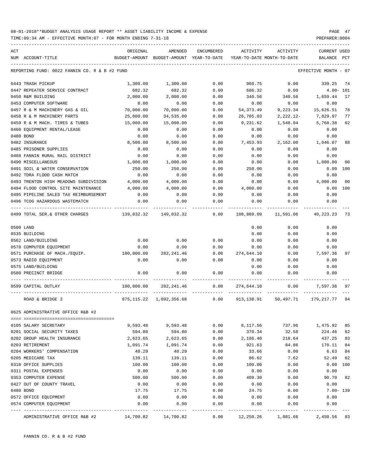TIME:09:34 AM - EFFECTIVE MONTH:07 - FOR MONTH ENDING 7-31-18

| ACT |                                               | ORIGINAL   | AMENDED                                  | ENCUMBERED    | ACTIVITY   | ACTIVITY                   | <b>CURRENT USED</b>  |              |
|-----|-----------------------------------------------|------------|------------------------------------------|---------------|------------|----------------------------|----------------------|--------------|
|     | NUM ACCOUNT-TITLE                             |            | BUDGET-AMOUNT BUDGET-AMOUNT YEAR-TO-DATE |               |            | YEAR-TO-DATE MONTH-TO-DATE | BALANCE              | $_{\rm PCT}$ |
|     | REPORTING FUND: 0022 FANNIN CO. R & B #2 FUND |            |                                          |               |            |                            | EFFECTIVE MONTH - 07 |              |
|     |                                               |            |                                          |               |            |                            |                      |              |
|     | 0443 TRASH PICKUP                             | 1,300.00   | 1,300.00                                 | 0.00          | 960.75     | 0.00                       | 339.25               | 74           |
|     | 0447 REPEATER SERVICE CONTRACT                | 682.32     | 682.32                                   | 0.00          | 686.32     | 0.00                       | $4.00 - 101$         |              |
|     | 0450 R&M BUILDING                             | 2,000.00   | 2,000.00                                 | 0.00          | 340.56     | 340.56                     | 1,659.44             | 17           |
|     | 0453 COMPUTER SOFTWARE                        | 0.00       | 0.00                                     | 0.00          | 0.00       | 0.00                       | 0.00                 |              |
|     | 0457 R & M MACHINERY GAS & OIL                | 70,000.00  | 70,000.00                                | 0.00          | 54, 373.49 | 9,223.34                   | 15,626.51            | 78           |
|     | 0458 R & M MACHINERY PARTS                    | 25,000.00  | 34,535.00                                | 0.00          | 26,705.03  | $2,222.12-$                | 7,829.97             | 77           |
|     | 0459 R & M MACH. TIRES & TUBES                | 15,000.00  | 15,000.00                                | 0.00          | 9,231.62   | 1,548.04                   | 5,768.38             | 62           |
|     | 0460 EQUIPMENT RENTAL/LEASE                   | 0.00       | 0.00                                     | 0.00          | 0.00       | 0.00                       | 0.00                 |              |
|     | 0480 BOND                                     | 0.00       | 0.00                                     | 0.00          | 0.00       | 0.00                       | 0.00                 |              |
|     | 0482 INSURANCE                                | 8,500.00   | 8,500.00                                 | 0.00          | 7,453.93   | 2,162.00                   | 1,046.07             | 88           |
|     | 0485 PRISONER SUPPLIES                        | 0.00       | 0.00                                     | 0.00          | 0.00       | 0.00                       | 0.00                 |              |
|     | 0488 FANNIN RURAL RAIL DISTRICT               | 0.00       | 0.00                                     | 0.00          | 0.00       | 0.00                       | 0.00                 |              |
|     | 0490 MISCELLANEOUS                            | 1,000.00   | 1,000.00                                 | 0.00          | 0.00       | 0.00                       | 1,000.00             | 00           |
|     | 0491 SOIL & WATER CONSERVATION                | 250.00     | 250.00                                   | 0.00          | 250.00     | 0.00                       | 0.00                 | 100          |
|     | 0492 TDRA FLOOD CASH MATCH                    | 0.00       | 0.00                                     | 0.00          | 0.00       | 0.00                       | 0.00                 |              |
|     | 0493 TRENTON HIGH MEADOWS SUBDIVISION         | 4,000.00   | 4,000.00                                 | 0.00          | 0.00       | 0.00                       | 4,000.00             | 00           |
|     | 0494 FLOOD CONTROL SITE MAINTENANCE           | 4,000.00   | 4,000.00                                 | 0.00          | 4,000.00   | 0.00                       | 0.00                 | 100          |
|     | 0495 PIPELINE SALES TAX REIMBURSEMENT         | 0.00       | 0.00                                     | 0.00          | 0.00       | 0.00                       | 0.00                 |              |
|     | 0496 TCOG HAZARDOUS WASTEMATCH                | 0.00       | 0.00                                     | 0.00          | 0.00       | 0.00                       | 0.00                 |              |
|     | 0499 TOTAL SER.& OTHER CHARGES                | 139,032.32 | 149,032.32                               | 0.00          | 108,809.09 | 11,591.06                  | 40,223.23 73         |              |
|     | 0500 LAND                                     |            |                                          |               | 0.00       | 0.00                       | 0.00                 |              |
|     | 0535 BUILDING                                 |            |                                          |               | 0.00       | 0.00                       | 0.00                 |              |
|     | 0562 LAND/BUILDING                            | 0.00       | 0.00                                     | 0.00          | 0.00       | 0.00                       | 0.00                 |              |
|     | 0570 COMPUTER EQUIPMENT                       | 0.00       | 0.00                                     | 0.00          | 0.00       | 0.00                       | 0.00                 |              |
|     | 0571 PURCHASE OF MACH./EQUIP.                 | 100,000.00 | 282, 241.46                              | 0.00          | 274,644.10 | 0.00                       | 7,597.36             | 97           |
|     | 0573 RADIO EQUIPMENT                          | 0.00       | 0.00                                     | 0.00          | 0.00       | 0.00                       | 0.00                 |              |
|     | 0575 LAND/BUILDING                            |            |                                          |               | 0.00       | 0.00                       | 0.00                 |              |
|     | 0580 PRECINCT BRIDGE                          | 0.00       | 0.00                                     | 0.00          | 0.00       | 0.00                       | 0.00                 |              |
|     |                                               |            |                                          |               |            |                            |                      |              |
|     | 0599 CAPITAL OUTLAY                           | 100,000.00 | 282, 241.46                              | 0.00          | 274,644.10 | 0.00                       | 7,597.36             | 97           |
|     | ROAD & BRIDGE 2                               | 875,115.22 | 1,092,356.68                             | 0.00          | 913,138.91 | 50,497.71                  | 179,217.77           | 84           |
|     | 0625 ADMINISTRATIVE OFFICE R&B #2             |            |                                          |               |            |                            |                      |              |
|     |                                               |            |                                          |               |            |                            |                      |              |
|     | 0105 SALARY SECRETARY                         | 9,593.48   | 9,593.48                                 | 0.00          | 8,117.56   | 737.96                     | 1,475.92             | 85           |
|     | 0201 SOCIAL SECURITY TAXES                    | 594.80     | 594.80                                   | 0.00          | 370.34     | 32.58                      | 224.46               | 62           |
|     | 0202 GROUP HEALTH INSURANCE                   | 2,623.65   | 2,623.65                                 | 0.00          | 2,186.40   | 218.64                     | 437.25               | 83           |
|     | 0203 RETIREMENT                               | 1,091.74   | 1,091.74                                 | 0.00          | 921.63     | 84.86                      | 170.11               | 84           |
|     | 0204 WORKERS' COMPENSATION                    | 40.29      | 40.29                                    | 0.00          | 33.66      | 0.00                       | 6.63                 | 84           |
|     | 0205 MEDICARE TAX                             | 139.11     | 139.11                                   | 0.00          | 86.62      | 7.62                       | 52.49                | 62           |
|     | 0310 OFFICE SUPPLIES                          | 100.00     | 100.00                                   | 0.00          | 100.00     | 0.00                       | $0.00$ 100           |              |
|     | 0311 POSTAL EXPENSES                          | 0.00       | 0.00                                     | 0.00          | 0.00       | 0.00                       | 0.00                 |              |
|     | 0353 COMPUTER EXPENSE                         | 500.00     | 500.00                                   | 0.00          | 409.30     | 0.00                       | 90.70                | 82           |
|     | 0427 OUT OF COUNTY TRAVEL                     | 0.00       | 0.00                                     | 0.00          | 0.00       | 0.00                       | 0.00                 |              |
|     | 0480 BOND                                     | 17.75      | 17.75                                    | 0.00          | 24.75      | 0.00                       | $7.00 - 139$         |              |
|     | 0572 OFFICE EQUIPMENT                         | 0.00       | 0.00                                     | 0.00          | 0.00       | 0.00                       | 0.00                 |              |
|     | 0574 COMPUTER EQUIPMENT                       | 0.00       | 0.00                                     | 0.00<br>$---$ | 0.00       | 0.00                       | 0.00                 |              |
|     | ADMINISTRATIVE OFFICE R&B #2                  | 14,700.82  | 14,700.82                                | 0.00          | 12,250.26  | 1,081.66                   | 2,450.56 83          |              |

FANNIN CO. R & B #2 FUND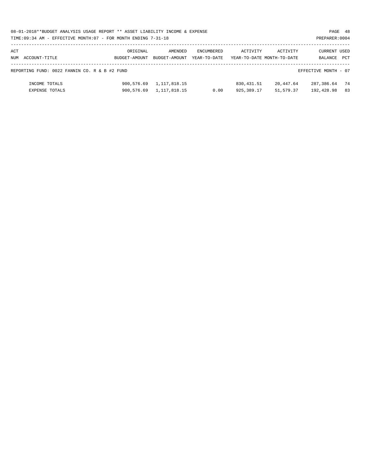|     | 08-01-2018**BUDGET ANALYSIS USAGE REPORT ** ASSET LIABILITY INCOME & EXPENSE<br>PAGE 48 |               |                         |                   |             |                            |                      |     |  |  |  |
|-----|-----------------------------------------------------------------------------------------|---------------|-------------------------|-------------------|-------------|----------------------------|----------------------|-----|--|--|--|
|     | TIME: 09:34 AM - EFFECTIVE MONTH: 07 - FOR MONTH ENDING 7-31-18<br>PREPARER: 0004       |               |                         |                   |             |                            |                      |     |  |  |  |
|     |                                                                                         |               |                         |                   |             |                            |                      |     |  |  |  |
| ACT |                                                                                         | ORIGINAL      | AMENDED                 | <b>ENCUMBERED</b> | ACTIVITY    | ACTIVITY                   | CURRENT USED         |     |  |  |  |
|     | NUM ACCOUNT-TITLE                                                                       | BUDGET-AMOUNT | BUDGET-AMOUNT           | YEAR-TO-DATE      |             | YEAR-TO-DATE MONTH-TO-DATE | BALANCE              | PCT |  |  |  |
|     |                                                                                         |               |                         |                   |             |                            |                      |     |  |  |  |
|     | REPORTING FUND: 0022 FANNIN CO. R & B #2 FUND                                           |               |                         |                   |             |                            | EFFECTIVE MONTH - 07 |     |  |  |  |
|     |                                                                                         |               |                         |                   |             |                            |                      |     |  |  |  |
|     | INCOME TOTALS                                                                           | 900,576.69    | 1,117,818.15            |                   | 830, 431.51 | 20,447.64                  | 287,386.64           | 74  |  |  |  |
|     | EXPENSE TOTALS                                                                          |               | 900,576.69 1,117,818.15 | 0.00              | 925,389.17  | 51,579.37                  | 192,428.98           | 83  |  |  |  |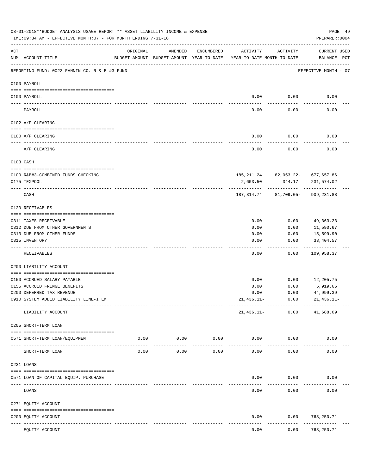|     | 08-01-2018**BUDGET ANALYSIS USAGE REPORT ** ASSET LIABILITY INCOME & EXPENSE<br>TIME:09:34 AM - EFFECTIVE MONTH:07 - FOR MONTH ENDING 7-31-18 |          |                                                                                |                    |                     |                                                   | PAGE 49<br>PREPARER: 0004          |
|-----|-----------------------------------------------------------------------------------------------------------------------------------------------|----------|--------------------------------------------------------------------------------|--------------------|---------------------|---------------------------------------------------|------------------------------------|
| ACT | NUM ACCOUNT-TITLE                                                                                                                             | ORIGINAL | AMENDED<br>BUDGET-AMOUNT BUDGET-AMOUNT YEAR-TO-DATE YEAR-TO-DATE MONTH-TO-DATE | ENCUMBERED         | ACTIVITY            | ACTIVITY                                          | <b>CURRENT USED</b><br>BALANCE PCT |
|     | REPORTING FUND: 0023 FANNIN CO. R & B #3 FUND                                                                                                 |          |                                                                                |                    |                     |                                                   | EFFECTIVE MONTH - 07               |
|     | 0100 PAYROLL                                                                                                                                  |          |                                                                                |                    |                     |                                                   |                                    |
|     | 0100 PAYROLL                                                                                                                                  |          |                                                                                |                    | 0.00                | 0.00                                              | 0.00                               |
|     | PAYROLL                                                                                                                                       |          |                                                                                |                    | 0.00                | 0.00                                              | 0.00                               |
|     | 0102 A/P CLEARING                                                                                                                             |          |                                                                                |                    |                     |                                                   |                                    |
|     | 0100 A/P CLEARING                                                                                                                             |          |                                                                                |                    | 0.00                | 0.00                                              | 0.00                               |
|     | A/P CLEARING                                                                                                                                  |          |                                                                                |                    | 0.00                | 0.00                                              | 0.00                               |
|     | 0103 CASH                                                                                                                                     |          |                                                                                |                    |                     |                                                   |                                    |
|     |                                                                                                                                               |          |                                                                                |                    |                     |                                                   |                                    |
|     | 0100 R&B#3-COMBINED FUNDS CHECKING<br>0175 TEXPOOL                                                                                            |          |                                                                                |                    | 2,603.50            | 185, 211. 24 82, 053. 22 - 677, 657. 86<br>344.17 | 231,574.02                         |
|     | CASH                                                                                                                                          |          |                                                                                |                    |                     | 187,814.74 81,709.05-                             | 909,231.88                         |
|     | 0120 RECEIVABLES                                                                                                                              |          |                                                                                |                    |                     |                                                   |                                    |
|     |                                                                                                                                               |          |                                                                                |                    |                     |                                                   |                                    |
|     | 0311 TAXES RECEIVABLE<br>0312 DUE FROM OTHER GOVERNMENTS                                                                                      |          |                                                                                |                    | 0.00<br>0.00        | 0.00<br>0.00                                      | 49,363.23<br>11,590.67             |
|     | 0313 DUE FROM OTHER FUNDS                                                                                                                     |          |                                                                                |                    | 0.00                | 0.00                                              | 15,599.90                          |
|     | 0315 INVENTORY                                                                                                                                |          |                                                                                |                    | 0.00                | 0.00                                              | 33,404.57                          |
|     | RECEIVABLES                                                                                                                                   |          |                                                                                |                    | 0.00                | 0.00                                              | . <u>.</u> .<br>109,958.37         |
|     | 0200 LIABILITY ACCOUNT                                                                                                                        |          |                                                                                |                    |                     |                                                   |                                    |
|     | 0150 ACCRUED SALARY PAYABLE                                                                                                                   |          |                                                                                |                    | 0.00                | 0.00                                              | 12,205.75                          |
|     | 0155 ACCRUED FRINGE BENEFITS                                                                                                                  |          |                                                                                |                    | 0.00                | 0.00                                              | 5,919.66                           |
|     | 0200 DEFERRED TAX REVENUE                                                                                                                     |          |                                                                                |                    | 0.00                | 0.00                                              | 44,999.39                          |
|     | 0910 SYSTEM ADDED LIABILITY LINE-ITEM                                                                                                         |          |                                                                                |                    | $21,436.11-$        | 0.00                                              | $21,436.11-$                       |
|     | LIABILITY ACCOUNT                                                                                                                             |          |                                                                                |                    | $21,436.11-$        | 0.00                                              | 41,688.69                          |
|     | 0205 SHORT-TERM LOAN                                                                                                                          |          |                                                                                |                    |                     |                                                   |                                    |
|     | 0571 SHORT-TERM LOAN/EQUIPMENT                                                                                                                | 0.00     | 0.00                                                                           | 0.00               | 0.00                | 0.00                                              | 0.00                               |
|     | SHORT-TERM LOAN                                                                                                                               | 0.00     | ----------<br>0.00                                                             | ----------<br>0.00 | -----------<br>0.00 | 0.00                                              | 0.00                               |
|     | 0231 LOANS                                                                                                                                    |          |                                                                                |                    |                     |                                                   |                                    |
|     | 0571 LOAN OF CAPITAL EQUIP. PURCHASE                                                                                                          |          |                                                                                |                    | 0.00                | 0.00                                              | 0.00                               |
|     | -------------------- -------------                                                                                                            |          |                                                                                |                    |                     | .                                                 |                                    |
|     | LOANS                                                                                                                                         |          |                                                                                |                    | 0.00                | 0.00                                              | 0.00                               |
|     | 0271 EQUITY ACCOUNT                                                                                                                           |          |                                                                                |                    |                     |                                                   |                                    |
|     | 0200 EQUITY ACCOUNT<br>---- ------------<br>----------------- -------------                                                                   |          |                                                                                |                    | 0.00                | 0.00                                              | 768,250.71<br>----------           |
|     | EQUITY ACCOUNT                                                                                                                                |          |                                                                                |                    | 0.00                | 0.00                                              | 768,250.71                         |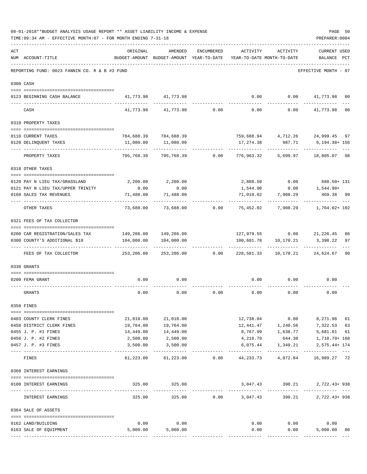|     | TIME: 09:34 AM - EFFECTIVE MONTH: 07 - FOR MONTH ENDING 7-31-18 |                                        |                                                                                |                 |                                  |                                         | PREPARER: 0004                      |                |
|-----|-----------------------------------------------------------------|----------------------------------------|--------------------------------------------------------------------------------|-----------------|----------------------------------|-----------------------------------------|-------------------------------------|----------------|
| ACT | NUM ACCOUNT-TITLE                                               | ORIGINAL                               | AMENDED<br>BUDGET-AMOUNT BUDGET-AMOUNT YEAR-TO-DATE YEAR-TO-DATE MONTH-TO-DATE | ENCUMBERED      | ACTIVITY                         | ACTIVITY                                | <b>CURRENT USED</b><br>BALANCE PCT  |                |
|     | REPORTING FUND: 0023 FANNIN CO. R & B #3 FUND                   |                                        |                                                                                |                 |                                  |                                         | EFFECTIVE MONTH - 07                |                |
|     | 0300 CASH                                                       |                                        |                                                                                |                 |                                  |                                         |                                     |                |
|     | 0123 BEGINNING CASH BALANCE                                     |                                        | 41,773.98 41,773.98                                                            |                 | 0.00                             |                                         | $0.00$ $41,773.98$ 00               |                |
|     | CASH                                                            |                                        | 41,773.98 41,773.98                                                            | $0.00$ 0.00     |                                  |                                         | $0.00$ $41,773.98$                  | 0 <sub>0</sub> |
|     | 0310 PROPERTY TAXES                                             |                                        |                                                                                |                 |                                  |                                         |                                     |                |
|     |                                                                 |                                        |                                                                                |                 |                                  |                                         |                                     |                |
|     | 0110 CURRENT TAXES                                              |                                        | 784,688.39 784,688.39                                                          |                 |                                  |                                         | 759,688.94  4,712.26  24,999.45  97 |                |
|     | 0120 DELINQUENT TAXES<br>------------------- --                 | 11,080.00                              | 11,080.00                                                                      |                 | 17,274.38<br>---------           | 987.71                                  | 6,194.38+ 156                       |                |
|     | PROPERTY TAXES                                                  | 795,768.39                             | 795,768.39                                                                     |                 | $0.00$ 776,963.32                | 5,699.97                                | 18,805.07 98                        |                |
|     | 0318 OTHER TAXES                                                |                                        |                                                                                |                 |                                  |                                         |                                     |                |
|     | 0120 PAY N LIEU TAX/GRASSLAND                                   |                                        | 2,200.00 2,200.00                                                              |                 |                                  |                                         | 2,888.50 0.00 688.50+ 131           |                |
|     | 0121 PAY N LIEU TAX/UPPER TRINITY                               | 0.00                                   | 0.00                                                                           |                 | 1,544.90                         | 0.00                                    | 1,544.90+                           |                |
|     | 0160 SALES TAX REVENUES                                         | 71,488.00                              | 71,488.00                                                                      |                 | 71,018.62                        | 7,908.29                                | 469.38 99                           |                |
|     | OTHER TAXES                                                     | .<br>73,688.00                         |                                                                                |                 |                                  |                                         | ----------<br>1,764.02+ 102         |                |
|     | 0321 FEES OF TAX COLLECTOR                                      |                                        |                                                                                |                 |                                  |                                         |                                     |                |
|     |                                                                 |                                        |                                                                                |                 |                                  |                                         |                                     |                |
|     | 0200 CAR REGISTRATION/SALES TAX                                 |                                        |                                                                                |                 |                                  |                                         | 127,979.55 0.00 21,226.45           | 86<br>97       |
|     | 0300 COUNTY'S ADDITIONAL \$10                                   | .                                      | 104,000.00   104,000.00                                                        |                 | -----------                      | 100,601.78    10,170.21<br>------------ | 3,398.22<br>-------------           |                |
|     | FEES OF TAX COLLECTOR                                           | 253,206.00                             |                                                                                | 253,206.00 0.00 | 228,581.33                       |                                         | 10,170.21 24,624.67                 | 90             |
|     | 0330 GRANTS                                                     |                                        |                                                                                |                 |                                  |                                         |                                     |                |
|     |                                                                 |                                        |                                                                                |                 |                                  |                                         |                                     |                |
|     | 0200 FEMA GRANT                                                 | 0.00                                   | 0.00                                                                           |                 | 0.00                             | 0.00                                    | 0.00                                |                |
|     | GRANTS                                                          | 0.00                                   | 0.00                                                                           | 0.00            | 0.00                             | 0.00                                    | 0.00                                |                |
|     | 0350 FINES                                                      |                                        |                                                                                |                 |                                  |                                         |                                     |                |
|     | 0403 COUNTY CLERK FINES                                         | 21,010.00                              | 21,010.00                                                                      |                 |                                  | 12,738.04 0.00                          | 8,271.96                            | 61             |
|     | 0450 DISTRICT CLERK FINES                                       | 19,764.00                              | 19,764.00                                                                      |                 |                                  |                                         |                                     | 63             |
|     | 0455 J. P. #1 FINES                                             | 14,449.00                              | 14,449.00                                                                      |                 |                                  | 8,767.99 1,638.77                       | 5,681.01                            | 61             |
|     | 0456 J. P. #2 FINES                                             | 2,500.00                               | 2,500.00                                                                       |                 | 4,210.79                         | 644.30                                  | 1,710.79+ 168                       |                |
|     | 0457 J. P. #3 FINES                                             | 3,500.00                               | 3,500.00                                                                       |                 | 6,075.44                         | 1,349.21                                | 2,575.44+ 174<br>-----------        |                |
|     | FINES                                                           | 61,223.00                              | 61,223.00                                                                      |                 |                                  | $0.00$ $44,233.73$ $4,872.84$           | 16,989.27 72                        |                |
|     | 0360 INTEREST EARNINGS                                          |                                        |                                                                                |                 |                                  |                                         |                                     |                |
|     | 0100 INTEREST EARNINGS                                          |                                        | 325.00 325.00                                                                  |                 |                                  | 3,047.43 390.21                         | 2,722.43+938                        |                |
|     | INTEREST EARNINGS                                               | ------------- --------------<br>325.00 | .<br>325.00                                                                    |                 | -------------<br>$0.00$ 3,047.43 | ------------<br>390.21                  | ------------------<br>2,722.43+938  |                |
|     | 0364 SALE OF ASSETS                                             |                                        |                                                                                |                 |                                  |                                         |                                     |                |
|     | 0162 LAND/BUILDING                                              | 0.00                                   | 0.00                                                                           |                 |                                  | $0.00$ 0.00                             | 0.00                                |                |
|     | 0163 SALE OF EQUIPMENT                                          |                                        | 5,000.00 5,000.00                                                              |                 | 0.00                             | 0.00                                    | 5,000.00                            | 00             |
|     |                                                                 |                                        |                                                                                |                 |                                  |                                         |                                     |                |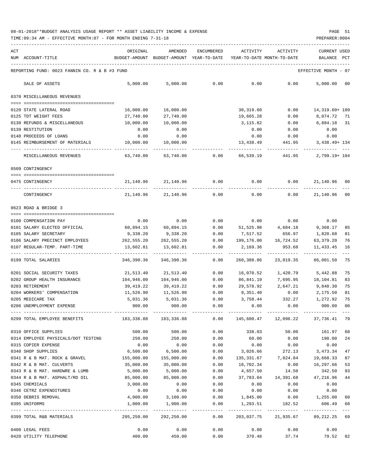| ACT | NUM ACCOUNT-TITLE                                                                                | ORIGINAL<br>BUDGET-AMOUNT BUDGET-AMOUNT YEAR-TO-DATE | AMENDED                 | ENCUMBERED | ACTIVITY<br>YEAR-TO-DATE MONTH-TO-DATE | ACTIVITY                          | CURRENT USED<br>BALANCE | PCT         |
|-----|--------------------------------------------------------------------------------------------------|------------------------------------------------------|-------------------------|------------|----------------------------------------|-----------------------------------|-------------------------|-------------|
|     | REPORTING FUND: 0023 FANNIN CO. R & B #3 FUND                                                    |                                                      |                         |            |                                        |                                   | EFFECTIVE MONTH - 07    |             |
|     | SALE OF ASSETS                                                                                   | 5,000.00                                             | 5,000.00                | 0.00       | 0.00                                   | 0.00                              | 5,000.00                | 00          |
|     | 0370 MISCELLANEOUS REVENUES                                                                      |                                                      |                         |            |                                        |                                   |                         |             |
|     |                                                                                                  |                                                      |                         |            |                                        |                                   |                         |             |
|     | 0120 STATE LATERAL ROAD                                                                          | 16,000.00                                            | 16,000.00               |            | 30,319.60                              | 0.00                              | 14,319.60+ 189          |             |
|     | 0125 TDT WEIGHT FEES                                                                             | 27,740.00                                            | 27,740.00               |            | 19,665.28                              | 0.00                              | 8,074.72 71             |             |
|     | 0130 REFUNDS & MISCELLANEOUS                                                                     | 10,000.00                                            | 10,000.00               |            | 3,115.82                               | 0.00                              | 6,884.18 31             |             |
|     | 0139 RESTITUTION                                                                                 | 0.00                                                 | 0.00                    |            | 0.00                                   | 0.00                              | 0.00                    |             |
|     | 0140 PROCEEDS OF LOANS                                                                           | 0.00                                                 | 0.00                    |            | 0.00                                   | 0.00                              | 0.00                    |             |
|     | 0145 REIMBURSEMENT OF MATERIALS                                                                  | 10,000.00                                            | 10,000.00               |            | 13,438.49                              | 441.95                            | 3,438.49+ 134           |             |
|     | MISCELLANEOUS REVENUES                                                                           | 63,740.00                                            | 63,740.00               | 0.00       | 66,539.19                              | 441.95                            | 2,799.19+ 104           |             |
|     | 0509 CONTINGENCY                                                                                 |                                                      |                         |            |                                        |                                   |                         |             |
|     |                                                                                                  |                                                      |                         |            |                                        |                                   |                         |             |
|     | 0475 CONTINGENCY                                                                                 |                                                      | 21, 140, 96 21, 140, 96 | 0.00       | 0.00                                   | 0.00                              | 21,140.96               | 00          |
|     | CONTINGENCY                                                                                      | 21,140.96                                            | 21,140.96               | 0.00       | 0.00                                   | 0.00                              | 21,140.96               | $_{00}$     |
|     | 0623 ROAD & BRIDGE 3                                                                             |                                                      |                         |            |                                        |                                   |                         |             |
|     | 0100 COMPENSATION PAY                                                                            | 0.00                                                 | 0.00                    | 0.00       | 0.00                                   | 0.00                              | 0.00                    |             |
|     | 0101 SALARY ELECTED OFFICIAL                                                                     | 60,894.15                                            | 60,894.15               | 0.00       | 51,525.98                              | 4,684.18                          | 9,368.17                | 85          |
|     | 0105 SALARY SECRETARY                                                                            | 9,338.20                                             | 9,338.20                | 0.00       | 7,517.52                               | 656.97                            | 1,820.68                | 81          |
|     | 0106 SALARY PRECINCT EMPLOYEES                                                                   | 262,555.20                                           | 262,555.20              | 0.00       | 199,176.00                             | 16,724.52                         | 63,379.20               | 76          |
|     | 0107 REGULAR-TEMP. PART-TIME                                                                     | 13,602.81                                            | 13,602.81               | 0.00       | 2,169.36                               | 953.68                            | 11,433.45               | 16<br>$---$ |
|     | 0199 TOTAL SALARIES                                                                              | 346,390.36                                           | 346,390.36              | 0.00       | 260,388.86                             | 23,019.35                         | 86,001.50               | 75          |
|     | 0201 SOCIAL SECURITY TAXES                                                                       | 21,513.40                                            | 21,513.40               | 0.00       | 16,070.52                              | 1,420.79                          | 5,442.88                | 75          |
|     | 0202 GROUP HEALTH INSURANCE                                                                      | 104,946.00                                           | 104,946.00              | 0.00       | 86,841.19                              | 7,695.95                          | 18,104.81               | 83          |
|     | 0203 RETIREMENT                                                                                  | 39,419.22                                            | 39,419.22               | 0.00       | 29,578.92                              | 2,647.21                          | 9,840.30                | 75          |
|     | 0204 WORKERS' COMPENSATION                                                                       | 11,526.90                                            | 11,526.90               | 0.00       | 9,351.40                               | 0.00                              | 2,175.50                | 81          |
|     | 0205 MEDICARE TAX                                                                                | 5,031.36                                             | 5,031.36                | 0.00       | 3,758.44                               | 332.27                            | 1,272.92                | 75          |
|     | 0206 UNEMPLOYMENT EXPENSE                                                                        | 900.00                                               | 900.00                  | 0.00       | 0.00                                   | 0.00                              | 900.00                  | 00          |
|     | 0299 TOTAL EMPLOYEE BENEFITS 41 29 2003,336.88 2003,336.88 200 3145,600.47 20096.22 37,736.41 29 |                                                      |                         |            |                                        |                                   |                         |             |
|     | 0310 OFFICE SUPPLIES                                                                             | 500.00                                               | 500.00                  | 0.00       | 338.03                                 | 50.00                             | 161.97 68               |             |
|     | 0314 EMPLOYEE PHYSICALS/DOT TESTING                                                              | 250.00                                               | 250.00                  | 0.00       | 60.00                                  | 0.00                              | 190.00                  | 24          |
|     | 0315 COPIER EXPENSE                                                                              | 0.00                                                 | 0.00                    | 0.00       | 0.00                                   | 0.00                              | 0.00                    |             |
|     | 0340 SHOP SUPPLIES                                                                               | 6,500.00                                             | 6,500.00                | 0.00       | 3,026.66                               | 272.13                            | 3,473.34                | 47          |
|     | 0341 R & B MAT. ROCK & GRAVEL                                                                    | 155,000.00                                           | 155,000.00              | 0.00       |                                        | 135, 331.67 7, 024.84             | 19,668.33               | 87          |
|     | 0342 R & B MAT. CULVERTS                                                                         | 35,000.00                                            | 35,000.00               | 0.00       | 18,702.34                              | 0.00                              | 16,297.66               | 53          |
|     | 0343 R & B MAT. HARDWRE & LUMB                                                                   | 5,000.00                                             | 5,000.00                | 0.00       | 4,657.50                               | 14.50                             | 342.50                  | 93          |
|     | 0344 R & B MAT. ASPHALT/RD OIL                                                                   | 85,000.00                                            | 85,000.00               | 0.00       | 37,783.04                              |                                   | 14,391.68 47,216.96     | 44          |
|     | 0345 CHEMICALS                                                                                   | 3,000.00                                             | 0.00                    | 0.00       | 0.00                                   | 0.00                              | 0.00                    |             |
|     | 0346 CETRZ EXPENDITURES                                                                          | 0.00                                                 | 0.00                    | 0.00       | 0.00                                   | 0.00                              | 0.00                    |             |
|     | 0350 DEBRIS REMOVAL                                                                              | 4,000.00                                             | 3,100.00                | 0.00       | 1,845.00                               | 0.00                              | 1,255.00 60             |             |
|     | 0395 UNIFORMS                                                                                    | 1,000.00                                             | 1,900.00                | 0.00       | 1,293.51                               | 182.52                            | 606.49 68               |             |
|     | 0399 TOTAL R&B MATERIALS                                                                         | 295,250.00                                           | 292,250.00              | 0.00       |                                        | 203,037.75 21,935.67 89,212.25 69 |                         |             |
|     | 0400 LEGAL FEES                                                                                  | 0.00                                                 | 0.00                    | 0.00       | 0.00                                   | 0.00                              | 0.00                    |             |
|     | 0420 UTILITY TELEPHONE                                                                           | 400.00                                               | 450.00                  | 0.00       | 370.48                                 | 37.74                             | 79.52 82                |             |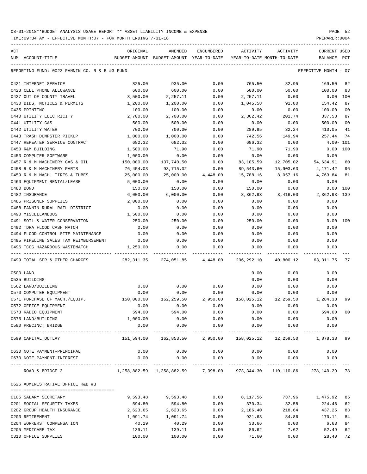| ACT |                                               | ORIGINAL    | AMENDED                                  | ENCUMBERED          | ACTIVITY                                                                        | ACTIVITY             | <b>CURRENT USED</b>  |                |
|-----|-----------------------------------------------|-------------|------------------------------------------|---------------------|---------------------------------------------------------------------------------|----------------------|----------------------|----------------|
|     | NUM ACCOUNT-TITLE                             |             | BUDGET-AMOUNT BUDGET-AMOUNT YEAR-TO-DATE |                     | YEAR-TO-DATE MONTH-TO-DATE                                                      |                      | BALANCE PCT          |                |
|     | REPORTING FUND: 0023 FANNIN CO. R & B #3 FUND |             |                                          |                     |                                                                                 |                      | EFFECTIVE MONTH - 07 |                |
|     | 0421 INTERNET SERVICE                         | 825.00      | 935.00                                   | 0.00                | 765.50                                                                          | 82.95                | 169.50               | 82             |
|     | 0423 CELL PHONE ALLOWANCE                     | 600.00      | 600.00                                   | 0.00                | 500.00                                                                          | 50.00                | 100.00               | 83             |
|     | 0427 OUT OF COUNTY TRAVEL                     | 3,500.00    | 2,257.11                                 | 0.00                | 2,257.11                                                                        | 0.00                 | 0.00                 | 100            |
|     | 0430 BIDS, NOTICES & PERMITS                  | 1,200.00    | 1,200.00                                 | 0.00                | 1,045.58                                                                        | 91.80                | 154.42               | 87             |
|     | 0435 PRINTING                                 | 100.00      | 100.00                                   | 0.00                | 0.00                                                                            | 0.00                 | 100.00               | 0 <sub>0</sub> |
|     | 0440 UTILITY ELECTRICITY                      | 2,700.00    | 2,700.00                                 | 0.00                | 2,362.42                                                                        | 201.74               | 337.58               | 87             |
|     | 0441 UTILITY GAS                              | 500.00      | 500.00                                   | 0.00                | 0.00                                                                            | 0.00                 | 500.00               | 00             |
|     | 0442 UTILITY WATER                            | 700.00      | 700.00                                   | 0.00                | 289.95                                                                          | 32.24                | 410.05               | 41             |
|     | 0443 TRASH DUMPSTER PICKUP                    | 1,000.00    | 1,000.00                                 | 0.00                | 742.56                                                                          | 149.94               | 257.44               | 74             |
|     | 0447 REPEATER SERVICE CONTRACT                | 682.32      | 682.32                                   | 0.00                | 686.32                                                                          | 0.00                 | $4.00 - 101$         |                |
|     | 0450 R&M BUILDING                             | 1,500.00    | 71.90                                    | 0.00                | 71.90                                                                           | 71.90                | 0.00 100             |                |
|     | 0453 COMPUTER SOFTWARE                        | 1,000.00    | 0.00                                     | 0.00                | 0.00                                                                            | 0.00                 | 0.00                 |                |
|     | 0457 R & M MACHINERY GAS & OIL                | 150,000.00  | 137,740.50                               | 0.00                | 83,105.59                                                                       | 12,705.02            | 54,634.91            | 60             |
|     | 0458 R & M MACHINERY PARTS                    | 76,454.03   | 93,715.02                                | 0.00                | 89,543.60                                                                       | 15,903.63            | 4,171.42             | 96             |
|     | 0459 R & M MACH. TIRES & TUBES                | 25,000.00   | 25,000.00                                | 4,448.00            | 15,788.16                                                                       | 8,057.16             | 4,763.84             | 81             |
|     | 0460 EQUIPMENT RENTAL/LEASE                   | 5,000.00    | 0.00                                     | 0.00                | 0.00                                                                            | 0.00                 | 0.00                 |                |
|     | 0480 BOND                                     | 150.00      | 150.00                                   | 0.00                | 150.00                                                                          | 0.00                 | 0.00 100             |                |
|     | 0482 INSURANCE                                | 6,000.00    | 6,000.00                                 | 0.00                | 8,362.93                                                                        | 3,416.00             | 2,362.93-139         |                |
|     | 0485 PRISONER SUPPLIES                        | 2,000.00    | 0.00                                     | 0.00                | 0.00                                                                            | 0.00                 | 0.00                 |                |
|     | 0488 FANNIN RURAL RAIL DISTRICT               | 0.00        | 0.00                                     | 0.00                | 0.00                                                                            | 0.00                 | 0.00                 |                |
|     | 0490 MISCELLANEOUS                            | 1,500.00    | 0.00                                     | 0.00                | 0.00                                                                            | 0.00                 | 0.00                 |                |
|     | 0491 SOIL & WATER CONSERVATION                | 250.00      | 250.00                                   | 0.00                | 250.00                                                                          | 0.00                 | 0.00 100             |                |
|     | 0492 TDRA FLOOD CASH MATCH                    | 0.00        | 0.00                                     | 0.00                | 0.00                                                                            | 0.00                 | 0.00                 |                |
|     | 0494 FLOOD CONTROL SITE MAINTENANCE           | 0.00        | 0.00                                     | 0.00                | 0.00                                                                            | 0.00                 | 0.00                 |                |
|     | 0495 PIPELINE SALES TAX REIMBURSEMENT         | 0.00        | 0.00                                     | 0.00                | 0.00                                                                            | 0.00                 | 0.00                 |                |
|     | 0496 TCOG HAZARDOUS WASTEMATCH                | 1,250.00    | 0.00                                     | 0.00                | 0.00                                                                            | 0.00                 | 0.00                 |                |
|     | 0499 TOTAL SER. & OTHER CHARGES               | 282, 311.35 | 274,051.85                               | 4,448.00            | 206,292.10                                                                      | 40,800.12            | 63,311.75            | 77             |
|     | 0500 LAND                                     |             |                                          |                     | 0.00                                                                            | 0.00                 | 0.00                 |                |
|     | 0535 BUILDING                                 |             |                                          |                     | 0.00                                                                            | 0.00                 | 0.00                 |                |
|     | 0562 LAND/BUILDING                            | 0.00        | 0.00                                     | 0.00                | 0.00                                                                            | 0.00                 | 0.00                 |                |
|     | 0570 COMPUTER EQUIPMENT                       | 0.00        | 0.00                                     | 0.00                | 0.00                                                                            | 0.00                 | 0.00                 |                |
|     | 0571 PURCHASE OF MACH./EQUIP.                 | 150,000.00  | 162,259.50                               | 2,950.00            | 158,025.12                                                                      | 12,259.50            | 1,284.38             | 99             |
|     | 0572 OFFICE EQUIPMENT                         | 0.00        | 0.00                                     | 0.00                | 0.00                                                                            | 0.00                 | 0.00                 |                |
|     | 0573 RADIO EQUIPMENT                          | 594.00      | 594.00                                   | 0.00                | 0.00                                                                            | 0.00                 | 594.00               | 0 <sub>0</sub> |
|     | 0575 LAND/BUILDING                            | 1,000.00    | 0.00                                     | 0.00                | 0.00                                                                            | 0.00                 | 0.00                 |                |
|     | 0580 PRECINCT BRIDGE                          | 0.00        | 0.00                                     | 0.00<br>----------- | 0.00<br>------------                                                            | 0.00<br>------------ | 0.00                 |                |
|     | 0599 CAPITAL OUTLAY                           | 151,594.00  | 162,853.50                               | 2,950.00            | 158,025.12                                                                      | 12,259.50            | 1,878.38             | 99             |
|     | 0630 NOTE PAYMENT-PRINCIPAL                   | 0.00        | 0.00                                     | 0.00                | 0.00                                                                            | 0.00                 | 0.00                 |                |
|     | 0670 NOTE PAYMENT-INTEREST                    | 0.00        | 0.00                                     | 0.00                | 0.00                                                                            | 0.00                 | 0.00                 |                |
|     | ROAD & BRIDGE 3                               |             |                                          |                     | $1,258,882.59$ $1,258,882.59$ $7,398.00$ $973,344.30$ $110,110.86$ $278,140.29$ |                      |                      | 78             |
|     | 0625 ADMINISTRATIVE OFFICE R&B #3             |             |                                          |                     |                                                                                 |                      |                      |                |
|     | 0105 SALARY SECRETARY                         | 9,593.48    | 9,593.48                                 | 0.00                | 8,117.56                                                                        | 737.96               | 1,475.92             | 85             |
|     | 0201 SOCIAL SECURITY TAXES                    | 594.80      | 594.80                                   | 0.00                | 370.34                                                                          | 32.58                | 224.46               | 62             |
|     | 0202 GROUP HEALTH INSURANCE                   | 2,623.65    | 2,623.65                                 | 0.00                | 2,186.40                                                                        | 218.64               | 437.25               | 83             |
|     | 0203 RETIREMENT                               | 1,091.74    | 1,091.74                                 | 0.00                | 921.63                                                                          | 84.86                | 170.11               | 84             |
|     | 0204 WORKERS' COMPENSATION                    | 40.29       | 40.29                                    | 0.00                | 33.66                                                                           | 0.00                 | 6.63                 | 84             |
|     | 0205 MEDICARE TAX                             | 139.11      | 139.11                                   | 0.00                | 86.62                                                                           | 7.62                 | 52.49                | 62             |
|     | 0310 OFFICE SUPPLIES                          | 100.00      | 100.00                                   | 0.00                | 71.60                                                                           | 0.00                 | 28.40                | 72             |
|     |                                               |             |                                          |                     |                                                                                 |                      |                      |                |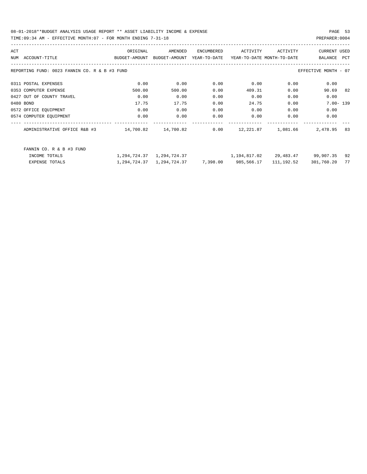08-01-2018\*\*BUDGET ANALYSIS USAGE REPORT \*\* ASSET LIABILITY INCOME & EXPENSE PAGE 53 TIME:09:34 AM - EFFECTIVE MONTH:07 - FOR MONTH ENDING 7-31-18

| ACT                                           | ORIGINAL      | AMENDED       | ENCUMBERED   | ACTIVITY     | ACTIVITY                   | <b>CURRENT USED</b>  |     |
|-----------------------------------------------|---------------|---------------|--------------|--------------|----------------------------|----------------------|-----|
| ACCOUNT-TITLE<br><b>NTIM</b>                  | BUDGET-AMOUNT | BUDGET-AMOUNT | YEAR-TO-DATE |              | YEAR-TO-DATE MONTH-TO-DATE | <b>BALANCE</b>       | PCT |
| REPORTING FUND: 0023 FANNIN CO. R & B #3 FUND |               |               |              |              |                            | EFFECTIVE MONTH - 07 |     |
| 0311 POSTAL EXPENSES                          | 0.00          | 0.00          | 0.00         | 0.00         | 0.00                       | 0.00                 |     |
| 0353 COMPUTER EXPENSE                         | 500.00        | 500.00        | 0.00         | 409.31       | 0.00                       | 90.69                | 82  |
| 0427 OUT OF COUNTY TRAVEL                     | 0.00          | 0.00          | 0.00         | 0.00         | 0.00                       | 0.00                 |     |
| 0480 BOND                                     | 17.75         | 17.75         | 0.00         | 24.75        | 0.00                       | $7.00 - 139$         |     |
| 0572 OFFICE EQUIPMENT                         | 0.00          | 0.00          | 0.00         | 0.00         | 0.00                       | 0.00                 |     |
| 0574 COMPUTER EQUIPMENT                       | 0.00          | 0.00          | 0.00         | 0.00         | 0.00                       | 0.00                 |     |
| ADMINISTRATIVE OFFICE R&B #3                  | 14,700.82     | 14,700.82     | 0.00         | 12,221.87    | 1,081.66                   | 2,478.95             | 83  |
| FANNIN CO. R & B #3 FUND                      |               |               |              |              |                            |                      |     |
| INCOME TOTALS                                 | 1,294,724.37  | 1,294,724.37  |              | 1,194,817.02 | 29,483.47                  | 99,907.35            | 92  |
| <b>EXPENSE TOTALS</b>                         | 1,294,724.37  | 1,294,724.37  | 7,398.00     | 985,566.17   | 111,192.52                 | 301,760.20           | 77  |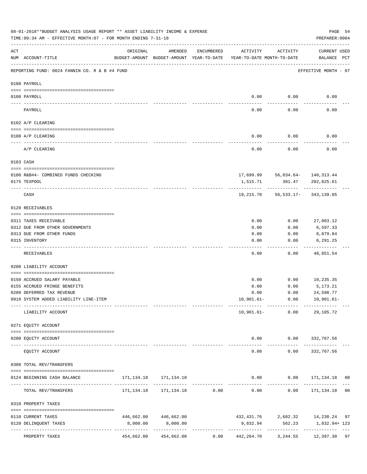|     | 08-01-2018**BUDGET ANALYSIS USAGE REPORT ** ASSET LIABILITY INCOME & EXPENSE<br>TIME: 09:34 AM - EFFECTIVE MONTH: 07 - FOR MONTH ENDING 7-31-18 |                                                                                 |                       |            |                       |          | PREPARER: 0004                                                      | PAGE 54 |
|-----|-------------------------------------------------------------------------------------------------------------------------------------------------|---------------------------------------------------------------------------------|-----------------------|------------|-----------------------|----------|---------------------------------------------------------------------|---------|
| ACT | NUM ACCOUNT-TITLE                                                                                                                               | ORIGINAL<br>BUDGET-AMOUNT BUDGET-AMOUNT YEAR-TO-DATE YEAR-TO-DATE MONTH-TO-DATE | AMENDED               | ENCUMBERED | ACTIVITY              | ACTIVITY | CURRENT USED<br>BALANCE PCT                                         |         |
|     | REPORTING FUND: 0024 FANNIN CO. R & B #4 FUND                                                                                                   |                                                                                 |                       |            |                       |          | EFFECTIVE MONTH - 07                                                |         |
|     | 0100 PAYROLL                                                                                                                                    |                                                                                 |                       |            |                       |          |                                                                     |         |
|     | 0100 PAYROLL                                                                                                                                    |                                                                                 |                       |            | 0.00                  | 0.00     | 0.00                                                                |         |
|     |                                                                                                                                                 |                                                                                 |                       |            |                       |          |                                                                     |         |
|     | PAYROLL                                                                                                                                         |                                                                                 |                       |            | 0.00                  | 0.00     | 0.00                                                                |         |
|     | 0102 A/P CLEARING                                                                                                                               |                                                                                 |                       |            |                       |          |                                                                     |         |
|     | 0100 A/P CLEARING                                                                                                                               |                                                                                 |                       |            | 0.00                  | 0.00     | 0.00                                                                |         |
|     | A/P CLEARING                                                                                                                                    |                                                                                 |                       |            | 0.00                  | 0.00     | 0.00                                                                |         |
|     | 0103 CASH                                                                                                                                       |                                                                                 |                       |            |                       |          |                                                                     |         |
|     | 0100 R&B#4- COMBINED FUNDS CHECKING                                                                                                             |                                                                                 |                       |            |                       |          | $17,699.99$ $56,834.64$ $140,313.44$                                |         |
|     | 0175 TEXPOOL                                                                                                                                    |                                                                                 |                       |            | 1,515.71              | 301.47   | 202,825.61                                                          |         |
|     | CASH                                                                                                                                            |                                                                                 |                       |            | 19,215.70             |          | 56,533.17-343,139.05                                                |         |
|     | 0120 RECEIVABLES                                                                                                                                |                                                                                 |                       |            |                       |          |                                                                     |         |
|     | 0311 TAXES RECEIVABLE                                                                                                                           |                                                                                 |                       |            | 0.00                  | 0.00     | 27,083.12                                                           |         |
|     | 0312 DUE FROM OTHER GOVERNMENTS                                                                                                                 |                                                                                 |                       |            | 0.00                  | 0.00     | 6,597.33                                                            |         |
|     | 0313 DUE FROM OTHER FUNDS                                                                                                                       |                                                                                 |                       |            | 0.00                  | 0.00     | 8,879.84                                                            |         |
|     | 0315 INVENTORY                                                                                                                                  |                                                                                 |                       |            | 0.00                  | 0.00     | 6,291.25                                                            |         |
|     | RECEIVABLES                                                                                                                                     |                                                                                 |                       |            | 0.00                  | 0.00     | 48,851.54                                                           |         |
|     | 0200 LIABILITY ACCOUNT                                                                                                                          |                                                                                 |                       |            |                       |          |                                                                     |         |
|     | 0150 ACCRUED SALARY PAYABLE                                                                                                                     |                                                                                 |                       |            | 0.00                  | 0.00     | 10,235.35                                                           |         |
|     | 0155 ACCRUED FRINGE BENEFITS                                                                                                                    |                                                                                 |                       |            | 0.00                  | 0.00     | 5,173.21                                                            |         |
|     | 0200 DEFERRED TAX REVENUE                                                                                                                       |                                                                                 |                       |            | 0.00                  | 0.00     | 24,598.77                                                           |         |
|     | 0910 SYSTEM ADDED LIABILITY LINE-ITEM                                                                                                           |                                                                                 |                       |            |                       |          | $10,901.61 - 0.00$ $10,901.61 -$                                    |         |
|     | LIABILITY ACCOUNT                                                                                                                               | --------- --------------                                                        |                       |            |                       |          | --------------<br>10,901.61- 0.00 29,105.72                         |         |
|     | 0271 EQUITY ACCOUNT                                                                                                                             |                                                                                 |                       |            |                       |          |                                                                     |         |
|     | --------------------------------------<br>0200 EQUITY ACCOUNT                                                                                   |                                                                                 |                       |            |                       |          | $0.00$ $0.00$ $332,767.56$                                          |         |
|     | EQUITY ACCOUNT                                                                                                                                  |                                                                                 |                       |            | -------------<br>0.00 | 0.00     | 332,767.56                                                          |         |
|     | 0300 TOTAL REV/TRANSFERS                                                                                                                        |                                                                                 |                       |            |                       |          |                                                                     |         |
|     | 0124 BEGINNING CASH BALANCE                                                                                                                     |                                                                                 |                       |            |                       |          | $0.00$ $0.00$ $171,134.18$ 00                                       |         |
|     | TOTAL REV/TRANSFERS                                                                                                                             |                                                                                 |                       |            |                       |          | $171,134.18$ $171,134.18$ 0.00 0.00 0.00 171,134.18 00              |         |
|     | 0310 PROPERTY TAXES                                                                                                                             |                                                                                 |                       |            |                       |          |                                                                     |         |
|     | 0110 CURRENT TAXES                                                                                                                              |                                                                                 | 446,662.00 446,662.00 |            |                       |          | 432, 431.76 2, 682.32 14, 230.24 97                                 |         |
|     | 0120 DELINQUENT TAXES                                                                                                                           | 8,000.00                                                                        | 8,000.00              |            |                       |          | 9,832.94 562.23 1,832.94+123                                        |         |
|     | PROPERTY TAXES                                                                                                                                  |                                                                                 | 454,662.00 454,662.00 |            |                       |          | $0.00 \qquad 442,264.70 \qquad 3,244.55 \qquad 12,397.30 \qquad 97$ |         |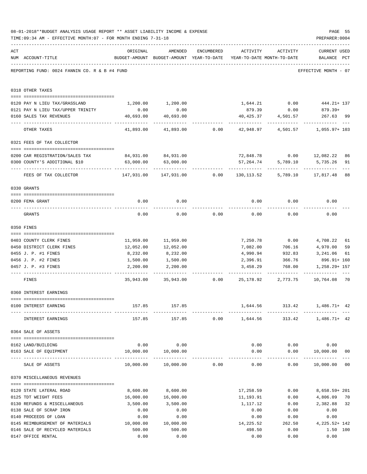|     | 08-01-2018**BUDGET ANALYSIS USAGE REPORT ** ASSET LIABILITY INCOME & EXPENSE<br>TIME: 09:34 AM - EFFECTIVE MONTH: 07 - FOR MONTH ENDING 7-31-18                                                                                                                                                                                                                                                                                                  |                                               |                                                                     |            |           |                 | PAGE 55<br>PREPARER: 0004                                     |                |
|-----|--------------------------------------------------------------------------------------------------------------------------------------------------------------------------------------------------------------------------------------------------------------------------------------------------------------------------------------------------------------------------------------------------------------------------------------------------|-----------------------------------------------|---------------------------------------------------------------------|------------|-----------|-----------------|---------------------------------------------------------------|----------------|
| ACT |                                                                                                                                                                                                                                                                                                                                                                                                                                                  | ORIGINAL                                      | AMENDED                                                             | ENCUMBERED | ACTIVITY  | ACTIVITY        | <b>CURRENT USED</b>                                           |                |
|     | NUM ACCOUNT-TITLE                                                                                                                                                                                                                                                                                                                                                                                                                                |                                               | BUDGET-AMOUNT BUDGET-AMOUNT YEAR-TO-DATE YEAR-TO-DATE MONTH-TO-DATE |            |           |                 | BALANCE PCT                                                   |                |
|     | REPORTING FUND: 0024 FANNIN CO. R & B #4 FUND                                                                                                                                                                                                                                                                                                                                                                                                    |                                               |                                                                     |            |           |                 | EFFECTIVE MONTH - 07                                          |                |
|     | 0318 OTHER TAXES                                                                                                                                                                                                                                                                                                                                                                                                                                 |                                               |                                                                     |            |           |                 |                                                               |                |
|     | 0120 PAY N LIEU TAX/GRASSLAND                                                                                                                                                                                                                                                                                                                                                                                                                    |                                               | 1,200.00 1,200.00                                                   |            |           |                 | 1,644.21 0.00 444.21+137                                      |                |
|     | 0121 PAY N LIEU TAX/UPPER TRINITY                                                                                                                                                                                                                                                                                                                                                                                                                | 0.00                                          | 0.00                                                                |            |           | 879.39 0.00     | $879.39+$                                                     |                |
|     | 0160 SALES TAX REVENUES                                                                                                                                                                                                                                                                                                                                                                                                                          | 40,693.00<br>------------                     | 40,693.00                                                           |            | 40,425.37 | 4,501.57        | 267.63 99                                                     |                |
|     | OTHER TAXES                                                                                                                                                                                                                                                                                                                                                                                                                                      | 41,893.00                                     | 41,893.00                                                           | 0.00       | 42,948.97 |                 | 4,501.57 1,055.97+103                                         |                |
|     | 0321 FEES OF TAX COLLECTOR                                                                                                                                                                                                                                                                                                                                                                                                                       |                                               |                                                                     |            |           |                 |                                                               |                |
|     | 0200 CAR REGISTRATION/SALES TAX                                                                                                                                                                                                                                                                                                                                                                                                                  |                                               | 84,931.00 84,931.00                                                 |            |           |                 | 72,848.78   0.00   12,082.22                                  | 86             |
|     | 0300 COUNTY'S ADDITIONAL \$10                                                                                                                                                                                                                                                                                                                                                                                                                    | 63,000.00                                     | 63,000.00                                                           |            | 57,264.74 | 5,789.10        | 5,735.26                                                      | 91             |
|     | FEES OF TAX COLLECTOR                                                                                                                                                                                                                                                                                                                                                                                                                            | $147,931.00$ $147,931.00$ $0.00$ $130,113.52$ |                                                                     |            |           | ----------      | 5,789.10 17,817.48                                            | 88             |
|     | 0330 GRANTS                                                                                                                                                                                                                                                                                                                                                                                                                                      |                                               |                                                                     |            |           |                 |                                                               |                |
|     |                                                                                                                                                                                                                                                                                                                                                                                                                                                  |                                               |                                                                     |            |           |                 |                                                               |                |
|     | 0200 FEMA GRANT                                                                                                                                                                                                                                                                                                                                                                                                                                  | 0.00                                          | 0.00                                                                |            | 0.00      | 0.00            | 0.00                                                          |                |
|     | GRANTS                                                                                                                                                                                                                                                                                                                                                                                                                                           | 0.00                                          | 0.00                                                                | 0.00       | 0.00      | 0.00            | 0.00                                                          |                |
|     | 0350 FINES                                                                                                                                                                                                                                                                                                                                                                                                                                       |                                               |                                                                     |            |           |                 |                                                               |                |
|     | 0403 COUNTY CLERK FINES                                                                                                                                                                                                                                                                                                                                                                                                                          |                                               | 11,959.00 11,959.00                                                 |            |           | 7,250.78 0.00   | 4,708.22                                                      | 61             |
|     | 0450 DISTRICT CLERK FINES                                                                                                                                                                                                                                                                                                                                                                                                                        | 12,052.00                                     | 12,052.00                                                           |            | 7,082.00  | 706.16          | 4,970.00                                                      | 59             |
|     | 0455 J. P. #1 FINES                                                                                                                                                                                                                                                                                                                                                                                                                              | 8,232.00                                      | 8,232.00                                                            |            |           | 4,990.94 932.83 | 3,241.06                                                      | 61             |
|     | 0456 J. P. #2 FINES                                                                                                                                                                                                                                                                                                                                                                                                                              | 1,500.00                                      | 1,500.00                                                            |            | 2,396.91  | 366.76          | 896.91+ 160                                                   |                |
|     | 0457 J. P. #3 FINES                                                                                                                                                                                                                                                                                                                                                                                                                              | 2,200.00                                      | 2,200.00                                                            |            | 3,458.29  | 768.00          | 1,258.29+ 157                                                 |                |
|     | FINES                                                                                                                                                                                                                                                                                                                                                                                                                                            |                                               |                                                                     |            |           |                 | .<br>35,943.00 35,943.00 0.00 25,178.92 2,773.75 10,764.08    | 70             |
|     | 0360 INTEREST EARNINGS                                                                                                                                                                                                                                                                                                                                                                                                                           |                                               |                                                                     |            |           |                 |                                                               |                |
|     |                                                                                                                                                                                                                                                                                                                                                                                                                                                  |                                               |                                                                     |            |           |                 |                                                               |                |
|     | 0100 INTEREST EARNING                                                                                                                                                                                                                                                                                                                                                                                                                            |                                               | 157.85 157.85                                                       |            |           |                 | 1,644.56 313.42 1,486.71+ 42                                  |                |
|     | INTEREST EARNINGS                                                                                                                                                                                                                                                                                                                                                                                                                                |                                               |                                                                     |            |           |                 | $157.85$ $157.85$ $0.00$ $1,644.56$ $313.42$ $1,486.71+$ $42$ |                |
|     | 0364 SALE OF ASSETS                                                                                                                                                                                                                                                                                                                                                                                                                              |                                               |                                                                     |            |           |                 |                                                               |                |
|     | 0162 LAND/BUILDING                                                                                                                                                                                                                                                                                                                                                                                                                               |                                               | $0.00$ $0.00$                                                       |            |           |                 | $0.00$ $0.00$ $0.00$ $0.00$                                   |                |
|     | 0163 SALE OF EQUIPMENT                                                                                                                                                                                                                                                                                                                                                                                                                           |                                               | 10,000.00  10,000.00                                                |            |           |                 | $0.00$ $0.00$ $10,000.00$                                     | 0 <sub>0</sub> |
|     | SALE OF ASSETS                                                                                                                                                                                                                                                                                                                                                                                                                                   |                                               | 10,000.00  10,000.00  0.00                                          |            | 0.00      |                 | -------------<br>$0.00$ 10,000.00 00                          |                |
|     | 0370 MISCELLANEOUS REVENUES                                                                                                                                                                                                                                                                                                                                                                                                                      |                                               |                                                                     |            |           |                 |                                                               |                |
|     | $\verb c  = \verb c  = \verb c  = \verb c  = \verb c  = \verb c  = \verb c  = \verb c  = \verb c  = \verb c  = \verb c  = \verb c  = \verb c  = \verb c  = \verb c  = \verb c  = \verb c  = \verb c  = \verb c  = \verb c  = \verb c  = \verb c  = \verb c  = \verb c  = \verb c  = \verb c  = \verb c  = \verb c  = \verb c  = \verb c  = \verb c  = \verb c  = \verb c  = \verb c  = \verb c  = \verb c  = \verb c$<br>0120 STATE LATERAL ROAD | 8,600.00                                      | 8,600.00                                                            |            |           | 17,258.59 0.00  | 8,658.59+ 201                                                 |                |
|     | 0125 TDT WEIGHT FEES                                                                                                                                                                                                                                                                                                                                                                                                                             | 16,000.00                                     | 16,000.00                                                           |            | 11,193.91 | 0.00            | 4,806.09                                                      | 70             |
|     | 0130 REFUNDS & MISCELLANEOUS                                                                                                                                                                                                                                                                                                                                                                                                                     | 3,500.00                                      | 3,500.00                                                            |            | 1,117.12  | 0.00            | 2,382.88                                                      | 32             |
|     | 0138 SALE OF SCRAP IRON                                                                                                                                                                                                                                                                                                                                                                                                                          | 0.00                                          | 0.00                                                                |            | 0.00      | 0.00            | 0.00                                                          |                |
|     | 0140 PROCEEDS OF LOAN                                                                                                                                                                                                                                                                                                                                                                                                                            | 0.00                                          | 0.00                                                                |            | 0.00      | 0.00            | 0.00                                                          |                |
|     | 0145 REIMBURSEMENT OF MATERIALS 10,000.00                                                                                                                                                                                                                                                                                                                                                                                                        |                                               | 10,000.00                                                           |            | 14,225.52 | 262.50          | 4, 225. 52+ 142                                               |                |
|     | 0146 SALE OF RECYCLED MATERIALS                                                                                                                                                                                                                                                                                                                                                                                                                  | 500.00                                        | 500.00                                                              |            | 498.50    | 0.00            | 1.50 100                                                      |                |
|     | 0147 OFFICE RENTAL                                                                                                                                                                                                                                                                                                                                                                                                                               | 0.00                                          | 0.00                                                                |            | 0.00      | 0.00            | 0.00                                                          |                |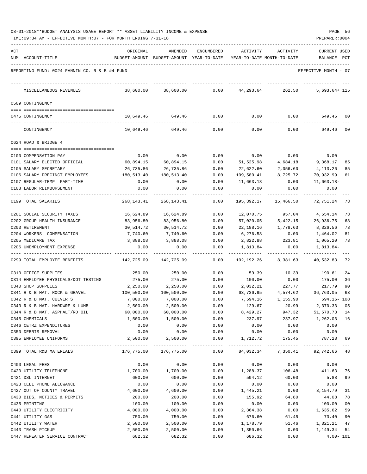| 08-01-2018**BUDGET ANALYSIS USAGE REPORT ** ASSET LIABILITY INCOME & EXPENSE |  |  |  |  | PAGE |  |
|------------------------------------------------------------------------------|--|--|--|--|------|--|
|                                                                              |  |  |  |  |      |  |

TIME:09:34 AM - EFFECTIVE MONTH:07 - FOR MONTH ENDING 7-31-18 PREPARER:0004

| ACT | NUM ACCOUNT-TITLE                             | ORIGINAL           | AMENDED<br>BUDGET-AMOUNT BUDGET-AMOUNT YEAR-TO-DATE | ENCUMBERED   | ACTIVITY           | ACTIVITY<br>YEAR-TO-DATE MONTH-TO-DATE | CURRENT USED<br>BALANCE PCT |          |
|-----|-----------------------------------------------|--------------------|-----------------------------------------------------|--------------|--------------------|----------------------------------------|-----------------------------|----------|
|     |                                               |                    |                                                     |              |                    |                                        |                             |          |
|     | REPORTING FUND: 0024 FANNIN CO. R & B #4 FUND |                    |                                                     |              |                    |                                        | EFFECTIVE MONTH - 07        |          |
|     | MISCELLANEOUS REVENUES                        | 38,600.00          | 38,600.00                                           | 0.00         | 44,293.64          | 262.50                                 | $5,693.64+115$              |          |
|     | 0509 CONTINGENCY                              |                    |                                                     |              |                    |                                        |                             |          |
|     | 0475 CONTINGENCY                              | 10,649.46          | 649.46                                              | 0.00         | 0.00               | 0.00                                   | 649.46                      | 00       |
|     | CONTINGENCY                                   | 10,649.46          | 649.46                                              | 0.00         | 0.00               | 0.00                                   | 649.46                      | 00       |
|     | 0624 ROAD & BRIDGE 4                          |                    |                                                     |              |                    |                                        |                             |          |
|     |                                               |                    |                                                     |              |                    |                                        |                             |          |
|     | 0100 COMPENSATION PAY                         | 0.00               | 0.00                                                | 0.00         | 0.00               | 0.00                                   | 0.00                        |          |
|     | 0101 SALARY ELECTED OFFICIAL                  | 60,894.15          | 60,894.15                                           | 0.00         | 51,525.98          | 4,684.18                               | 9,368.17                    | 85       |
|     | 0105 SALARY SECRETARY                         | 26,735.86          | 26,735.86                                           | 0.00         | 22,622.60          | 2,056.60                               | 4,113.26                    | 85       |
|     | 0106 SALARY PRECINCT EMPLOYEES                | 180,513.40         | 180,513.40                                          | 0.00         | 109,580.41         | 8,725.72                               | 70,932.99                   | 61       |
|     | 0107 REGULAR-TEMP. PART-TIME                  | 0.00               | 0.00                                                | 0.00         | 11,663.18          | 0.00                                   | 11,663.18-                  |          |
|     | 0108 LABOR REIMBURSEMENT                      | 0.00               | 0.00                                                | 0.00         | 0.00               | 0.00                                   | 0.00                        |          |
|     | 0199 TOTAL SALARIES                           | 268,143.41         | 268, 143. 41                                        | 0.00         | 195,392.17         | 15,466.50                              | 72,751.24                   | - 73     |
|     | 0201 SOCIAL SECURITY TAXES                    | 16,624.89          | 16,624.89                                           | 0.00         | 12,070.75          | 957.04                                 | 4,554.14                    | 73       |
|     | 0202 GROUP HEALTH INSURANCE                   | 83,956.80          | 83,956.80                                           | 0.00         | 57,020.05          | 5,422.15                               | 26,936.75                   | 68       |
|     | 0203 RETIREMENT                               | 30,514.72          | 30,514.72                                           | 0.00         | 22,188.16          | 1,778.63                               | 8,326.56                    | 73       |
|     | 0204 WORKERS' COMPENSATION                    | 7,740.60           | 7,740.60                                            | 0.00         | 6,276.58           | 0.00                                   | 1,464.02                    | 81       |
|     | 0205 MEDICARE TAX                             | 3,888.08           | 3,888.08                                            | 0.00         | 2,822.88           | 223.81                                 | 1,065.20                    | 73       |
|     | 0206 UNEMPLOYMENT EXPENSE                     | 0.00               | 0.00                                                | 0.00         | 1,813.84           | 0.00                                   | 1,813.84-                   |          |
|     | 0299 TOTAL EMPLOYEE BENEFITS                  | 142,725.09         | 142,725.09                                          | 0.00         | 102,192.26         | 8,381.63                               | 40,532.83                   | 72       |
|     | 0310 OFFICE SUPPLIES                          | 250.00             | 250.00                                              | 0.00         | 59.39              | 10.39                                  | 190.61                      | 24       |
|     | 0314 EMPLOYEE PHYSICALS/DOT TESTING           | 275.00             | 275.00                                              | 0.00         | 100.00             | 0.00                                   | 175.00                      | 36       |
|     | 0340 SHOP SUPPLIES                            | 2,250.00           | 2,250.00                                            | 0.00         | 2,032.21           | 227.77                                 | 217.79                      | 90       |
|     | 0341 R & B MAT. ROCK & GRAVEL                 | 100,500.00         | 100,500.00                                          | 0.00         | 63,736.95          | 4,574.62                               | 36,763.05                   | 63       |
|     | 0342 R & B MAT. CULVERTS                      | 7,000.00           | 7,000.00                                            | 0.00         | 7,594.16           | 1,155.90                               | $594.16 - 108$              |          |
|     | 0343 R & B MAT. HARDWRE & LUMB                | 2,500.00           | 2,500.00                                            | 0.00         | 129.67             | 20.99                                  | 2,370.33                    | 05       |
|     | 0344 R & B MAT. ASPHALT/RD OIL                | 60,000.00          | 60,000.00                                           | 0.00         | 8,429.27           | 947.32                                 | 51,570.73 14                |          |
|     | 0345 CHEMICALS                                | 1,500.00           | 1,500.00                                            | 0.00         | 237.97             | 237.97                                 | 1,262.03 16                 |          |
|     | 0346 CETRZ EXPENDITURES                       | 0.00               | 0.00                                                | 0.00         | 0.00               | 0.00                                   | 0.00                        |          |
|     | 0350 DEBRIS REMOVAL<br>0395 EMPLOYEE UNIFORMS | 0.00<br>2,500.00   | 0.00<br>2,500.00                                    | 0.00<br>0.00 | 0.00<br>1,712.72   | 0.00<br>175.45                         | 0.00<br>787.28              | 69       |
|     | 0399 TOTAL R&B MATERIALS                      | 176,775.00         | -----------------------------<br>176,775.00         | 0.00         |                    | 84,032.34 7,350.41 92,742.66 48        |                             |          |
|     |                                               |                    |                                                     |              |                    |                                        |                             |          |
|     | 0400 LEGAL FEES                               | 0.00               | 0.00                                                | 0.00         | 0.00               | 0.00                                   | 0.00                        |          |
|     | 0420 UTILITY TELEPHONE                        | 1,700.00           | 1,700.00                                            | 0.00         | 1,288.37           | 106.48                                 | 411.63                      | 76       |
|     | 0421 DSL INTERNET                             | 600.00             | 600.00                                              | 0.00         | 594.12             | 60.00                                  | 5.88                        | 99       |
|     | 0423 CELL PHONE ALLOWANCE                     | 0.00               | 0.00                                                | 0.00         | 0.00               | 0.00                                   | 0.00                        |          |
|     | 0427 OUT OF COUNTY TRAVEL                     | 4,600.00<br>200.00 | 4,600.00<br>200.00                                  | 0.00         | 1,445.21<br>155.92 | 0.00                                   | 3,154.79<br>44.08           | 31       |
|     | 0430 BIDS, NOTICES & PERMITS<br>0435 PRINTING | 100.00             | 100.00                                              | 0.00<br>0.00 |                    | 64.80                                  | 100.00                      | 78<br>00 |
|     |                                               |                    |                                                     |              | 0.00               | 0.00                                   |                             | 59       |
|     | 0440 UTILITY ELECTRICITY<br>0441 UTILITY GAS  | 4,000.00<br>750.00 | 4,000.00<br>750.00                                  | 0.00<br>0.00 | 2,364.38<br>676.60 | 0.00<br>61.45                          | 1,635.62<br>73.40           | 90       |
|     | 0442 UTILITY WATER                            | 2,500.00           | 2,500.00                                            | 0.00         | 1,178.79           | 51.46                                  | 1,321.21                    | 47       |
|     | 0443 TRASH PICKUP                             | 2,500.00           |                                                     | 0.00         |                    | 0.00                                   |                             |          |
|     |                                               |                    | 2,500.00                                            |              | 1,350.66           |                                        | 1,149.34                    | 54       |

0447 REPEATER SERVICE CONTRACT 682.32 682.32 0.00 686.32 0.00 4.00- 101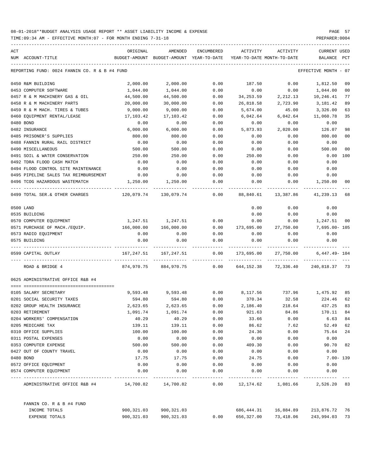| ACT |                                               | ORIGINAL   | AMENDED                                  | <b>ENCUMBERED</b> | ACTIVITY                   | ACTIVITY           | CURRENT USED     |                |
|-----|-----------------------------------------------|------------|------------------------------------------|-------------------|----------------------------|--------------------|------------------|----------------|
|     | NUM ACCOUNT-TITLE                             |            | BUDGET-AMOUNT BUDGET-AMOUNT YEAR-TO-DATE |                   | YEAR-TO-DATE MONTH-TO-DATE |                    | BALANCE          | PCT            |
|     | REPORTING FUND: 0024 FANNIN CO. R & B #4 FUND |            |                                          |                   |                            |                    | EFFECTIVE MONTH  | $-07$          |
|     | 0450 R&M BUILDING                             | 2,000.00   | 2,000.00                                 | 0.00              | 187.50                     | 0.00               | 1,812.50         | 09             |
|     | 0453 COMPUTER SOFTWARE                        | 1,044.00   | 1,044.00                                 | 0.00              | 0.00                       | 0.00               | 1,044.00         | 0 <sub>0</sub> |
|     | 0457 R & M MACHINERY GAS & OIL                | 44,500.00  | 44,500.00                                | 0.00              | 34, 253.59                 | 2,212.13           | 10,246.41        | 77             |
|     | 0458 R & M MACHINERY PARTS                    | 20,000.00  | 30,000.00                                | 0.00              | 26,818.58                  | 2,723.90           | 3,181.42         | 89             |
|     | 0459 R & M MACH. TIRES & TUBES                | 9,000.00   | 9.000.00                                 | 0.00              | 5,674.00                   | 45.00              | 3,326.00         | 63             |
|     | 0460 EQUIPMENT RENTAL/LEASE                   | 17,103.42  | 17,103.42                                | 0.00              | 6,042.64                   | 6,042.64           | 11,060.78        | 35             |
|     | 0480 BOND                                     | 0.00       | 0.00                                     | 0.00              | 0.00                       | 0.00               | 0.00             |                |
|     | 0482 INSURANCE                                | 6,000.00   | 6,000.00                                 | 0.00              | 5,873.93                   | 2,020.00           | 126.07           | 98             |
|     | 0485 PRISONER'S SUPPLIES                      | 800.00     | 800.00                                   | 0.00              | 0.00                       | 0.00               | 800.00           | 0 <sub>0</sub> |
|     | 0488 FANNIN RURAL RAIL DISTRICT               | 0.00       | 0.00                                     | 0.00              | 0.00                       | 0.00               | 0.00             |                |
|     | 0490 MISCELLANEOUS                            | 500.00     | 500.00                                   | 0.00              | 0.00                       | 0.00               | 500.00           | 0 <sup>0</sup> |
|     | 0491 SOIL & WATER CONSERVATION                | 250.00     | 250.00                                   | 0.00              | 250.00                     | 0.00               | 0.00             | 100            |
|     | 0492 TDRA FLOOD CASH MATCH                    | 0.00       | 0.00                                     | 0.00              | 0.00                       | 0.00               | 0.00             |                |
|     | 0494 FLOOD CONTROL SITE MAINTENANCE           | 0.00       | 0.00                                     | 0.00              | 0.00                       | 0.00               | 0.00             |                |
|     | 0495 PIPELINE SALES TAX REIMBURSEMENT         | 0.00       | 0.00                                     | 0.00              | 0.00                       | 0.00               | 0.00             |                |
|     | 0496 TCOG HAZARDOUS WASTEMATCH                | 1,250.00   | 1,250.00                                 | 0.00              | 0.00                       | 0.00               | 1,250.00         | 00             |
|     | 0499 TOTAL SER. & OTHER CHARGES               | 120,079.74 | 130,079.74                               | 0.00              | 88,840.61                  | 13,387.86          | 41,239.13        | 68             |
|     | 0500 LAND                                     |            |                                          |                   | 0.00                       | 0.00               | 0.00             |                |
|     | 0535 BUILDING                                 |            |                                          |                   | 0.00                       | 0.00               | 0.00             |                |
|     | 0570 COMPUTER EQUIPMENT                       | 1,247.51   | 1,247.51                                 | 0.00              | 0.00                       | 0.00               | 1,247.51         | 00             |
|     | 0571 PURCHASE OF MACH./EQUIP.                 | 166,000.00 | 166,000.00                               | 0.00              | 173,695.00                 | 27,750.00          | 7,695.00- 105    |                |
|     | 0573 RADIO EQUIPMENT                          | 0.00       | 0.00                                     | 0.00              | 0.00                       | 0.00               | 0.00             |                |
|     | 0575 BUILDING                                 | 0.00       | 0.00                                     | 0.00              | 0.00                       | 0.00               | 0.00             |                |
|     | 0599 CAPITAL OUTLAY                           | 167,247.51 | 167,247.51                               | 0.00              | 173,695.00                 | 27,750.00          | $6,447.49 - 104$ |                |
|     | ROAD & BRIDGE 4                               | 874,970.75 | 884,970.75                               | 0.00              | 644,152.38                 | 72,336.40          | 240,818.37 73    |                |
|     | 0625 ADMINISTRATIVE OFFICE R&B #4             |            |                                          |                   |                            |                    |                  |                |
|     | 0105 SALARY SECRETARY                         | 9,593.48   | 9,593.48                                 | 0.00              | 8,117.56                   | 737.96             | 1,475.92         | 85             |
|     | 0201 SOCIAL SECURITY TAXES                    | 594.80     | 594.80                                   | 0.00              | 370.34                     | 32.58              | 224.46           | 62             |
|     | 0202 GROUP HEALTH INSURANCE                   | 2,623.65   | 2,623.65                                 | 0.00              | 2,186.40                   | 218.64             | 437.25           | 83             |
|     | 0203 RETIREMENT                               | 1,091.74   | 1,091.74                                 | 0.00              | 921.63                     | 84.86              | 170.11           | 84             |
|     | 0204 WORKERS' COMPENSATION                    | 40.29      | 40.29                                    | 0.00              | 33.66                      | 0.00               | 6.63             | 84             |
|     | 0205 MEDICARE TAX                             | 139.11     | 139.11                                   | 0.00              | 86.62                      | 7.62               | 52.49            | 62             |
|     | 0310 OFFICE SUPPLIES                          | 100.00     | 100.00                                   | 0.00              | 24.36                      | 0.00               | 75.64            | 24             |
|     | 0311 POSTAL EXPENSES                          | 0.00       | 0.00                                     | 0.00              | 0.00                       | 0.00               | 0.00             |                |
|     | 0353 COMPUTER EXPENSE                         | 500.00     | 500.00                                   | 0.00              | 409.30                     | 0.00               | 90.70            | 82             |
|     | 0427 OUT OF COUNTY TRAVEL                     | 0.00       | 0.00                                     | 0.00              | 0.00                       | 0.00               | 0.00             |                |
|     | 0480 BOND                                     | 17.75      | 17.75                                    | 0.00              | 24.75                      | 0.00               | $7.00 - 139$     |                |
|     | 0572 OFFICE EQUIPMENT                         | 0.00       | 0.00                                     | 0.00              | 0.00                       | 0.00               | 0.00             |                |
|     | 0574 COMPUTER EQUIPMENT                       | 0.00       | 0.00                                     | 0.00              | 0.00                       | 0.00               | 0.00             |                |
|     | ADMINISTRATIVE OFFICE R&B #4 14,700.82        |            | 14,700.82                                | 0.00              |                            | 12,174.62 1,081.66 | 2,526.20 83      |                |
|     | FANNIN CO. R & B #4 FUND                      |            |                                          |                   |                            |                    |                  |                |
|     | INCOME TOTALS                                 | 900,321.03 | 900,321.03                               |                   | 686,444.31                 | 16,884.89          | 213,876.72 76    |                |
|     | EXPENSE TOTALS                                | 900,321.03 | 900,321.03                               | 0.00              | 656,327.00                 | 73,418.06          | 243,994.03       | 73             |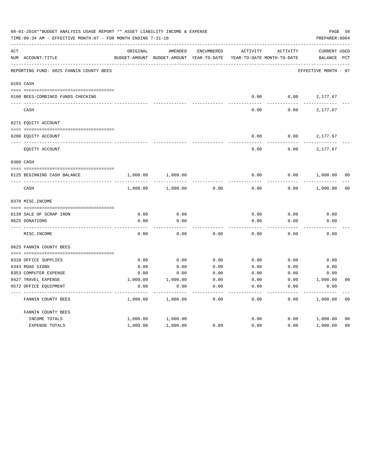|     | 08-01-2018**BUDGET ANALYSIS USAGE REPORT ** ASSET LIABILITY INCOME & EXPENSE<br>TIME: 09:34 AM - EFFECTIVE MONTH: 07 - FOR MONTH ENDING 7-31-18 |                           |                          |                                   |                                        |                 | PREPARER: 0004                 | PAGE 58        |
|-----|-------------------------------------------------------------------------------------------------------------------------------------------------|---------------------------|--------------------------|-----------------------------------|----------------------------------------|-----------------|--------------------------------|----------------|
| ACT | NUM ACCOUNT-TITLE                                                                                                                               | ORIGINAL<br>BUDGET-AMOUNT | AMENDED<br>BUDGET-AMOUNT | <b>ENCUMBERED</b><br>YEAR-TO-DATE | ACTIVITY<br>YEAR-TO-DATE MONTH-TO-DATE | <b>ACTIVITY</b> | <b>CURRENT USED</b><br>BALANCE | $_{\rm PCT}$   |
|     |                                                                                                                                                 |                           |                          |                                   |                                        |                 |                                |                |
|     | REPORTING FUND: 0025 FANNIN COUNTY BEES                                                                                                         |                           |                          |                                   |                                        |                 | EFFECTIVE MONTH - 07           |                |
|     | 0103 CASH                                                                                                                                       |                           |                          |                                   |                                        |                 |                                |                |
|     | 0100 BEES-COMBINED FUNDS CHECKING                                                                                                               |                           |                          |                                   | 0.00                                   | 0.00            | 2,177.67                       |                |
|     | CASH                                                                                                                                            |                           |                          |                                   | 0.00                                   | 0.00            | 2,177.67                       |                |
|     | 0271 EQUITY ACCOUNT                                                                                                                             |                           |                          |                                   |                                        |                 |                                |                |
|     |                                                                                                                                                 |                           |                          |                                   |                                        |                 |                                |                |
|     | 0200 EQUITY ACCOUNT                                                                                                                             |                           |                          |                                   | 0.00                                   | 0.00            | 2,177.67                       |                |
|     | EQUITY ACCOUNT                                                                                                                                  |                           |                          |                                   | 0.00                                   | 0.00            | 2,177.67                       |                |
|     | 0300 CASH                                                                                                                                       |                           |                          |                                   |                                        |                 |                                |                |
|     | 0125 BEGINNING CASH BALANCE                                                                                                                     | 1,000.00                  | 1,000.00                 |                                   | 0.00                                   | 0.00            | 1,000.00                       | 0 <sub>0</sub> |
|     | CASH                                                                                                                                            | 1,000.00                  | 1,000.00                 | 0.00                              | 0.00                                   | 0.00            | 1,000.00                       | 0 <sub>0</sub> |
|     | 0370 MISC. INCOME                                                                                                                               |                           |                          |                                   |                                        |                 |                                |                |
|     | 0138 SALE OF SCRAP IRON                                                                                                                         | 0.00                      | 0.00                     |                                   | 0.00                                   | 0.00            | 0.00                           |                |
|     | 0625 DONATIONS                                                                                                                                  | 0.00                      | 0.00                     |                                   | 0.00                                   | 0.00            | 0.00                           |                |
|     |                                                                                                                                                 |                           |                          |                                   |                                        |                 |                                |                |
|     | MISC. INCOME                                                                                                                                    | 0.00                      | 0.00                     | 0.00                              | 0.00                                   | 0.00            | 0.00                           |                |
|     | 0625 FANNIN COUNTY BEES                                                                                                                         |                           |                          |                                   |                                        |                 |                                |                |
|     | 0310 OFFICE SUPPLIES                                                                                                                            | 0.00                      | 0.00                     | 0.00                              | 0.00                                   | 0.00            | 0.00                           |                |
|     | 0343 ROAD SIGNS                                                                                                                                 | 0.00                      | 0.00                     | 0.00                              | 0.00                                   | 0.00            | 0.00                           |                |
|     | 0353 COMPUTER EXPENSE                                                                                                                           | 0.00                      | 0.00                     | 0.00                              | 0.00                                   | 0.00            | 0.00                           |                |
|     | 0427 TRAVEL EXPENSE                                                                                                                             | 1,000.00                  | 1,000.00                 | 0.00                              | 0.00                                   | 0.00            | 1,000.00                       | 0 <sub>0</sub> |
|     | 0572 OFFICE EQUIPMENT                                                                                                                           | 0.00                      | 0.00                     | 0.00                              | 0.00                                   | 0.00            | 0.00                           |                |
|     | FANNIN COUNTY BEES                                                                                                                              | 1,000.00                  | 1,000.00                 | 0.00                              | 0.00                                   | 0.00            | 1,000.00                       | 0 <sub>0</sub> |
|     | FANNIN COUNTY BEES                                                                                                                              |                           |                          |                                   |                                        |                 |                                |                |
|     | INCOME TOTALS                                                                                                                                   | 1,000.00                  | 1,000.00                 |                                   | 0.00                                   | 0.00            | 1,000.00                       | 0 <sub>0</sub> |
|     | EXPENSE TOTALS                                                                                                                                  | 1,000.00                  | 1,000.00                 | 0.00                              | 0.00                                   | 0.00            | 1,000.00                       | 0 <sub>0</sub> |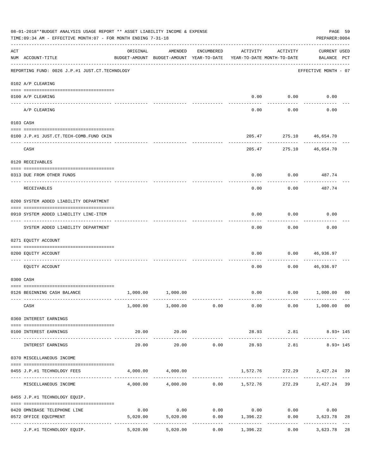|                    | 08-01-2018**BUDGET ANALYSIS USAGE REPORT ** ASSET LIABILITY INCOME & EXPENSE<br>TIME:09:34 AM - EFFECTIVE MONTH:07 - FOR MONTH ENDING 7-31-18 |          |                                                     |                                    |                                        |                        | PREPARER: 0004                     | PAGE 59 |
|--------------------|-----------------------------------------------------------------------------------------------------------------------------------------------|----------|-----------------------------------------------------|------------------------------------|----------------------------------------|------------------------|------------------------------------|---------|
| $\mathop{\rm ACT}$ | NUM ACCOUNT-TITLE                                                                                                                             | ORIGINAL | AMENDED<br>BUDGET-AMOUNT BUDGET-AMOUNT YEAR-TO-DATE | ENCUMBERED                         | ACTIVITY<br>YEAR-TO-DATE MONTH-TO-DATE | ACTIVITY               | <b>CURRENT USED</b><br>BALANCE PCT |         |
|                    | ------------------------------------<br>REPORTING FUND: 0026 J.P.#1 JUST.CT.TECHNOLOGY                                                        |          |                                                     |                                    |                                        |                        | EFFECTIVE MONTH - 07               |         |
|                    | 0102 A/P CLEARING                                                                                                                             |          |                                                     |                                    |                                        |                        |                                    |         |
|                    | 0100 A/P CLEARING                                                                                                                             |          |                                                     |                                    | 0.00                                   | 0.00                   | 0.00                               |         |
|                    | ---- --------<br>A/P CLEARING                                                                                                                 |          |                                                     |                                    | 0.00                                   | 0.00                   | 0.00                               |         |
|                    | 0103 CASH                                                                                                                                     |          |                                                     |                                    |                                        |                        |                                    |         |
|                    | 0100 J.P.#1 JUST.CT.TECH-COMB.FUND CKIN                                                                                                       |          |                                                     |                                    | 205.47                                 |                        | 275.10 46,654.70                   |         |
|                    | CASH                                                                                                                                          |          |                                                     |                                    | 205.47                                 |                        | 275.10 46,654.70                   |         |
|                    | 0120 RECEIVABLES                                                                                                                              |          |                                                     |                                    |                                        |                        |                                    |         |
|                    | 0313 DUE FROM OTHER FUNDS                                                                                                                     |          |                                                     |                                    | 0.00                                   | 0.00                   | 487.74                             |         |
|                    | RECEIVABLES                                                                                                                                   |          |                                                     |                                    | 0.00                                   | 0.00                   | 487.74                             |         |
|                    | 0200 SYSTEM ADDED LIABILITY DEPARTMENT                                                                                                        |          |                                                     |                                    |                                        |                        |                                    |         |
|                    | 0910 SYSTEM ADDED LIABILITY LINE-ITEM                                                                                                         |          |                                                     |                                    | 0.00                                   | 0.00                   | 0.00                               |         |
|                    | SYSTEM ADDED LIABILITY DEPARTMENT                                                                                                             |          |                                                     |                                    | 0.00                                   | 0.00                   | 0.00                               |         |
|                    | 0271 EQUITY ACCOUNT                                                                                                                           |          |                                                     |                                    |                                        |                        |                                    |         |
|                    | 0200 EQUITY ACCOUNT                                                                                                                           |          |                                                     |                                    | 0.00                                   | 0.00                   | 46,936.97                          |         |
|                    | EQUITY ACCOUNT                                                                                                                                |          |                                                     |                                    | 0.00                                   | 0.00                   | 46,936.97                          |         |
|                    | 0300 CASH                                                                                                                                     |          |                                                     |                                    |                                        |                        |                                    |         |
|                    | 0126 BEGINNING CASH BALANCE                                                                                                                   |          | 1,000.00 1,000.00                                   |                                    |                                        |                        | $0.00$ $0.00$ $1,000.00$           | 00      |
|                    | CASH                                                                                                                                          |          | $1,000.00$ $1,000.00$ $0.00$                        |                                    |                                        |                        | $0.00$ $0.00$ $1,000.00$ $00$      |         |
|                    | 0360 INTEREST EARNINGS                                                                                                                        |          |                                                     |                                    |                                        |                        |                                    |         |
|                    | 0100 INTEREST EARNINGS                                                                                                                        | 20.00    | 20.00                                               |                                    |                                        | 28.93 2.81             | $8.93 + 145$                       |         |
|                    | INTEREST EARNINGS                                                                                                                             | 20.00    | 20.00                                               | 0.00                               | --------------<br>28.93                | -------------<br>2.81  | $8.93 + 145$                       |         |
|                    | 0370 MISCELLANEOUS INCOME                                                                                                                     |          |                                                     |                                    |                                        |                        |                                    |         |
|                    | 0455 J.P.#1 TECHNOLOGY FEES                                                                                                                   |          | 4,000.00 4,000.00                                   |                                    |                                        |                        | 1,572.76 272.29 2,427.24 39        |         |
|                    | MISCELLANEOUS INCOME                                                                                                                          |          | $4,000.00$ $4,000.00$ $0.00$ $1,572.76$             |                                    |                                        | ------------<br>272.29 | 2,427.24                           | 39      |
|                    | 0455 J.P.#1 TECHNOLOGY EQUIP.                                                                                                                 |          |                                                     |                                    |                                        |                        |                                    |         |
|                    | 0420 OMNIBASE TELEPHONE LINE                                                                                                                  | 0.00     |                                                     | $0.00$ $0.00$ $0.00$ $0.00$ $0.00$ |                                        |                        | 0.00                               |         |
|                    | 0572 OFFICE EQUIPMENT<br>--------------------- --------------                                                                                 | 5,020.00 | 5,020.00                                            | . _ _ _ _ _ _ _ _ _ _              | $0.00$ 1,396.22<br>-----------         | 0.00<br>------------   | 3,623.78<br>------------           | 28      |
|                    | J.P.#1 TECHNOLOGY EQUIP.                                                                                                                      | 5,020.00 | 5,020.00                                            | 0.00                               | 1,396.22                               |                        | 0.00<br>3,623.78                   | 28      |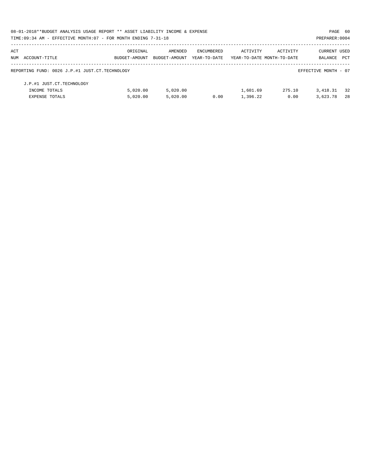| 08-01-2018**BUDGET ANALYSIS USAGE REPORT ** ASSET LIABILITY INCOME & EXPENSE |               |               |              |                            |          | PAGE 60              |            |
|------------------------------------------------------------------------------|---------------|---------------|--------------|----------------------------|----------|----------------------|------------|
| TIME:09:34 AM - EFFECTIVE MONTH:07 - FOR MONTH ENDING 7-31-18                |               |               |              |                            |          | PREPARER: 0004       |            |
| ACT                                                                          | ORIGINAL      | AMENDED       | ENCUMBERED   | ACTIVITY                   | ACTIVITY | <b>CURRENT USED</b>  |            |
| NUM ACCOUNT-TITLE                                                            | BUDGET-AMOUNT | BUDGET-AMOUNT | YEAR-TO-DATE | YEAR-TO-DATE MONTH-TO-DATE |          | BALANCE              | <b>PCT</b> |
| REPORTING FUND: 0026 J.P.#1 JUST.CT.TECHNOLOGY                               |               |               |              |                            |          | EFFECTIVE MONTH - 07 |            |
| J.P.#1 JUST.CT.TECHNOLOGY                                                    |               |               |              |                            |          |                      |            |
| INCOME TOTALS                                                                | 5.020.00      | 5.020.00      |              | 1,601.69                   | 275.10   | 3,418.31             | 32         |
| <b>EXPENSE TOTALS</b>                                                        | 5,020.00      | 5.020.00      | 0.00         | 1,396.22                   | 0.00     | 3,623.78             | 2.8        |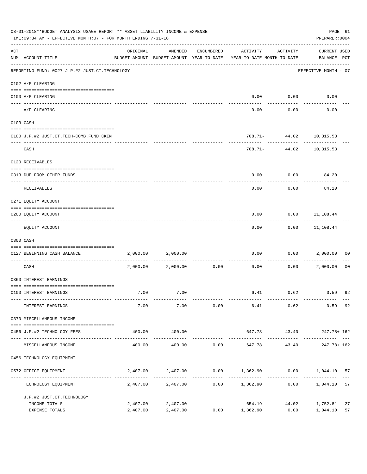|     | 08-01-2018**BUDGET ANALYSIS USAGE REPORT ** ASSET LIABILITY INCOME & EXPENSE<br>TIME: 09:34 AM - EFFECTIVE MONTH: 07 - FOR MONTH ENDING 7-31-18 |          |                   |               |                                                                                 |                                          |                                    |                |  |  |  |  |
|-----|-------------------------------------------------------------------------------------------------------------------------------------------------|----------|-------------------|---------------|---------------------------------------------------------------------------------|------------------------------------------|------------------------------------|----------------|--|--|--|--|
| ACT | NUM ACCOUNT-TITLE                                                                                                                               | ORIGINAL | AMENDED           | ENCUMBERED    | ACTIVITY<br>BUDGET-AMOUNT BUDGET-AMOUNT YEAR-TO-DATE YEAR-TO-DATE MONTH-TO-DATE | ACTIVITY                                 | <b>CURRENT USED</b><br>BALANCE PCT |                |  |  |  |  |
|     | -------------------------------------<br>REPORTING FUND: 0027 J.P.#2 JUST.CT.TECHNOLOGY                                                         |          |                   |               |                                                                                 |                                          | EFFECTIVE MONTH - 07               |                |  |  |  |  |
|     | 0102 A/P CLEARING                                                                                                                               |          |                   |               |                                                                                 |                                          |                                    |                |  |  |  |  |
|     | 0100 A/P CLEARING<br>----- ---------<br>---------------------- --------                                                                         |          |                   |               | 0.00                                                                            | 0.00                                     | 0.00                               |                |  |  |  |  |
|     | A/P CLEARING                                                                                                                                    |          |                   |               | 0.00                                                                            | 0.00                                     | 0.00                               |                |  |  |  |  |
|     | 0103 CASH                                                                                                                                       |          |                   |               |                                                                                 |                                          |                                    |                |  |  |  |  |
|     | 0100 J.P.#2 JUST.CT.TECH-COMB.FUND CKIN                                                                                                         |          |                   |               |                                                                                 | 708.71- 44.02 10,315.53                  |                                    |                |  |  |  |  |
|     | CASH                                                                                                                                            |          |                   |               |                                                                                 | -------------<br>708.71- 44.02 10,315.53 | . <u>.</u> .                       |                |  |  |  |  |
|     | 0120 RECEIVABLES                                                                                                                                |          |                   |               |                                                                                 |                                          |                                    |                |  |  |  |  |
|     | 0313 DUE FROM OTHER FUNDS                                                                                                                       |          |                   |               | 0.00                                                                            |                                          | $0.00$ 84.20                       |                |  |  |  |  |
|     | RECEIVABLES                                                                                                                                     |          |                   |               | 0.00                                                                            | 0.00                                     | 84.20                              |                |  |  |  |  |
|     | 0271 EQUITY ACCOUNT                                                                                                                             |          |                   |               |                                                                                 |                                          |                                    |                |  |  |  |  |
|     | 0200 EQUITY ACCOUNT                                                                                                                             |          |                   |               | 0.00                                                                            |                                          | $0.00$ $11,108.44$                 |                |  |  |  |  |
|     | EQUITY ACCOUNT                                                                                                                                  |          |                   |               | 0.00                                                                            |                                          | $0.00$ 11,108.44                   |                |  |  |  |  |
|     | 0300 CASH                                                                                                                                       |          |                   |               |                                                                                 |                                          |                                    |                |  |  |  |  |
|     | 0127 BEGINNING CASH BALANCE                                                                                                                     | 2,000.00 | 2,000.00          |               | 0.00                                                                            | 0.00                                     | 2,000.00                           | 00             |  |  |  |  |
|     | CASH                                                                                                                                            |          | 2,000.00 2,000.00 | 0.00          | -----------------------------<br>0.00                                           | 0.00                                     | 2,000.00                           | 0 <sub>0</sub> |  |  |  |  |
|     | 0360 INTEREST EARNINGS                                                                                                                          |          |                   |               |                                                                                 |                                          |                                    |                |  |  |  |  |
|     | 0100 INTEREST EARNINGS                                                                                                                          | 7.00     | 7.00              |               |                                                                                 | 6.41 0.62 0.59 92                        |                                    |                |  |  |  |  |
|     | INTEREST EARNINGS                                                                                                                               | 7.00     | 7.00              | 0.00          | 6.41                                                                            | 0.62                                     | 0.59                               | 92             |  |  |  |  |
|     | 0370 MISCELLANEOUS INCOME                                                                                                                       |          |                   |               |                                                                                 |                                          |                                    |                |  |  |  |  |
|     | 0456 J.P.#2 TECHNOLOGY FEES                                                                                                                     | 400.00   | 400.00            |               |                                                                                 | 647.78 43.40 247.78+162                  |                                    |                |  |  |  |  |
|     | MISCELLANEOUS INCOME                                                                                                                            | 400.00   | 400.00            | 0.00          | 647.78                                                                          | 43.40                                    | 247.78+ 162                        |                |  |  |  |  |
|     | 0456 TECHNOLOGY EQUIPMENT                                                                                                                       |          |                   |               |                                                                                 |                                          |                                    |                |  |  |  |  |
|     | 0572 OFFICE EQUIPMENT                                                                                                                           | 2,407.00 | 2,407.00          |               | $0.00$ 1,362.90 0.00 1,044.10                                                   |                                          |                                    | 57             |  |  |  |  |
|     | -------------------------------<br>TECHNOLOGY EQUIPMENT                                                                                         |          | 2,407.00 2,407.00 | ------------- | $0.00$ 1,362.90                                                                 | 0.00                                     | 1,044.10                           | 57             |  |  |  |  |
|     | J.P.#2 JUST.CT.TECHNOLOGY                                                                                                                       |          |                   |               |                                                                                 |                                          |                                    |                |  |  |  |  |
|     | INCOME TOTALS                                                                                                                                   | 2,407.00 | 2,407.00          |               | 654.19                                                                          | 44.02                                    | 1,752.81                           | 27             |  |  |  |  |
|     | EXPENSE TOTALS                                                                                                                                  | 2,407.00 | 2,407.00          |               | $0.00$ 1,362.90                                                                 | 0.00                                     | 1,044.10                           | 57             |  |  |  |  |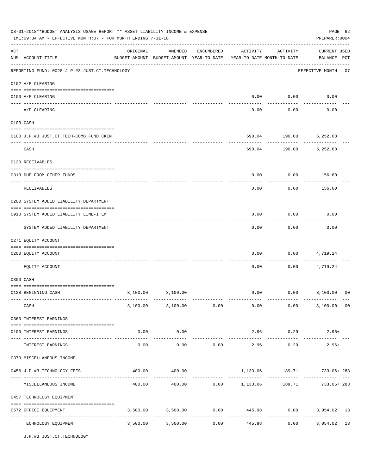|     | 08-01-2018**BUDGET ANALYSIS USAGE REPORT ** ASSET LIABILITY INCOME & EXPENSE<br>TIME: 09:34 AM - EFFECTIVE MONTH: 07 - FOR MONTH ENDING 7-31-18<br>PREPARER: 0004 |          |                                                                                |            |                        |                     |                                                             |  |  |  |  |
|-----|-------------------------------------------------------------------------------------------------------------------------------------------------------------------|----------|--------------------------------------------------------------------------------|------------|------------------------|---------------------|-------------------------------------------------------------|--|--|--|--|
| ACT | NUM ACCOUNT-TITLE                                                                                                                                                 | ORIGINAL | AMENDED<br>BUDGET-AMOUNT BUDGET-AMOUNT YEAR-TO-DATE YEAR-TO-DATE MONTH-TO-DATE | ENCUMBERED | ACTIVITY               | ACTIVITY            | <b>CURRENT USED</b><br>BALANCE PCT                          |  |  |  |  |
|     | REPORTING FUND: 0028 J.P.#3 JUST.CT.TECHNOLOGY                                                                                                                    |          |                                                                                |            |                        |                     | EFFECTIVE MONTH - 07                                        |  |  |  |  |
|     | 0102 A/P CLEARING                                                                                                                                                 |          |                                                                                |            |                        |                     |                                                             |  |  |  |  |
|     | 0100 A/P CLEARING                                                                                                                                                 |          |                                                                                |            | 0.00                   | 0.00                | 0.00                                                        |  |  |  |  |
|     | A/P CLEARING                                                                                                                                                      |          |                                                                                |            | 0.00                   | 0.00                | 0.00                                                        |  |  |  |  |
|     | 0103 CASH                                                                                                                                                         |          |                                                                                |            |                        |                     |                                                             |  |  |  |  |
|     | 0100 J.P.#3 JUST.CT.TECH-COMB.FUND CKIN                                                                                                                           |          |                                                                                |            |                        | 690.04 190.00       | 5,252.68                                                    |  |  |  |  |
|     | CASH                                                                                                                                                              |          |                                                                                |            |                        | 690.04 190.00       | 5,252.68                                                    |  |  |  |  |
|     | 0120 RECEIVABLES                                                                                                                                                  |          |                                                                                |            |                        |                     |                                                             |  |  |  |  |
|     | 0313 DUE FROM OTHER FUNDS                                                                                                                                         |          |                                                                                |            | 0.00                   | 0.00                | 156.60                                                      |  |  |  |  |
|     | RECEIVABLES                                                                                                                                                       |          |                                                                                |            | 0.00                   | 0.00                | 156.60                                                      |  |  |  |  |
|     | 0200 SYSTEM ADDED LIABILITY DEPARTMENT                                                                                                                            |          |                                                                                |            |                        |                     |                                                             |  |  |  |  |
|     | 0910 SYSTEM ADDED LIABILITY LINE-ITEM                                                                                                                             |          |                                                                                |            | 0.00                   | 0.00                | 0.00                                                        |  |  |  |  |
|     | SYSTEM ADDED LIABILITY DEPARTMENT                                                                                                                                 |          |                                                                                |            | 0.00                   | 0.00                | 0.00                                                        |  |  |  |  |
|     | 0271 EQUITY ACCOUNT                                                                                                                                               |          |                                                                                |            |                        |                     |                                                             |  |  |  |  |
|     | 0200 EQUITY ACCOUNT                                                                                                                                               |          |                                                                                |            | 0.00                   | 0.00                | 4,719.24                                                    |  |  |  |  |
|     | EOUITY ACCOUNT                                                                                                                                                    |          |                                                                                |            | 0.00                   | 0.00                | 4,719.24                                                    |  |  |  |  |
|     | 0300 CASH                                                                                                                                                         |          |                                                                                |            |                        |                     |                                                             |  |  |  |  |
|     | 0128 BEGINNING CASH                                                                                                                                               | 3,100.00 | 3,100.00                                                                       |            | 0.00                   |                     | $0.00$ 3,100.00<br>00                                       |  |  |  |  |
|     | CASH                                                                                                                                                              |          |                                                                                |            |                        |                     | $3,100.00$ $3,100.00$ $0.00$ $0.00$ $0.00$ $3,100.00$ $0.0$ |  |  |  |  |
|     | 0360 INTEREST EARNINGS                                                                                                                                            |          |                                                                                |            |                        |                     |                                                             |  |  |  |  |
|     | 0100 INTEREST EARNINGS                                                                                                                                            | 0.00     | 0.00                                                                           |            |                        | 2.96 0.29           | $2.96+$                                                     |  |  |  |  |
|     | INTEREST EARNINGS                                                                                                                                                 | 0.00     | -----------<br>0.00                                                            | 0.00       | ______________<br>2.96 | -----------<br>0.29 | $2.96+$                                                     |  |  |  |  |
|     | 0370 MISCELLANEOUS INCOME                                                                                                                                         |          |                                                                                |            |                        |                     |                                                             |  |  |  |  |
|     | 0456 J.P.#3 TECHNOLOGY FEES                                                                                                                                       | 400.00   | 400.00                                                                         |            |                        |                     | 1,133.06 189.71 733.06+283                                  |  |  |  |  |
|     | MISCELLANEOUS INCOME                                                                                                                                              |          |                                                                                |            |                        |                     | 400.00  400.00  0.00  1,133.06  189.71  733.06+283          |  |  |  |  |
|     | 0457 TECHNOLOGY EQUIPMENT                                                                                                                                         |          |                                                                                |            |                        |                     |                                                             |  |  |  |  |
|     | 0572 OFFICE EQUIPMENT                                                                                                                                             |          | 3,500.00 3,500.00 0.00                                                         |            |                        |                     | 445.98 0.00 3,054.02 13                                     |  |  |  |  |
|     | TECHNOLOGY EQUIPMENT                                                                                                                                              |          | 3,500.00 3,500.00                                                              | 0.00       | .<br>445.98            | -------------       | -------------<br>$- - -$<br>13<br>0.00<br>3,054.02          |  |  |  |  |

J.P.#3 JUST.CT.TECHNOLOGY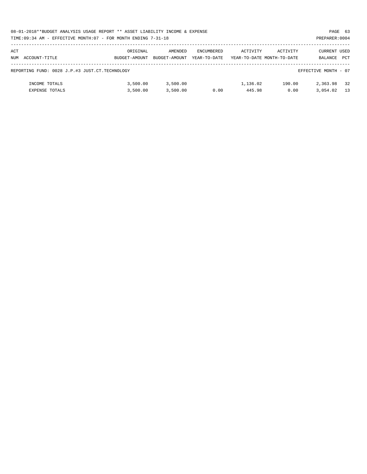|     | 08-01-2018**BUDGET ANALYSIS USAGE REPORT ** ASSET LIABILITY INCOME & EXPENSE<br>PAGE 63 |               |               |                   |          |                            |                      |     |  |  |  |  |
|-----|-----------------------------------------------------------------------------------------|---------------|---------------|-------------------|----------|----------------------------|----------------------|-----|--|--|--|--|
|     | TIME:09:34 AM - EFFECTIVE MONTH:07 - FOR MONTH ENDING 7-31-18<br>PREPARER: 0004         |               |               |                   |          |                            |                      |     |  |  |  |  |
|     |                                                                                         |               |               |                   |          |                            |                      |     |  |  |  |  |
| ACT |                                                                                         | ORIGINAL      | AMENDED       | <b>ENCUMBERED</b> | ACTIVITY | ACTIVITY                   | CURRENT USED         |     |  |  |  |  |
|     | NUM ACCOUNT-TITLE                                                                       | BUDGET-AMOUNT | BUDGET-AMOUNT | YEAR-TO-DATE      |          | YEAR-TO-DATE MONTH-TO-DATE | BALANCE              | PCT |  |  |  |  |
|     |                                                                                         |               |               |                   |          |                            |                      |     |  |  |  |  |
|     | REPORTING FUND: 0028 J.P.#3 JUST.CT.TECHNOLOGY                                          |               |               |                   |          |                            | EFFECTIVE MONTH - 07 |     |  |  |  |  |
|     |                                                                                         |               |               |                   |          |                            |                      |     |  |  |  |  |
|     | INCOME TOTALS                                                                           | 3.500.00      | 3,500.00      |                   | 1,136.02 | 190.00                     | 2,363.98             | 32  |  |  |  |  |
|     | <b>EXPENSE TOTALS</b>                                                                   | 3.500.00      | 3,500.00      | 0.00              | 445.98   | 0.00                       | 3,054.02             | 13  |  |  |  |  |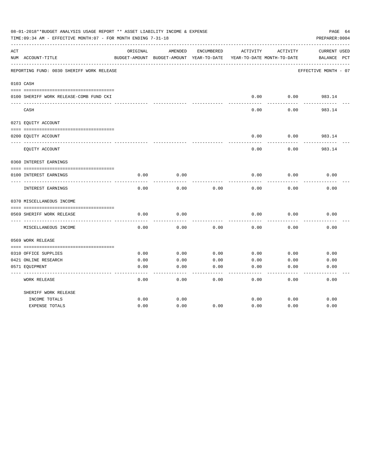|     | 08-01-2018**BUDGET ANALYSIS USAGE REPORT ** ASSET LIABILITY INCOME & EXPENSE<br>TIME:09:34 AM - EFFECTIVE MONTH:07 - FOR MONTH ENDING 7-31-18 |          |                                                     |            |          |                                        | PAGE 64<br>PREPARER: 0004          |
|-----|-----------------------------------------------------------------------------------------------------------------------------------------------|----------|-----------------------------------------------------|------------|----------|----------------------------------------|------------------------------------|
| ACT | NUM ACCOUNT-TITLE                                                                                                                             | ORIGINAL | AMENDED<br>BUDGET-AMOUNT BUDGET-AMOUNT YEAR-TO-DATE | ENCUMBERED | ACTIVITY | ACTIVITY<br>YEAR-TO-DATE MONTH-TO-DATE | <b>CURRENT USED</b><br>BALANCE PCT |
|     | REPORTING FUND: 0030 SHERIFF WORK RELEASE                                                                                                     |          |                                                     |            |          |                                        | EFFECTIVE MONTH - 07               |
|     | 0103 CASH                                                                                                                                     |          |                                                     |            |          |                                        |                                    |
|     | 0100 SHERIFF WORK RELEASE-COMB FUND CKI                                                                                                       |          |                                                     |            | 0.00     | 0.00                                   | 983.14                             |
|     | CASH                                                                                                                                          |          |                                                     |            | 0.00     | 0.00                                   | 983.14                             |
|     | 0271 EQUITY ACCOUNT                                                                                                                           |          |                                                     |            |          |                                        |                                    |
|     | 0200 EQUITY ACCOUNT                                                                                                                           |          |                                                     |            | 0.00     | 0.00                                   | 983.14                             |
|     | EQUITY ACCOUNT                                                                                                                                |          |                                                     |            | 0.00     | 0.00                                   | 983.14                             |
|     | 0360 INTEREST EARNINGS                                                                                                                        |          |                                                     |            |          |                                        |                                    |
|     | 0100 INTEREST EARNINGS                                                                                                                        | 0.00     | 0.00                                                |            | 0.00     | 0.00                                   | 0.00                               |
|     | <b>INTEREST EARNINGS</b>                                                                                                                      | 0.00     | 0.00                                                | 0.00       | 0.00     | 0.00                                   | 0.00                               |
|     | 0370 MISCELLANEOUS INCOME                                                                                                                     |          |                                                     |            |          |                                        |                                    |
|     |                                                                                                                                               |          |                                                     |            |          |                                        |                                    |
|     | 0569 SHERIFF WORK RELEASE<br>------------                                                                                                     | 0.00     | 0.00                                                |            | 0.00     | 0.00                                   | 0.00                               |
|     | MISCELLANEOUS INCOME                                                                                                                          | 0.00     | 0.00                                                | 0.00       | 0.00     | 0.00                                   | 0.00                               |
|     | 0569 WORK RELEASE                                                                                                                             |          |                                                     |            |          |                                        |                                    |
|     | 0310 OFFICE SUPPLIES                                                                                                                          | 0.00     | 0.00                                                | 0.00       | 0.00     | 0.00                                   | 0.00                               |
|     | 0421 ONLINE RESEARCH                                                                                                                          | 0.00     | 0.00                                                | 0.00       | 0.00     | 0.00                                   | 0.00                               |
|     | 0571 EQUIPMENT                                                                                                                                | 0.00     | 0.00                                                | 0.00       | 0.00     | 0.00                                   | 0.00                               |
|     | WORK RELEASE                                                                                                                                  | 0.00     | 0.00                                                | 0.00       | 0.00     | 0.00                                   | 0.00                               |
|     | SHERIFF WORK RELEASE                                                                                                                          |          |                                                     |            |          |                                        |                                    |
|     | INCOME TOTALS                                                                                                                                 | 0.00     | 0.00                                                |            | 0.00     | 0.00                                   | 0.00                               |
|     | <b>EXPENSE TOTALS</b>                                                                                                                         | 0.00     | 0.00                                                | 0.00       | 0.00     | 0.00                                   | 0.00                               |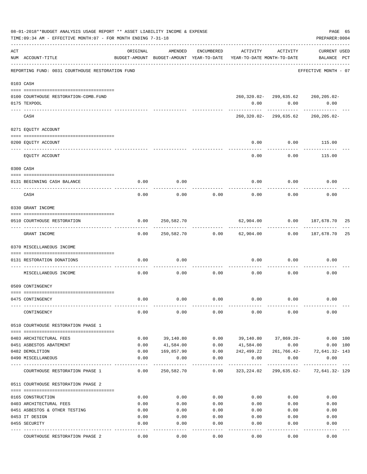|     | 08-01-2018**BUDGET ANALYSIS USAGE REPORT ** ASSET LIABILITY INCOME & EXPENSE<br>TIME: 09:34 AM - EFFECTIVE MONTH: 07 - FOR MONTH ENDING 7-31-18 |              |                                                     |              |                                        |                                                   | PREPARER: 0004                     | PAGE 65 |
|-----|-------------------------------------------------------------------------------------------------------------------------------------------------|--------------|-----------------------------------------------------|--------------|----------------------------------------|---------------------------------------------------|------------------------------------|---------|
| ACT | NUM ACCOUNT-TITLE                                                                                                                               | ORIGINAL     | AMENDED<br>BUDGET-AMOUNT BUDGET-AMOUNT YEAR-TO-DATE | ENCUMBERED   | ACTIVITY<br>YEAR-TO-DATE MONTH-TO-DATE | ACTIVITY                                          | <b>CURRENT USED</b><br>BALANCE PCT |         |
|     | REPORTING FUND: 0031 COURTHOUSE RESTORATION FUND                                                                                                |              |                                                     |              |                                        |                                                   | EFFECTIVE MONTH - 07               |         |
|     | 0103 CASH                                                                                                                                       |              |                                                     |              |                                        |                                                   |                                    |         |
|     | 0100 COURTHOUSE RESTORATION-COMB.FUND<br>0175 TEXPOOL                                                                                           |              |                                                     |              |                                        | 260,320.02-299,635.62 260,205.02-<br>0.00<br>0.00 | 0.00                               |         |
|     | CASH                                                                                                                                            |              |                                                     |              |                                        | ------------<br>260,320.02-299,635.62             | 260,205.02-                        |         |
|     | 0271 EQUITY ACCOUNT                                                                                                                             |              |                                                     |              |                                        |                                                   |                                    |         |
|     | 0200 EQUITY ACCOUNT                                                                                                                             |              |                                                     |              | 0.00                                   | 0.00                                              | 115.00                             |         |
|     | EQUITY ACCOUNT                                                                                                                                  |              |                                                     |              | 0.00                                   | 0.00                                              | 115.00                             |         |
|     | 0300 CASH                                                                                                                                       |              |                                                     |              |                                        |                                                   |                                    |         |
|     | 0131 BEGINNING CASH BALANCE<br>---------------------------------                                                                                | 0.00         | 0.00                                                |              | 0.00                                   | 0.00                                              | 0.00                               |         |
|     | CASH                                                                                                                                            | 0.00         | 0.00                                                | 0.00         | 0.00                                   | 0.00                                              | 0.00                               |         |
|     | 0330 GRANT INCOME                                                                                                                               |              |                                                     |              |                                        |                                                   |                                    |         |
|     | 0510 COURTHOUSE RESTORATION                                                                                                                     | 0.00         | 250,582.70                                          |              | 62,904.00                              | 0.00                                              | 187,678.70 25                      |         |
|     | GRANT INCOME                                                                                                                                    | 0.00         |                                                     |              | 250,582.70 0.00 62,904.00              |                                                   | $0.00$ 187,678.70                  | 25      |
|     | 0370 MISCELLANEOUS INCOME                                                                                                                       |              |                                                     |              |                                        |                                                   |                                    |         |
|     | 0131 RESTORATION DONATIONS                                                                                                                      | 0.00         | 0.00                                                |              | 0.00                                   | 0.00                                              | 0.00                               |         |
|     | MISCELLANEOUS INCOME                                                                                                                            | 0.00         | 0.00                                                | 0.00         | 0.00                                   | 0.00                                              | 0.00                               |         |
|     | 0509 CONTINGENCY                                                                                                                                |              |                                                     |              |                                        |                                                   |                                    |         |
|     | 0475 CONTINGENCY                                                                                                                                | 0.00         | 0.00                                                | 0.00         | 0.00                                   | 0.00                                              | 0.00                               |         |
|     | CONTINGENCY                                                                                                                                     | 0.00         | 0.00                                                | 0.00         | 0.00                                   | 0.00                                              | 0.00                               |         |
|     | 0510 COURTHOUSE RESTORATION PHASE 1                                                                                                             |              |                                                     |              |                                        |                                                   |                                    |         |
|     |                                                                                                                                                 |              |                                                     |              | 39,140.80                              |                                                   |                                    |         |
|     | 0403 ARCHITECTURAL FEES<br>0451 ASBESTOS ABATEMENT                                                                                              | 0.00<br>0.00 | 39,140.80<br>41,584.00                              | 0.00<br>0.00 | 41,584.00                              | 37,869.20-<br>0.00                                | 0.00 100<br>0.00 100               |         |
|     | 0482 DEMOLITION                                                                                                                                 | 0.00         | 169,857.90                                          | 0.00         | 242,499.22                             |                                                   | 261, 766. 42- 72, 641. 32-143      |         |
|     | 0490 MISCELLANEOUS                                                                                                                              | 0.00         | 0.00                                                | 0.00         | 0.00                                   | 0.00                                              | 0.00                               |         |
|     | COURTHOUSE RESTORATION PHASE 1                                                                                                                  | 0.00         | 250,582.70                                          | 0.00         | 323,224.02                             | 299,635.62-                                       | 72,641.32- 129                     |         |
|     | 0511 COURTHOUSE RESTORATION PHASE 2                                                                                                             |              |                                                     |              |                                        |                                                   |                                    |         |
|     |                                                                                                                                                 |              |                                                     |              |                                        |                                                   |                                    |         |
|     | 0165 CONSTRUCTION                                                                                                                               | 0.00         | 0.00                                                | 0.00         | 0.00                                   | 0.00                                              | 0.00                               |         |
|     | 0403 ARCHITECTURAL FEES                                                                                                                         | 0.00         | 0.00                                                | 0.00         | 0.00                                   | 0.00                                              | 0.00                               |         |
|     | 0451 ASBESTOS & OTHER TESTING                                                                                                                   | 0.00         | 0.00                                                | 0.00         | 0.00                                   | 0.00                                              | 0.00                               |         |
|     | 0453 IT DESIGN<br>0455 SECURITY                                                                                                                 | 0.00<br>0.00 | 0.00<br>0.00                                        | 0.00<br>0.00 | 0.00<br>0.00                           | 0.00<br>0.00                                      | 0.00<br>0.00                       |         |
|     |                                                                                                                                                 |              |                                                     |              |                                        |                                                   |                                    |         |
|     | COURTHOUSE RESTORATION PHASE 2                                                                                                                  | 0.00         | 0.00                                                | 0.00         | 0.00                                   | 0.00                                              | 0.00                               |         |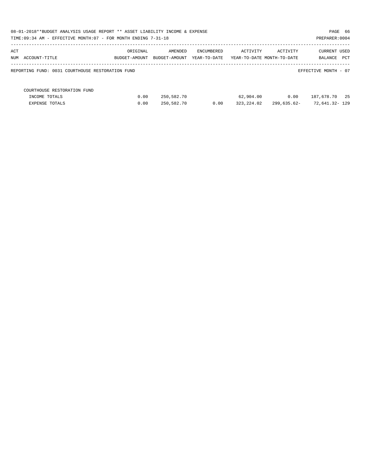| 08-01-2018**BUDGET ANALYSIS USAGE REPORT ** ASSET LIABILITY INCOME & EXPENSE<br>PAGE 66<br>TIME: 09:34 AM - EFFECTIVE MONTH: 07 - FOR MONTH ENDING 7-31-18<br>PREPARER: 0004 |               |               |                   |                            |             |                                     |  |  |  |  |
|------------------------------------------------------------------------------------------------------------------------------------------------------------------------------|---------------|---------------|-------------------|----------------------------|-------------|-------------------------------------|--|--|--|--|
| ACT                                                                                                                                                                          | ORIGINAL      | AMENDED       | <b>ENCUMBERED</b> | ACTIVITY                   | ACTIVITY    | CURRENT USED                        |  |  |  |  |
| NUM ACCOUNT-TITLE<br>REPORTING FUND: 0031 COURTHOUSE RESTORATION FUND                                                                                                        | BUDGET-AMOUNT | BUDGET-AMOUNT | YEAR-TO-DATE      | YEAR-TO-DATE MONTH-TO-DATE |             | BALANCE PCT<br>EFFECTIVE MONTH - 07 |  |  |  |  |
|                                                                                                                                                                              |               |               |                   |                            |             |                                     |  |  |  |  |
| COURTHOUSE RESTORATION FUND                                                                                                                                                  |               |               |                   |                            |             |                                     |  |  |  |  |
| INCOME TOTALS                                                                                                                                                                | 0.00          | 250,582.70    |                   | 62,904.00                  | 0.00        | 187,678.70 25                       |  |  |  |  |
| <b>EXPENSE TOTALS</b>                                                                                                                                                        | 0.00          | 250,582.70    | 0.00              | 323,224.02                 | 299,635.62- | 72,641.32- 129                      |  |  |  |  |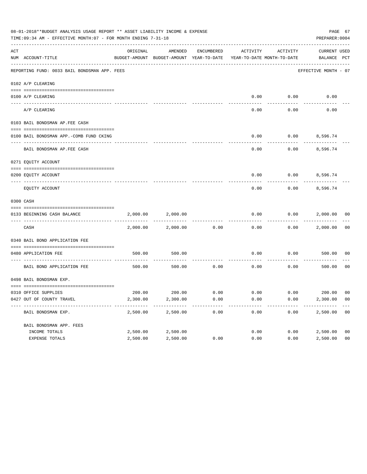| 08-01-2018**BUDGET ANALYSIS USAGE REPORT ** ASSET LIABILITY INCOME & EXPENSE<br>PAGE 67<br>TIME: 09:34 AM - EFFECTIVE MONTH: 07 - FOR MONTH ENDING 7-31-18<br>PREPARER: 0004 |                                              |          |                    |            |                                                                                 |          |                             |                |
|------------------------------------------------------------------------------------------------------------------------------------------------------------------------------|----------------------------------------------|----------|--------------------|------------|---------------------------------------------------------------------------------|----------|-----------------------------|----------------|
| ACT                                                                                                                                                                          | NUM ACCOUNT-TITLE                            | ORIGINAL | AMENDED            | ENCUMBERED | ACTIVITY<br>BUDGET-AMOUNT BUDGET-AMOUNT YEAR-TO-DATE YEAR-TO-DATE MONTH-TO-DATE | ACTIVITY | CURRENT USED<br>BALANCE PCT |                |
|                                                                                                                                                                              | REPORTING FUND: 0033 BAIL BONDSMAN APP. FEES |          |                    |            |                                                                                 |          | EFFECTIVE MONTH - 07        |                |
|                                                                                                                                                                              | 0102 A/P CLEARING                            |          |                    |            |                                                                                 |          |                             |                |
|                                                                                                                                                                              | 0100 A/P CLEARING                            |          |                    |            | 0.00                                                                            | 0.00     | 0.00                        |                |
|                                                                                                                                                                              | ---- --------<br>A/P CLEARING                |          |                    |            | 0.00                                                                            | 0.00     | 0.00                        |                |
|                                                                                                                                                                              | 0103 BAIL BONDSMAN AP.FEE CASH               |          |                    |            |                                                                                 |          |                             |                |
|                                                                                                                                                                              | 0100 BAIL BONDSMAN APP.-COMB FUND CKING      |          |                    |            | 0.00                                                                            |          | $0.00$ 8,596.74             |                |
|                                                                                                                                                                              | BAIL BONDSMAN AP.FEE CASH                    |          |                    |            | 0.00                                                                            | 0.00     | 8,596.74                    |                |
|                                                                                                                                                                              | 0271 EQUITY ACCOUNT                          |          |                    |            |                                                                                 |          |                             |                |
|                                                                                                                                                                              | 0200 EQUITY ACCOUNT                          |          |                    |            | 0.00                                                                            |          | $0.00$ 8,596.74             |                |
|                                                                                                                                                                              | EQUITY ACCOUNT                               |          |                    |            | 0.00                                                                            | 0.00     | 8,596.74                    |                |
|                                                                                                                                                                              | 0300 CASH                                    |          |                    |            |                                                                                 |          |                             |                |
|                                                                                                                                                                              | 0133 BEGINNING CASH BALANCE                  | 2,000.00 | 2,000.00           |            | 0.00                                                                            | 0.00     | 2,000.00 00                 |                |
|                                                                                                                                                                              | CASH                                         | 2,000.00 | 2,000.00           | 0.00       | 0.00                                                                            | 0.00     | 2,000.00                    | 00             |
|                                                                                                                                                                              | 0340 BAIL BOND APPLICATION FEE               |          |                    |            |                                                                                 |          |                             |                |
|                                                                                                                                                                              | 0480 APPLICATION FEE                         | 500.00   | 500.00             |            | 0.00                                                                            | 0.00     | 500.00                      | 00             |
|                                                                                                                                                                              | BAIL BOND APPLICATION FEE                    | 500.00   | 500.00             | 0.00       | 0.00                                                                            | 0.00     | 500.00                      | 0 <sub>0</sub> |
|                                                                                                                                                                              | 0498 BAIL BONDSMAN EXP.                      |          |                    |            |                                                                                 |          |                             |                |
|                                                                                                                                                                              | 0310 OFFICE SUPPLIES                         |          | 200.00 200.00 0.00 |            | $0.00$ $0.00$ $200.00$ $00$                                                     |          |                             |                |
|                                                                                                                                                                              | 0427 OUT OF COUNTY TRAVEL                    | 2,300.00 | 2,300.00           | 0.00       | 0.00                                                                            | 0.00     | 2,300.00 00                 |                |
|                                                                                                                                                                              | BAIL BONDSMAN EXP.                           | 2,500.00 | 2,500.00           | 0.00       | 0.00                                                                            | 0.00     | 2,500.00                    | 0 <sub>0</sub> |
|                                                                                                                                                                              | BAIL BONDSMAN APP. FEES                      |          |                    |            |                                                                                 |          |                             |                |
|                                                                                                                                                                              | INCOME TOTALS                                | 2,500.00 | 2,500.00           |            | 0.00                                                                            | 0.00     | 2,500.00                    | 0 <sub>0</sub> |
|                                                                                                                                                                              | EXPENSE TOTALS                               | 2,500.00 | 2,500.00           | 0.00       | 0.00                                                                            | 0.00     | 2,500.00                    | 0 <sub>0</sub> |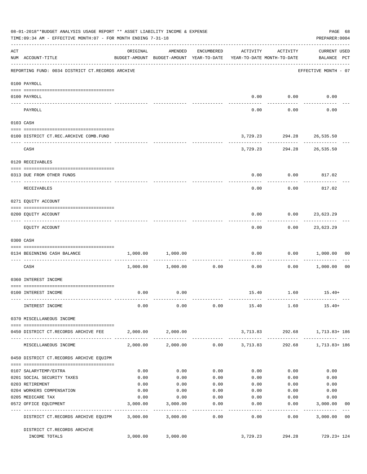|           | 08-01-2018**BUDGET ANALYSIS USAGE REPORT ** ASSET LIABILITY INCOME & EXPENSE<br>TIME: 09:34 AM - EFFECTIVE MONTH: 07 - FOR MONTH ENDING 7-31-18 |          |                                                     |                    |                                        |                                         | PAGE 68<br>PREPARER: 0004                 |
|-----------|-------------------------------------------------------------------------------------------------------------------------------------------------|----------|-----------------------------------------------------|--------------------|----------------------------------------|-----------------------------------------|-------------------------------------------|
| ACT       | NUM ACCOUNT-TITLE                                                                                                                               | ORIGINAL | AMENDED<br>BUDGET-AMOUNT BUDGET-AMOUNT YEAR-TO-DATE | ENCUMBERED         | ACTIVITY<br>YEAR-TO-DATE MONTH-TO-DATE | ACTIVITY                                | <b>CURRENT USED</b><br>BALANCE PCT        |
|           | -------------------------------------<br>REPORTING FUND: 0034 DISTRICT CT.RECORDS ARCHIVE                                                       |          |                                                     |                    |                                        |                                         | EFFECTIVE MONTH - 07                      |
|           | 0100 PAYROLL                                                                                                                                    |          |                                                     |                    |                                        |                                         |                                           |
|           | 0100 PAYROLL                                                                                                                                    |          |                                                     |                    | 0.00                                   | 0.00                                    | 0.00                                      |
| ---- ---- |                                                                                                                                                 |          |                                                     |                    |                                        |                                         |                                           |
|           | PAYROLL                                                                                                                                         |          |                                                     |                    | 0.00                                   | 0.00                                    | 0.00                                      |
|           | 0103 CASH                                                                                                                                       |          |                                                     |                    |                                        |                                         |                                           |
|           | 0100 DISTRICT CT.REC.ARCHIVE COMB.FUND                                                                                                          |          |                                                     |                    |                                        | 3,729.23 294.28 26,535.50               |                                           |
|           | CASH                                                                                                                                            |          |                                                     |                    |                                        | ----------<br>3,729.23 294.28 26,535.50 |                                           |
|           | 0120 RECEIVABLES                                                                                                                                |          |                                                     |                    |                                        |                                         |                                           |
|           | 0313 DUE FROM OTHER FUNDS                                                                                                                       |          |                                                     |                    | 0.00                                   | 0.00                                    | 817.02                                    |
|           | <b>RECEIVABLES</b>                                                                                                                              |          |                                                     |                    | 0.00                                   | 0.00                                    | 817.02                                    |
|           | 0271 EQUITY ACCOUNT                                                                                                                             |          |                                                     |                    |                                        |                                         |                                           |
|           | 0200 EQUITY ACCOUNT                                                                                                                             |          |                                                     |                    | 0.00                                   |                                         | $0.00$ 23,623.29                          |
|           | EQUITY ACCOUNT                                                                                                                                  |          |                                                     |                    | 0.00                                   | 0.00                                    | -----------<br>23,623.29                  |
|           | 0300 CASH                                                                                                                                       |          |                                                     |                    |                                        |                                         |                                           |
|           | 0134 BEGINNING CASH BALANCE                                                                                                                     | 1,000.00 | 1,000.00                                            |                    | 0.00                                   |                                         | $0.00$ 1,000.00<br>00                     |
|           | -----------------------------<br>CASH                                                                                                           |          | 1,000.00 1,000.00                                   | 0.00               | 0.00                                   | 0.00                                    | 1,000.00<br>0 <sub>0</sub>                |
|           | 0360 INTEREST INCOME                                                                                                                            |          |                                                     |                    |                                        |                                         |                                           |
|           |                                                                                                                                                 |          |                                                     |                    |                                        |                                         |                                           |
|           | 0100 INTEREST INCOME                                                                                                                            | 0.00     | 0.00                                                |                    |                                        | 15.40 1.60                              | $15.40+$                                  |
|           | INTEREST INCOME                                                                                                                                 | 0.00     | 0.00                                                |                    | $0.00$ 15.40 1.60                      |                                         | $15.40+$                                  |
|           | 0370 MISCELLANEOUS INCOME                                                                                                                       |          |                                                     |                    |                                        |                                         |                                           |
|           | 0450 DISTRICT CT.RECORDS ARCHIVE FEE                                                                                                            |          | 2,000.00 2,000.00                                   |                    |                                        |                                         | 3,713.83 292.68 1,713.83+186              |
|           | MISCELLANEOUS INCOME                                                                                                                            |          | 2,000.00 2,000.00                                   |                    | $0.00$ 3, 713.83                       |                                         | 292.68 1,713.83+186                       |
|           | 0450 DISTRICT CT.RECORDS ARCHIVE EQUIPM                                                                                                         |          |                                                     |                    |                                        |                                         |                                           |
|           | 0107 SALARYTEMP/EXTRA                                                                                                                           | 0.00     | 0.00                                                | 0.00               | 0.00                                   | 0.00                                    | 0.00                                      |
|           | 0201 SOCIAL SECURITY TAXES                                                                                                                      | 0.00     | 0.00                                                | 0.00               | 0.00                                   | 0.00                                    | 0.00                                      |
|           | 0203 RETIREMENT                                                                                                                                 | 0.00     | 0.00                                                | 0.00               | 0.00                                   | 0.00                                    | 0.00                                      |
|           | 0204 WORKERS COMPENSATION                                                                                                                       | 0.00     | 0.00                                                | 0.00               | 0.00                                   | 0.00                                    | 0.00                                      |
|           | 0205 MEDICARE TAX                                                                                                                               | 0.00     | 0.00                                                | 0.00               | 0.00                                   | 0.00                                    | 0.00                                      |
|           | 0572 OFFICE EQUIPMENT                                                                                                                           | 3,000.00 | 3,000.00<br>------------                            | 0.00<br>---------- | 0.00<br>--------                       | 0.00                                    | 3,000.00<br>00<br>--------- ------------- |
|           | DISTRICT CT.RECORDS ARCHIVE EQUIPM                                                                                                              |          | 3,000.00 3,000.00                                   | 0.00               | 0.00                                   | 0.00                                    | 3,000.00 00                               |
|           | DISTRICT CT.RECORDS ARCHIVE                                                                                                                     |          |                                                     |                    |                                        |                                         |                                           |
|           | INCOME TOTALS                                                                                                                                   | 3,000.00 | 3,000.00                                            |                    | 3,729.23                               | 294.28                                  | 729.23+ 124                               |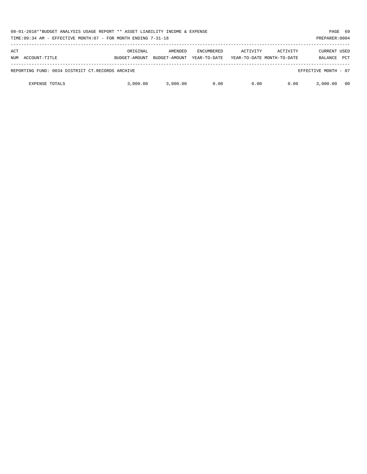| 08-01-2018**BUDGET ANALYSIS USAGE REPORT ** ASSET LIABILITY INCOME & EXPENSE<br>TIME:09:34 AM - EFFECTIVE MONTH:07 - FOR MONTH ENDING 7-31-18 |                           |                          |                                   |          |                                        | PREPARER: 0004                        | PAGE 69    |
|-----------------------------------------------------------------------------------------------------------------------------------------------|---------------------------|--------------------------|-----------------------------------|----------|----------------------------------------|---------------------------------------|------------|
| ACT<br>ACCOUNT-TITLE<br>NUM                                                                                                                   | ORIGINAL<br>BUDGET-AMOUNT | AMENDED<br>BUDGET-AMOUNT | <b>ENCUMBERED</b><br>YEAR-TO-DATE | ACTIVITY | ACTIVITY<br>YEAR-TO-DATE MONTH-TO-DATE | <b>CURRENT USED</b><br><b>BALANCE</b> | <b>PCT</b> |
|                                                                                                                                               |                           |                          |                                   |          |                                        |                                       |            |
| REPORTING FUND: 0034 DISTRICT CT.RECORDS ARCHIVE                                                                                              |                           |                          |                                   |          |                                        | EFFECTIVE MONTH - 07                  |            |
| <b>EXPENSE TOTALS</b>                                                                                                                         | 3,000,00                  | 3,000.00                 | 0.00                              | 0.00     | 0.00                                   | 3,000,00                              | 00         |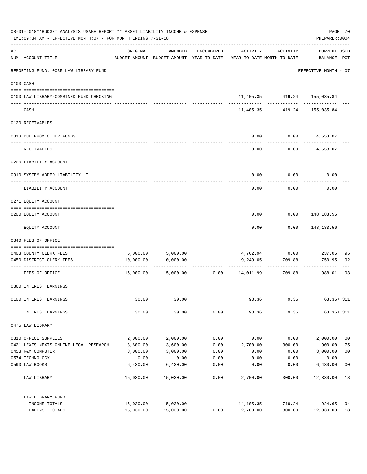| 08-01-2018**BUDGET ANALYSIS USAGE REPORT ** ASSET LIABILITY INCOME & EXPENSE<br>TIME: 09:34 AM - EFFECTIVE MONTH: 07 - FOR MONTH ENDING 7-31-18 |                                                                               |           |                                                                                |            |                                 |                             |                                    | PAGE 70<br>PREPARER: 0004 |
|-------------------------------------------------------------------------------------------------------------------------------------------------|-------------------------------------------------------------------------------|-----------|--------------------------------------------------------------------------------|------------|---------------------------------|-----------------------------|------------------------------------|---------------------------|
| ACT                                                                                                                                             | NUM ACCOUNT-TITLE                                                             | ORIGINAL  | AMENDED<br>BUDGET-AMOUNT BUDGET-AMOUNT YEAR-TO-DATE YEAR-TO-DATE MONTH-TO-DATE | ENCUMBERED | ACTIVITY                        | ACTIVITY                    | <b>CURRENT USED</b><br>BALANCE PCT |                           |
|                                                                                                                                                 | ------------------------------------<br>REPORTING FUND: 0035 LAW LIBRARY FUND |           |                                                                                |            |                                 |                             | EFFECTIVE MONTH - 07               |                           |
|                                                                                                                                                 | 0103 CASH                                                                     |           |                                                                                |            |                                 |                             |                                    |                           |
|                                                                                                                                                 | 0100 LAW LIBRARY-COMBINED FUND CHECKING                                       |           |                                                                                |            |                                 | 11,405.35 419.24 155,035.84 | ---------                          |                           |
|                                                                                                                                                 | CASH                                                                          |           |                                                                                |            | 11,405.35                       | 419.24                      | 155,035.84                         |                           |
|                                                                                                                                                 | 0120 RECEIVABLES                                                              |           |                                                                                |            |                                 |                             |                                    |                           |
|                                                                                                                                                 | 0313 DUE FROM OTHER FUNDS                                                     |           |                                                                                |            | 0.00                            |                             | $0.00$ $4,553.07$                  |                           |
|                                                                                                                                                 | RECEIVABLES                                                                   |           |                                                                                |            | 0.00                            | 0.00                        | 4,553.07                           |                           |
|                                                                                                                                                 | 0200 LIABILITY ACCOUNT                                                        |           |                                                                                |            |                                 |                             |                                    |                           |
|                                                                                                                                                 | 0910 SYSTEM ADDED LIABILITY LI                                                |           |                                                                                |            | 0.00                            | 0.00                        | 0.00                               |                           |
|                                                                                                                                                 | LIABILITY ACCOUNT                                                             |           |                                                                                |            | 0.00                            | 0.00                        | 0.00                               |                           |
|                                                                                                                                                 | 0271 EQUITY ACCOUNT                                                           |           |                                                                                |            |                                 |                             |                                    |                           |
|                                                                                                                                                 | 0200 EQUITY ACCOUNT                                                           |           |                                                                                |            | 0.00                            |                             | $0.00$ 148,183.56                  |                           |
|                                                                                                                                                 | EQUITY ACCOUNT                                                                |           |                                                                                |            | 0.00                            | 0.00                        | 148,183.56                         |                           |
|                                                                                                                                                 | 0340 FEES OF OFFICE                                                           |           |                                                                                |            |                                 |                             |                                    |                           |
|                                                                                                                                                 | 0403 COUNTY CLERK FEES                                                        |           |                                                                                |            |                                 | 4,762.94 0.00               | 237.06                             | 95                        |
|                                                                                                                                                 | 0450 DISTRICT CLERK FEES                                                      | 10,000.00 | 5,000.00 5,000.00<br>10,000.00                                                 |            | 9,249.05                        | 709.88                      | 750.95                             | 92                        |
|                                                                                                                                                 | ------------------- -------------<br>FEES OF OFFICE                           |           | 15,000.00 15,000.00                                                            |            | -------------<br>0.00 14,011.99 | ----------<br>709.88        | 988.01                             | 93                        |
|                                                                                                                                                 | 0360 INTEREST EARNINGS                                                        |           |                                                                                |            |                                 |                             |                                    |                           |
|                                                                                                                                                 | 0100 INTEREST EARNINGS                                                        | 30.00     | 30.00                                                                          |            | 93.36                           | 9.36                        | $63.36 + 311$                      |                           |
|                                                                                                                                                 | INTEREST EARNINGS                                                             | 30.00     | 30.00                                                                          | 0.00       | 93.36                           |                             | 9.36<br>$63.36 + 311$              |                           |
|                                                                                                                                                 | 0475 LAW LIBRARY                                                              |           |                                                                                |            |                                 |                             |                                    |                           |
|                                                                                                                                                 | 0310 OFFICE SUPPLIES                                                          | 2,000.00  | 2,000.00                                                                       | 0.00       | 0.00                            | 0.00                        | 2,000.00                           | 0 <sub>0</sub>            |
|                                                                                                                                                 | 0421 LEXIS NEXIS ONLINE LEGAL RESEARCH                                        | 3,600.00  | 3,600.00                                                                       | 0.00       | 2,700.00                        | 300.00                      | 900.00                             | 75                        |
|                                                                                                                                                 | 0453 R&M COMPUTER                                                             | 3,000.00  | 3,000.00                                                                       | 0.00       | 0.00                            | 0.00                        | 3,000.00                           | 0 <sub>0</sub>            |
|                                                                                                                                                 | 0574 TECHNOLOGY                                                               | 0.00      | 0.00                                                                           | 0.00       | 0.00                            | 0.00                        | 0.00                               |                           |
|                                                                                                                                                 | 0590 LAW BOOKS                                                                | 6,430.00  | 6,430.00                                                                       | 0.00       | 0.00                            | 0.00                        | 6,430.00                           | 0 <sub>0</sub>            |
|                                                                                                                                                 | LAW LIBRARY                                                                   |           | 15,030.00 15,030.00                                                            | 0.00       | 2,700.00                        | 300.00                      | 12,330.00 18                       |                           |
|                                                                                                                                                 | LAW LIBRARY FUND                                                              |           |                                                                                |            |                                 |                             |                                    |                           |
|                                                                                                                                                 | INCOME TOTALS                                                                 |           | 15,030.00 15,030.00                                                            |            | 14,105.35                       | 719.24                      | 924.65                             | 94                        |
|                                                                                                                                                 | EXPENSE TOTALS                                                                | 15,030.00 | 15,030.00                                                                      | 0.00       | 2,700.00                        | 300.00                      | 12,330.00                          | 18                        |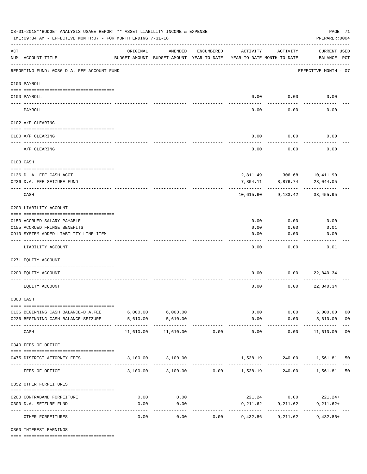| 08-01-2018**BUDGET ANALYSIS USAGE REPORT ** ASSET LIABILITY INCOME & EXPENSE<br>TIME: 09:34 AM - EFFECTIVE MONTH: 07 - FOR MONTH ENDING 7-31-18 |                                            |                                                      |                                 |            |                      |                                        |                                    | PAGE 71<br>PREPARER: 0004 |  |
|-------------------------------------------------------------------------------------------------------------------------------------------------|--------------------------------------------|------------------------------------------------------|---------------------------------|------------|----------------------|----------------------------------------|------------------------------------|---------------------------|--|
| ACT                                                                                                                                             | NUM ACCOUNT-TITLE                          | ORIGINAL<br>BUDGET-AMOUNT BUDGET-AMOUNT YEAR-TO-DATE | AMENDED                         | ENCUMBERED | ACTIVITY             | ACTIVITY<br>YEAR-TO-DATE MONTH-TO-DATE | <b>CURRENT USED</b><br>BALANCE PCT |                           |  |
|                                                                                                                                                 | REPORTING FUND: 0036 D.A. FEE ACCOUNT FUND |                                                      |                                 |            |                      |                                        | EFFECTIVE MONTH - 07               |                           |  |
|                                                                                                                                                 | 0100 PAYROLL                               |                                                      |                                 |            |                      |                                        |                                    |                           |  |
|                                                                                                                                                 | 0100 PAYROLL                               |                                                      |                                 |            |                      | $0.00$ 0.00                            | 0.00                               |                           |  |
| ---- ---                                                                                                                                        | PAYROLL                                    |                                                      |                                 |            | 0.00                 | 0.00                                   | 0.00                               |                           |  |
|                                                                                                                                                 | 0102 A/P CLEARING                          |                                                      |                                 |            |                      |                                        |                                    |                           |  |
|                                                                                                                                                 | 0100 A/P CLEARING                          |                                                      |                                 |            | 0.00                 | 0.00                                   | 0.00                               |                           |  |
|                                                                                                                                                 |                                            |                                                      |                                 |            |                      |                                        |                                    |                           |  |
|                                                                                                                                                 | A/P CLEARING                               |                                                      |                                 |            | 0.00                 | 0.00                                   | 0.00                               |                           |  |
|                                                                                                                                                 | 0103 CASH                                  |                                                      |                                 |            |                      |                                        |                                    |                           |  |
|                                                                                                                                                 | 0136 D. A. FEE CASH ACCT.                  |                                                      |                                 |            |                      |                                        | 2,811.49 306.68 10,411.90          |                           |  |
|                                                                                                                                                 | 0236 D.A. FEE SEIZURE FUND                 |                                                      |                                 |            | 7,804.11             | 8,876.74                               | 23,044.05                          |                           |  |
|                                                                                                                                                 | CASH                                       |                                                      |                                 |            | 10,615.60            | 9,183.42                               | 33,455.95                          |                           |  |
|                                                                                                                                                 | 0200 LIABILITY ACCOUNT                     |                                                      |                                 |            |                      |                                        |                                    |                           |  |
|                                                                                                                                                 | 0150 ACCRUED SALARY PAYABLE                |                                                      |                                 |            | 0.00                 | 0.00                                   | 0.00                               |                           |  |
|                                                                                                                                                 | 0155 ACCRUED FRINGE BENEFITS               |                                                      |                                 |            | 0.00                 | 0.00                                   | 0.01                               |                           |  |
|                                                                                                                                                 | 0910 SYSTEM ADDED LIABILITY LINE-ITEM      |                                                      |                                 |            | 0.00                 | 0.00                                   | 0.00                               |                           |  |
|                                                                                                                                                 | LIABILITY ACCOUNT                          |                                                      |                                 |            | 0.00                 | 0.00                                   | 0.01                               |                           |  |
|                                                                                                                                                 | 0271 EQUITY ACCOUNT                        |                                                      |                                 |            |                      |                                        |                                    |                           |  |
|                                                                                                                                                 | 0200 EQUITY ACCOUNT                        |                                                      |                                 |            | 0.00                 | 0.00                                   | 22,840.34                          |                           |  |
|                                                                                                                                                 | EQUITY ACCOUNT                             |                                                      |                                 |            | 0.00                 | 0.00                                   | 22,840.34                          |                           |  |
|                                                                                                                                                 | 0300 CASH                                  |                                                      |                                 |            |                      |                                        |                                    |                           |  |
|                                                                                                                                                 | 0136 BEGINNING CASH BALANCE-D.A.FEE        | $6,000.00$ $6,000.00$                                |                                 |            |                      | 0.00                                   | $0.00$ 6,000.00                    | 0 <sub>0</sub>            |  |
|                                                                                                                                                 | 0236 BEGINNING CASH BALANCE-SEIZURE        | 5,610.00                                             | 5,610.00                        |            | 0.00                 |                                        | $0.00$ 5,610.00                    | 0 <sub>0</sub>            |  |
|                                                                                                                                                 | CASH                                       | 11,610.00                                            | -------------<br>11,610.00      | 0.00       | ------------<br>0.00 | ----------<br>0.00                     | .<br>11,610.00 00                  |                           |  |
|                                                                                                                                                 | 0340 FEES OF OFFICE                        |                                                      |                                 |            |                      |                                        |                                    |                           |  |
|                                                                                                                                                 | 0475 DISTRICT ATTORNEY FEES                |                                                      | 3,100.00 3,100.00               |            |                      |                                        | 1,538.19 240.00 1,561.81           | 50                        |  |
|                                                                                                                                                 | FEES OF OFFICE                             |                                                      | 3,100.00 3,100.00 0.00 1,538.19 |            |                      |                                        | 240.00 1,561.81 50                 |                           |  |
|                                                                                                                                                 | 0352 OTHER FORFEITURES                     |                                                      |                                 |            |                      |                                        |                                    |                           |  |
|                                                                                                                                                 | 0200 CONTRABAND FORFEITURE                 | 0.00                                                 | 0.00                            |            |                      | 221.24 0.00                            | $221.24+$                          |                           |  |
|                                                                                                                                                 | 0300 D.A. SEIZURE FUND                     | 0.00                                                 | 0.00                            |            | 9,211.62             | 9,211.62                               | $9,211.62+$                        |                           |  |
|                                                                                                                                                 | OTHER FORFEITURES                          | 0.00                                                 | ----------<br>0.00              | 0.00       | 9,432.86             | -------------<br>9,211.62              | $9,432.86+$                        |                           |  |

0360 INTEREST EARNINGS

==== ===================================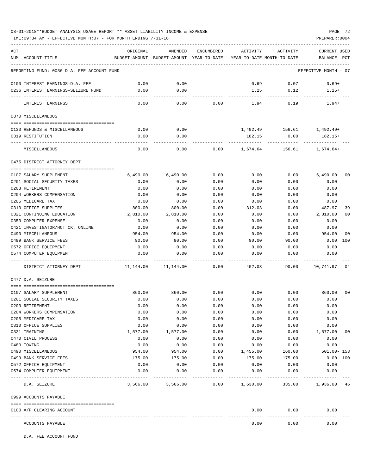## 08-01-2018\*\*BUDGET ANALYSIS USAGE REPORT \*\* ASSET LIABILITY INCOME & EXPENSE PAGE 72

TIME:09:34 AM - EFFECTIVE MONTH:07 - FOR MONTH ENDING 7-31-18

| ACT |                                                      | ORIGINAL       | AMENDED                                  | ENCUMBERED   | ACTIVITY                   | ACTIVITY        | <b>CURRENT USED</b>  |                |
|-----|------------------------------------------------------|----------------|------------------------------------------|--------------|----------------------------|-----------------|----------------------|----------------|
|     | NUM ACCOUNT-TITLE                                    |                | BUDGET-AMOUNT BUDGET-AMOUNT YEAR-TO-DATE |              | YEAR-TO-DATE MONTH-TO-DATE |                 | BALANCE              | PCT            |
|     | REPORTING FUND: 0036 D.A. FEE ACCOUNT FUND           |                |                                          |              |                            |                 | EFFECTIVE MONTH - 07 |                |
|     | 0100 INTEREST EARNINGS-D.A. FEE                      | 0.00           | 0.00                                     |              | 0.69                       | 0.07            | $0.69+$              |                |
|     | 0236 INTEREST EARNINGS-SEIZURE FUND                  | 0.00           | 0.00                                     |              | 1.25                       | 0.12            | $1.25+$              |                |
|     | INTEREST EARNINGS                                    | 0.00           | 0.00                                     | 0.00         | 1.94                       | 0.19            | $1.94+$              |                |
|     | 0370 MISCELLANEOUS                                   |                |                                          |              |                            |                 |                      |                |
|     |                                                      |                |                                          |              |                            |                 |                      |                |
|     | 0130 REFUNDS & MISCELLANEOUS                         | 0.00           | 0.00                                     |              |                            | 1,492.49 156.61 | 1,492.49+            |                |
|     | 0319 RESTITUTION                                     | 0.00           | 0.00                                     |              | 182.15                     | 0.00            | 182.15+              |                |
|     |                                                      |                |                                          |              |                            |                 |                      |                |
|     | MISCELLANEOUS                                        | 0.00           | 0.00                                     | 0.00         | 1,674.64                   | 156.61          | 1,674.64+            |                |
|     | 0475 DISTRICT ATTORNEY DEPT                          |                |                                          |              |                            |                 |                      |                |
|     | 0107 SALARY SUPPLEMENT                               | 6,490.00       | 6,490.00                                 | 0.00         | 0.00                       | 0.00            | 6,490.00             | 0 <sub>0</sub> |
|     | 0201 SOCIAL SECURITY TAXES                           | 0.00           | 0.00                                     | 0.00         | 0.00                       | 0.00            | 0.00                 |                |
|     | 0203 RETIREMENT                                      | 0.00           | 0.00                                     | 0.00         | 0.00                       | 0.00            | 0.00                 |                |
|     | 0204 WORKERS COMPENSATION                            | 0.00           | 0.00                                     | 0.00         | 0.00                       | 0.00            | 0.00                 |                |
|     | 0205 MEDICARE TAX                                    | 0.00           | 0.00                                     | 0.00         | 0.00                       | 0.00            | 0.00                 |                |
|     | 0310 OFFICE SUPPLIES                                 | 800.00         | 800.00                                   | 0.00         | 312.03                     | 0.00            | 487.97               | 39             |
|     | 0321 CONTINUING EDUCATION                            | 2,810.00       | 2,810.00                                 | 0.00         | 0.00                       | 0.00            | 2,810.00             | 0 <sub>0</sub> |
|     | 0353 COMPUTER EXPENSE                                | 0.00           | 0.00                                     | 0.00         | 0.00                       | 0.00            | 0.00                 |                |
|     | 0421 INVESTIGATOR/HOT CK. ONLINE                     | 0.00           | 0.00                                     | 0.00         | 0.00                       | 0.00            | 0.00                 |                |
|     | 0490 MISCELLANEOUS                                   | 954.00         | 954.00                                   | 0.00         | 0.00                       | 0.00            | 954.00               | 00             |
|     | 0499 BANK SERVICE FEES                               | 90.00          | 90.00                                    | 0.00         | 90.00                      | 90.00           | 0.00                 | 100            |
|     | 0572 OFFICE EQUIPMENT                                | 0.00           | 0.00                                     | 0.00         | 0.00                       | 0.00            | 0.00                 |                |
|     | 0574 COMPUTER EQUIPMENT                              | 0.00           | 0.00                                     | 0.00         | 0.00                       | 0.00            | 0.00                 |                |
|     | DISTRICT ATTORNEY DEPT                               | 11,144.00      | 11,144.00                                | 0.00         | 402.03                     | 90.00           | 10,741.97            | 04             |
|     | 0477 D.A. SEIZURE                                    |                |                                          |              |                            |                 |                      |                |
|     |                                                      |                |                                          |              |                            |                 |                      | 0 <sup>0</sup> |
|     | 0107 SALARY SUPPLEMENT<br>0201 SOCIAL SECURITY TAXES | 860.00<br>0.00 | 860.00<br>0.00                           | 0.00<br>0.00 | 0.00<br>0.00               | 0.00<br>0.00    | 860.00<br>0.00       |                |
|     | 0203 RETIREMENT                                      | 0.00           | 0.00                                     | 0.00         | 0.00                       | 0.00            | 0.00                 |                |
|     | 0204 WORKERS COMPENSATION                            | 0.00           | 0.00                                     | 0.00         | 0.00                       | 0.00            | 0.00                 |                |
|     | 0205 MEDICARE TAX                                    | 0.00           | 0.00                                     | 0.00         | 0.00                       | 0.00            | 0.00                 |                |
|     | 0310 OFFICE SUPPLIES                                 | 0.00           | 0.00                                     | 0.00         | 0.00                       | 0.00            | 0.00                 |                |
|     | 0321 TRAINING                                        | 1,577.00       | 1,577.00                                 | 0.00         | 0.00                       | 0.00            | 1,577.00             | 00             |
|     | 0470 CIVIL PROCESS                                   | 0.00           | 0.00                                     | 0.00         | 0.00                       | 0.00            | 0.00                 |                |
|     | 0480 TOWING                                          | 0.00           | 0.00                                     | 0.00         | 0.00                       | 0.00            | 0.00                 |                |
|     | 0490 MISCELLANEOUS                                   | 954.00         | 954.00                                   | 0.00         | 1,455.00                   | 160.00          | $501.00 - 153$       |                |
|     | 0499 BANK SERVICE FEES                               | 175.00         | 175.00                                   | 0.00         | 175.00                     | 175.00          | 0.00 100             |                |
|     | 0572 OFFICE EQUIPMENT                                | 0.00           | 0.00                                     | 0.00         | 0.00                       | 0.00            | 0.00                 |                |
|     | 0574 COMPUTER EQUIPMENT                              | 0.00           | 0.00                                     | 0.00         | 0.00                       | 0.00            | 0.00                 |                |
|     | D.A. SEIZURE                                         | 3,566.00       | 3,566.00                                 | 0.00         | 1,630.00                   | 335.00          | 1,936.00 46          |                |
|     | 0999 ACCOUNTS PAYABLE                                |                |                                          |              |                            |                 |                      |                |
|     | 0100 A/P CLEARING ACCOUNT                            |                |                                          |              | 0.00                       | 0.00            | 0.00                 |                |
|     | ACCOUNTS PAYABLE                                     |                |                                          |              | 0.00                       | 0.00            | 0.00                 |                |

D.A. FEE ACCOUNT FUND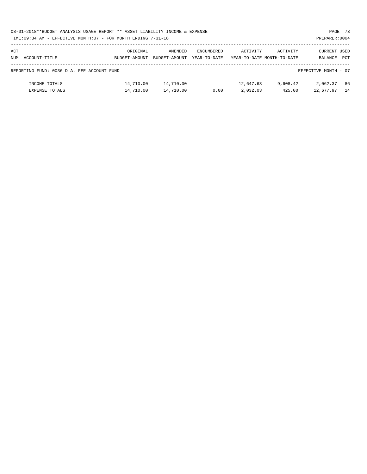| 08-01-2018**BUDGET ANALYSIS USAGE REPORT ** ASSET LIABILITY INCOME & EXPENSE | PAGE 73        |  |
|------------------------------------------------------------------------------|----------------|--|
| TIME:09:34 AM - EFFECTIVE MONTH:07 - FOR MONTH ENDING 7-31-18                | PREPARER: 0004 |  |

# PREPARER:0004

| ACT  |                                            | ORIGINAL      | AMENDED       | ENCUMBERED   | ACTIVITY  | ACTIVITY                   | <b>CURRENT USED</b>  |     |
|------|--------------------------------------------|---------------|---------------|--------------|-----------|----------------------------|----------------------|-----|
| nttm | ACCOUNT-TITLE                              | BUDGET-AMOUNT | BUDGET-AMOUNT | YEAR-TO-DATE |           | YEAR-TO-DATE MONTH-TO-DATE | BALANCE PCT          |     |
|      | REPORTING FUND: 0036 D.A. FEE ACCOUNT FUND |               |               |              |           |                            | EFFECTIVE MONTH - 07 |     |
|      | INCOME TOTALS                              | 14,710.00     | 14,710.00     |              | 12,647.63 | 9,608.42                   | 2,062.37             | -86 |
|      | EXPENSE TOTALS                             | 14,710.00     | 14,710.00     | 0.00         | 2,032.03  | 425.00                     | 12,677.97            | -14 |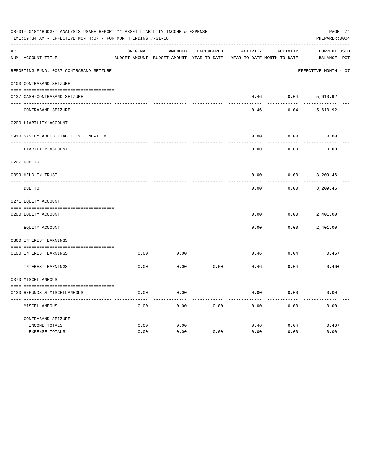|               | 08-01-2018**BUDGET ANALYSIS USAGE REPORT ** ASSET LIABILITY INCOME & EXPENSE<br>TIME: 09:34 AM - EFFECTIVE MONTH: 07 - FOR MONTH ENDING 7-31-18<br>PREPARER: 0004<br>----------------------------------<br>ORIGINAL<br>AMENDED<br><b>ENCUMBERED</b><br><b>ACTIVITY</b><br><b>ACTIVITY</b> |      |                                          |      |                            |      |                                    |  |  |
|---------------|-------------------------------------------------------------------------------------------------------------------------------------------------------------------------------------------------------------------------------------------------------------------------------------------|------|------------------------------------------|------|----------------------------|------|------------------------------------|--|--|
| ACT           | NUM ACCOUNT-TITLE                                                                                                                                                                                                                                                                         |      | BUDGET-AMOUNT BUDGET-AMOUNT YEAR-TO-DATE |      | YEAR-TO-DATE MONTH-TO-DATE |      | <b>CURRENT USED</b><br>BALANCE PCT |  |  |
|               | REPORTING FUND: 0037 CONTRABAND SEIZURE                                                                                                                                                                                                                                                   |      |                                          |      |                            |      | EFFECTIVE MONTH - 07               |  |  |
|               | 0103 CONTRABAND SEIZURE                                                                                                                                                                                                                                                                   |      |                                          |      |                            |      |                                    |  |  |
|               | 0137 CASH-CONTRABAND SEIZURE                                                                                                                                                                                                                                                              |      |                                          |      | 0.46                       | 0.04 | 5,610.92                           |  |  |
|               | CONTRABAND SEIZURE                                                                                                                                                                                                                                                                        |      |                                          |      | 0.46                       | 0.04 | 5,610.92                           |  |  |
|               | 0200 LIABILITY ACCOUNT                                                                                                                                                                                                                                                                    |      |                                          |      |                            |      |                                    |  |  |
|               | 0910 SYSTEM ADDED LIABILITY LINE-ITEM                                                                                                                                                                                                                                                     |      |                                          |      | 0.00                       | 0.00 | 0.00                               |  |  |
|               | LIABILITY ACCOUNT                                                                                                                                                                                                                                                                         |      |                                          |      | 0.00                       | 0.00 | 0.00                               |  |  |
|               | 0207 DUE TO                                                                                                                                                                                                                                                                               |      |                                          |      |                            |      |                                    |  |  |
| $\frac{1}{2}$ | 0099 HELD IN TRUST                                                                                                                                                                                                                                                                        |      |                                          |      | 0.00                       | 0.00 | 3,209.46                           |  |  |
|               | DUE TO                                                                                                                                                                                                                                                                                    |      |                                          |      | 0.00                       | 0.00 | 3,209.46                           |  |  |
|               | 0271 EQUITY ACCOUNT                                                                                                                                                                                                                                                                       |      |                                          |      |                            |      |                                    |  |  |
|               | 0200 EQUITY ACCOUNT                                                                                                                                                                                                                                                                       |      |                                          |      | 0.00                       | 0.00 | 2,401.00                           |  |  |
|               | EOUITY ACCOUNT                                                                                                                                                                                                                                                                            |      |                                          |      | 0.00                       | 0.00 | 2,401.00                           |  |  |
|               | 0360 INTEREST EARNINGS                                                                                                                                                                                                                                                                    |      |                                          |      |                            |      |                                    |  |  |
|               | 0100 INTEREST EARNINGS                                                                                                                                                                                                                                                                    | 0.00 | 0.00                                     |      | 0.46                       | 0.04 | $0.46+$                            |  |  |
|               | INTEREST EARNINGS                                                                                                                                                                                                                                                                         | 0.00 | 0.00                                     | 0.00 | 0.46                       | 0.04 | $0.46+$                            |  |  |
|               | 0370 MISCELLANEOUS                                                                                                                                                                                                                                                                        |      |                                          |      |                            |      |                                    |  |  |
|               | 0130 REFUNDS & MISCELLANEOUS                                                                                                                                                                                                                                                              | 0.00 | 0.00                                     |      | 0.00                       | 0.00 | 0.00                               |  |  |
|               | MISCELLANEOUS                                                                                                                                                                                                                                                                             | 0.00 | 0.00                                     | 0.00 | 0.00                       | 0.00 | 0.00                               |  |  |
|               | CONTRABAND SEIZURE<br>INCOME TOTALS                                                                                                                                                                                                                                                       | 0.00 | 0.00                                     |      | 0.46                       | 0.04 | $0.46+$                            |  |  |
|               | <b>EXPENSE TOTALS</b>                                                                                                                                                                                                                                                                     | 0.00 | 0.00                                     | 0.00 | 0.00                       | 0.00 | 0.00                               |  |  |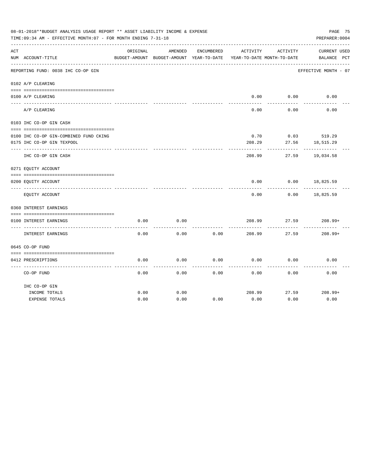|     | 08-01-2018**BUDGET ANALYSIS USAGE REPORT ** ASSET LIABILITY INCOME & EXPENSE<br>TIME: 09:34 AM - EFFECTIVE MONTH: 07 - FOR MONTH ENDING 7-31-18 |          |                                                     |            |          |                                        | PAGE 75<br>PREPARER: 0004          |  |
|-----|-------------------------------------------------------------------------------------------------------------------------------------------------|----------|-----------------------------------------------------|------------|----------|----------------------------------------|------------------------------------|--|
| ACT | NUM ACCOUNT-TITLE                                                                                                                               | ORIGINAL | AMENDED<br>BUDGET-AMOUNT BUDGET-AMOUNT YEAR-TO-DATE | ENCUMBERED | ACTIVITY | ACTIVITY<br>YEAR-TO-DATE MONTH-TO-DATE | <b>CURRENT USED</b><br>BALANCE PCT |  |
|     | REPORTING FUND: 0038 IHC CO-OP GIN                                                                                                              |          |                                                     |            |          |                                        | EFFECTIVE MONTH - 07               |  |
|     | 0102 A/P CLEARING                                                                                                                               |          |                                                     |            |          |                                        |                                    |  |
|     |                                                                                                                                                 |          |                                                     |            |          |                                        |                                    |  |
|     | 0100 A/P CLEARING                                                                                                                               |          |                                                     |            | 0.00     | 0.00                                   | 0.00                               |  |
|     | A/P CLEARING                                                                                                                                    |          |                                                     |            | 0.00     | 0.00                                   | 0.00                               |  |
|     | 0103 IHC CO-OP GIN CASH                                                                                                                         |          |                                                     |            |          |                                        |                                    |  |
|     | 0100 IHC CO-OP GIN-COMBINED FUND CKING                                                                                                          |          |                                                     |            | 0.70     | 0.03                                   | 519.29                             |  |
|     | 0175 IHC CO-OP GIN TEXPOOL                                                                                                                      |          |                                                     |            | 208.29   | 27.56                                  | 18,515.29                          |  |
|     | IHC CO-OP GIN CASH                                                                                                                              |          |                                                     |            | 208.99   | 27.59                                  | 19,034.58                          |  |
|     | 0271 EQUITY ACCOUNT                                                                                                                             |          |                                                     |            |          |                                        |                                    |  |
|     | 0200 EQUITY ACCOUNT                                                                                                                             |          |                                                     |            | 0.00     | 0.00                                   | 18,825.59                          |  |
|     | EQUITY ACCOUNT                                                                                                                                  |          |                                                     |            | 0.00     | 0.00                                   | 18,825.59                          |  |
|     | 0360 INTEREST EARNINGS                                                                                                                          |          |                                                     |            |          |                                        |                                    |  |
|     |                                                                                                                                                 |          |                                                     |            |          |                                        |                                    |  |
|     | 0100 INTEREST EARNINGS                                                                                                                          | 0.00     | 0.00                                                |            | 208.99   | 27.59                                  | $208.99+$                          |  |
|     | <b>INTEREST EARNINGS</b>                                                                                                                        | 0.00     | 0.00                                                | 0.00       | 208.99   | 27.59                                  | $208.99+$                          |  |
|     | 0645 CO-OP FUND                                                                                                                                 |          |                                                     |            |          |                                        |                                    |  |
|     |                                                                                                                                                 |          |                                                     |            |          |                                        |                                    |  |
|     | 0412 PRESCRIPTIONS                                                                                                                              | 0.00     | 0.00                                                | 0.00       | 0.00     | 0.00                                   | 0.00                               |  |
|     | CO-OP FUND                                                                                                                                      | 0.00     | 0.00                                                | 0.00       | 0.00     | 0.00                                   | 0.00                               |  |
|     | IHC CO-OP GIN                                                                                                                                   |          |                                                     |            |          |                                        |                                    |  |
|     | INCOME TOTALS                                                                                                                                   | 0.00     | 0.00                                                |            | 208.99   | 27.59                                  | $208.99+$                          |  |
|     | <b>EXPENSE TOTALS</b>                                                                                                                           | 0.00     | 0.00                                                | 0.00       | 0.00     | 0.00                                   | 0.00                               |  |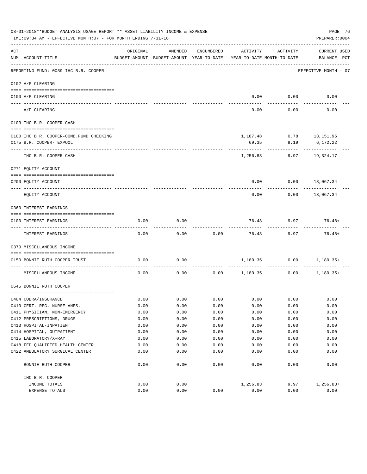|     | 08-01-2018**BUDGET ANALYSIS USAGE REPORT ** ASSET LIABILITY INCOME & EXPENSE<br>TIME: 09:34 AM - EFFECTIVE MONTH: 07 - FOR MONTH ENDING 7-31-18 |              |                                                     |              |                                        |                         | PAGE 76<br>PREPARER: 0004   |
|-----|-------------------------------------------------------------------------------------------------------------------------------------------------|--------------|-----------------------------------------------------|--------------|----------------------------------------|-------------------------|-----------------------------|
| ACT | NUM ACCOUNT-TITLE                                                                                                                               | ORIGINAL     | AMENDED<br>BUDGET-AMOUNT BUDGET-AMOUNT YEAR-TO-DATE | ENCUMBERED   | ACTIVITY<br>YEAR-TO-DATE MONTH-TO-DATE | ACTIVITY                | CURRENT USED<br>BALANCE PCT |
|     | REPORTING FUND: 0039 IHC B.R. COOPER                                                                                                            |              |                                                     |              |                                        |                         | EFFECTIVE MONTH - 07        |
|     | 0102 A/P CLEARING                                                                                                                               |              |                                                     |              |                                        |                         |                             |
|     |                                                                                                                                                 |              |                                                     |              |                                        |                         |                             |
|     | 0100 A/P CLEARING<br>---- --------                                                                                                              |              |                                                     |              | 0.00                                   | 0.00                    | 0.00                        |
|     | A/P CLEARING                                                                                                                                    |              |                                                     |              | 0.00                                   | 0.00                    | 0.00                        |
|     | 0103 IHC B.R. COOPER CASH                                                                                                                       |              |                                                     |              |                                        |                         |                             |
|     | 0100 IHC B.R. COOPER-COMB.FUND CHECKING                                                                                                         |              |                                                     |              |                                        | 1,187.48 0.78 13,151.95 |                             |
|     | 0175 B.R. COOPER-TEXPOOL                                                                                                                        |              |                                                     |              | 69.35                                  | 9.19                    | 6,172.22                    |
|     |                                                                                                                                                 |              |                                                     |              |                                        |                         |                             |
|     | IHC B.R. COOPER CASH                                                                                                                            |              |                                                     |              | 1,256.83                               | 9.97                    | 19,324.17                   |
|     | 0271 EQUITY ACCOUNT                                                                                                                             |              |                                                     |              |                                        |                         |                             |
|     | 0200 EQUITY ACCOUNT                                                                                                                             |              |                                                     |              | 0.00                                   |                         | $0.00$ 18,067.34            |
|     | EQUITY ACCOUNT                                                                                                                                  |              |                                                     |              | 0.00                                   | 0.00                    | 18,067.34                   |
|     | 0360 INTEREST EARNINGS                                                                                                                          |              |                                                     |              |                                        |                         |                             |
|     |                                                                                                                                                 |              |                                                     |              |                                        |                         |                             |
|     | 0100 INTEREST EARNINGS                                                                                                                          | 0.00         | 0.00                                                |              | 76.48                                  | 9.97                    | $76.48+$                    |
|     | INTEREST EARNINGS                                                                                                                               | 0.00         | 0.00                                                | 0.00         | 76.48                                  | 9.97                    | $76.48+$                    |
|     | 0370 MISCELLANEOUS INCOME                                                                                                                       |              |                                                     |              |                                        |                         |                             |
|     | 0150 BONNIE RUTH COOPER TRUST                                                                                                                   | 0.00         | 0.00                                                |              |                                        | 1,180.35 0.00           | 1,180.35+                   |
|     | MISCELLANEOUS INCOME                                                                                                                            | 0.00         | 0.00                                                | 0.00         | 1,180.35                               | ------------<br>0.00    | 1,180.35+                   |
|     | 0645 BONNIE RUTH COOPER                                                                                                                         |              |                                                     |              |                                        |                         |                             |
|     |                                                                                                                                                 |              |                                                     |              |                                        |                         |                             |
|     | 0404 COBRA/INSURANCE                                                                                                                            | 0.00         | 0.00                                                | 0.00         | 0.00                                   | 0.00                    | 0.00                        |
|     | 0410 CERT. REG. NURSE ANES.<br>0411 PHYSICIAN, NON-EMERGENCY                                                                                    | 0.00<br>0.00 | 0.00<br>0.00                                        | 0.00<br>0.00 | 0.00<br>0.00                           | 0.00<br>0.00            | 0.00<br>0.00                |
|     | 0412 PRESCRIPTIONS, DRUGS                                                                                                                       | 0.00         | 0.00                                                | 0.00         | 0.00                                   | 0.00                    | 0.00                        |
|     | 0413 HOSPITAL-INPATIENT                                                                                                                         | 0.00         | 0.00                                                | 0.00         | 0.00                                   | 0.00                    | 0.00                        |
|     | 0414 HOSPITAL, OUTPATIENT                                                                                                                       | 0.00         | 0.00                                                | 0.00         | 0.00                                   | 0.00                    | 0.00                        |
|     | 0415 LABORATORY/X-RAY                                                                                                                           | 0.00         | 0.00                                                | 0.00         | 0.00                                   | 0.00                    | 0.00                        |
|     | 0418 FED. QUALIFIED HEALTH CENTER                                                                                                               | 0.00         | 0.00                                                | 0.00         | 0.00                                   | 0.00                    | 0.00                        |
|     | 0422 AMBULATORY SURGICAL CENTER                                                                                                                 | 0.00         | 0.00                                                | 0.00         | 0.00                                   | 0.00                    | 0.00                        |
|     |                                                                                                                                                 |              |                                                     |              |                                        |                         |                             |
|     | BONNIE RUTH COOPER                                                                                                                              | 0.00         | 0.00                                                | 0.00         | 0.00                                   | 0.00                    | 0.00                        |
|     | IHC B.R. COOPER                                                                                                                                 |              |                                                     |              |                                        |                         |                             |
|     | INCOME TOTALS                                                                                                                                   | 0.00         | 0.00                                                |              | 1,256.83                               | 9.97                    | $1,256.83+$                 |
|     | EXPENSE TOTALS                                                                                                                                  | 0.00         | 0.00                                                | 0.00         | 0.00                                   | 0.00                    | 0.00                        |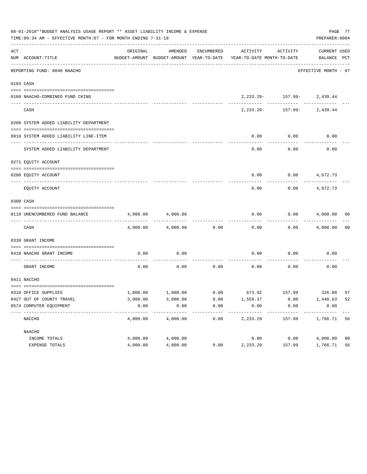|     | 08-01-2018**BUDGET ANALYSIS USAGE REPORT ** ASSET LIABILITY INCOME & EXPENSE<br>TIME:09:34 AM - EFFECTIVE MONTH:07 - FOR MONTH ENDING 7-31-18 |          |          |            |                                                                                             |                                | PREPARER: 0004       | PAGE 77        |
|-----|-----------------------------------------------------------------------------------------------------------------------------------------------|----------|----------|------------|---------------------------------------------------------------------------------------------|--------------------------------|----------------------|----------------|
| ACT | NUM ACCOUNT-TITLE                                                                                                                             | ORIGINAL | AMENDED  | ENCUMBERED | ACTIVITY<br>BUDGET-AMOUNT BUDGET-AMOUNT YEAR-TO-DATE YEAR-TO-DATE MONTH-TO-DATE BALANCE PCT | ACTIVITY                       | CURRENT USED         |                |
|     | ----------------------------------<br>REPORTING FUND: 0040 NAACHO                                                                             |          |          |            |                                                                                             |                                | EFFECTIVE MONTH - 07 |                |
|     | 0103 CASH                                                                                                                                     |          |          |            |                                                                                             |                                |                      |                |
|     | 0100 NAACHO-COMBINED FUND CKING                                                                                                               |          |          |            |                                                                                             | $2,233.29 - 157.99 - 2,439.44$ |                      |                |
|     | CASH                                                                                                                                          |          |          |            | 2,233.29-                                                                                   |                                | $157.99 - 2,439.44$  |                |
|     | 0200 SYSTEM ADDED LIABILITY DEPARTMENT                                                                                                        |          |          |            |                                                                                             |                                |                      |                |
|     | 0910 SYSTEM ADDED LIABILITY LINE-ITEM                                                                                                         |          |          |            | 0.00                                                                                        | 0.00                           | 0.00                 |                |
|     | SYSTEM ADDED LIABILITY DEPARTMENT                                                                                                             |          |          |            | 0.00                                                                                        | 0.00                           | 0.00                 |                |
|     | 0271 EQUITY ACCOUNT                                                                                                                           |          |          |            |                                                                                             |                                |                      |                |
|     | 0200 EOUITY ACCOUNT                                                                                                                           |          |          |            | 0.00                                                                                        | $0.00$ 4,672.73                |                      |                |
|     | EQUITY ACCOUNT                                                                                                                                |          |          |            | 0.00                                                                                        | 0.00                           | 4,672.73             |                |
|     | 0300 CASH                                                                                                                                     |          |          |            |                                                                                             |                                |                      |                |
|     | 0110 UNENCUMBERED FUND BALANCE                                                                                                                | 4,000.00 | 4,000.00 |            | 0.00                                                                                        |                                | $0.00$ $4,000.00$ 00 |                |
|     | CASH                                                                                                                                          | 4,000.00 | 4,000.00 | 0.00       | 0.00                                                                                        |                                | $0.00$ $4,000.00$ 00 |                |
|     | 0330 GRANT INCOME                                                                                                                             |          |          |            |                                                                                             |                                |                      |                |
|     | 0410 NAACHO GRANT INCOME                                                                                                                      | 0.00     | 0.00     |            | 0.00                                                                                        | 0.00                           | 0.00                 |                |
|     | ---------------- ---<br>GRANT INCOME                                                                                                          | 0.00     | 0.00     | 0.00       | 0.00                                                                                        | 0.00                           | 0.00                 |                |
|     | 0411 NACCHO                                                                                                                                   |          |          |            |                                                                                             |                                |                      |                |
|     | 0310 OFFICE SUPPLIES                                                                                                                          |          |          |            | $1,000.00$ $1,000.00$ $0.00$ $673.92$ $157.99$ $326.08$                                     |                                |                      | 67             |
|     | 0427 OUT OF COUNTY TRAVEL                                                                                                                     | 3,000.00 | 3,000.00 | 0.00       | 1,559.37                                                                                    | 0.00                           | 1,440.63 52          |                |
|     | 0574 COMPUTER EQUIPMENT                                                                                                                       | 0.00     | 0.00     | 0.00       | 0.00<br>$- - - - - - -$                                                                     | 0.00                           | 0.00                 |                |
|     | NACCHO                                                                                                                                        | 4,000.00 | 4,000.00 | 0.00       | 2,233.29                                                                                    | 157.99                         | 1,766.71             | 56             |
|     | NAACHO                                                                                                                                        |          |          |            |                                                                                             |                                |                      |                |
|     | INCOME TOTALS                                                                                                                                 | 4,000.00 | 4,000.00 |            | 0.00                                                                                        | 0.00                           | 4,000.00             | 0 <sub>0</sub> |
|     | EXPENSE TOTALS                                                                                                                                | 4,000.00 | 4,000.00 | 0.00       | 2,233.29                                                                                    | 157.99                         | 1,766.71             | 56             |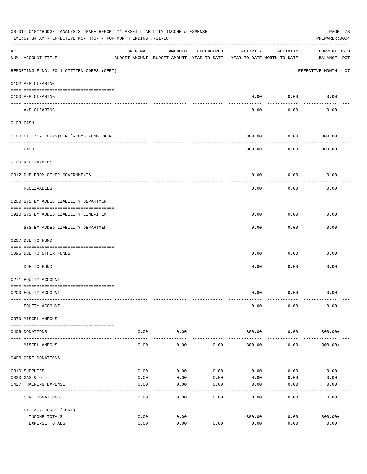|     | 08-01-2018**BUDGET ANALYSIS USAGE REPORT ** ASSET LIABILITY INCOME & EXPENSE<br>TIME:09:34 AM - EFFECTIVE MONTH:07 - FOR MONTH ENDING 7-31-18 |                                                                                 |                    |            |                |                           | PAGE 78<br>PREPARER: 0004          |
|-----|-----------------------------------------------------------------------------------------------------------------------------------------------|---------------------------------------------------------------------------------|--------------------|------------|----------------|---------------------------|------------------------------------|
| ACT | NUM ACCOUNT-TITLE                                                                                                                             | ORIGINAL<br>BUDGET-AMOUNT BUDGET-AMOUNT YEAR-TO-DATE YEAR-TO-DATE MONTH-TO-DATE | AMENDED            | ENCUMBERED | ACTIVITY       | ACTIVITY                  | <b>CURRENT USED</b><br>BALANCE PCT |
|     | REPORTING FUND: 0041 CITIZEN CORPS (CERT)                                                                                                     |                                                                                 |                    |            |                |                           | EFFECTIVE MONTH - 07               |
|     | 0102 A/P CLEARING                                                                                                                             |                                                                                 |                    |            |                |                           |                                    |
|     | 0100 A/P CLEARING                                                                                                                             |                                                                                 |                    |            | 0.00           | 0.00                      | 0.00                               |
|     | A/P CLEARING                                                                                                                                  |                                                                                 |                    |            | 0.00           | 0.00                      | 0.00                               |
|     | 0103 CASH                                                                                                                                     |                                                                                 |                    |            |                |                           |                                    |
|     | 0100 CITIZEN CORPS (CERT)-COMB. FUND CKIN                                                                                                     |                                                                                 |                    |            | 300.00         | 0.00                      | 300.00                             |
|     | CASH                                                                                                                                          |                                                                                 |                    |            | 300.00         | ---------<br>0.00         | 300.00                             |
|     | 0120 RECEIVABLES                                                                                                                              |                                                                                 |                    |            |                |                           |                                    |
|     |                                                                                                                                               |                                                                                 |                    |            |                |                           |                                    |
|     | 0312 DUE FROM OTHER GOVERNMENTS                                                                                                               |                                                                                 |                    |            | 0.00           | 0.00                      | 0.00                               |
|     | RECEIVABLES                                                                                                                                   |                                                                                 |                    |            | 0.00           | 0.00                      | 0.00                               |
|     | 0200 SYSTEM ADDED LIABILITY DEPARTMENT                                                                                                        |                                                                                 |                    |            |                |                           |                                    |
|     | 0910 SYSTEM ADDED LIABILITY LINE-ITEM                                                                                                         |                                                                                 |                    |            | 0.00           | 0.00                      | 0.00                               |
|     | SYSTEM ADDED LIABILITY DEPARTMENT                                                                                                             |                                                                                 |                    |            | 0.00           | - - - - - - - - -<br>0.00 | 0.00                               |
|     | 0207 DUE TO FUND                                                                                                                              |                                                                                 |                    |            |                |                           |                                    |
|     | 0095 DUE TO OTHER FUNDS                                                                                                                       |                                                                                 |                    |            | 0.00           | 0.00                      | 0.00                               |
|     | DUE TO FUND                                                                                                                                   |                                                                                 |                    |            | 0.00           | 0.00                      | 0.00                               |
|     | 0271 EQUITY ACCOUNT                                                                                                                           |                                                                                 |                    |            |                |                           |                                    |
|     | 0200 EQUITY ACCOUNT                                                                                                                           |                                                                                 |                    |            |                | $0.00$ $0.00$             | 0.00                               |
|     | EQUITY ACCOUNT                                                                                                                                |                                                                                 |                    |            | 0.00           | 0.00                      | 0.00                               |
|     | 0370 MISCELLANEOUS                                                                                                                            |                                                                                 |                    |            |                |                           |                                    |
|     | 0406 DONATIONS                                                                                                                                | 0.00                                                                            | 0.00               |            | 300.00         | 0.00                      | $300.00+$                          |
|     | MISCELLANEOUS                                                                                                                                 | -----------<br>0.00                                                             | ----------<br>0.00 | 0.00       | 300.00         | .<br>0.00                 | $300.00+$                          |
|     | 0406 CERT DONATIONS                                                                                                                           |                                                                                 |                    |            |                |                           |                                    |
|     | 0310 SUPPLIES                                                                                                                                 | 0.00                                                                            | 0.00               | 0.00       | 0.00           | 0.00                      | 0.00                               |
|     | 0330 GAS & OIL                                                                                                                                | 0.00                                                                            | 0.00               | 0.00       | 0.00           | 0.00                      | 0.00                               |
|     | 0427 TRAINING EXPENSE                                                                                                                         | 0.00                                                                            | 0.00               | 0.00       | 0.00           | 0.00                      | 0.00                               |
|     | CERT DONATIONS                                                                                                                                | 0.00                                                                            | 0.00               | 0.00       | 0.00           | 0.00                      | 0.00                               |
|     | CITIZEN CORPS (CERT)                                                                                                                          |                                                                                 |                    |            |                |                           |                                    |
|     | INCOME TOTALS<br>EXPENSE TOTALS                                                                                                               | 0.00<br>0.00                                                                    | 0.00<br>0.00       | 0.00       | 300.00<br>0.00 | 0.00<br>0.00              | $300.00+$<br>0.00                  |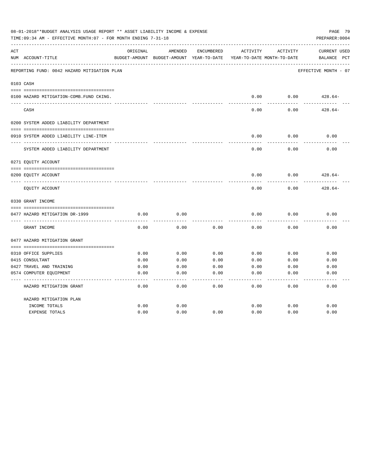|     | 08-01-2018**BUDGET ANALYSIS USAGE REPORT ** ASSET LIABILITY INCOME & EXPENSE<br>TIME: 09:34 AM - EFFECTIVE MONTH: 07 - FOR MONTH ENDING 7-31-18 |          |                                                     |            |          |                                        | PAGE 79<br>PREPARER: 0004                      |
|-----|-------------------------------------------------------------------------------------------------------------------------------------------------|----------|-----------------------------------------------------|------------|----------|----------------------------------------|------------------------------------------------|
| ACT | NUM ACCOUNT-TITLE                                                                                                                               | ORIGINAL | AMENDED<br>BUDGET-AMOUNT BUDGET-AMOUNT YEAR-TO-DATE | ENCUMBERED | ACTIVITY | ACTIVITY<br>YEAR-TO-DATE MONTH-TO-DATE | <b>CURRENT USED</b><br>$_{\rm PCT}$<br>BALANCE |
|     | REPORTING FUND: 0042 HAZARD MITIGATION PLAN                                                                                                     |          |                                                     |            |          |                                        | EFFECTIVE MONTH - 07                           |
|     | 0103 CASH                                                                                                                                       |          |                                                     |            |          |                                        |                                                |
|     | 0100 HAZARD MITIGATION-COMB.FUND CKING.                                                                                                         |          |                                                     |            | 0.00     | 0.00                                   | $428.64-$                                      |
|     | CASH                                                                                                                                            |          |                                                     |            | 0.00     | 0.00                                   | $428.64-$                                      |
|     | 0200 SYSTEM ADDED LIABILITY DEPARTMENT                                                                                                          |          |                                                     |            |          |                                        |                                                |
|     | 0910 SYSTEM ADDED LIABILITY LINE-ITEM                                                                                                           |          |                                                     |            | 0.00     | 0.00                                   | 0.00                                           |
|     | SYSTEM ADDED LIABILITY DEPARTMENT                                                                                                               |          |                                                     |            | 0.00     | 0.00                                   | 0.00                                           |
|     | 0271 EQUITY ACCOUNT                                                                                                                             |          |                                                     |            |          |                                        |                                                |
|     | 0200 EQUITY ACCOUNT                                                                                                                             |          |                                                     |            | 0.00     | 0.00                                   | $428.64-$                                      |
|     | EQUITY ACCOUNT                                                                                                                                  |          |                                                     |            | 0.00     | 0.00                                   | $428.64-$                                      |
|     | 0330 GRANT INCOME                                                                                                                               |          |                                                     |            |          |                                        |                                                |
|     | 0477 HAZARD MITIGATION DR-1999                                                                                                                  | 0.00     | 0.00                                                |            | 0.00     | 0.00                                   | 0.00                                           |
|     | GRANT INCOME                                                                                                                                    | 0.00     | 0.00                                                | 0.00       | 0.00     | 0.00                                   | 0.00                                           |
|     | 0477 HAZARD MITIGATION GRANT                                                                                                                    |          |                                                     |            |          |                                        |                                                |
|     | 0310 OFFICE SUPPLIES                                                                                                                            | 0.00     | 0.00                                                | 0.00       | 0.00     | 0.00                                   | 0.00                                           |
|     | 0415 CONSULTANT                                                                                                                                 | 0.00     | 0.00                                                | 0.00       | 0.00     | 0.00                                   | 0.00                                           |
|     | 0427 TRAVEL AND TRAINING                                                                                                                        | 0.00     | 0.00                                                | 0.00       | 0.00     | 0.00                                   | 0.00                                           |
|     | 0574 COMPUTER EQUIPMENT                                                                                                                         | 0.00     | 0.00                                                | 0.00       | 0.00     | 0.00                                   | 0.00                                           |
|     |                                                                                                                                                 |          |                                                     |            |          |                                        |                                                |
|     | HAZARD MITIGATION GRANT                                                                                                                         | 0.00     | 0.00                                                | 0.00       | 0.00     | 0.00                                   | 0.00                                           |
|     | HAZARD MITIGATION PLAN                                                                                                                          |          |                                                     |            |          |                                        |                                                |
|     | INCOME TOTALS                                                                                                                                   | 0.00     | 0.00                                                |            | 0.00     | 0.00                                   | 0.00                                           |
|     | <b>EXPENSE TOTALS</b>                                                                                                                           | 0.00     | 0.00                                                | 0.00       | 0.00     | 0.00                                   | 0.00                                           |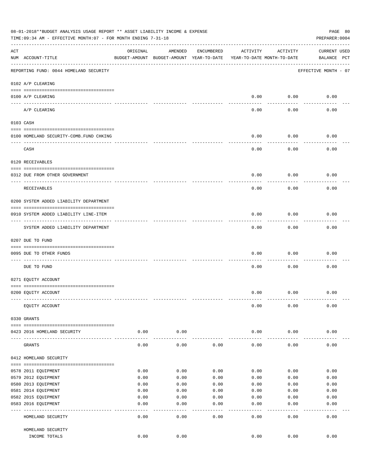|     | 08-01-2018**BUDGET ANALYSIS USAGE REPORT ** ASSET LIABILITY INCOME & EXPENSE<br>TIME: 09:34 AM - EFFECTIVE MONTH: 07 - FOR MONTH ENDING 7-31-18 |               |                                                     |              |                                        |               | PAGE 80<br>PREPARER: 0004          |
|-----|-------------------------------------------------------------------------------------------------------------------------------------------------|---------------|-----------------------------------------------------|--------------|----------------------------------------|---------------|------------------------------------|
| ACT | NUM ACCOUNT-TITLE                                                                                                                               | ORIGINAL      | AMENDED<br>BUDGET-AMOUNT BUDGET-AMOUNT YEAR-TO-DATE | ENCUMBERED   | ACTIVITY<br>YEAR-TO-DATE MONTH-TO-DATE | ACTIVITY      | <b>CURRENT USED</b><br>BALANCE PCT |
|     | REPORTING FUND: 0044 HOMELAND SECURITY                                                                                                          |               |                                                     |              |                                        |               | EFFECTIVE MONTH - 07               |
|     | 0102 A/P CLEARING                                                                                                                               |               |                                                     |              |                                        |               |                                    |
|     | 0100 A/P CLEARING                                                                                                                               |               |                                                     |              | 0.00                                   | 0.00          | 0.00                               |
|     | ---- ----------<br>A/P CLEARING                                                                                                                 |               |                                                     |              | 0.00                                   | 0.00          | 0.00                               |
|     | 0103 CASH                                                                                                                                       |               |                                                     |              |                                        |               |                                    |
|     | 0100 HOMELAND SECURITY-COMB.FUND CHKING                                                                                                         |               |                                                     |              | 0.00                                   | 0.00          | 0.00                               |
|     | CASH                                                                                                                                            |               |                                                     |              | 0.00                                   | 0.00          | 0.00                               |
|     | 0120 RECEIVABLES                                                                                                                                |               |                                                     |              |                                        |               |                                    |
|     | 0312 DUE FROM OTHER GOVERNMENT                                                                                                                  |               |                                                     |              | 0.00                                   | 0.00          | 0.00                               |
|     | RECEIVABLES                                                                                                                                     |               |                                                     |              | 0.00                                   | 0.00          | 0.00                               |
|     | 0200 SYSTEM ADDED LIABILITY DEPARTMENT                                                                                                          |               |                                                     |              |                                        |               |                                    |
|     | 0910 SYSTEM ADDED LIABILITY LINE-ITEM                                                                                                           |               |                                                     |              | 0.00                                   | 0.00          | 0.00                               |
|     | SYSTEM ADDED LIABILITY DEPARTMENT                                                                                                               |               |                                                     |              | 0.00                                   | 0.00          | 0.00                               |
|     | 0207 DUE TO FUND                                                                                                                                |               |                                                     |              |                                        |               |                                    |
|     | 0095 DUE TO OTHER FUNDS                                                                                                                         |               |                                                     |              | 0.00                                   | 0.00          | 0.00                               |
|     | DUE TO FUND                                                                                                                                     |               |                                                     |              | 0.00                                   | 0.00          | 0.00                               |
|     | 0271 EQUITY ACCOUNT                                                                                                                             |               |                                                     |              |                                        |               |                                    |
|     | 0200 EQUITY ACCOUNT                                                                                                                             |               |                                                     |              | 0.00                                   | 0.00          | 0.00                               |
|     | EQUITY ACCOUNT                                                                                                                                  |               |                                                     |              | 0.00                                   | 0.00          | 0.00                               |
|     | 0330 GRANTS                                                                                                                                     |               |                                                     |              |                                        |               |                                    |
|     |                                                                                                                                                 |               |                                                     |              |                                        |               |                                    |
|     | 0423 2016 HOMELAND SECURITY                                                                                                                     | 0.00          | 0.00                                                |              | 0.00                                   | 0.00          | 0.00                               |
|     | GRANTS                                                                                                                                          | 0.00          | 0.00                                                | 0.00         | 0.00                                   | 0.00          | 0.00                               |
|     | 0412 HOMELAND SECURITY                                                                                                                          |               |                                                     |              |                                        |               |                                    |
|     | 0578 2011 EQUIPMENT                                                                                                                             | 0.00          | 0.00                                                | 0.00         | 0.00                                   | 0.00          | 0.00                               |
|     | 0579 2012 EQUIPMENT                                                                                                                             | 0.00          | 0.00                                                | 0.00         | 0.00                                   | 0.00          | 0.00                               |
|     | 0580 2013 EQUIPMENT                                                                                                                             | 0.00          | 0.00                                                | 0.00         | 0.00                                   | 0.00          | 0.00                               |
|     | 0581 2014 EQUIPMENT                                                                                                                             | 0.00          | 0.00                                                | 0.00         | 0.00                                   | 0.00          | 0.00                               |
|     | 0582 2015 EQUIPMENT                                                                                                                             | 0.00          | 0.00                                                | 0.00         | 0.00                                   | 0.00          | 0.00                               |
|     | 0583 2016 EQUIPMENT                                                                                                                             | 0.00          | 0.00                                                | 0.00         | 0.00                                   | 0.00          | 0.00                               |
|     | HOMELAND SECURITY                                                                                                                               | $---$<br>0.00 | ----<br>0.00                                        | ----<br>0.00 | $---$<br>0.00                          | $---$<br>0.00 | -----<br>0.00                      |
|     | HOMELAND SECURITY                                                                                                                               |               |                                                     |              |                                        |               |                                    |
|     | INCOME TOTALS                                                                                                                                   | 0.00          | 0.00                                                |              | 0.00                                   | 0.00          | 0.00                               |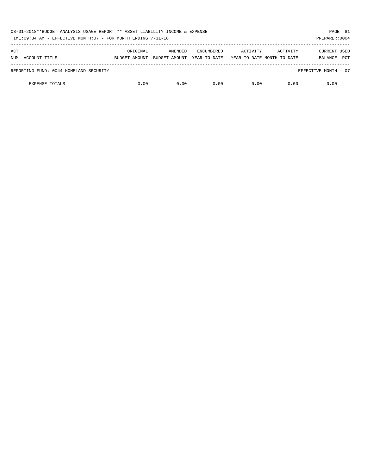| 08-01-2018**BUDGET ANALYSIS USAGE REPORT ** ASSET LIABILITY INCOME & EXPENSE<br>TIME: 09:34 AM - EFFECTIVE MONTH: 07 - FOR MONTH ENDING 7-31-18<br>PREPARER: 0004 |               |               |                   |                            |          |                       |  |  |  |
|-------------------------------------------------------------------------------------------------------------------------------------------------------------------|---------------|---------------|-------------------|----------------------------|----------|-----------------------|--|--|--|
| ACT                                                                                                                                                               | ORIGINAL      | AMENDED       | <b>ENCUMBERED</b> | ACTIVITY                   | ACTIVITY | CURRENT USED          |  |  |  |
| NUM ACCOUNT-TITLE                                                                                                                                                 | BUDGET-AMOUNT | BUDGET-AMOUNT | YEAR-TO-DATE      | YEAR-TO-DATE MONTH-TO-DATE |          | <b>PCT</b><br>BALANCE |  |  |  |
| REPORTING FUND: 0044 HOMELAND SECURITY                                                                                                                            |               |               |                   |                            |          | EFFECTIVE MONTH - 07  |  |  |  |
| <b>EXPENSE TOTALS</b>                                                                                                                                             | 0.00          | 0.00          | 0.00              | 0.00                       | 0.00     | 0.00                  |  |  |  |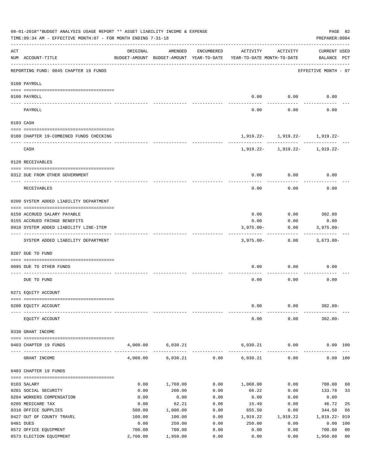|     | 08-01-2018**BUDGET ANALYSIS USAGE REPORT ** ASSET LIABILITY INCOME & EXPENSE<br>TIME: 09:34 AM - EFFECTIVE MONTH: 07 - FOR MONTH ENDING 7-31-18 |                    |                                                     |              |                                        |                                    | PAGE 82<br>PREPARER: 0004   |                                  |
|-----|-------------------------------------------------------------------------------------------------------------------------------------------------|--------------------|-----------------------------------------------------|--------------|----------------------------------------|------------------------------------|-----------------------------|----------------------------------|
| ACT | NUM ACCOUNT-TITLE                                                                                                                               | ORIGINAL           | AMENDED<br>BUDGET-AMOUNT BUDGET-AMOUNT YEAR-TO-DATE | ENCUMBERED   | ACTIVITY<br>YEAR-TO-DATE MONTH-TO-DATE | ACTIVITY                           | CURRENT USED<br>BALANCE PCT |                                  |
|     | REPORTING FUND: 0045 CHAPTER 19 FUNDS                                                                                                           |                    |                                                     |              |                                        |                                    | EFFECTIVE MONTH - 07        |                                  |
|     | 0100 PAYROLL                                                                                                                                    |                    |                                                     |              |                                        |                                    |                             |                                  |
|     | 0100 PAYROLL                                                                                                                                    |                    |                                                     |              | 0.00                                   | 0.00                               | 0.00                        |                                  |
|     | PAYROLL                                                                                                                                         |                    |                                                     |              | 0.00                                   | 0.00                               | 0.00                        |                                  |
|     | 0103 CASH                                                                                                                                       |                    |                                                     |              |                                        |                                    |                             |                                  |
|     | 0100 CHAPTER 19-COMBINED FUNDS CHECKING                                                                                                         |                    |                                                     |              |                                        | $1,919.22 - 1,919.22 - 1,919.22$   |                             |                                  |
|     | CASH                                                                                                                                            |                    |                                                     |              |                                        | $1,919.22 - 1,919.22 - 1,919.22 -$ |                             |                                  |
|     | 0120 RECEIVABLES                                                                                                                                |                    |                                                     |              |                                        |                                    |                             |                                  |
|     |                                                                                                                                                 |                    |                                                     |              |                                        |                                    |                             |                                  |
|     | 0312 DUE FROM OTHER GOVERNMENT                                                                                                                  |                    |                                                     |              | 0.00                                   | 0.00                               | 0.00                        |                                  |
|     | <b>RECEIVABLES</b>                                                                                                                              |                    |                                                     |              | 0.00                                   | 0.00                               | 0.00                        |                                  |
|     | 0200 SYSTEM ADDED LIABILITY DEPARTMENT                                                                                                          |                    |                                                     |              |                                        |                                    |                             |                                  |
|     | 0150 ACCRUED SALARY PAYABLE                                                                                                                     |                    |                                                     |              | 0.00                                   | $0.00$ 302.00                      |                             |                                  |
|     | 0155 ACCRUED FRINGE BENEFITS                                                                                                                    |                    |                                                     |              | 0.00                                   | 0.00                               | 0.00                        |                                  |
|     | 0910 SYSTEM ADDED LIABILITY LINE-ITEM                                                                                                           |                    |                                                     |              | $3,975.00 -$                           | 0.00                               | $3,975.00 -$                |                                  |
|     | SYSTEM ADDED LIABILITY DEPARTMENT                                                                                                               |                    |                                                     |              | 3,975.00-                              | 0.00                               | 3,673.00-                   |                                  |
|     | 0207 DUE TO FUND                                                                                                                                |                    |                                                     |              |                                        |                                    |                             |                                  |
|     |                                                                                                                                                 |                    |                                                     |              |                                        |                                    |                             |                                  |
|     | 0095 DUE TO OTHER FUNDS                                                                                                                         |                    |                                                     |              | 0.00                                   | 0.00                               | 0.00                        |                                  |
|     | DUE TO FUND                                                                                                                                     |                    |                                                     |              | 0.00                                   | 0.00                               | 0.00                        |                                  |
|     | 0271 EQUITY ACCOUNT                                                                                                                             |                    |                                                     |              |                                        |                                    |                             |                                  |
|     |                                                                                                                                                 |                    |                                                     |              |                                        |                                    |                             |                                  |
|     | 0200 EQUITY ACCOUNT                                                                                                                             |                    |                                                     |              | 0.00                                   | 0.00                               | $302.00 -$                  |                                  |
|     | EQUITY ACCOUNT                                                                                                                                  |                    |                                                     |              | 0.00                                   | 0.00                               | $302.00 -$                  |                                  |
|     | 0330 GRANT INCOME                                                                                                                               |                    |                                                     |              |                                        |                                    |                             |                                  |
|     | 0403 CHAPTER 19 FUNDS                                                                                                                           | 4,000.00           | 6,030.21                                            |              | 6,030.21                               | 0.00                               | 0.00 100                    |                                  |
|     | GRANT INCOME                                                                                                                                    | 4,000.00           | 6,030.21                                            | 0.00         | . <u>.</u><br>6,030.21                 | 0.00                               | 0.00 100                    |                                  |
|     | 0403 CHAPTER 19 FUNDS                                                                                                                           |                    |                                                     |              |                                        |                                    |                             |                                  |
|     | 0103 SALARY                                                                                                                                     | 0.00               | 1,768.00                                            | 0.00         | 1,068.00                               | 0.00                               | 700.00                      | 60                               |
|     | 0201 SOCIAL SECURITY                                                                                                                            | 0.00               | 200.00                                              | 0.00         | 66.22                                  | 0.00                               | 133.78                      | 33                               |
|     | 0204 WORKERS COMPENSATION                                                                                                                       | 0.00               | 0.00                                                | 0.00         | 0.00                                   | 0.00                               | 0.00                        |                                  |
|     | 0205 MEDICARE TAX                                                                                                                               | 0.00               | 62.21                                               | 0.00         | 15.49                                  | 0.00                               | 46.72                       | 25                               |
|     | 0310 OFFICE SUPPLIES                                                                                                                            | 500.00             | 1,000.00                                            | 0.00         | 655.50                                 | 0.00                               | 344.50                      | 66                               |
|     | 0427 OUT OF COUNTY TRAVEL                                                                                                                       | 100.00             | 100.00                                              | 0.00         | 1,919.22                               | 1,919.22                           | 1,819.22-919                |                                  |
|     | 0481 DUES                                                                                                                                       | 0.00               | 250.00                                              | 0.00         | 250.00                                 | 0.00                               | 0.00 100                    |                                  |
|     | 0572 OFFICE EQUIPMENT<br>0573 ELECTION EQUIPMENT                                                                                                | 700.00<br>2,700.00 | 700.00<br>1,950.00                                  | 0.00<br>0.00 | 0.00<br>0.00                           | 0.00<br>0.00                       | 700.00<br>1,950.00          | 0 <sub>0</sub><br>0 <sub>0</sub> |
|     |                                                                                                                                                 |                    |                                                     |              |                                        |                                    |                             |                                  |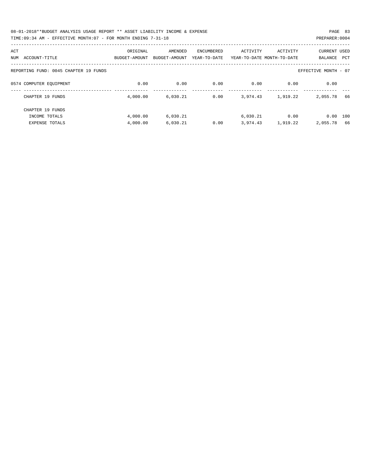| 08-01-2018**BUDGET ANALYSIS USAGE REPORT ** ASSET LIABILITY INCOME & EXPENSE | PAGE 83        |
|------------------------------------------------------------------------------|----------------|
| TIME:09:34 AM - EFFECTIVE MONTH:07 - FOR MONTH ENDING 7-31-18                | PREPARER: 0004 |

| ACT<br>ACCOUNT-TITLE<br>NUM           | ORIGINAL<br>BUDGET-AMOUNT | AMENDED<br>BUDGET-AMOUNT | ENCUMBERED<br>YEAR-TO-DATE | ACTIVITY | ACTIVITY<br>YEAR-TO-DATE MONTH-TO-DATE | <b>CURRENT USED</b><br><b>BALANCE</b> | PCT |
|---------------------------------------|---------------------------|--------------------------|----------------------------|----------|----------------------------------------|---------------------------------------|-----|
| REPORTING FUND: 0045 CHAPTER 19 FUNDS |                           |                          |                            |          |                                        | EFFECTIVE MONTH - 07                  |     |
| 0574 COMPUTER EQUIPMENT               | 0.00                      | 0.00                     | 0.00                       | 0.00     | 0.00                                   | 0.00                                  |     |
| CHAPTER 19 FUNDS                      | 4,000.00                  | 6,030.21                 | 0.00                       | 3,974.43 | 1,919.22                               | 2,055.78                              | 66  |
| CHAPTER 19 FUNDS                      |                           |                          |                            |          |                                        |                                       |     |
| INCOME TOTALS                         | 4,000.00                  | 6,030.21                 |                            | 6,030.21 | 0.00                                   | 0.00                                  | 100 |
| <b>EXPENSE TOTALS</b>                 | 4,000.00                  | 6,030.21                 | 0.00                       | 3,974.43 | 1,919.22                               | 2,055.78                              | 66  |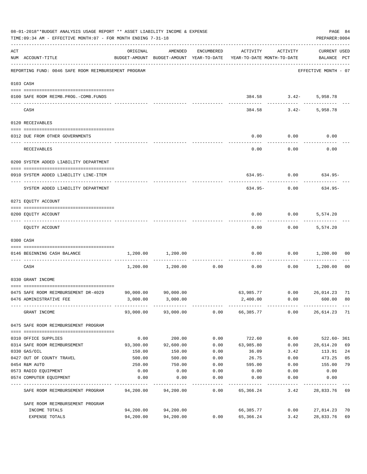|     | 08-01-2018**BUDGET ANALYSIS USAGE REPORT ** ASSET LIABILITY INCOME & EXPENSE<br>TIME: 09:34 AM - EFFECTIVE MONTH: 07 - FOR MONTH ENDING 7-31-18 |                        |                        |               |                                                                                 |                              | PREPARER: 0004                     | PAGE 84        |
|-----|-------------------------------------------------------------------------------------------------------------------------------------------------|------------------------|------------------------|---------------|---------------------------------------------------------------------------------|------------------------------|------------------------------------|----------------|
| ACT | NUM ACCOUNT-TITLE                                                                                                                               | ORIGINAL               | AMENDED                | ENCUMBERED    | ACTIVITY<br>BUDGET-AMOUNT BUDGET-AMOUNT YEAR-TO-DATE YEAR-TO-DATE MONTH-TO-DATE | ACTIVITY                     | <b>CURRENT USED</b><br>BALANCE PCT |                |
|     | REPORTING FUND: 0046 SAFE ROOM REIMBURSEMENT PROGRAM                                                                                            |                        |                        |               |                                                                                 |                              | EFFECTIVE MONTH - 07               |                |
|     | 0103 CASH                                                                                                                                       |                        |                        |               |                                                                                 |                              |                                    |                |
|     | 0100 SAFE ROOM REIMB.PROG.-COMB.FUNDS                                                                                                           |                        |                        |               |                                                                                 | 384.58 3.42-<br>------------ | 5,958.78<br>---------              |                |
|     | CASH                                                                                                                                            |                        |                        |               |                                                                                 | $384.58$ $3.42-$             | 5,958.78                           |                |
|     | 0120 RECEIVABLES                                                                                                                                |                        |                        |               |                                                                                 |                              |                                    |                |
|     | 0312 DUE FROM OTHER GOVERNMENTS                                                                                                                 |                        |                        |               | 0.00                                                                            | $0.00$ 0.00                  |                                    |                |
|     | RECEIVABLES                                                                                                                                     |                        |                        |               | 0.00                                                                            | ---------<br>0.00            | 0.00                               |                |
|     | 0200 SYSTEM ADDED LIABILITY DEPARTMENT                                                                                                          |                        |                        |               |                                                                                 |                              |                                    |                |
|     | 0910 SYSTEM ADDED LIABILITY LINE-ITEM                                                                                                           |                        |                        |               | $634.95 - 0.00$                                                                 |                              | 634.95-                            |                |
|     | SYSTEM ADDED LIABILITY DEPARTMENT                                                                                                               |                        |                        |               | 634.95-                                                                         | 0.00                         | 634.95-                            |                |
|     | 0271 EQUITY ACCOUNT                                                                                                                             |                        |                        |               |                                                                                 |                              |                                    |                |
|     | 0200 EQUITY ACCOUNT                                                                                                                             |                        |                        |               | 0.00                                                                            | 0.00                         | 5,574.20                           |                |
|     | EQUITY ACCOUNT                                                                                                                                  |                        |                        |               | 0.00                                                                            |                              | $0.00$ 5,574.20                    |                |
|     | 0300 CASH                                                                                                                                       |                        |                        |               |                                                                                 |                              |                                    |                |
|     | 0146 BEGINNING CASH BALANCE                                                                                                                     | 1,200.00               | 1,200.00               | ------------- | 0.00                                                                            |                              | $0.00$ 1,200.00                    | 00             |
|     | CASH                                                                                                                                            |                        | 1,200.00 1,200.00      | 0.00          | 0.00                                                                            | 0.00                         | 1,200.00                           | 0 <sub>0</sub> |
|     | 0330 GRANT INCOME                                                                                                                               |                        |                        |               |                                                                                 |                              |                                    |                |
|     | 0475 SAFE ROOM REIMBURSEMENT DR-4029 90,000.00                                                                                                  |                        | 90,000.00              |               | 63,985.77 0.00 26,014.23 71                                                     |                              |                                    |                |
|     | 0476 ADMINISTRATIVE FEE                                                                                                                         |                        | 3,000.00 3,000.00      |               | 2,400.00                                                                        | 0.00                         | 600.00                             | 80             |
|     | GRANT INCOME                                                                                                                                    |                        | 93,000.00 93,000.00    |               | $0.00$ 66,385.77                                                                | 0.00                         | 26,614.23 71                       |                |
|     | 0475 SAFE ROOM REIMBURSEMENT PROGRAM                                                                                                            |                        |                        |               |                                                                                 |                              |                                    |                |
|     | 0310 OFFICE SUPPLIES                                                                                                                            | 0.00                   | 200.00                 | 0.00          | 722.60                                                                          | 0.00                         | 522.60-361                         |                |
|     | 0314 SAFE ROOM REIMBURSEMENT                                                                                                                    | 93,300.00              | 92,600.00              | 0.00          | 63,985.80                                                                       | 0.00                         | 28,614.20                          | 69             |
|     | 0330 GAS/OIL                                                                                                                                    | 150.00                 | 150.00                 | 0.00          | 36.09                                                                           | 3.42                         | 113.91                             | 24             |
|     | 0427 OUT OF COUNTY TRAVEL                                                                                                                       | 500.00                 | 500.00                 | 0.00          | 26.75                                                                           | 0.00                         | 473.25                             | 05             |
|     | 0454 R&M AUTO                                                                                                                                   | 250.00                 | 750.00                 | 0.00          | 595.00                                                                          | 0.00                         | 155.00                             | 79             |
|     | 0573 RADIO EQUIPMENT                                                                                                                            | 0.00                   | 0.00                   | 0.00          | 0.00                                                                            | 0.00                         | 0.00                               |                |
|     | 0574 COMPUTER EQUIPMENT                                                                                                                         | 0.00                   | 0.00                   | 0.00          | 0.00                                                                            | 0.00                         | 0.00                               |                |
|     | SAFE ROOM REIMBURSEMENT PROGRAM                                                                                                                 | 94,200.00              | 94,200.00              | 0.00          | 65,366.24                                                                       | 3.42                         | 28,833.76                          | 69             |
|     | SAFE ROOM REIMBURSEMENT PROGRAM                                                                                                                 |                        |                        |               |                                                                                 |                              |                                    |                |
|     | INCOME TOTALS<br>EXPENSE TOTALS                                                                                                                 | 94,200.00<br>94,200.00 | 94,200.00<br>94,200.00 | 0.00          | 66,385.77<br>65,366.24                                                          | 0.00<br>3.42                 | 27,814.23<br>28,833.76             | 70<br>69       |
|     |                                                                                                                                                 |                        |                        |               |                                                                                 |                              |                                    |                |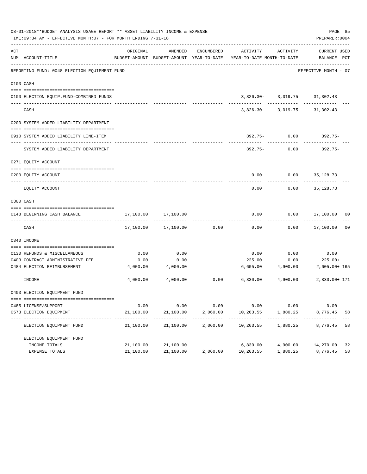|     | 08-01-2018**BUDGET ANALYSIS USAGE REPORT ** ASSET LIABILITY INCOME & EXPENSE<br>TIME: 09:34 AM - EFFECTIVE MONTH: 07 - FOR MONTH ENDING 7-31-18 |                         |                          |          |                                                                                                                 |                                                | PAGE 85<br>PREPARER: 0004     |    |
|-----|-------------------------------------------------------------------------------------------------------------------------------------------------|-------------------------|--------------------------|----------|-----------------------------------------------------------------------------------------------------------------|------------------------------------------------|-------------------------------|----|
| ACT | NUM ACCOUNT-TITLE                                                                                                                               | ORIGINAL                | AMENDED                  |          | ENCUMBERED ACTIVITY ACTIVITY<br>BUDGET-AMOUNT BUDGET-AMOUNT YEAR-TO-DATE YEAR-TO-DATE MONTH-TO-DATE BALANCE PCT |                                                | CURRENT USED                  |    |
|     | REPORTING FUND: 0048 ELECTION EQUIPMENT FUND                                                                                                    |                         |                          |          |                                                                                                                 |                                                | EFFECTIVE MONTH - 07          |    |
|     | 0103 CASH                                                                                                                                       |                         |                          |          |                                                                                                                 |                                                |                               |    |
|     |                                                                                                                                                 |                         |                          |          |                                                                                                                 |                                                |                               |    |
|     | 0100 ELECTION EQUIP.FUND-COMBINED FUNDS                                                                                                         |                         |                          |          |                                                                                                                 | $3,826.30 - 3,019.75$ 31,302.43<br>----------- |                               |    |
|     | CASH                                                                                                                                            |                         |                          |          |                                                                                                                 | 3,826.30- 3,019.75 31,302.43                   |                               |    |
|     | 0200 SYSTEM ADDED LIABILITY DEPARTMENT                                                                                                          |                         |                          |          |                                                                                                                 |                                                |                               |    |
|     | 0910 SYSTEM ADDED LIABILITY LINE-ITEM                                                                                                           |                         |                          |          |                                                                                                                 | 392.75- 0.00                                   | 392.75-                       |    |
|     | SYSTEM ADDED LIABILITY DEPARTMENT                                                                                                               |                         |                          |          | 392.75-                                                                                                         | 0.00                                           | $392.75-$                     |    |
|     | 0271 EQUITY ACCOUNT                                                                                                                             |                         |                          |          |                                                                                                                 |                                                |                               |    |
|     | 0200 EOUITY ACCOUNT                                                                                                                             |                         |                          |          |                                                                                                                 | $0.00$ $0.00$ $35,128.73$                      |                               |    |
|     | EQUITY ACCOUNT                                                                                                                                  |                         |                          |          | 0.00                                                                                                            | 0.00                                           | 35,128.73                     |    |
|     | 0300 CASH                                                                                                                                       |                         |                          |          |                                                                                                                 |                                                |                               |    |
|     |                                                                                                                                                 |                         |                          |          |                                                                                                                 |                                                |                               |    |
|     | 0148 BEGINNING CASH BALANCE                                                                                                                     | 17,100.00               | 17,100.00                |          | 0.00                                                                                                            |                                                | $0.00$ 17,100.00 00           |    |
|     | CASH                                                                                                                                            |                         | 17,100.00 17,100.00      | 0.00     | 0.00                                                                                                            |                                                | $0.00$ 17,100.00              | 00 |
|     | 0340 INCOME                                                                                                                                     |                         |                          |          |                                                                                                                 |                                                |                               |    |
|     |                                                                                                                                                 |                         |                          |          |                                                                                                                 |                                                |                               |    |
|     | 0130 REFUNDS & MISCELLANEOUS                                                                                                                    | 0.00                    | 0.00<br>0.00             |          | 0.00                                                                                                            | 0.00                                           | 0.00<br>$225.00+$             |    |
|     | 0403 CONTRACT ADMINISTRATIVE FEE<br>0484 ELECTION REIMBURSEMENT                                                                                 | 0.00                    | 4,000.00 4,000.00        |          | 225.00                                                                                                          | 0.00<br>$6,605.00$ $4,900.00$                  |                               |    |
|     |                                                                                                                                                 |                         |                          |          |                                                                                                                 |                                                | $2,605.00+165$<br>----------- |    |
|     | INCOME                                                                                                                                          |                         |                          |          | $4,000.00$ $4,000.00$ $0.00$ $6,830.00$ $4,900.00$                                                              |                                                | 2,830.00+ 171                 |    |
|     | 0403 ELECTION EQUIPMENT FUND                                                                                                                    |                         |                          |          |                                                                                                                 |                                                |                               |    |
|     | 0485 LICENSE/SUPPORT                                                                                                                            | 0.00                    | 0.00                     | 0.00     | 0.00                                                                                                            | 0.00                                           | 0.00                          |    |
|     | 0573 ELECTION EQUIPMENT                                                                                                                         | 21,100.00               | 21,100.00                | 2,060.00 | 10,263.55                                                                                                       | 1,880.25                                       | 8,776.45                      | 58 |
|     | ELECTION EQUIPMENT FUND                                                                                                                         | ----------<br>21,100.00 | -----------<br>21,100.00 | 2,060.00 | -----------<br>10,263.55                                                                                        | ----------<br>1,880.25                         | 8,776.45                      | 58 |
|     | ELECTION EQUIPMENT FUND                                                                                                                         |                         |                          |          |                                                                                                                 |                                                |                               |    |
|     | INCOME TOTALS                                                                                                                                   | 21,100.00               | 21,100.00                |          | 6,830.00                                                                                                        | 4,900.00                                       | 14,270.00                     | 32 |
|     | EXPENSE TOTALS                                                                                                                                  | 21,100.00               | 21,100.00                | 2,060.00 | 10,263.55                                                                                                       | 1,880.25                                       | 8,776.45                      | 58 |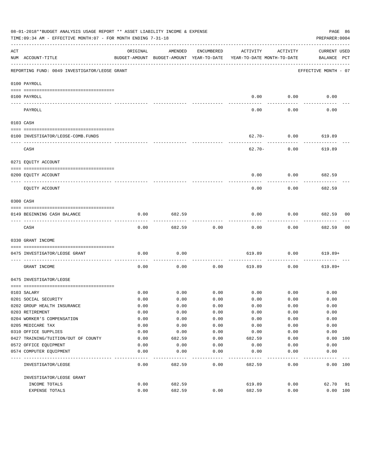|                   | 08-01-2018**BUDGET ANALYSIS USAGE REPORT ** ASSET LIABILITY INCOME & EXPENSE<br>TIME:09:34 AM - EFFECTIVE MONTH:07 - FOR MONTH ENDING 7-31-18 |          |         |                   |                                                                                 |                | PAGE 86<br>PREPARER: 0004          |                |
|-------------------|-----------------------------------------------------------------------------------------------------------------------------------------------|----------|---------|-------------------|---------------------------------------------------------------------------------|----------------|------------------------------------|----------------|
| ACT               | NUM ACCOUNT-TITLE                                                                                                                             | ORIGINAL | AMENDED | ENCUMBERED        | ACTIVITY<br>BUDGET-AMOUNT BUDGET-AMOUNT YEAR-TO-DATE YEAR-TO-DATE MONTH-TO-DATE | ACTIVITY       | <b>CURRENT USED</b><br>BALANCE PCT |                |
|                   | REPORTING FUND: 0049 INVESTIGATOR/LEOSE GRANT                                                                                                 |          |         |                   |                                                                                 |                | EFFECTIVE MONTH - 07               |                |
|                   | 0100 PAYROLL                                                                                                                                  |          |         |                   |                                                                                 |                |                                    |                |
|                   | 0100 PAYROLL                                                                                                                                  |          |         |                   | 0.00                                                                            | 0.00           | 0.00                               |                |
| $- - - - - - - -$ | ------------------------ --------<br>PAYROLL                                                                                                  |          |         |                   | 0.00                                                                            | 0.00           | 0.00                               |                |
|                   | 0103 CASH                                                                                                                                     |          |         |                   |                                                                                 |                |                                    |                |
|                   | 0100 INVESTIGATOR/LEOSE-COMB.FUNDS                                                                                                            |          |         |                   |                                                                                 | $62.70 - 0.00$ | 619.89                             |                |
|                   | CASH                                                                                                                                          |          |         |                   | 62.70-                                                                          | 0.00           | ----------<br>619.89               |                |
|                   | 0271 EQUITY ACCOUNT                                                                                                                           |          |         |                   |                                                                                 |                |                                    |                |
|                   | 0200 EQUITY ACCOUNT                                                                                                                           |          |         |                   | 0.00                                                                            | 0.00           | 682.59                             |                |
|                   | EQUITY ACCOUNT                                                                                                                                |          |         |                   | 0.00                                                                            | 0.00           | 682.59                             |                |
|                   | 0300 CASH                                                                                                                                     |          |         |                   |                                                                                 |                |                                    |                |
|                   | 0149 BEGINNING CASH BALANCE                                                                                                                   | 0.00     | 682.59  |                   | 0.00                                                                            | 0.00           | 682.59 00                          |                |
|                   | CASH                                                                                                                                          | 0.00     | 682.59  | 0.00              | 0.00                                                                            | 0.00           | ----------<br>682.59               | 0 <sub>0</sub> |
|                   | 0330 GRANT INCOME                                                                                                                             |          |         |                   |                                                                                 |                |                                    |                |
|                   | 0475 INVESTIGATOR/LEOSE GRANT                                                                                                                 | 0.00     | 0.00    |                   | 619.89                                                                          | 0.00           | 619.89+                            |                |
|                   | _________________________<br>GRANT INCOME                                                                                                     | 0.00     | 0.00    | ---------<br>0.00 | 619.89                                                                          | 0.00           | $619.89+$                          |                |
|                   | 0475 INVESTIGATOR/LEOSE                                                                                                                       |          |         |                   |                                                                                 |                |                                    |                |
|                   | 0103 SALARY                                                                                                                                   | 0.00     | 0.00    | 0.00              |                                                                                 | $0.00$ 0.00    | 0.00                               |                |
|                   | 0201 SOCIAL SECURITY                                                                                                                          | 0.00     | 0.00    | 0.00              | 0.00                                                                            | 0.00           | 0.00                               |                |
|                   | 0202 GROUP HEALTH INSURANCE                                                                                                                   | 0.00     | 0.00    | 0.00              | 0.00                                                                            | 0.00           | 0.00                               |                |
|                   | 0203 RETIREMENT                                                                                                                               | 0.00     | 0.00    | 0.00              | 0.00                                                                            | 0.00           | 0.00                               |                |
|                   | 0204 WORKER'S COMPENSATION                                                                                                                    | 0.00     | 0.00    | 0.00              | 0.00                                                                            | 0.00           | 0.00                               |                |
|                   | 0205 MEDICARE TAX                                                                                                                             | 0.00     | 0.00    | 0.00              | 0.00                                                                            | 0.00           | 0.00                               |                |
|                   | 0310 OFFICE SUPPLIES                                                                                                                          | 0.00     | 0.00    | 0.00              | 0.00                                                                            | 0.00           | 0.00                               |                |
|                   | 0427 TRAINING/TUITION/OUT OF COUNTY                                                                                                           | 0.00     | 682.59  | 0.00              | 682.59                                                                          | 0.00           | 0.00 100                           |                |
|                   | 0572 OFFICE EQUIPMENT                                                                                                                         | 0.00     | 0.00    | 0.00              | 0.00                                                                            | 0.00           | 0.00                               |                |
|                   | 0574 COMPUTER EQUIPMENT                                                                                                                       | 0.00     | 0.00    | 0.00              | 0.00                                                                            | 0.00           | 0.00                               |                |
|                   | INVESTIGATOR/LEOSE                                                                                                                            | 0.00     | 682.59  | 0.00              | 682.59                                                                          | 0.00           | 0.00 100                           |                |
|                   | INVESTIGATOR/LEOSE GRANT                                                                                                                      |          |         |                   |                                                                                 |                |                                    |                |
|                   | INCOME TOTALS                                                                                                                                 | 0.00     | 682.59  |                   | 619.89                                                                          | 0.00           | 62.70                              | 91             |
|                   | EXPENSE TOTALS                                                                                                                                | 0.00     | 682.59  | 0.00              | 682.59                                                                          | 0.00           | 0.00 100                           |                |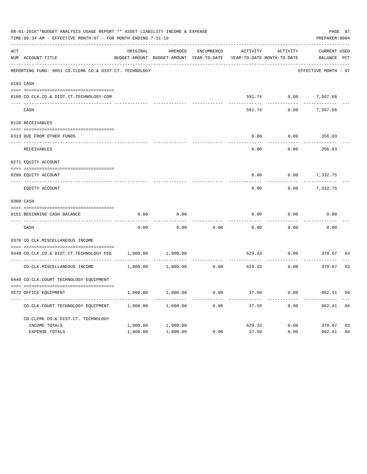|     | 08-01-2018**BUDGET ANALYSIS USAGE REPORT ** ASSET LIABILITY INCOME & EXPENSE<br>TIME: 09:34 AM - EFFECTIVE MONTH: 07 - FOR MONTH ENDING 7-31-18 |          |                                                     |                   |          |                                        | PAGE 87<br>PREPARER: 0004   |    |
|-----|-------------------------------------------------------------------------------------------------------------------------------------------------|----------|-----------------------------------------------------|-------------------|----------|----------------------------------------|-----------------------------|----|
| ACT | NUM ACCOUNT-TITLE                                                                                                                               | ORIGINAL | AMENDED<br>BUDGET-AMOUNT BUDGET-AMOUNT YEAR-TO-DATE | <b>ENCUMBERED</b> | ACTIVITY | ACTIVITY<br>YEAR-TO-DATE MONTH-TO-DATE | CURRENT USED<br>BALANCE PCT |    |
|     | REPORTING FUND: 0051 CO.CLERK CO.& DIST.CT. TECHNOLOGY                                                                                          |          |                                                     |                   |          |                                        | EFFECTIVE MONTH - 07        |    |
|     | 0103 CASH                                                                                                                                       |          |                                                     |                   |          |                                        |                             |    |
|     | 0100 CO.CLK.CO.& DIST.CT.TECHNOLOGY-COM                                                                                                         |          |                                                     |                   | 591.74   | 0.00                                   | 7,567.66                    |    |
|     | CASH                                                                                                                                            |          |                                                     |                   | 591.74   | 0.00                                   | 7,567.66                    |    |
|     | 0120 RECEIVABLES                                                                                                                                |          |                                                     |                   |          |                                        |                             |    |
|     | 0313 DUE FROM OTHER FUNDS                                                                                                                       |          |                                                     |                   | 0.00     | 0.00                                   | 356.83                      |    |
|     | RECEIVABLES                                                                                                                                     |          |                                                     |                   | 0.00     | 0.00                                   | 356.83                      |    |
|     | 0271 EQUITY ACCOUNT                                                                                                                             |          |                                                     |                   |          |                                        |                             |    |
|     | 0200 EQUITY ACCOUNT                                                                                                                             |          |                                                     |                   | 0.00     | 0.00                                   | 7,332.75                    |    |
|     | ---- ----------------------<br>EQUITY ACCOUNT                                                                                                   |          |                                                     |                   | 0.00     | 0.00                                   | ----------<br>7,332.75      |    |
|     | 0300 CASH                                                                                                                                       |          |                                                     |                   |          |                                        |                             |    |
|     | 0151 BEGINNING CASH BALANCE                                                                                                                     | 0.00     | 0.00                                                |                   | 0.00     | 0.00                                   | 0.00                        |    |
|     | CASH                                                                                                                                            | 0.00     | 0.00                                                | 0.00              | 0.00     | 0.00                                   | 0.00                        |    |
|     | 0370 CO.CLK.MISCELLANEOUS INCOME                                                                                                                |          |                                                     |                   |          |                                        |                             |    |
|     | 0440 CO.CLK.CO.& DIST.CT.TECHNOLOGY FEE                                                                                                         | 1,000.00 | 1,000.00                                            |                   | 629.33   | 0.00                                   | 370.67                      | 63 |
|     | CO. CLK. MISCELLANEOUS INCOME                                                                                                                   | 1,000.00 | 1,000.00                                            | 0.00              | 629.33   | 0.00                                   | 370.67                      | 63 |
|     | 0440 CO.CLK.COURT TECHNOLOGY EQUIPMENT                                                                                                          |          |                                                     |                   |          |                                        |                             |    |
|     | 0572 OFFICE EOUIPMENT                                                                                                                           | 1,000.00 | 1,000.00                                            | 0.00              | 37.59    | 0.00                                   | 962.41                      | 04 |
|     | CO.CLK.COURT TECHNOLOGY EQUIPMENT                                                                                                               | 1,000.00 | 1,000.00                                            | 0.00              | 37.59    | 0.00                                   | 962.41                      | 04 |
|     | CO.CLERK CO.& DIST.CT. TECHNOLOGY                                                                                                               |          |                                                     |                   |          |                                        |                             |    |
|     | INCOME TOTALS                                                                                                                                   | 1,000.00 | 1,000.00                                            |                   | 629.33   | 0.00                                   | 370.67                      | 63 |
|     | <b>EXPENSE TOTALS</b>                                                                                                                           | 1,000.00 | 1,000.00                                            | 0.00              | 37.59    | 0.00                                   | 962.41                      | 04 |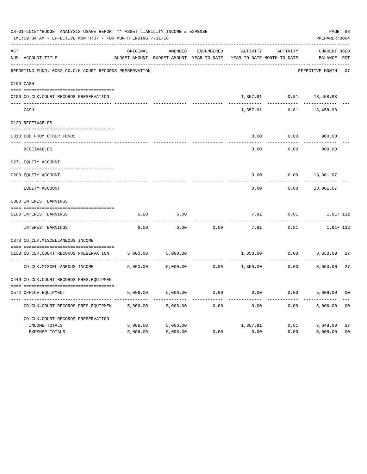|     | 08-01-2018**BUDGET ANALYSIS USAGE REPORT ** ASSET LIABILITY INCOME & EXPENSE<br>TIME:09:34 AM - EFFECTIVE MONTH:07 - FOR MONTH ENDING 7-31-18 |          |                                                                     |            |          |               | PAGE 88<br>PREPARER: 0004 |                |
|-----|-----------------------------------------------------------------------------------------------------------------------------------------------|----------|---------------------------------------------------------------------|------------|----------|---------------|---------------------------|----------------|
| ACT |                                                                                                                                               | ORIGINAL | AMENDED                                                             | ENCUMBERED | ACTIVITY | ACTIVITY      | <b>CURRENT USED</b>       |                |
|     | NUM ACCOUNT-TITLE                                                                                                                             |          | BUDGET-AMOUNT BUDGET-AMOUNT YEAR-TO-DATE YEAR-TO-DATE MONTH-TO-DATE |            |          |               | BALANCE PCT               |                |
|     | REPORTING FUND: 0052 CO.CLK.COURT RECORDS PRESERVATION                                                                                        |          |                                                                     |            |          |               | EFFECTIVE MONTH - 07      |                |
|     | 0103 CASH                                                                                                                                     |          |                                                                     |            |          |               |                           |                |
|     | 0100 CO.CLK.COURT RECORDS PRESERVATION-                                                                                                       |          |                                                                     |            |          |               | 1,357.91 0.81 13,458.98   |                |
|     | CASH                                                                                                                                          |          |                                                                     |            | 1,357.91 | 0.81          | 13,458.98                 |                |
|     | 0120 RECEIVABLES                                                                                                                              |          |                                                                     |            |          |               |                           |                |
|     | 0313 DUE FROM OTHER FUNDS                                                                                                                     |          |                                                                     |            | 0.00     | 0.00          | 900.00                    |                |
|     | RECEIVABLES                                                                                                                                   |          |                                                                     |            | 0.00     | 0.00          | 900.00                    |                |
|     | 0271 EQUITY ACCOUNT                                                                                                                           |          |                                                                     |            |          |               |                           |                |
|     | 0200 EQUITY ACCOUNT                                                                                                                           |          |                                                                     |            | 0.00     | 0.00          | 13,001.07                 |                |
|     | ---- ----------------<br>EQUITY ACCOUNT                                                                                                       |          |                                                                     |            | 0.00     | 0.00          | 13,001.07                 |                |
|     | 0360 INTEREST EARNINGS                                                                                                                        |          |                                                                     |            |          |               |                           |                |
|     | 0100 INTEREST EARNINGS<br>---- --------------                                                                                                 | 6.00     | 6.00                                                                |            | 7.91     | 0.81          | $1.91 + 132$              |                |
|     | INTEREST EARNINGS                                                                                                                             | 6.00     | 6.00                                                                | 0.00       | 7.91     | 0.81          | $1.91 + 132$              |                |
|     | 0370 CO.CLK.MISCELLANEOUS INCOME                                                                                                              |          |                                                                     |            |          |               |                           |                |
|     | 0133 CO.CLK.COURT RECORDS PRESERVATION                                                                                                        | 5,000.00 | 5,000.00                                                            |            |          | 1,350.00 0.00 | 3,650.00                  | 27             |
|     | CO. CLK. MISCELLANEOUS INCOME                                                                                                                 | 5,000.00 | 5,000.00                                                            | 0.00       | 1,350.00 | 0.00          | 3,650.00                  | 27             |
|     | 0449 CO.CLK.COURT RECORDS PRES.EQUIPMEN                                                                                                       |          |                                                                     |            |          |               |                           |                |
|     | 0572 OFFICE EQUIPMENT                                                                                                                         | 5,006.00 | 5,006.00                                                            | 0.00       | 0.00     |               | 0.00<br>5,006.00          | 0 <sub>0</sub> |
|     | CO.CLK.COURT RECORDS PRES.EQUIPMEN                                                                                                            | 5,006.00 | 5,006.00                                                            | 0.00       | 0.00     | 0.00          | 5,006.00                  | 0 <sub>0</sub> |
|     | CO.CLK.COURT RECORDS PRESERVATION                                                                                                             |          |                                                                     |            |          |               |                           |                |
|     | INCOME TOTALS                                                                                                                                 | 5,006.00 | 5,006.00                                                            |            |          | 1,357.91 0.81 | 3,648.09                  | 27             |
|     | <b>EXPENSE TOTALS</b>                                                                                                                         | 5,006.00 | 5,006.00                                                            | 0.00       | 0.00     | 0.00          | 5,006.00                  | 0 <sup>0</sup> |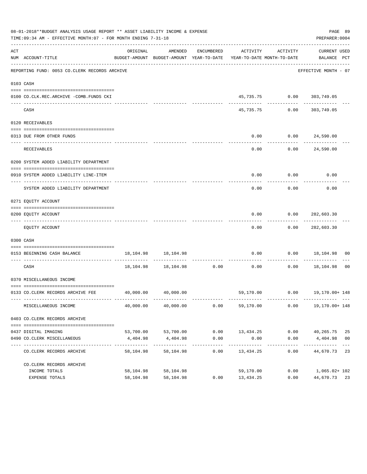|     | 08-01-2018**BUDGET ANALYSIS USAGE REPORT ** ASSET LIABILITY INCOME & EXPENSE<br>TIME: 09:34 AM - EFFECTIVE MONTH: 07 - FOR MONTH ENDING 7-31-18 |           |                                                                                |                      |                     |                                   | PAGE 89<br>PREPARER: 0004          |  |
|-----|-------------------------------------------------------------------------------------------------------------------------------------------------|-----------|--------------------------------------------------------------------------------|----------------------|---------------------|-----------------------------------|------------------------------------|--|
| ACT | NUM ACCOUNT-TITLE                                                                                                                               | ORIGINAL  | AMENDED<br>BUDGET-AMOUNT BUDGET-AMOUNT YEAR-TO-DATE YEAR-TO-DATE MONTH-TO-DATE | ENCUMBERED           | ACTIVITY            | ACTIVITY                          | <b>CURRENT USED</b><br>BALANCE PCT |  |
|     | REPORTING FUND: 0053 CO.CLERK RECORDS ARCHIVE                                                                                                   |           |                                                                                |                      |                     |                                   | EFFECTIVE MONTH - 07               |  |
|     | 0103 CASH                                                                                                                                       |           |                                                                                |                      |                     |                                   |                                    |  |
|     | 0100 CO.CLK.REC.ARCHIVE -COMB.FUNDS CKI                                                                                                         |           |                                                                                |                      |                     | 45,735.75 0.00 303,749.05         |                                    |  |
|     | CASH                                                                                                                                            |           |                                                                                |                      | 45,735.75           | 0.00                              | 303,749.05                         |  |
|     | 0120 RECEIVABLES                                                                                                                                |           |                                                                                |                      |                     |                                   |                                    |  |
|     | 0313 DUE FROM OTHER FUNDS                                                                                                                       |           |                                                                                |                      | 0.00                | $0.00$ 24,590.00                  |                                    |  |
|     | RECEIVABLES                                                                                                                                     |           |                                                                                |                      | 0.00                |                                   | ------------<br>0.00 24,590.00     |  |
|     | 0200 SYSTEM ADDED LIABILITY DEPARTMENT                                                                                                          |           |                                                                                |                      |                     |                                   |                                    |  |
|     | 0910 SYSTEM ADDED LIABILITY LINE-ITEM                                                                                                           |           |                                                                                |                      | 0.00                | 0.00                              | 0.00                               |  |
|     | SYSTEM ADDED LIABILITY DEPARTMENT                                                                                                               |           |                                                                                |                      | 0.00                | 0.00                              | 0.00                               |  |
|     | 0271 EQUITY ACCOUNT                                                                                                                             |           |                                                                                |                      |                     |                                   |                                    |  |
|     | 0200 EQUITY ACCOUNT                                                                                                                             |           |                                                                                |                      | 0.00                |                                   | $0.00$ 282,603.30                  |  |
|     | EQUITY ACCOUNT                                                                                                                                  |           |                                                                                |                      | 0.00                |                                   | $0.00$ 282,603.30                  |  |
|     | 0300 CASH                                                                                                                                       |           |                                                                                |                      |                     |                                   |                                    |  |
|     | 0153 BEGINNING CASH BALANCE                                                                                                                     |           | 18, 104. 98   18, 104. 98                                                      |                      | 0.00                | .                                 | $0.00$ 18,104.98 00                |  |
|     | CASH                                                                                                                                            |           | 18, 104. 98   18, 104. 98                                                      | 0.00                 | 0.00                |                                   | $0.00$ 18,104.98 00                |  |
|     | 0370 MISCELLANEOUS INCOME                                                                                                                       |           |                                                                                |                      |                     |                                   |                                    |  |
|     | 0133 CO.CLERK RECORDS ARCHIVE FEE 40,000.00 40,000.00                                                                                           |           |                                                                                |                      |                     | 59,170.00   0.00   19,170.00+ 148 |                                    |  |
|     | MISCELLANEOUS INCOME                                                                                                                            | 40,000.00 | 40,000.00                                                                      | 0.00                 | 59,170.00           | 0.00                              | 19,170.00+ 148                     |  |
|     | 0403 CO. CLERK RECORDS ARCHIVE                                                                                                                  |           |                                                                                |                      |                     |                                   |                                    |  |
|     |                                                                                                                                                 |           |                                                                                |                      |                     |                                   |                                    |  |
|     | 0437 DIGITAL IMAGING                                                                                                                            |           | 53,700.00 53,700.00                                                            | 0.00                 | 13,434.25           |                                   | $0.00$ 40,265.75 25                |  |
|     | 0490 CO. CLERK MISCELLANEOUS                                                                                                                    | 4,404.98  | 4,404.98                                                                       | 0.00<br>------------ | 0.00<br>----------- | 0.00<br>------------              | 4,404.98 00                        |  |
|     | CO. CLERK RECORDS ARCHIVE                                                                                                                       | 58,104.98 | 58,104.98                                                                      | 0.00                 | 13,434.25           | 0.00                              | 44,670.73 23                       |  |
|     | CO. CLERK RECORDS ARCHIVE                                                                                                                       |           |                                                                                |                      |                     |                                   |                                    |  |
|     | INCOME TOTALS                                                                                                                                   | 58,104.98 | 58,104.98                                                                      |                      | 59,170.00           | 0.00                              | 1,065.02+102                       |  |
|     | EXPENSE TOTALS                                                                                                                                  |           | 58, 104.98 58, 104.98                                                          | 0.00                 | 13,434.25           | 0.00                              | 44,670.73 23                       |  |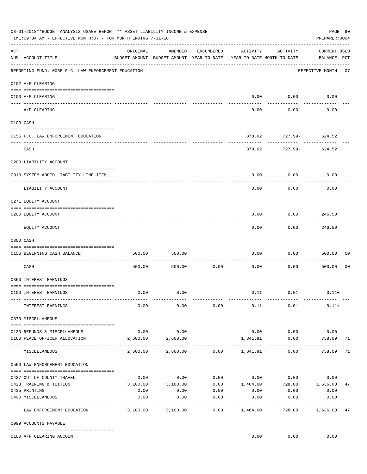|     | 08-01-2018**BUDGET ANALYSIS USAGE REPORT ** ASSET LIABILITY INCOME & EXPENSE<br>TIME:09:34 AM - EFFECTIVE MONTH:07 - FOR MONTH ENDING 7-31-18 |                     |                                                     |                 |                   |                                        | PAGE 90<br>PREPARER: 0004          |                |
|-----|-----------------------------------------------------------------------------------------------------------------------------------------------|---------------------|-----------------------------------------------------|-----------------|-------------------|----------------------------------------|------------------------------------|----------------|
| ACT | NUM ACCOUNT-TITLE                                                                                                                             | ORIGINAL            | AMENDED<br>BUDGET-AMOUNT BUDGET-AMOUNT YEAR-TO-DATE | ENCUMBERED      | ACTIVITY          | ACTIVITY<br>YEAR-TO-DATE MONTH-TO-DATE | <b>CURRENT USED</b><br>BALANCE PCT |                |
|     | REPORTING FUND: 0055 F.C. LAW ENFORCEMENT EDUCATION                                                                                           |                     |                                                     |                 |                   |                                        | EFFECTIVE MONTH - 07               |                |
|     | 0102 A/P CLEARING                                                                                                                             |                     |                                                     |                 |                   |                                        |                                    |                |
|     | 0100 A/P CLEARING<br>---- ---------                                                                                                           |                     |                                                     |                 | 0.00              | 0.00                                   | 0.00                               |                |
|     | A/P CLEARING                                                                                                                                  |                     |                                                     |                 | 0.00              | 0.00                                   | 0.00                               |                |
|     | 0103 CASH                                                                                                                                     |                     |                                                     |                 |                   |                                        |                                    |                |
|     | 0155 F.C. LAW ENFORCEMENT EDUCATION                                                                                                           |                     |                                                     |                 | 378.02            |                                        | $727.99 - 624.52$                  |                |
|     | CASH                                                                                                                                          |                     |                                                     |                 | 378.02            | 727.99-                                | ----------<br>624.52               |                |
|     | 0200 LIABILITY ACCOUNT                                                                                                                        |                     |                                                     |                 |                   |                                        |                                    |                |
|     | 0910 SYSTEM ADDED LIABILITY LINE-ITEM                                                                                                         |                     |                                                     |                 | 0.00              | 0.00                                   | 0.00                               |                |
|     | -------------------- --------<br>---- --------------<br>LIABILITY ACCOUNT                                                                     |                     |                                                     |                 | 0.00              | 0.00                                   | 0.00                               |                |
|     | 0271 EQUITY ACCOUNT                                                                                                                           |                     |                                                     |                 |                   |                                        |                                    |                |
|     | 0200 EQUITY ACCOUNT                                                                                                                           |                     |                                                     |                 | 0.00              | 0.00                                   | 246.50                             |                |
|     | EQUITY ACCOUNT                                                                                                                                |                     |                                                     |                 | 0.00              | 0.00                                   | ---------<br>246.50                |                |
|     | 0300 CASH                                                                                                                                     |                     |                                                     |                 |                   |                                        |                                    |                |
|     | 0156 BEGINNING CASH BALANCE                                                                                                                   | 500.00              | 500.00                                              |                 | 0.00              | 0.00                                   | 500.00                             | 00             |
|     | CASH                                                                                                                                          | 500.00              | 500.00                                              | 0.00            | 0.00              | 0.00                                   | 500.00                             | 0 <sub>0</sub> |
|     | 0360 INTEREST EARNINGS                                                                                                                        |                     |                                                     |                 |                   |                                        |                                    |                |
|     | 0100 INTEREST EARNINGS                                                                                                                        | 0.00                | 0.00                                                |                 |                   | $0.11$ $0.01$                          | $0.11+$                            |                |
|     | INTEREST EARNINGS                                                                                                                             | 0.00                | 0.00                                                | 0.00            | 0.11              | 0.01                                   | $0.11+$                            |                |
|     | 0370 MISCELLANEOUS                                                                                                                            |                     |                                                     |                 |                   |                                        |                                    |                |
|     | 0130 REFUNDS & MISCELLANEOUS                                                                                                                  | 0.00                | 0.00                                                |                 | 0.00              | 0.00                                   | 0.00                               |                |
|     | 0160 PEACE OFFICER ALLOCATION                                                                                                                 | 2,600.00            | 2,600.00                                            |                 | 1,841.91          | 0.00<br>------------                   | 758.09 71<br>------------          |                |
|     | MISCELLANEOUS                                                                                                                                 |                     | 2,600.00 2,600.00                                   |                 | $0.00$ 1,841.91   | 0.00                                   | 758.09                             | 71             |
|     | 0560 LAW ENFORCEMENT EDUCATION                                                                                                                |                     |                                                     |                 |                   |                                        |                                    |                |
|     | 0427 OUT OF COUNTY TRAVEL                                                                                                                     | 0.00                | 0.00                                                |                 |                   | $0.00$ $0.00$ $0.00$                   | 0.00                               |                |
|     | 0428 TRAINING & TUITION                                                                                                                       | 3,100.00            | 3,100.00                                            |                 |                   |                                        | $0.00$ 1,464.00 728.00 1,636.00    | 47             |
|     | 0435 PRINTING                                                                                                                                 | 0.00                | 0.00                                                | 0.00            | 0.00              | 0.00                                   | 0.00                               |                |
|     | 0490 MISCELLANEOUS                                                                                                                            | 0.00<br>----------- | 0.00                                                | 0.00<br>------- | 0.00<br>--------- | 0.00<br>$- - - - - - - -$              | 0.00<br>----------                 |                |
|     | LAW ENFORCEMENT EDUCATION                                                                                                                     | 3,100.00            | 3,100.00                                            | 0.00            | 1,464.00          |                                        | 728.00 1,636.00 47                 |                |
|     | 0999 ACCOUNTS PAYABLE                                                                                                                         |                     |                                                     |                 |                   |                                        |                                    |                |
|     | 0100 A/P CLEARING ACCOUNT                                                                                                                     |                     |                                                     |                 | 0.00              | 0.00                                   | 0.00                               |                |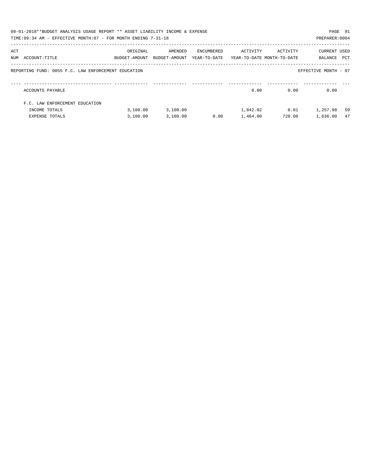|     | 08-01-2018**BUDGET ANALYSIS USAGE REPORT ** ASSET LIABILITY INCOME & EXPENSE<br>TIME:09:34 AM - EFFECTIVE MONTH:07 - FOR MONTH ENDING 7-31-18 |                           |                          |                            |                                        |          | PAGE 91<br>PREPARER: 0004 |     |
|-----|-----------------------------------------------------------------------------------------------------------------------------------------------|---------------------------|--------------------------|----------------------------|----------------------------------------|----------|---------------------------|-----|
| ACT | NUM ACCOUNT-TITLE                                                                                                                             | ORIGINAL<br>BUDGET-AMOUNT | AMENDED<br>BUDGET-AMOUNT | ENCUMBERED<br>YEAR-TO-DATE | ACTIVITY<br>YEAR-TO-DATE MONTH-TO-DATE | ACTIVITY | CURRENT USED<br>BALANCE   | PCT |
|     | REPORTING FUND: 0055 F.C. LAW ENFORCEMENT EDUCATION                                                                                           |                           |                          |                            |                                        |          | EFFECTIVE MONTH - 07      |     |
|     | ACCOUNTS PAYABLE                                                                                                                              |                           |                          |                            | 0.00                                   | 0.00     | 0.00                      |     |
|     | F.C. LAW ENFORCEMENT EDUCATION                                                                                                                |                           |                          |                            |                                        |          |                           |     |
|     | INCOME TOTALS                                                                                                                                 | 3,100.00                  | 3,100.00                 |                            | 1,842.02                               | 0.01     | 1,257.98                  | 59  |
|     | EXPENSE TOTALS                                                                                                                                | 3,100.00                  | 3,100.00                 | 0.00                       | 1,464.00                               | 728.00   | 1,636.00                  | 47  |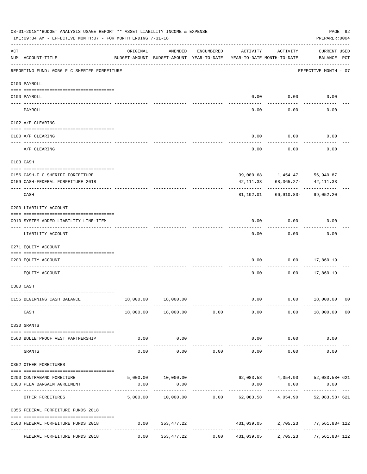|         | 08-01-2018**BUDGET ANALYSIS USAGE REPORT ** ASSET LIABILITY INCOME & EXPENSE<br>TIME: 09:34 AM - EFFECTIVE MONTH: 07 - FOR MONTH ENDING 7-31-18 |          |                                                     |               |               |                                        | PAGE 92<br>PREPARER: 0004                                       |                |
|---------|-------------------------------------------------------------------------------------------------------------------------------------------------|----------|-----------------------------------------------------|---------------|---------------|----------------------------------------|-----------------------------------------------------------------|----------------|
| ACT     | NUM ACCOUNT-TITLE                                                                                                                               | ORIGINAL | AMENDED<br>BUDGET-AMOUNT BUDGET-AMOUNT YEAR-TO-DATE | ENCUMBERED    | ACTIVITY      | ACTIVITY<br>YEAR-TO-DATE MONTH-TO-DATE | <b>CURRENT USED</b><br>BALANCE PCT                              |                |
|         | REPORTING FUND: 0056 F C SHERIFF FORFEITURE                                                                                                     |          |                                                     |               |               |                                        | EFFECTIVE MONTH - 07                                            |                |
|         | 0100 PAYROLL                                                                                                                                    |          |                                                     |               |               |                                        |                                                                 |                |
|         | 0100 PAYROLL                                                                                                                                    |          |                                                     |               | 0.00          | 0.00                                   | 0.00                                                            |                |
| ---- -- | PAYROLL                                                                                                                                         |          |                                                     |               | 0.00          | 0.00                                   | 0.00                                                            |                |
|         | 0102 A/P CLEARING                                                                                                                               |          |                                                     |               |               |                                        |                                                                 |                |
|         | 0100 A/P CLEARING                                                                                                                               |          |                                                     |               | 0.00          | 0.00                                   | 0.00                                                            |                |
|         | A/P CLEARING                                                                                                                                    |          |                                                     |               | 0.00          | 0.00                                   | 0.00                                                            |                |
|         | 0103 CASH                                                                                                                                       |          |                                                     |               |               |                                        |                                                                 |                |
|         | 0156 CASH-F C SHERIFF FORFEITURE                                                                                                                |          |                                                     |               |               | 39,080.68 1,454.47 56,940.87           |                                                                 |                |
|         | 0159 CASH-FEDERAL FORFEITURE 2018                                                                                                               |          |                                                     |               | 42, 111, 33   | 68,365.27-                             | 42, 111.33                                                      |                |
|         | CASH                                                                                                                                            |          |                                                     |               | 81,192.01     | 66,910.80-                             | 99,052.20                                                       |                |
|         | 0200 LIABILITY ACCOUNT                                                                                                                          |          |                                                     |               |               |                                        |                                                                 |                |
|         | 0910 SYSTEM ADDED LIABILITY LINE-ITEM                                                                                                           |          |                                                     |               | 0.00          | 0.00                                   | 0.00                                                            |                |
|         | LIABILITY ACCOUNT                                                                                                                               |          |                                                     |               | 0.00          | 0.00                                   | 0.00                                                            |                |
|         | 0271 EQUITY ACCOUNT                                                                                                                             |          |                                                     |               |               |                                        |                                                                 |                |
|         | 0200 EQUITY ACCOUNT                                                                                                                             |          |                                                     |               | 0.00          | 0.00                                   | 17,860.19                                                       |                |
|         | EQUITY ACCOUNT                                                                                                                                  |          |                                                     |               | 0.00          | 0.00                                   | 17,860.19                                                       |                |
|         | 0300 CASH                                                                                                                                       |          |                                                     |               |               |                                        |                                                                 |                |
|         | 0156 BEGINNING CASH BALANCE<br>-------------- --------                                                                                          |          | 18,000.00  18,000.00<br>-------------               | ------------  | 0.00          |                                        | $0.00$ 18,000.00 00<br>.                                        |                |
|         | CASH                                                                                                                                            |          | 18,000.00  18,000.00  0.00                          |               | 0.00          |                                        | 0.00 18,000.00                                                  | 0 <sub>0</sub> |
|         | 0330 GRANTS                                                                                                                                     |          |                                                     |               |               |                                        |                                                                 |                |
|         | 0560 BULLETPROOF VEST PARTNERSHIP                                                                                                               | 0.00     | 0.00<br>-----------                                 |               | ------------- | $0.00$ 0.00<br>-----------             | 0.00                                                            |                |
|         | GRANTS                                                                                                                                          | 0.00     | 0.00                                                |               | $0.00$ 0.00   | 0.00                                   | 0.00                                                            |                |
|         | 0352 OTHER FOREITURES                                                                                                                           |          |                                                     |               |               |                                        |                                                                 |                |
|         | 0200 CONTRABAND FOREITURE                                                                                                                       |          |                                                     |               |               |                                        | 5,000.00 10,000.00 62,083.58 4,054.90 52,083.58 621             |                |
|         | 0300 PLEA BARGAIN AGREEMENT                                                                                                                     | 0.00     | 0.00                                                | ------------- | 0.00          | 0.00                                   | 0.00                                                            |                |
|         | OTHER FOREITURES                                                                                                                                |          |                                                     |               |               |                                        | 5,000.00 10,000.00 0.00 62,083.58 4,054.90 52,083.58+ 621       |                |
|         | 0355 FEDERAL FORFEITURE FUNDS 2018                                                                                                              |          |                                                     |               |               |                                        |                                                                 |                |
|         | 0560 FEDERAL FORFEITURE FUNDS 2018                                                                                                              | 0.00     | 353,477.22                                          |               |               |                                        | 431,039.05 2,705.23 77,561.83+122                               |                |
|         | FEDERAL FORFEITURE FUNDS 2018                                                                                                                   |          | $0.00$ $353,477.22$                                 |               |               |                                        | $0.00 \qquad 431,039.05 \qquad 2,705.23 \qquad 77,561.83 + 122$ |                |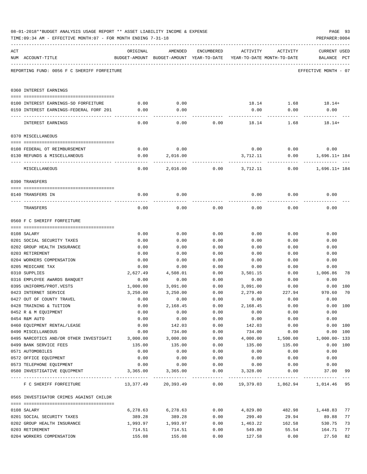|     | TIME:09:34 AM - EFFECTIVE MONTH:07 - FOR MONTH ENDING 7-31-18 |                  |                                                                                |              |                  |               | PREPARER: 0004                        |          |
|-----|---------------------------------------------------------------|------------------|--------------------------------------------------------------------------------|--------------|------------------|---------------|---------------------------------------|----------|
| ACT | NUM ACCOUNT-TITLE                                             | ORIGINAL         | AMENDED<br>BUDGET-AMOUNT BUDGET-AMOUNT YEAR-TO-DATE YEAR-TO-DATE MONTH-TO-DATE | ENCUMBERED   | ACTIVITY         | ACTIVITY      | <b>CURRENT USED</b><br>BALANCE PCT    |          |
|     | REPORTING FUND: 0056 F C SHERIFF FORFEITURE                   |                  |                                                                                |              |                  |               | EFFECTIVE MONTH - 07                  |          |
|     | 0360 INTEREST EARNINGS                                        |                  |                                                                                |              |                  |               |                                       |          |
|     | 0100 INTEREST EARNINGS-SO FORFEITURE                          | 0.00             | 0.00                                                                           |              |                  |               | $18.14$ $1.68$ $18.14+$               |          |
|     | 0159 INTEREST EARNINGS-FEDERAL FORF 201                       | 0.00             | 0.00                                                                           |              | 0.00             | 0.00          | 0.00                                  |          |
|     |                                                               |                  |                                                                                |              |                  |               |                                       |          |
|     | INTEREST EARNINGS                                             | 0.00             | 0.00                                                                           | 0.00         | 18.14            | 1.68          | $18.14+$                              |          |
|     | 0370 MISCELLANEOUS                                            |                  |                                                                                |              |                  |               |                                       |          |
|     |                                                               |                  |                                                                                |              |                  |               |                                       |          |
|     | 0108 FEDERAL OT REIMBURSEMENT                                 | 0.00             | 0.00                                                                           |              |                  | $0.00$ $0.00$ | 0.00                                  |          |
|     | 0130 REFUNDS & MISCELLANEOUS                                  | 0.00             | 2,016.00                                                                       |              | 3,712.11         | 0.00          | 1,696.11+ 184                         |          |
|     | MISCELLANEOUS                                                 | 0.00             | 2,016.00                                                                       |              | $0.00$ 3,712.11  | 0.00          | 1,696.11+ 184                         |          |
|     | 0390 TRANSFERS                                                |                  |                                                                                |              |                  |               |                                       |          |
|     |                                                               |                  |                                                                                |              |                  |               |                                       |          |
|     | 0140 TRANSFERS IN                                             | 0.00             | 0.00                                                                           |              | 0.00             | 0.00          | 0.00                                  |          |
|     | TRANSFERS                                                     | 0.00             | 0.00                                                                           | 0.00         | 0.00             | 0.00          | 0.00                                  |          |
|     | 0560 F C SHERIFF FORFEITURE                                   |                  |                                                                                |              |                  |               |                                       |          |
|     |                                                               |                  |                                                                                |              |                  |               |                                       |          |
|     | 0108 SALARY                                                   | 0.00             | 0.00                                                                           | 0.00         | 0.00             | 0.00          | 0.00                                  |          |
|     | 0201 SOCIAL SECURITY TAXES                                    | 0.00             | 0.00                                                                           | 0.00         | 0.00             | 0.00          | 0.00                                  |          |
|     | 0202 GROUP HEALTH INSURANCE                                   | 0.00             | 0.00                                                                           | 0.00         | 0.00             | 0.00          | 0.00                                  |          |
|     | 0203 RETIREMENT                                               | 0.00             | 0.00                                                                           | 0.00         | 0.00             | 0.00          | 0.00                                  |          |
|     | 0204 WORKERS COMPENSATION                                     | 0.00             | 0.00                                                                           | 0.00         | 0.00             | 0.00          | 0.00                                  |          |
|     | 0205 MEDICARE TAX                                             | 0.00<br>2,627.49 | 0.00                                                                           | 0.00         | 0.00<br>3,501.15 | 0.00          | 0.00<br>1,006.86                      | 78       |
|     | 0310 SUPPLIES<br>0316 EMPLOYEE AWARDS BANQUET                 | 0.00             | 4,508.01<br>0.00                                                               | 0.00<br>0.00 | 0.00             | 0.00<br>0.00  | 0.00                                  |          |
|     | 0395 UNIFORMS/PROT.VESTS                                      | 1,000.00         | 3,091.00                                                                       | 0.00         | 3,091.00         | 0.00          | $0.00$ 100                            |          |
|     | 0423 INTERNET SERVICE                                         | 3,250.00         | 3,250.00                                                                       | 0.00         | 2,279.40         | 227.94        | 970.60                                | 70       |
|     | 0427 OUT OF COUNTY TRAVEL                                     | 0.00             | 0.00                                                                           | 0.00         | 0.00             | 0.00          | 0.00                                  |          |
|     | 0428 TRAINING & TUITION                                       | 0.00             | 2,168.45                                                                       | 0.00         | 2,168.45         | 0.00          |                                       | 0.00 100 |
|     | 0452 R & M EQUIPMENT                                          | 0.00             | 0.00                                                                           | 0.00         | 0.00             | 0.00          | 0.00                                  |          |
|     | 0454 R&M AUTO                                                 | 0.00             | 0.00                                                                           | 0.00         | 0.00             | 0.00          | 0.00                                  |          |
|     | 0460 EQUIPMENT RENTAL/LEASE                                   | 0.00             | 142.03                                                                         | 0.00         | 142.03           | 0.00          |                                       | 0.00 100 |
|     | 0490 MISCELLANEOUS                                            | 0.00             | 734.00                                                                         | 0.00         | 734.00           | 0.00          |                                       | 0.00 100 |
|     | 0495 NARCOTICS AND/OR OTHER INVESTIGATI                       | 3,000.00         | 3,000.00                                                                       | 0.00         | 4,000.00         | 1,500.00      | $1,000.00 - 133$                      |          |
|     | 0499 BANK SERVICE FEES                                        | 135.00           | 135.00                                                                         | 0.00         | 135.00           | 135.00        |                                       | 0.00 100 |
|     | 0571 AUTOMOBILES                                              | 0.00             | 0.00                                                                           | 0.00         | 0.00             | 0.00          | 0.00                                  |          |
|     | 0572 OFFICE EQUIPMENT                                         | 0.00             | 0.00                                                                           | 0.00         | 0.00             | 0.00          | 0.00                                  |          |
|     | 0573 TELEPHONE EOUIPMENT                                      | 0.00             | 0.00                                                                           | 0.00         | 0.00             | 0.00          | 0.00                                  |          |
|     | 0580 INVESTIGATIVE EQUIPMENT                                  | 3,365.00         | 3,365.00                                                                       | 0.00         | 3,328.00         | 0.00          | 37.00 99                              |          |
|     | F C SHERIFF FORFEITURE                                        |                  | 13,377.49 20,393.49                                                            |              |                  |               | $0.00$ 19,379.03 1,862.94 1,014.46 95 |          |
|     | 0565 INVESTIGATOR CRIMES AGAINST CHILDR                       |                  |                                                                                |              |                  |               |                                       |          |
|     | 0108 SALARY                                                   | 6,278.63         | 6,278.63                                                                       | 0.00         | 4,829.80         | 482.98        | 1,448.83                              | 77       |
|     | 0201 SOCIAL SECURITY TAXES                                    | 389.28           | 389.28                                                                         | 0.00         | 299.40           | 29.94         | 89.88                                 | 77       |
|     | 0202 GROUP HEALTH INSURANCE                                   | 1,993.97         | 1,993.97                                                                       | 0.00         | 1,463.22         | 162.58        | 530.75                                | 73       |
|     | 0203 RETIREMENT                                               | 714.51           | 714.51                                                                         | 0.00         | 549.80           | 55.54         | 164.71                                | 77       |
|     | 0204 WORKERS COMPENSATION                                     | 155.08           | 155.08                                                                         | 0.00         | 127.58           | 0.00          | 27.50                                 | 82       |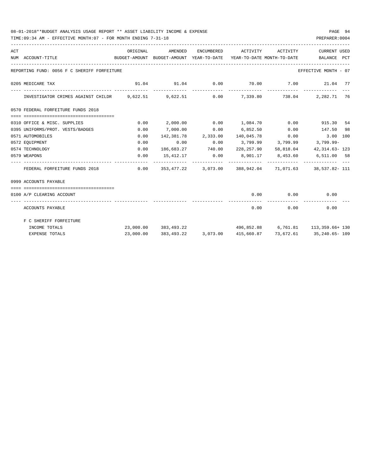### 08-01-2018\*\*BUDGET ANALYSIS USAGE REPORT \*\* ASSET LIABILITY INCOME & EXPENSE PAGE 94

TIME:09:34 AM - EFFECTIVE MONTH:07 - FOR MONTH ENDING 7-31-18

| ACT | NUM ACCOUNT-TITLE                                                                     | ORIGINAL | AMENDED<br>BUDGET-AMOUNT BUDGET-AMOUNT YEAR-TO-DATE YEAR-TO-DATE MONTH-TO-DATE BALANCE PCT | ENCUMBERED | ACTIVITY ACTIVITY                                      |               | <b>CURRENT USED</b>                  |  |
|-----|---------------------------------------------------------------------------------------|----------|--------------------------------------------------------------------------------------------|------------|--------------------------------------------------------|---------------|--------------------------------------|--|
|     | REPORTING FUND: 0056 F C SHERIFF FORFEITURE                                           |          |                                                                                            |            |                                                        |               | EFFECTIVE MONTH - 07                 |  |
|     | 0205 MEDICARE TAX                                                                     |          | $91.04$ $91.04$ $0.00$ $70.00$ $7.00$ $21.04$ $77$                                         |            |                                                        |               |                                      |  |
|     | INVESTIGATOR CRIMES AGAINST CHILDR 9,622.51 9,622.51 0.00 7,339.80 738.04 2,282.71 76 |          |                                                                                            |            |                                                        |               |                                      |  |
|     | 0570 FEDERAL FORFEITURE FUNDS 2018                                                    |          |                                                                                            |            |                                                        |               |                                      |  |
|     |                                                                                       |          |                                                                                            |            |                                                        |               |                                      |  |
|     | 0310 OFFICE & MISC. SUPPLIES                                                          | 0.00     |                                                                                            |            | $2,000.00$ $0.00$ $1,084.70$ $0.00$ $915.30$ $54$      |               |                                      |  |
|     | 0395 UNIFORMS/PROT. VESTS/BADGES                                                      | 0.00     | 7,000.00                                                                                   |            | $0.00$ 6,852.50 0.00 147.50 98                         |               |                                      |  |
|     | 0571 AUTOMOBILES                                                                      | 0.00     |                                                                                            |            | 142,381.78  2,333.00  140,045.78  0.00  3.00  100      |               |                                      |  |
|     | 0572 EQUIPMENT                                                                        | 0.00     | 0.00                                                                                       |            | $0.00$ $3,799.99$ $3,799.99$ $3,799.99$ $3,799.99$     |               |                                      |  |
|     | 0574 TECHNOLOGY                                                                       | 0.00     |                                                                                            |            | 186,683.27 740.00 228,257.90 58,818.04 42,314.63-123   |               |                                      |  |
|     | 0579 WEAPONS                                                                          | 0.00     |                                                                                            |            | 15,412.17   0.00   8,901.17   8,453.60   6,511.00   58 |               |                                      |  |
|     | FEDERAL FORFEITURE FUNDS 2018                                                         |          | $0.00$ $353,477.22$ $3,073.00$ $388,942.04$ $71,071.63$ $38,537.82$ - 111                  |            |                                                        |               |                                      |  |
|     | 0999 ACCOUNTS PAYABLE                                                                 |          |                                                                                            |            |                                                        |               |                                      |  |
|     | 0100 A/P CLEARING ACCOUNT                                                             |          |                                                                                            |            |                                                        |               | $0.00$ $0.00$ $0.00$                 |  |
|     | ACCOUNTS PAYABLE                                                                      |          |                                                                                            |            |                                                        | $0.00$ $0.00$ | ------------- --------------<br>0.00 |  |
|     | F C SHERIFF FORFEITURE                                                                |          |                                                                                            |            |                                                        |               |                                      |  |
|     | INCOME TOTALS                                                                         |          | 23,000.00 383,493.22                                                                       |            | 496,852.88 6,761.81 113,359.66+ 130                    |               |                                      |  |
|     | EXPENSE TOTALS                                                                        |          | 23,000.00 383,493.22 3,073.00 415,660.87 73,672.61 35,240.65-109                           |            |                                                        |               |                                      |  |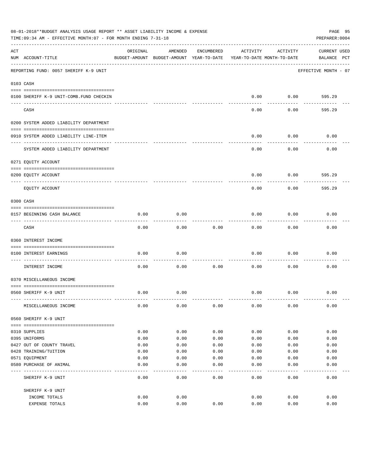|     | 08-01-2018**BUDGET ANALYSIS USAGE REPORT ** ASSET LIABILITY INCOME & EXPENSE<br>PAGE 95<br>TIME: 09:34 AM - EFFECTIVE MONTH: 07 - FOR MONTH ENDING 7-31-18<br>PREPARER: 0004 |          |                                                     |            |          |                                        |                                    |  |  |  |
|-----|------------------------------------------------------------------------------------------------------------------------------------------------------------------------------|----------|-----------------------------------------------------|------------|----------|----------------------------------------|------------------------------------|--|--|--|
| ACT | NUM ACCOUNT-TITLE                                                                                                                                                            | ORIGINAL | AMENDED<br>BUDGET-AMOUNT BUDGET-AMOUNT YEAR-TO-DATE | ENCUMBERED | ACTIVITY | ACTIVITY<br>YEAR-TO-DATE MONTH-TO-DATE | <b>CURRENT USED</b><br>BALANCE PCT |  |  |  |
|     | REPORTING FUND: 0057 SHERIFF K-9 UNIT                                                                                                                                        |          |                                                     |            |          |                                        | EFFECTIVE MONTH - 07               |  |  |  |
|     | 0103 CASH                                                                                                                                                                    |          |                                                     |            |          |                                        |                                    |  |  |  |
|     | 0100 SHERIFF K-9 UNIT-COMB.FUND CHECKIN                                                                                                                                      |          |                                                     |            | 0.00     | 0.00                                   | 595.29                             |  |  |  |
|     | CASH                                                                                                                                                                         |          |                                                     |            | 0.00     | 0.00                                   | 595.29                             |  |  |  |
|     | 0200 SYSTEM ADDED LIABILITY DEPARTMENT                                                                                                                                       |          |                                                     |            |          |                                        |                                    |  |  |  |
|     | 0910 SYSTEM ADDED LIABILITY LINE-ITEM                                                                                                                                        |          |                                                     |            | 0.00     | 0.00                                   | 0.00                               |  |  |  |
|     | SYSTEM ADDED LIABILITY DEPARTMENT                                                                                                                                            |          |                                                     |            | 0.00     | 0.00                                   | 0.00                               |  |  |  |
|     | 0271 EQUITY ACCOUNT                                                                                                                                                          |          |                                                     |            |          |                                        |                                    |  |  |  |
|     | 0200 EQUITY ACCOUNT                                                                                                                                                          |          |                                                     |            | 0.00     | 0.00                                   | 595.29                             |  |  |  |
|     | ---- ----------<br>EQUITY ACCOUNT                                                                                                                                            |          |                                                     |            | 0.00     | 0.00                                   | 595.29                             |  |  |  |
|     | 0300 CASH                                                                                                                                                                    |          |                                                     |            |          |                                        |                                    |  |  |  |
|     | 0157 BEGINNING CASH BALANCE                                                                                                                                                  | 0.00     | 0.00                                                |            | 0.00     | 0.00                                   | 0.00                               |  |  |  |
|     | CASH                                                                                                                                                                         | 0.00     | 0.00                                                | 0.00       | 0.00     | 0.00                                   | 0.00                               |  |  |  |
|     | 0360 INTEREST INCOME                                                                                                                                                         |          |                                                     |            |          |                                        |                                    |  |  |  |
|     | 0100 INTEREST EARNINGS                                                                                                                                                       | 0.00     | 0.00                                                |            | 0.00     | 0.00                                   | 0.00                               |  |  |  |
|     | INTEREST INCOME                                                                                                                                                              | 0.00     | 0.00                                                | 0.00       | 0.00     | 0.00                                   | 0.00                               |  |  |  |
|     | 0370 MISCELLANEOUS INCOME                                                                                                                                                    |          |                                                     |            |          |                                        |                                    |  |  |  |
|     | 0560 SHERIFF K-9 UNIT                                                                                                                                                        | 0.00     | 0.00                                                |            | 0.00     | 0.00                                   | 0.00                               |  |  |  |
|     | MISCELLANEOUS INCOME                                                                                                                                                         | 0.00     | 0.00                                                | 0.00       | 0.00     | 0.00                                   | 0.00                               |  |  |  |
|     | 0560 SHERIFF K-9 UNIT                                                                                                                                                        |          |                                                     |            |          |                                        |                                    |  |  |  |
|     | 0310 SUPPLIES                                                                                                                                                                | 0.00     | 0.00                                                | 0.00       | 0.00     | 0.00                                   | 0.00                               |  |  |  |
|     | 0395 UNIFORMS                                                                                                                                                                | 0.00     | 0.00                                                | 0.00       | 0.00     | 0.00                                   | 0.00                               |  |  |  |
|     | 0427 OUT OF COUNTY TRAVEL                                                                                                                                                    | 0.00     | 0.00                                                | 0.00       | 0.00     | 0.00                                   | 0.00                               |  |  |  |
|     | 0428 TRAINING/TUITION                                                                                                                                                        | 0.00     | 0.00                                                | 0.00       | 0.00     | 0.00                                   | 0.00                               |  |  |  |
|     | 0571 EQUIPMENT                                                                                                                                                               | 0.00     | 0.00                                                | 0.00       | 0.00     | 0.00                                   | 0.00                               |  |  |  |
|     | 0580 PURCHASE OF ANIMAL                                                                                                                                                      | 0.00     | 0.00                                                | 0.00       | 0.00     | 0.00                                   | 0.00                               |  |  |  |
|     | SHERIFF K-9 UNIT                                                                                                                                                             | 0.00     | 0.00                                                | 0.00       | 0.00     | 0.00                                   | 0.00                               |  |  |  |
|     | SHERIFF K-9 UNIT                                                                                                                                                             |          |                                                     |            |          |                                        |                                    |  |  |  |
|     | INCOME TOTALS                                                                                                                                                                | 0.00     | 0.00                                                |            | 0.00     | 0.00                                   | 0.00                               |  |  |  |
|     | EXPENSE TOTALS                                                                                                                                                               | 0.00     | 0.00                                                | 0.00       | 0.00     | 0.00                                   | 0.00                               |  |  |  |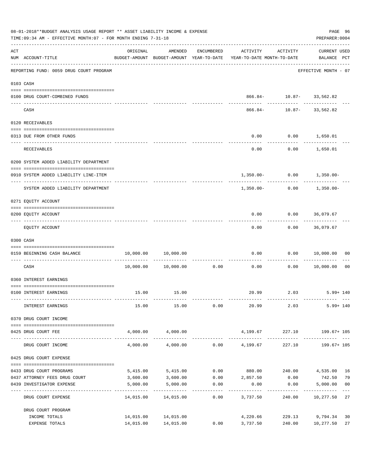| 08-01-2018**BUDGET ANALYSIS USAGE REPORT ** ASSET LIABILITY INCOME & EXPENSE<br>TIME: 09:34 AM - EFFECTIVE MONTH: 07 - FOR MONTH ENDING 7-31-18<br>PREPARER: 0004 |                                         |           |                                            |                       |                                                                                 |                          |                                    |                |  |
|-------------------------------------------------------------------------------------------------------------------------------------------------------------------|-----------------------------------------|-----------|--------------------------------------------|-----------------------|---------------------------------------------------------------------------------|--------------------------|------------------------------------|----------------|--|
| ACT                                                                                                                                                               | NUM ACCOUNT-TITLE                       | ORIGINAL  | AMENDED                                    | ENCUMBERED            | ACTIVITY<br>BUDGET-AMOUNT BUDGET-AMOUNT YEAR-TO-DATE YEAR-TO-DATE MONTH-TO-DATE | ACTIVITY                 | <b>CURRENT USED</b><br>BALANCE PCT |                |  |
|                                                                                                                                                                   | REPORTING FUND: 0059 DRUG COURT PROGRAM |           |                                            |                       |                                                                                 |                          | EFFECTIVE MONTH - 07               |                |  |
|                                                                                                                                                                   | 0103 CASH                               |           |                                            |                       |                                                                                 |                          |                                    |                |  |
|                                                                                                                                                                   | 0100 DRUG COURT-COMBINED FUNDS          |           |                                            |                       |                                                                                 | 866.84- 10.87- 33,562.82 |                                    |                |  |
|                                                                                                                                                                   | CASH                                    |           |                                            |                       | 866.84-                                                                         | ------------             | __________<br>$10.87 - 33,562.82$  |                |  |
|                                                                                                                                                                   | 0120 RECEIVABLES                        |           |                                            |                       |                                                                                 |                          |                                    |                |  |
|                                                                                                                                                                   | 0313 DUE FROM OTHER FUNDS               |           |                                            |                       | 0.00                                                                            | $0.00$ 1,650.01          |                                    |                |  |
|                                                                                                                                                                   | RECEIVABLES                             |           |                                            |                       | 0.00                                                                            |                          | ____________<br>$0.00$ 1,650.01    |                |  |
|                                                                                                                                                                   | 0200 SYSTEM ADDED LIABILITY DEPARTMENT  |           |                                            |                       |                                                                                 |                          |                                    |                |  |
|                                                                                                                                                                   | 0910 SYSTEM ADDED LIABILITY LINE-ITEM   |           |                                            |                       |                                                                                 |                          | $1,350.00 - 0.00 - 1,350.00 -$     |                |  |
|                                                                                                                                                                   | SYSTEM ADDED LIABILITY DEPARTMENT       |           |                                            |                       | 1,350.00-                                                                       | 0.00                     | 1,350.00-                          |                |  |
|                                                                                                                                                                   | 0271 EQUITY ACCOUNT                     |           |                                            |                       |                                                                                 |                          |                                    |                |  |
|                                                                                                                                                                   | 0200 EQUITY ACCOUNT                     |           |                                            |                       | 0.00                                                                            | $0.00$ 36,079.67         |                                    |                |  |
|                                                                                                                                                                   | EQUITY ACCOUNT                          |           |                                            |                       | 0.00                                                                            |                          | $0.00$ 36,079.67                   |                |  |
|                                                                                                                                                                   | 0300 CASH                               |           |                                            |                       |                                                                                 |                          |                                    |                |  |
|                                                                                                                                                                   | 0159 BEGINNING CASH BALANCE             |           | 10,000.00 10,000.00                        |                       | 0.00                                                                            |                          | 0.00 10,000.00                     | 00             |  |
|                                                                                                                                                                   | CASH                                    |           | $10,000.00$ $10,000.00$                    | 0.00                  | -----------------------------<br>0.00                                           | ----------<br>0.00       | 10,000.00                          | 0 <sub>0</sub> |  |
|                                                                                                                                                                   | 0360 INTEREST EARNINGS                  |           |                                            |                       |                                                                                 |                          |                                    |                |  |
|                                                                                                                                                                   | 0100 INTEREST EARNINGS                  |           | 15.00 15.00                                |                       |                                                                                 |                          | 20.99 2.03 5.99+140                |                |  |
|                                                                                                                                                                   | INTEREST EARNINGS                       | 15.00     | 15.00                                      | 0.00                  | 20.99                                                                           | 2.03                     | $5.99 + 140$                       |                |  |
|                                                                                                                                                                   | 0370 DRUG COURT INCOME                  |           |                                            |                       |                                                                                 |                          |                                    |                |  |
|                                                                                                                                                                   | 0425 DRUG COURT FEE                     |           | 4,000.00 4,000.00                          |                       | 4,199.67 227.10 199.67+105                                                      |                          |                                    |                |  |
|                                                                                                                                                                   | DRUG COURT INCOME                       | 4,000.00  |                                            |                       | $4,000.00$ 0.00 $4,199.67$                                                      |                          | 227.10    199.67+ 105              |                |  |
|                                                                                                                                                                   | 0425 DRUG COURT EXPENSE                 |           |                                            |                       |                                                                                 |                          |                                    |                |  |
|                                                                                                                                                                   | 0433 DRUG COURT PROGRAMS                | 5,415.00  | 5,415.00                                   |                       | $0.00$ 880.00 240.00                                                            |                          | 4,535.00                           | 16             |  |
|                                                                                                                                                                   | 0437 ATTORNEY FEES DRUG COURT           | 3,600.00  | 3,600.00                                   |                       | $0.00$ 2,857.50                                                                 | 0.00                     | 742.50                             | 79             |  |
|                                                                                                                                                                   | 0439 INVESTIGATOR EXPENSE               | 5,000.00  | 5,000.00                                   | 0.00<br>------------- | 0.00<br>---------                                                               | 0.00<br>------------     | 5,000.00                           | 0 <sub>0</sub> |  |
|                                                                                                                                                                   | DRUG COURT EXPENSE                      | 14,015.00 | 14,015.00                                  | 0.00                  | 3,737.50                                                                        |                          | 240.00 10,277.50                   | 27             |  |
|                                                                                                                                                                   | DRUG COURT PROGRAM                      |           |                                            |                       |                                                                                 |                          |                                    |                |  |
|                                                                                                                                                                   | INCOME TOTALS<br>EXPENSE TOTALS         |           | 14,015.00 14,015.00<br>14,015.00 14,015.00 | 0.00                  | 4,220.66<br>3,737.50                                                            | 240.00                   | 229.13 9,794.34<br>10,277.50       | 30<br>27       |  |
|                                                                                                                                                                   |                                         |           |                                            |                       |                                                                                 |                          |                                    |                |  |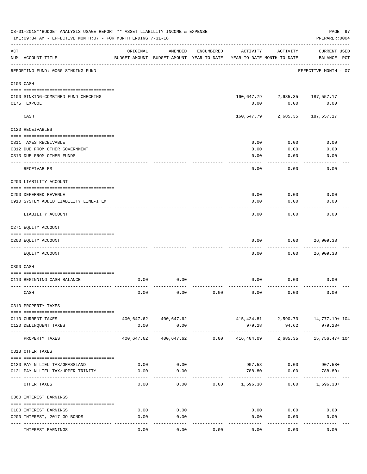|                    | 08-01-2018**BUDGET ANALYSIS USAGE REPORT ** ASSET LIABILITY INCOME & EXPENSE<br>TIME: 09:34 AM - EFFECTIVE MONTH: 07 - FOR MONTH ENDING 7-31-18 |          |                                                     |            |                                        |                                        | PAGE 97<br>PREPARER: 0004                          |
|--------------------|-------------------------------------------------------------------------------------------------------------------------------------------------|----------|-----------------------------------------------------|------------|----------------------------------------|----------------------------------------|----------------------------------------------------|
| $\mathop{\rm ACT}$ | NUM ACCOUNT-TITLE                                                                                                                               | ORIGINAL | AMENDED<br>BUDGET-AMOUNT BUDGET-AMOUNT YEAR-TO-DATE | ENCUMBERED | ACTIVITY<br>YEAR-TO-DATE MONTH-TO-DATE | ACTIVITY                               | <b>CURRENT USED</b><br>BALANCE PCT                 |
|                    | ______________________<br>REPORTING FUND: 0060 SINKING FUND                                                                                     |          |                                                     |            |                                        |                                        | EFFECTIVE MONTH - 07                               |
|                    | 0103 CASH                                                                                                                                       |          |                                                     |            |                                        |                                        |                                                    |
|                    | 0100 SINKING-COMBINED FUND CHECKING<br>0175 TEXPOOL<br>---- ----                                                                                |          |                                                     |            | 0.00                                   | 160,647.79 2,685.35 187,557.17<br>0.00 | 0.00<br>-----------                                |
|                    | CASH                                                                                                                                            |          |                                                     |            | 160,647.79                             | 2,685.35                               | 187,557.17                                         |
|                    | 0120 RECEIVABLES                                                                                                                                |          |                                                     |            |                                        |                                        |                                                    |
|                    | 0311 TAXES RECEIVABLE<br>0312 DUE FROM OTHER GOVERNMENT<br>0313 DUE FROM OTHER FUNDS                                                            |          |                                                     |            | 0.00<br>0.00<br>0.00                   | 0.00<br>0.00<br>0.00                   | 0.00<br>0.00<br>0.00                               |
|                    | <b>RECEIVABLES</b>                                                                                                                              |          |                                                     |            | 0.00                                   | 0.00                                   | 0.00                                               |
|                    | 0200 LIABILITY ACCOUNT<br>0200 DEFERRED REVENUE<br>0910 SYSTEM ADDED LIABILITY LINE-ITEM                                                        |          |                                                     |            | 0.00<br>0.00                           | 0.00<br>0.00                           | 0.00<br>0.00                                       |
|                    | LIABILITY ACCOUNT                                                                                                                               |          |                                                     |            | 0.00                                   | 0.00                                   | 0.00                                               |
|                    | 0271 EQUITY ACCOUNT                                                                                                                             |          |                                                     |            |                                        |                                        |                                                    |
|                    | 0200 EQUITY ACCOUNT<br>---- --------------                                                                                                      |          |                                                     |            | 0.00                                   | 0.00                                   | 26,909.38                                          |
|                    | EQUITY ACCOUNT                                                                                                                                  |          |                                                     |            | 0.00                                   | 0.00                                   | 26,909.38                                          |
|                    | 0300 CASH                                                                                                                                       |          |                                                     |            |                                        |                                        |                                                    |
|                    | 0110 BEGINNING CASH BALANCE                                                                                                                     | 0.00     | 0.00                                                |            | 0.00                                   | 0.00                                   | 0.00                                               |
|                    | CASH                                                                                                                                            | 0.00     | 0.00                                                | 0.00       | 0.00                                   | 0.00                                   | 0.00                                               |
|                    | 0310 PROPERTY TAXES                                                                                                                             |          |                                                     |            |                                        |                                        |                                                    |
|                    | 0110 CURRENT TAXES<br>0120 DELINQUENT TAXES                                                                                                     | 0.00     | 400,647.62 400,647.62<br>0.00                       |            | 979.28                                 | 94.62                                  | 415, 424.81 2, 590.73 14, 777.19+ 104<br>$979.28+$ |
|                    | PROPERTY TAXES                                                                                                                                  |          | 400,647.62 400,647.62                               | 0.00       | 416,404.09                             | ------------ ------------ -            | . <u>.</u><br>2,685.35 15,756.47+104               |
|                    | 0318 OTHER TAXES                                                                                                                                |          |                                                     |            |                                        |                                        |                                                    |
|                    | 0120 PAY N LIEU TAX/GRASSLAND                                                                                                                   | 0.00     | 0.00                                                |            |                                        | 907.58 0.00                            | $907.58+$                                          |
|                    | 0121 PAY N LIEU TAX/UPPER TRINITY                                                                                                               | 0.00     | 0.00                                                |            | 788.80                                 | 0.00                                   | 788.80+                                            |
|                    | OTHER TAXES                                                                                                                                     | 0.00     | 0.00                                                |            | $0.00$ 1,696.38                        |                                        | $0.00$ 1,696.38+                                   |
|                    | 0360 INTEREST EARNINGS                                                                                                                          |          |                                                     |            |                                        |                                        |                                                    |
|                    | 0100 INTEREST EARNINGS                                                                                                                          | 0.00     | 0.00                                                |            | 0.00                                   | 0.00                                   | 0.00                                               |
|                    | 0200 INTEREST, 2017 GO BONDS                                                                                                                    | 0.00     | 0.00                                                |            | 0.00                                   | 0.00                                   | 0.00                                               |
|                    | INTEREST EARNINGS                                                                                                                               | 0.00     | -----<br>0.00                                       | 0.00       | 0.00                                   | 0.00                                   | 0.00                                               |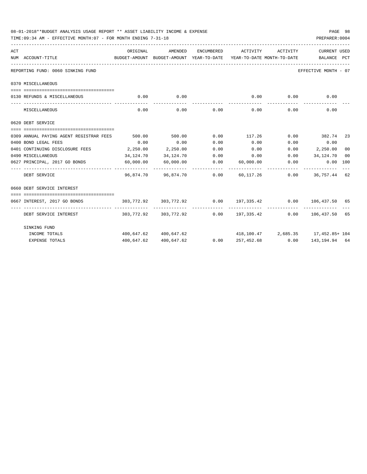|     | 08-01-2018**BUDGET ANALYSIS USAGE REPORT ** ASSET LIABILITY INCOME & EXPENSE<br>PREPARER: 0004<br>TIME: 09:34 AM - EFFECTIVE MONTH: 07 - FOR MONTH ENDING 7-31-18 |           |                                          |            |                                                                      |              |                             |    |  |  |
|-----|-------------------------------------------------------------------------------------------------------------------------------------------------------------------|-----------|------------------------------------------|------------|----------------------------------------------------------------------|--------------|-----------------------------|----|--|--|
| ACT |                                                                                                                                                                   | ORIGINAL  | AMENDED                                  | ENCUMBERED | ACTIVITY                                                             | ACTIVITY     | <b>CURRENT USED</b>         |    |  |  |
|     | NUM ACCOUNT-TITLE                                                                                                                                                 |           | BUDGET-AMOUNT BUDGET-AMOUNT YEAR-TO-DATE |            | YEAR-TO-DATE MONTH-TO-DATE BALANCE PCT                               |              |                             |    |  |  |
|     | REPORTING FUND: 0060 SINKING FUND                                                                                                                                 |           |                                          |            |                                                                      |              | EFFECTIVE MONTH - 07        |    |  |  |
|     | 0370 MISCELLANEOUS                                                                                                                                                |           |                                          |            |                                                                      |              |                             |    |  |  |
|     | 0130 REFUNDS & MISCELLANEOUS                                                                                                                                      | 0.00      | 0.00                                     |            | 0.00                                                                 | 0.00         | 0.00                        |    |  |  |
|     | MISCELLANEOUS                                                                                                                                                     | 0.00      |                                          |            | $0.00$ $0.00$ $0.00$ $0.00$                                          | 0.00         | 0.00                        |    |  |  |
|     | 0620 DEBT SERVICE                                                                                                                                                 |           |                                          |            |                                                                      |              |                             |    |  |  |
|     |                                                                                                                                                                   |           |                                          |            |                                                                      |              |                             |    |  |  |
|     | 0309 ANNUAL PAYING AGENT REGISTRAR FEES                                                                                                                           | 500.00    | 500.00                                   | 0.00       | 117.26 0.00 382.74 23                                                |              |                             |    |  |  |
|     | 0400 BOND LEGAL FEES                                                                                                                                              | 0.00      | 0.00                                     | 0.00       | 0.00                                                                 |              | $0.00$ 0.00                 |    |  |  |
|     | 0401 CONTINUING DISCLOSURE FEES 2,250.00                                                                                                                          |           | 2,250.00                                 | 0.00       | 0.00                                                                 |              | $0.00$ 2,250.00             | 00 |  |  |
|     | 0490 MISCELLANEOUS                                                                                                                                                | 34,124.70 | 34,124.70                                |            | $0.00$ $0.00$ $0.00$ $34,124.70$                                     |              |                             | 00 |  |  |
|     | 0627 PRINCIPAL, 2017 GO BONDS 60,000.00                                                                                                                           |           |                                          |            | $60,000.00$ $0.00$ $60,000.00$ $0.00$                                | ------------ | $0.00$ 100<br>------------- |    |  |  |
|     | DEBT SERVICE                                                                                                                                                      |           |                                          |            | 96,874.70 96,874.70 0.00 60,117.26 0.00 36,757.44 62                 |              |                             |    |  |  |
|     | 0660 DEBT SERVICE INTEREST                                                                                                                                        |           |                                          |            |                                                                      |              |                             |    |  |  |
|     |                                                                                                                                                                   |           |                                          |            |                                                                      |              |                             |    |  |  |
|     | 0667 INTEREST, 2017 GO BONDS                                                                                                                                      |           |                                          |            | 303,772.92 303,772.92 0.00 197,335.42 0.00 106,437.50 65             |              |                             |    |  |  |
|     | DEBT SERVICE INTEREST                                                                                                                                             |           |                                          |            | $303,772.92$ $303,772.92$ $0.00$ $197,335.42$ $0.00$ $106,437.50$ 65 |              |                             |    |  |  |
|     | SINKING FUND                                                                                                                                                      |           |                                          |            |                                                                      |              |                             |    |  |  |
|     | INCOME TOTALS                                                                                                                                                     |           | 400,647.62 400,647.62                    |            | 418,100.47 2,685.35 17,452.85+ 104                                   |              |                             |    |  |  |
|     | <b>EXPENSE TOTALS</b>                                                                                                                                             |           | 400,647.62 400,647.62                    |            | $0.00$ $257,452.68$ $0.00$ $143,194.94$ 64                           |              |                             |    |  |  |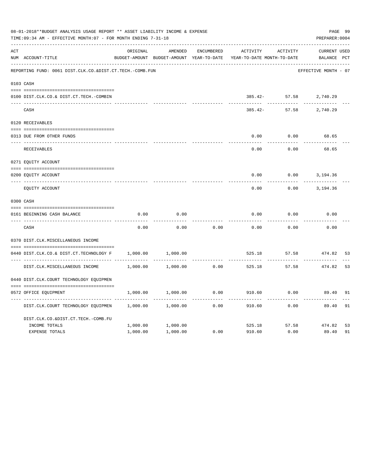|     | 08-01-2018**BUDGET ANALYSIS USAGE REPORT ** ASSET LIABILITY INCOME & EXPENSE<br>TIME: 09:34 AM - EFFECTIVE MONTH: 07 - FOR MONTH ENDING 7-31-18 |          |                                                     |            |                                        |                  | PREPARER: 0004                     | PAGE 99 |
|-----|-------------------------------------------------------------------------------------------------------------------------------------------------|----------|-----------------------------------------------------|------------|----------------------------------------|------------------|------------------------------------|---------|
| ACT | NUM ACCOUNT-TITLE                                                                                                                               | ORIGINAL | AMENDED<br>BUDGET-AMOUNT BUDGET-AMOUNT YEAR-TO-DATE | ENCUMBERED | ACTIVITY<br>YEAR-TO-DATE MONTH-TO-DATE | ACTIVITY         | <b>CURRENT USED</b><br>BALANCE PCT |         |
|     | REPORTING FUND: 0061 DIST.CLK.CO.&DIST.CT.TECH.-COMB.FUN                                                                                        |          |                                                     |            |                                        |                  | EFFECTIVE MONTH - 07               |         |
|     | 0103 CASH                                                                                                                                       |          |                                                     |            |                                        |                  |                                    |         |
|     | 0100 DIST.CLK.CO.& DIST.CT.TECH.-COMBIN                                                                                                         |          |                                                     |            |                                        |                  | 385.42- 57.58 2,740.29             |         |
|     | CASH                                                                                                                                            |          |                                                     |            | 385.42-                                | 57.58            | 2,740.29                           |         |
|     | 0120 RECEIVABLES                                                                                                                                |          |                                                     |            |                                        |                  |                                    |         |
|     | 0313 DUE FROM OTHER FUNDS                                                                                                                       |          |                                                     |            | 0.00                                   | 0.00             | 68.65                              |         |
|     | RECEIVABLES                                                                                                                                     |          |                                                     |            | 0.00                                   | 0.00             | 68.65                              |         |
|     | 0271 EQUITY ACCOUNT                                                                                                                             |          |                                                     |            |                                        |                  |                                    |         |
|     | 0200 EQUITY ACCOUNT                                                                                                                             |          |                                                     |            | 0.00                                   | 0.00             | 3,194.36                           |         |
|     | ---- ------------------------<br>EQUITY ACCOUNT                                                                                                 |          |                                                     |            | .<br>0.00                              | 0.00             | 3,194.36                           |         |
|     | 0300 CASH                                                                                                                                       |          |                                                     |            |                                        |                  |                                    |         |
|     | 0161 BEGINNING CASH BALANCE                                                                                                                     | 0.00     | 0.00                                                |            | 0.00                                   | 0.00             | 0.00                               |         |
|     | CASH                                                                                                                                            | 0.00     | 0.00                                                | 0.00       | 0.00                                   | 0.00             | 0.00                               |         |
|     | 0370 DIST.CLK.MISCELLANEOUS INCOME                                                                                                              |          |                                                     |            |                                        |                  |                                    |         |
|     | 0440 DIST.CLK.CO.& DIST.CT.TECHNOLOGY F                                                                                                         | 1,000.00 | 1,000.00                                            |            | 525.18                                 | 57.58            | 474.82                             | 53      |
|     | DIST.CLK.MISCELLANEOUS INCOME                                                                                                                   | 1,000.00 | 1,000.00                                            | 0.00       | 525.18                                 | 57.58            | 474.82                             | 53      |
|     | 0440 DIST.CLK.COURT TECHNOLOGY EQUIPMEN                                                                                                         |          |                                                     |            |                                        |                  |                                    |         |
|     | 0572 OFFICE EQUIPMENT                                                                                                                           | 1,000.00 | 1,000.00                                            | 0.00       | 910.60                                 | 0.00             | 89.40                              | 91      |
|     | DIST.CLK.COURT TECHNOLOGY EQUIPMEN                                                                                                              | 1,000.00 | 1,000.00                                            | 0.00       | 910.60                                 | --------<br>0.00 | 89.40                              | 91      |
|     | DIST.CLK.CO.&DIST.CT.TECH.-COMB.FU                                                                                                              |          |                                                     |            |                                        |                  |                                    |         |
|     | INCOME TOTALS                                                                                                                                   | 1,000.00 | 1,000.00                                            |            |                                        |                  | 525.18 57.58 474.82                | 53      |
|     | <b>EXPENSE TOTALS</b>                                                                                                                           | 1,000.00 | 1,000.00                                            | 0.00       | 910.60                                 | 0.00             | 89.40                              | 91      |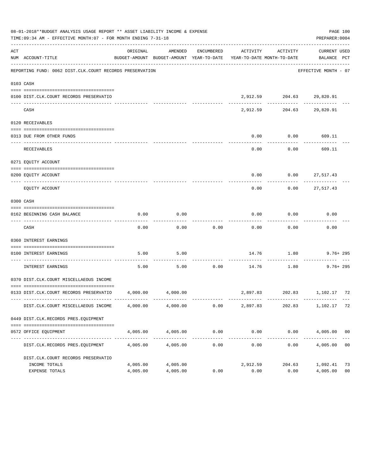|     | 08-01-2018**BUDGET ANALYSIS USAGE REPORT ** ASSET LIABILITY INCOME & EXPENSE<br>TIME: 09:34 AM - EFFECTIVE MONTH: 07 - FOR MONTH ENDING 7-31-18 |          |               |                    |                                                                                 |                           | PREPARER: 0004                | PAGE 100       |
|-----|-------------------------------------------------------------------------------------------------------------------------------------------------|----------|---------------|--------------------|---------------------------------------------------------------------------------|---------------------------|-------------------------------|----------------|
| ACT | NUM ACCOUNT-TITLE                                                                                                                               | ORIGINAL | AMENDED       | ENCUMBERED         | ACTIVITY<br>BUDGET-AMOUNT BUDGET-AMOUNT YEAR-TO-DATE YEAR-TO-DATE MONTH-TO-DATE | ACTIVITY                  | CURRENT USED<br>BALANCE PCT   |                |
|     | REPORTING FUND: 0062 DIST.CLK.COURT RECORDS PRESERVATION                                                                                        |          |               |                    |                                                                                 |                           | EFFECTIVE MONTH - 07          |                |
|     | 0103 CASH                                                                                                                                       |          |               |                    |                                                                                 |                           |                               |                |
|     | 0100 DIST.CLK.COURT RECORDS PRESERVATIO                                                                                                         |          |               |                    |                                                                                 | 2,912.59 204.63 29,820.91 |                               |                |
|     | CASH                                                                                                                                            |          | ------------- |                    | 2,912.59                                                                        | .                         | --------<br>204.63 29,820.91  |                |
|     | 0120 RECEIVABLES                                                                                                                                |          |               |                    |                                                                                 |                           |                               |                |
|     | 0313 DUE FROM OTHER FUNDS                                                                                                                       |          |               |                    | 0.00                                                                            | 0.00                      | 609.11                        |                |
|     | <b>RECEIVABLES</b>                                                                                                                              |          |               |                    | 0.00                                                                            | ---------<br>0.00         | ----------<br>609.11          |                |
|     | 0271 EQUITY ACCOUNT                                                                                                                             |          |               |                    |                                                                                 |                           |                               |                |
|     | 0200 EQUITY ACCOUNT<br>--------------------- -------                                                                                            |          |               |                    | 0.00                                                                            | $0.00$ 27,517.43          |                               |                |
|     | EQUITY ACCOUNT                                                                                                                                  |          |               |                    | 0.00                                                                            | 0.00                      | 27,517.43                     |                |
|     | 0300 CASH                                                                                                                                       |          |               |                    |                                                                                 |                           |                               |                |
|     | 0162 BEGINNING CASH BALANCE                                                                                                                     | 0.00     | 0.00          |                    | 0.00                                                                            | 0.00                      | 0.00                          |                |
|     | CASH                                                                                                                                            | 0.00     | 0.00          | 0.00               | 0.00                                                                            | 0.00                      | 0.00                          |                |
|     | 0360 INTEREST EARNINGS                                                                                                                          |          |               |                    |                                                                                 |                           |                               |                |
|     | 0100 INTEREST EARNINGS                                                                                                                          | 5.00     | 5.00          |                    |                                                                                 |                           | 14.76 1.80 9.76+295           |                |
|     | ------------------ -----<br>INTEREST EARNINGS                                                                                                   | 5.00     | 5.00          | ----------<br>0.00 |                                                                                 | 14.76 1.80                | $9.76 + 295$                  |                |
|     | 0370 DIST.CLK.COURT MISCELLAEOUS INCOME                                                                                                         |          |               |                    |                                                                                 |                           |                               |                |
|     | 0133 DIST.CLK.COURT RECORDS PRESERVATIO 4,000.00 4,000.00                                                                                       |          |               |                    |                                                                                 |                           | 2,897.83 202.83 1,102.17 72   |                |
|     | DIST.CLK.COURT MISCELLAEOUS INCOME 4,000.00 4,000.00                                                                                            |          |               | 0.00               | 2,897.83                                                                        | 202.83                    | ----------<br>1,102.17 72     |                |
|     | 0449 DIST.CLK.RECORDS PRES.EQUIPMENT                                                                                                            |          |               |                    |                                                                                 |                           |                               |                |
|     | 0572 OFFICE EQUIPMENT                                                                                                                           | 4,005.00 | 4,005.00      | 0.00               |                                                                                 |                           | $0.00$ $0.00$ $4,005.00$ $00$ |                |
|     | DIST.CLK.RECORDS PRES.EQUIPMENT                                                                                                                 | 4,005.00 | 4,005.00      | 0.00               | 0.00                                                                            | 0.00                      | 4,005.00 00                   |                |
|     | DIST.CLK.COURT RECORDS PRESERVATIO<br>INCOME TOTALS                                                                                             | 4,005.00 | 4,005.00      |                    | 2,912.59                                                                        | 204.63                    | 1,092.41 73                   |                |
|     | EXPENSE TOTALS                                                                                                                                  | 4,005.00 | 4,005.00      | 0.00               | 0.00                                                                            | 0.00                      | 4,005.00                      | 0 <sub>0</sub> |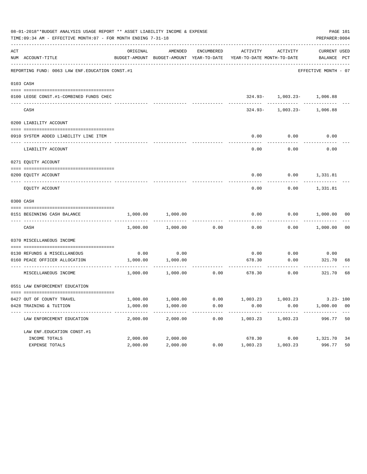|     | 08-01-2018**BUDGET ANALYSIS USAGE REPORT ** ASSET LIABILITY INCOME & EXPENSE<br>TIME:09:34 AM - EFFECTIVE MONTH:07 - FOR MONTH ENDING 7-31-18 |          |                   |            |                                                                                 |                                                         | PREPARER: 0004       | PAGE 101 |
|-----|-----------------------------------------------------------------------------------------------------------------------------------------------|----------|-------------------|------------|---------------------------------------------------------------------------------|---------------------------------------------------------|----------------------|----------|
| ACT | NUM ACCOUNT-TITLE                                                                                                                             | ORIGINAL | AMENDED           | ENCUMBERED | BUDGET-AMOUNT BUDGET-AMOUNT YEAR-TO-DATE YEAR-TO-DATE MONTH-TO-DATE BALANCE PCT | ACTIVITY ACTIVITY                                       | CURRENT USED         |          |
|     | REPORTING FUND: 0063 LAW ENF. EDUCATION CONST.#1                                                                                              |          |                   |            |                                                                                 |                                                         | EFFECTIVE MONTH - 07 |          |
|     | 0103 CASH                                                                                                                                     |          |                   |            |                                                                                 |                                                         |                      |          |
|     | 0100 LEOSE CONST.#1-COMBINED FUNDS CHEC                                                                                                       |          |                   |            |                                                                                 | $324.93 - 1,003.23 - 1,006.88$                          |                      |          |
|     | CASH                                                                                                                                          |          |                   |            |                                                                                 | ----------- ---------<br>$324.93 - 1,003.23 - 1,006.88$ |                      |          |
|     | 0200 LIABILITY ACCOUNT                                                                                                                        |          |                   |            |                                                                                 |                                                         |                      |          |
|     | 0910 SYSTEM ADDED LIABILITY LINE ITEM                                                                                                         |          |                   |            | 0.00                                                                            | 0.00                                                    | 0.00                 |          |
|     | LIABILITY ACCOUNT                                                                                                                             |          |                   |            | 0.00                                                                            | 0.00                                                    | 0.00                 |          |
|     | 0271 EQUITY ACCOUNT                                                                                                                           |          |                   |            |                                                                                 |                                                         |                      |          |
|     | 0200 EOUITY ACCOUNT                                                                                                                           |          |                   |            | 0.00                                                                            | $0.00$ 1,331.81                                         |                      |          |
|     | EQUITY ACCOUNT                                                                                                                                |          |                   |            | 0.00                                                                            | 0.00                                                    | 1,331.81             |          |
|     | 0300 CASH                                                                                                                                     |          |                   |            |                                                                                 |                                                         |                      |          |
|     | 0151 BEGINNING CASH BALANCE                                                                                                                   | 1,000.00 | 1,000.00          |            | 0.00                                                                            |                                                         | $0.00$ 1,000.00 00   |          |
|     | CASH                                                                                                                                          | 1,000.00 | 1,000.00          | 0.00       | 0.00                                                                            |                                                         | $0.00$ 1,000.00 00   |          |
|     | 0370 MISCELLANEOUS INCOME                                                                                                                     |          |                   |            |                                                                                 |                                                         |                      |          |
|     | 0130 REFUNDS & MISCELLANEOUS                                                                                                                  | 0.00     | 0.00              |            | 0.00                                                                            | 0.00                                                    | 0.00                 |          |
|     | 0160 PEACE OFFICER ALLOCATION                                                                                                                 | 1,000.00 | 1,000.00          |            | 678.30                                                                          | 0.00<br>---------                                       | 321.70<br>---------- | 68       |
|     | MISCELLANEOUS INCOME                                                                                                                          |          | 1,000.00 1,000.00 | 0.00       | 678.30                                                                          | 0.00                                                    | 321.70               | 68       |
|     | 0551 LAW ENFORCEMENT EDUCATION                                                                                                                |          |                   |            |                                                                                 |                                                         |                      |          |
|     | 0427 OUT OF COUNTY TRAVEL                                                                                                                     | 1,000.00 | 1,000.00          | 0.00       | 1,003.23                                                                        | 1,003.23                                                | $3.23 - 100$         |          |
|     | 0428 TRAINING & TUITION                                                                                                                       | 1,000.00 | 1,000.00          | 0.00       | 0.00<br>---------                                                               | 0.00<br>---------                                       | 1,000.00 00          |          |
|     | LAW ENFORCEMENT EDUCATION                                                                                                                     | 2,000.00 | 2,000.00          | 0.00       | 1,003.23                                                                        | 1,003.23                                                | 996.77               | 50       |
|     | LAW ENF. EDUCATION CONST. #1                                                                                                                  |          |                   |            |                                                                                 |                                                         |                      |          |
|     | INCOME TOTALS                                                                                                                                 | 2,000.00 | 2,000.00          |            | 678.30                                                                          | 0.00                                                    | 1,321.70             | 34       |
|     | EXPENSE TOTALS                                                                                                                                | 2,000.00 | 2,000.00          | 0.00       | 1,003.23                                                                        | 1,003.23                                                | 996.77               | 50       |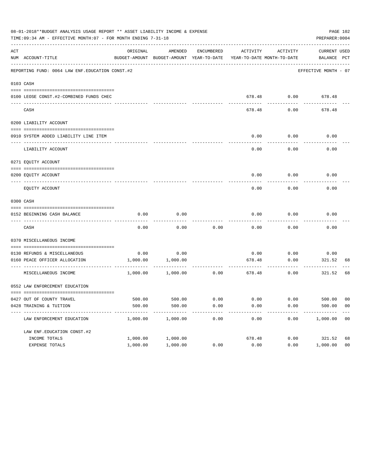|     | 08-01-2018**BUDGET ANALYSIS USAGE REPORT ** ASSET LIABILITY INCOME & EXPENSE<br>TIME: 09:34 AM - EFFECTIVE MONTH: 07 - FOR MONTH ENDING 7-31-18 |          |                                                                                            |            |        |                    | PREPARER: 0004       | PAGE 102       |
|-----|-------------------------------------------------------------------------------------------------------------------------------------------------|----------|--------------------------------------------------------------------------------------------|------------|--------|--------------------|----------------------|----------------|
| ACT | NUM ACCOUNT-TITLE                                                                                                                               | ORIGINAL | AMENDED<br>BUDGET-AMOUNT BUDGET-AMOUNT YEAR-TO-DATE YEAR-TO-DATE MONTH-TO-DATE BALANCE PCT | ENCUMBERED |        | ACTIVITY ACTIVITY  | CURRENT USED         |                |
|     | REPORTING FUND: 0064 LAW ENF. EDUCATION CONST. #2                                                                                               |          |                                                                                            |            |        |                    | EFFECTIVE MONTH - 07 |                |
|     | 0103 CASH                                                                                                                                       |          |                                                                                            |            |        |                    |                      |                |
|     | 0100 LEOSE CONST.#2-COMBINED FUNDS CHEC<br>----------------------------- --                                                                     |          |                                                                                            |            |        |                    | 678.48 0.00 678.48   |                |
|     | CASH                                                                                                                                            |          |                                                                                            |            | 678.48 | 0.00               | 678.48               |                |
|     | 0200 LIABILITY ACCOUNT                                                                                                                          |          |                                                                                            |            |        |                    |                      |                |
|     | 0910 SYSTEM ADDED LIABILITY LINE ITEM                                                                                                           |          |                                                                                            |            | 0.00   | 0.00               | 0.00                 |                |
|     | LIABILITY ACCOUNT                                                                                                                               |          |                                                                                            |            | 0.00   | 0.00               | 0.00                 |                |
|     | 0271 EOUITY ACCOUNT                                                                                                                             |          |                                                                                            |            |        |                    |                      |                |
|     | 0200 EQUITY ACCOUNT                                                                                                                             |          |                                                                                            |            | 0.00   |                    | $0.00$ 0.00          |                |
|     | EQUITY ACCOUNT                                                                                                                                  |          |                                                                                            |            | 0.00   | 0.00               | 0.00                 |                |
|     | 0300 CASH                                                                                                                                       |          |                                                                                            |            |        |                    |                      |                |
|     | 0152 BEGINNING CASH BALANCE                                                                                                                     | 0.00     | 0.00                                                                                       |            | 0.00   | 0.00               | 0.00                 |                |
|     | CASH                                                                                                                                            | 0.00     | 0.00                                                                                       | 0.00       | 0.00   | 0.00               | 0.00                 |                |
|     | 0370 MISCELLANEOUS INCOME                                                                                                                       |          |                                                                                            |            |        |                    |                      |                |
|     | 0130 REFUNDS & MISCELLANEOUS                                                                                                                    | 0.00     | 0.00                                                                                       |            | 0.00   | 0.00               | 0.00                 |                |
|     | 0160 PEACE OFFICER ALLOCATION                                                                                                                   | 1,000.00 | 1,000.00                                                                                   |            | 678.48 | 0.00<br>---------- | 321.52<br>---------- | 68             |
|     | MISCELLANEOUS INCOME                                                                                                                            |          | 1,000.00 1,000.00                                                                          | 0.00       | 678.48 | 0.00               | 321.52               | 68             |
|     | 0552 LAW ENFORCEMENT EDUCATION                                                                                                                  |          |                                                                                            |            |        |                    |                      |                |
|     | 0427 OUT OF COUNTY TRAVEL                                                                                                                       | 500.00   | 500.00                                                                                     | 0.00       | 0.00   | 0.00               | 500.00               | 00             |
|     | 0428 TRAINING & TUITION                                                                                                                         | 500.00   | 500.00                                                                                     | 0.00       | 0.00   | 0.00               | 500.00               | 0 <sub>0</sub> |
|     | LAW ENFORCEMENT EDUCATION                                                                                                                       | 1,000.00 | 1,000.00                                                                                   | 0.00       | 0.00   | 0.00               | 1,000.00             | 00             |
|     | LAW ENF. EDUCATION CONST. #2                                                                                                                    |          |                                                                                            |            |        |                    |                      |                |
|     | INCOME TOTALS                                                                                                                                   | 1,000.00 | 1,000.00                                                                                   |            | 678.48 | 0.00               | 321.52               | 68             |
|     | EXPENSE TOTALS                                                                                                                                  | 1,000.00 | 1,000.00                                                                                   | 0.00       | 0.00   | 0.00               | 1,000.00             | 0 <sub>0</sub> |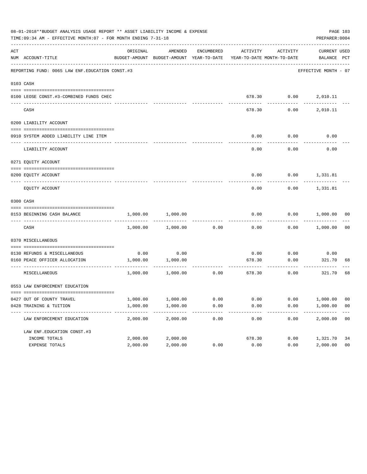|     | 08-01-2018**BUDGET ANALYSIS USAGE REPORT ** ASSET LIABILITY INCOME & EXPENSE<br>TIME:09:34 AM - EFFECTIVE MONTH:07 - FOR MONTH ENDING 7-31-18 |          |                                                     |            |          |                                        | PREPARER: 0004              | PAGE 103       |
|-----|-----------------------------------------------------------------------------------------------------------------------------------------------|----------|-----------------------------------------------------|------------|----------|----------------------------------------|-----------------------------|----------------|
| ACT | NUM ACCOUNT-TITLE                                                                                                                             | ORIGINAL | AMENDED<br>BUDGET-AMOUNT BUDGET-AMOUNT YEAR-TO-DATE | ENCUMBERED | ACTIVITY | ACTIVITY<br>YEAR-TO-DATE MONTH-TO-DATE | CURRENT USED<br>BALANCE PCT |                |
|     | REPORTING FUND: 0065 LAW ENF. EDUCATION CONST.#3                                                                                              |          |                                                     |            |          |                                        | EFFECTIVE MONTH - 07        |                |
|     | 0103 CASH                                                                                                                                     |          |                                                     |            |          |                                        |                             |                |
|     | 0100 LEOSE CONST.#3-COMBINED FUNDS CHEC                                                                                                       |          |                                                     |            |          |                                        | 678.30   0.00   2,010.11    |                |
|     | CASH                                                                                                                                          |          |                                                     |            | 678.30   | 0.00                                   | 2,010.11                    |                |
|     | 0200 LIABILITY ACCOUNT                                                                                                                        |          |                                                     |            |          |                                        |                             |                |
|     | 0910 SYSTEM ADDED LIABILITY LINE ITEM                                                                                                         |          |                                                     |            | 0.00     | 0.00                                   | 0.00                        |                |
|     | LIABILITY ACCOUNT                                                                                                                             |          |                                                     |            | 0.00     | 0.00                                   | 0.00                        |                |
|     | 0271 EQUITY ACCOUNT                                                                                                                           |          |                                                     |            |          |                                        |                             |                |
|     | 0200 EQUITY ACCOUNT                                                                                                                           |          |                                                     |            |          |                                        | $0.00$ $0.00$ $1,331.81$    |                |
|     | EQUITY ACCOUNT                                                                                                                                |          |                                                     |            | 0.00     |                                        | $0.00$ 1,331.81             |                |
|     | 0300 CASH                                                                                                                                     |          |                                                     |            |          |                                        |                             |                |
|     | 0153 BEGINNING CASH BALANCE                                                                                                                   | 1,000.00 | 1,000.00                                            |            | 0.00     |                                        | $0.00$ $1,000.00$ 00        |                |
|     | CASH                                                                                                                                          |          | 1,000.00 1,000.00                                   | 0.00       | 0.00     |                                        | $0.00$ 1,000.00             | 00             |
|     | 0370 MISCELLANEOUS                                                                                                                            |          |                                                     |            |          |                                        |                             |                |
|     | 0130 REFUNDS & MISCELLANEOUS                                                                                                                  |          | $0.00$ 0.00                                         |            | 0.00     | 0.00                                   | 0.00                        |                |
|     | 0160 PEACE OFFICER ALLOCATION                                                                                                                 |          | 1,000.00 1,000.00<br>-----------                    |            | 678.30   | 0.00<br>-----------                    | 321.70<br>----------        | 68             |
|     | MISCELLANEOUS                                                                                                                                 |          | 1,000.00 1,000.00                                   | 0.00       |          | 678.30<br>0.00                         | 321.70                      | 68             |
|     | 0553 LAW ENFORCEMENT EDUCATION                                                                                                                |          |                                                     |            |          |                                        |                             |                |
|     | 0427 OUT OF COUNTY TRAVEL                                                                                                                     | 1,000.00 | 1,000.00                                            | 0.00       | 0.00     | 0.00                                   | 1,000.00                    | 00             |
|     | 0428 TRAINING & TUITION                                                                                                                       | 1,000.00 | 1,000.00                                            | 0.00       | 0.00     | 0.00                                   | 1,000.00                    | 0 <sub>0</sub> |
|     | LAW ENFORCEMENT EDUCATION                                                                                                                     | 2,000.00 | 2,000.00                                            | 0.00       | 0.00     | 0.00                                   | 2,000.00                    | 0 <sub>0</sub> |
|     | LAW ENF. EDUCATION CONST. #3                                                                                                                  |          |                                                     |            |          |                                        |                             |                |
|     | INCOME TOTALS                                                                                                                                 | 2,000.00 | 2,000.00                                            |            | 678.30   | 0.00                                   | 1,321.70                    | 34             |
|     | EXPENSE TOTALS                                                                                                                                | 2,000.00 | 2,000.00                                            | 0.00       | 0.00     | 0.00                                   | 2,000.00                    | 0 <sub>0</sub> |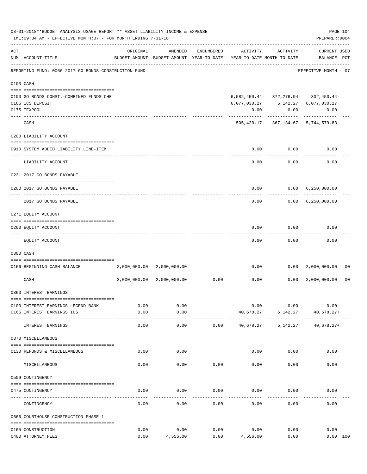|     | 08-01-2018**BUDGET ANALYSIS USAGE REPORT ** ASSET LIABILITY INCOME & EXPENSE<br>TIME: 09:34 AM - EFFECTIVE MONTH: 07 - FOR MONTH ENDING 7-31-18 |              |                           |            |                                                                                 |               | PAGE 104<br>PREPARER: 0004                         |                |
|-----|-------------------------------------------------------------------------------------------------------------------------------------------------|--------------|---------------------------|------------|---------------------------------------------------------------------------------|---------------|----------------------------------------------------|----------------|
| ACT | NUM ACCOUNT-TITLE                                                                                                                               | ORIGINAL     | AMENDED                   | ENCUMBERED | ACTIVITY<br>BUDGET-AMOUNT BUDGET-AMOUNT YEAR-TO-DATE YEAR-TO-DATE MONTH-TO-DATE | ACTIVITY      | <b>CURRENT USED</b><br>BALANCE PCT                 |                |
|     | REPORTING FUND: 0066 2017 GO BONDS-CONSTRUCTION FUND                                                                                            |              |                           |            |                                                                                 |               | EFFECTIVE MONTH - 07                               |                |
|     | 0103 CASH                                                                                                                                       |              |                           |            |                                                                                 |               |                                                    |                |
|     | 0100 GO BONDS CONST. - COMBINED FUNDS CHE<br>0166 ICS DEPOSIT<br>0175 TEXPOOL                                                                   |              |                           |            | 6,077,030.27 5,142.27 6,077,030.27<br>0.00                                      | 0.00          | $6,582,450.44 - 372,276.94 - 332,450.44 -$<br>0.00 |                |
|     | CASH                                                                                                                                            |              |                           |            |                                                                                 |               | $505,420.17 - 367,134.67 - 5,744,579.83$           |                |
|     | 0200 LIABILITY ACCOUNT                                                                                                                          |              |                           |            |                                                                                 |               |                                                    |                |
|     | 0910 SYSTEM ADDED LIABILITY LINE-ITEM                                                                                                           |              |                           |            | 0.00                                                                            | 0.00          | 0.00                                               |                |
|     | LIABILITY ACCOUNT                                                                                                                               |              |                           |            | 0.00                                                                            | 0.00          | 0.00                                               |                |
|     | 0231 2017 GO BONDS PAYABLE                                                                                                                      |              |                           |            |                                                                                 |               |                                                    |                |
|     | 0200 2017 GO BONDS PAYABLE                                                                                                                      |              |                           |            | 0.00                                                                            |               | $0.00 \quad 6,250,000.00$                          |                |
|     | 2017 GO BONDS PAYABLE                                                                                                                           |              |                           |            |                                                                                 | 0.00          | $0.00 \quad 6,250,000.00$                          |                |
|     | 0271 EQUITY ACCOUNT                                                                                                                             |              |                           |            |                                                                                 |               |                                                    |                |
|     | 0200 EQUITY ACCOUNT                                                                                                                             |              |                           |            | 0.00                                                                            | 0.00          | 0.00                                               |                |
|     | EQUITY ACCOUNT                                                                                                                                  |              |                           |            | 0.00                                                                            | 0.00          | 0.00                                               |                |
|     | 0300 CASH                                                                                                                                       |              |                           |            |                                                                                 |               |                                                    |                |
|     | 0166 BEGINNING CASH BALANCE                                                                                                                     |              | 2,000,000.00 2,000,000.00 |            |                                                                                 | $0.00$ 0.00   | 2,000,000.00                                       | 00             |
|     | CASH                                                                                                                                            | 2,000,000.00 |                           |            | $2,000,000.00$ $0.00$ $0.00$ $0.00$                                             |               | 0.00 2,000,000.00                                  | 0 <sub>0</sub> |
|     | 0360 INTEREST EARNINGS                                                                                                                          |              |                           |            |                                                                                 |               |                                                    |                |
|     | 0100 INTEREST EARNINGS LEGEND BANK<br>0166 INTEREST EARNINGS ICS                                                                                | 0.00<br>0.00 | 0.00<br>0.00              |            |                                                                                 | 0.00          | 0.00<br>0.00<br>40,678.27 5,142.27 40,678.27+      |                |
|     | INTEREST EARNINGS                                                                                                                               | 0.00         | ------<br>0.00            | 0.00       |                                                                                 |               | 40,678.27 5,142.27 40,678.27+                      |                |
|     | 0370 MISCELLANEOUS                                                                                                                              |              |                           |            |                                                                                 |               |                                                    |                |
|     | 0130 REFUNDS & MISCELLANEOUS                                                                                                                    | 0.00         | 0.00                      |            |                                                                                 | $0.00$ $0.00$ | 0.00                                               |                |
|     | MISCELLANEOUS                                                                                                                                   | 0.00         | 0.00                      | 0.00       | 0.00                                                                            | 0.00          | 0.00                                               |                |
|     | 0509 CONTINGENCY                                                                                                                                |              |                           |            |                                                                                 |               |                                                    |                |
|     | 0475 CONTINGENCY                                                                                                                                | 0.00         | 0.00                      | 0.00       | $0.00$ 0.00                                                                     |               | 0.00                                               |                |
|     | CONTINGENCY                                                                                                                                     | 0.00         | 0.00                      | 0.00       | 0.00                                                                            | 0.00          | 0.00                                               |                |
|     | 0666 COURTHOUSE CONSTRUCTION PHASE 1                                                                                                            |              |                           |            |                                                                                 |               |                                                    |                |
|     | 0165 CONSTRUCTION                                                                                                                               | 0.00         | 0.00                      | 0.00       | 0.00                                                                            | 0.00          | 0.00                                               |                |
|     | 0400 ATTORNEY FEES                                                                                                                              | 0.00         | 4,556.00                  | 0.00       | 4,556.00                                                                        | 0.00          | 0.00 100                                           |                |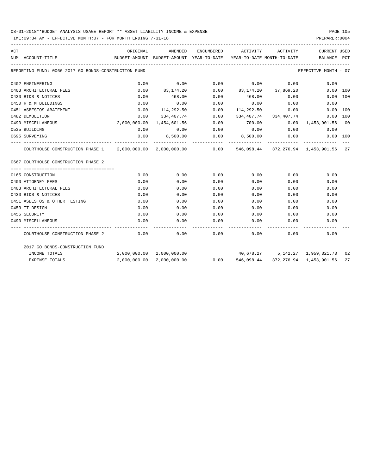# 08-01-2018\*\*BUDGET ANALYSIS USAGE REPORT \*\* ASSET LIABILITY INCOME & EXPENSE PAGE 105

TIME:09:34 AM - EFFECTIVE MONTH:07 - FOR MONTH ENDING 7-31-18

| ACT |                                                                                                      | ORIGINAL                                                            | AMENDED                   |      | ENCUMBERED ACTIVITY            | ACTIVITY              | CURRENT USED                       |          |
|-----|------------------------------------------------------------------------------------------------------|---------------------------------------------------------------------|---------------------------|------|--------------------------------|-----------------------|------------------------------------|----------|
|     | NUM ACCOUNT-TITLE                                                                                    | BUDGET-AMOUNT BUDGET-AMOUNT YEAR-TO-DATE YEAR-TO-DATE MONTH-TO-DATE |                           |      |                                |                       | BALANCE PCT                        |          |
|     | REPORTING FUND: 0066 2017 GO BONDS-CONSTRUCTION FUND                                                 |                                                                     |                           |      |                                |                       | EFFECTIVE MONTH - 07               |          |
|     | 0402 ENGINEERING                                                                                     | 0.00                                                                | 0.00                      | 0.00 | 0.00                           | 0.00                  | 0.00                               |          |
|     | 0403 ARCHITECTURAL FEES                                                                              | 0.00                                                                | 83,174.20                 |      | $0.00$ $83,174,20$ $37,869,20$ |                       |                                    | 0.00 100 |
|     | 0430 BIDS & NOTICES                                                                                  | 0.00                                                                | 468.00                    | 0.00 | 468.00                         |                       | 0.00                               | 0.00 100 |
|     | 0450 R & M BUILDINGS                                                                                 | 0.00                                                                | 0.00                      | 0.00 | 0.00                           | 0.00                  | 0.00                               |          |
|     | 0451 ASBESTOS ABATEMENT                                                                              | 0.00                                                                | 114,292.50                | 0.00 | 114,292.50                     | 0.00                  |                                    | 0.00 100 |
|     | 0482 DEMOLITION                                                                                      | 0.00                                                                | 334,407.74                | 0.00 |                                | 334,407.74 334,407.74 |                                    | 0.00 100 |
|     | 0490 MISCELLANEOUS                                                                                   | 2,000,000.00                                                        | 1,454,601.56              | 0.00 | 700.00                         |                       | $0.00 \quad 1,453,901.56 \quad 00$ |          |
|     | 0535 BUILDING                                                                                        | 0.00                                                                | 0.00                      | 0.00 | 0.00                           | 0.00                  | 0.00                               |          |
|     | 0695 SURVEYING                                                                                       | 0.00                                                                | 8,500.00                  |      | $0.00$ 8,500.00                | 0.00                  |                                    | 0.00 100 |
|     | COURTHOUSE CONSTRUCTION PHASE 1 2,000,000.00 2,000,000.00 0.00 546,098.44 372,276.94 1,453,901.56 27 |                                                                     |                           |      |                                |                       |                                    |          |
|     | 0667 COURTHOUSE CONSTRUCTION PHASE 2                                                                 |                                                                     |                           |      |                                |                       |                                    |          |
|     |                                                                                                      |                                                                     |                           |      |                                |                       |                                    |          |
|     | 0165 CONSTRUCTION                                                                                    | 0.00                                                                | 0.00                      | 0.00 | 0.00                           | 0.00                  | 0.00                               |          |
|     | 0400 ATTORNEY FEES                                                                                   | 0.00                                                                | 0.00                      | 0.00 | 0.00                           | 0.00                  | 0.00                               |          |
|     | 0403 ARCHITECTURAL FEES                                                                              | 0.00                                                                | 0.00                      | 0.00 | 0.00                           | 0.00                  | 0.00                               |          |
|     | 0430 BIDS & NOTICES                                                                                  | 0.00                                                                | 0.00                      | 0.00 | 0.00                           | 0.00                  | 0.00                               |          |
|     | 0451 ASBESTOS & OTHER TESTING                                                                        | 0.00                                                                | 0.00                      | 0.00 | 0.00                           | 0.00                  | 0.00                               |          |
|     | 0453 IT DESIGN                                                                                       | 0.00                                                                | 0.00                      | 0.00 | 0.00                           | 0.00                  | 0.00                               |          |
|     | 0455 SECURITY                                                                                        | 0.00                                                                | 0.00                      | 0.00 | 0.00                           | 0.00                  | 0.00                               |          |
|     | 0490 MISCELLANEOUS                                                                                   | 0.00                                                                | 0.00                      | 0.00 | 0.00                           | 0.00                  | 0.00                               |          |
|     | COURTHOUSE CONSTRUCTION PHASE 2                                                                      | 0.00                                                                | 0.00                      | 0.00 |                                | 0.00                  | 0.00<br>0.00                       |          |
|     | 2017 GO BONDS-CONSTRUCTION FUND                                                                      |                                                                     |                           |      |                                |                       |                                    |          |
|     | INCOME TOTALS                                                                                        |                                                                     | 2,000,000.00 2,000,000.00 |      |                                |                       | 40,678.27 5,142.27 1,959,321.73 02 |          |
|     | <b>EXPENSE TOTALS</b>                                                                                |                                                                     | 2,000,000.00 2,000,000.00 | 0.00 | 546,098.44                     |                       | 372,276.94 1,453,901.56            | 27       |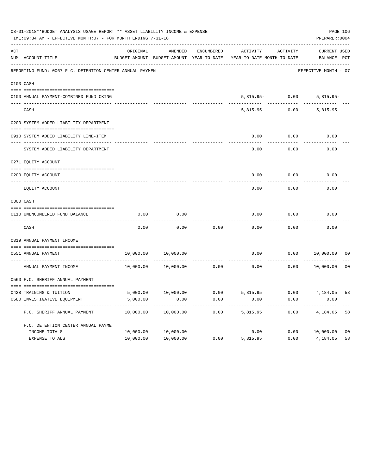| 08-01-2018**BUDGET ANALYSIS USAGE REPORT ** ASSET LIABILITY INCOME & EXPENSE<br>PAGE 106<br>PREPARER: 0004<br>TIME: 09:34 AM - EFFECTIVE MONTH: 07 - FOR MONTH ENDING 7-31-18 |                                                          |           |                                                     |                   |                                        |          |                                    |                |  |  |
|-------------------------------------------------------------------------------------------------------------------------------------------------------------------------------|----------------------------------------------------------|-----------|-----------------------------------------------------|-------------------|----------------------------------------|----------|------------------------------------|----------------|--|--|
| ACT                                                                                                                                                                           | NUM ACCOUNT-TITLE                                        | ORIGINAL  | AMENDED<br>BUDGET-AMOUNT BUDGET-AMOUNT YEAR-TO-DATE | <b>ENCUMBERED</b> | ACTIVITY<br>YEAR-TO-DATE MONTH-TO-DATE | ACTIVITY | <b>CURRENT USED</b><br>BALANCE PCT |                |  |  |
|                                                                                                                                                                               | REPORTING FUND: 0067 F.C. DETENTION CENTER ANNUAL PAYMEN |           |                                                     |                   |                                        |          | EFFECTIVE MONTH - 07               |                |  |  |
|                                                                                                                                                                               | 0103 CASH                                                |           |                                                     |                   |                                        |          |                                    |                |  |  |
|                                                                                                                                                                               | 0100 ANNUAL PAYMENT-COMBINED FUND CKING                  |           |                                                     |                   | $5,815.95-$                            | 0.00     | $5,815.95-$                        |                |  |  |
|                                                                                                                                                                               | CASH                                                     |           |                                                     |                   | $5,815.95-$                            | 0.00     | $5,815.95-$                        |                |  |  |
|                                                                                                                                                                               | 0200 SYSTEM ADDED LIABILITY DEPARTMENT                   |           |                                                     |                   |                                        |          |                                    |                |  |  |
|                                                                                                                                                                               | 0910 SYSTEM ADDED LIABILITY LINE-ITEM                    |           |                                                     |                   | 0.00                                   | 0.00     | 0.00                               |                |  |  |
|                                                                                                                                                                               | SYSTEM ADDED LIABILITY DEPARTMENT                        |           |                                                     |                   | 0.00                                   | 0.00     | 0.00                               |                |  |  |
|                                                                                                                                                                               | 0271 EQUITY ACCOUNT                                      |           |                                                     |                   |                                        |          |                                    |                |  |  |
|                                                                                                                                                                               | 0200 EOUITY ACCOUNT                                      |           |                                                     |                   | 0.00                                   | 0.00     | 0.00                               |                |  |  |
|                                                                                                                                                                               | EQUITY ACCOUNT                                           |           |                                                     |                   | 0.00                                   | 0.00     | 0.00                               |                |  |  |
|                                                                                                                                                                               | 0300 CASH                                                |           |                                                     |                   |                                        |          |                                    |                |  |  |
|                                                                                                                                                                               | 0110 UNENCUMBERED FUND BALANCE                           | 0.00      | 0.00                                                |                   | 0.00                                   | 0.00     | 0.00                               |                |  |  |
|                                                                                                                                                                               | CASH                                                     | 0.00      | 0.00                                                | 0.00              | 0.00                                   | 0.00     | 0.00                               |                |  |  |
|                                                                                                                                                                               | 0319 ANNUAL PAYMENT INCOME                               |           |                                                     |                   |                                        |          |                                    |                |  |  |
|                                                                                                                                                                               | 0551 ANNUAL PAYMENT<br>---- ----------------             | 10,000.00 | 10,000.00                                           |                   | 0.00                                   | 0.00     | 10,000.00                          | 00             |  |  |
|                                                                                                                                                                               | ANNUAL PAYMENT INCOME                                    | 10,000.00 | 10,000.00                                           | 0.00              | 0.00                                   | 0.00     | 10,000.00                          | 0 <sub>0</sub> |  |  |
|                                                                                                                                                                               | 0560 F.C. SHERIFF ANNUAL PAYMENT                         |           |                                                     |                   |                                        |          |                                    |                |  |  |
|                                                                                                                                                                               | 0428 TRAINING & TUITION                                  | 5,000.00  | 10,000.00                                           | 0.00              | 5,815.95                               | 0.00     | 4,184.05                           | 58             |  |  |
|                                                                                                                                                                               | 0580 INVESTIGATIVE EQUIPMENT                             | 5,000.00  | 0.00                                                | 0.00              | 0.00                                   | 0.00     | 0.00                               |                |  |  |
|                                                                                                                                                                               | F.C. SHERIFF ANNUAL PAYMENT                              | 10,000.00 | 10,000.00                                           | 0.00              | 5,815.95                               | 0.00     | 4,184.05                           | 58             |  |  |
|                                                                                                                                                                               | F.C. DETENTION CENTER ANNUAL PAYME                       |           |                                                     |                   |                                        |          |                                    |                |  |  |
|                                                                                                                                                                               | INCOME TOTALS                                            | 10,000.00 | 10,000.00                                           |                   | 0.00                                   | 0.00     | 10,000.00                          | 0 <sub>0</sub> |  |  |
|                                                                                                                                                                               | <b>EXPENSE TOTALS</b>                                    | 10,000.00 | 10,000.00                                           | 0.00              | 5,815.95                               | 0.00     | 4,184.05                           | 58             |  |  |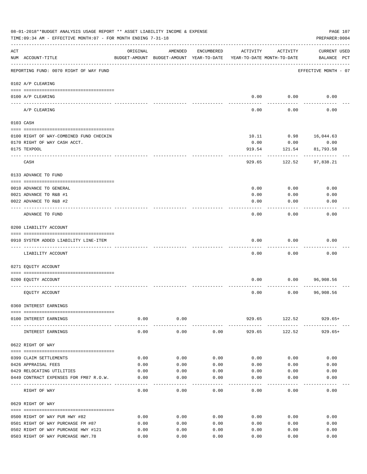| 08-01-2018**BUDGET ANALYSIS USAGE REPORT ** ASSET LIABILITY INCOME & EXPENSE<br>TIME: 09:34 AM - EFFECTIVE MONTH: 07 - FOR MONTH ENDING 7-31-18 |                                                   |          |                                                     |            |                                        |                       |                                    |  |
|-------------------------------------------------------------------------------------------------------------------------------------------------|---------------------------------------------------|----------|-----------------------------------------------------|------------|----------------------------------------|-----------------------|------------------------------------|--|
| ACT                                                                                                                                             | NUM ACCOUNT-TITLE                                 | ORIGINAL | AMENDED<br>BUDGET-AMOUNT BUDGET-AMOUNT YEAR-TO-DATE | ENCUMBERED | ACTIVITY<br>YEAR-TO-DATE MONTH-TO-DATE | ACTIVITY              | <b>CURRENT USED</b><br>BALANCE PCT |  |
|                                                                                                                                                 | REPORTING FUND: 0070 RIGHT OF WAY FUND            |          |                                                     |            |                                        |                       | EFFECTIVE MONTH - 07               |  |
|                                                                                                                                                 | 0102 A/P CLEARING                                 |          |                                                     |            |                                        |                       |                                    |  |
|                                                                                                                                                 | 0100 A/P CLEARING                                 |          |                                                     |            | 0.00                                   | 0.00                  | 0.00                               |  |
|                                                                                                                                                 | ---- ---------<br>A/P CLEARING                    |          |                                                     |            | 0.00                                   | 0.00                  | 0.00                               |  |
|                                                                                                                                                 | 0103 CASH                                         |          |                                                     |            |                                        |                       |                                    |  |
|                                                                                                                                                 | 0100 RIGHT OF WAY-COMBINED FUND CHECKIN           |          |                                                     |            | 10.11                                  | 0.98                  | 16,044.63                          |  |
|                                                                                                                                                 | 0170 RIGHT OF WAY CASH ACCT.                      |          |                                                     |            | 0.00                                   | 0.00                  | 0.00                               |  |
|                                                                                                                                                 | 0175 TEXPOOL                                      |          |                                                     |            | 919.54                                 | 121.54                | 81,793.58                          |  |
|                                                                                                                                                 | CASH                                              |          |                                                     |            | 929.65                                 | 122.52                | 97,838.21                          |  |
|                                                                                                                                                 | 0133 ADVANCE TO FUND                              |          |                                                     |            |                                        |                       |                                    |  |
|                                                                                                                                                 |                                                   |          |                                                     |            |                                        |                       |                                    |  |
|                                                                                                                                                 | 0010 ADVANCE TO GENERAL<br>0021 ADVANCE TO R&B #1 |          |                                                     |            | 0.00<br>0.00                           | 0.00<br>0.00          | 0.00<br>0.00                       |  |
|                                                                                                                                                 | 0022 ADVANCE TO R&B #2                            |          |                                                     |            | 0.00                                   | 0.00                  | 0.00                               |  |
|                                                                                                                                                 | ADVANCE TO FUND                                   |          |                                                     |            | 0.00                                   | 0.00                  | 0.00                               |  |
|                                                                                                                                                 | 0200 LIABILITY ACCOUNT                            |          |                                                     |            |                                        |                       |                                    |  |
|                                                                                                                                                 |                                                   |          |                                                     |            |                                        |                       |                                    |  |
|                                                                                                                                                 | 0910 SYSTEM ADDED LIABILITY LINE-ITEM             |          |                                                     |            | 0.00                                   | 0.00                  | 0.00                               |  |
|                                                                                                                                                 | LIABILITY ACCOUNT                                 |          |                                                     |            | 0.00                                   | 0.00                  | 0.00                               |  |
|                                                                                                                                                 | 0271 EQUITY ACCOUNT                               |          |                                                     |            |                                        |                       |                                    |  |
|                                                                                                                                                 |                                                   |          |                                                     |            |                                        |                       |                                    |  |
|                                                                                                                                                 | 0200 EQUITY ACCOUNT                               |          |                                                     |            | 0.00                                   | 0.00                  | 96,908.56                          |  |
|                                                                                                                                                 | EQUITY ACCOUNT                                    |          |                                                     |            | 0.00                                   | 0.00                  | 96,908.56                          |  |
|                                                                                                                                                 | 0360 INTEREST EARNINGS                            |          |                                                     |            |                                        |                       |                                    |  |
|                                                                                                                                                 | 0100 INTEREST EARNINGS                            |          | $0.00$ 0.00                                         |            |                                        |                       | 929.65 122.52 929.65+              |  |
|                                                                                                                                                 |                                                   | 0.00     | ------------<br>0.00                                | 0.00       | -------------                          | -----------<br>122.52 | ----------<br>$929.65+$            |  |
|                                                                                                                                                 | INTEREST EARNINGS                                 |          |                                                     |            | 929.65                                 |                       |                                    |  |
|                                                                                                                                                 | 0622 RIGHT OF WAY                                 |          |                                                     |            |                                        |                       |                                    |  |
|                                                                                                                                                 | 0399 CLAIM SETTLEMENTS                            | 0.00     | 0.00                                                | 0.00       | 0.00                                   | 0.00                  | 0.00                               |  |
|                                                                                                                                                 | 0426 APPRAISAL FEES                               | 0.00     | 0.00                                                | 0.00       | 0.00                                   | 0.00                  | 0.00                               |  |
|                                                                                                                                                 | 0429 RELOCATING UTILITIES                         | 0.00     | 0.00                                                | 0.00       | 0.00                                   | 0.00                  | 0.00                               |  |
|                                                                                                                                                 | 0449 CONTRACT EXPENSES FOR FM87 R.O.W.            | 0.00     | 0.00                                                | 0.00       | 0.00                                   | 0.00                  | 0.00                               |  |
|                                                                                                                                                 | RIGHT OF WAY                                      | 0.00     | 0.00                                                | 0.00       | 0.00                                   | 0.00                  | 0.00                               |  |
|                                                                                                                                                 | 0629 RIGHT OF WAY                                 |          |                                                     |            |                                        |                       |                                    |  |
|                                                                                                                                                 | 0500 RIGHT OF WAY PUR HWY #82                     | 0.00     | 0.00                                                | 0.00       | 0.00                                   | 0.00                  | 0.00                               |  |
|                                                                                                                                                 | 0501 RIGHT OF WAY PURCHASE FM #87                 | 0.00     | 0.00                                                | 0.00       | 0.00                                   | 0.00                  | 0.00                               |  |
|                                                                                                                                                 | 0502 RIGHT OF WAY PURCHASE HWY #121               | 0.00     | 0.00                                                | 0.00       | 0.00                                   | 0.00                  | 0.00                               |  |
|                                                                                                                                                 | 0503 RIGHT OF WAY PURCHASE HWY.78                 | 0.00     | 0.00                                                | 0.00       | 0.00                                   | 0.00                  | 0.00                               |  |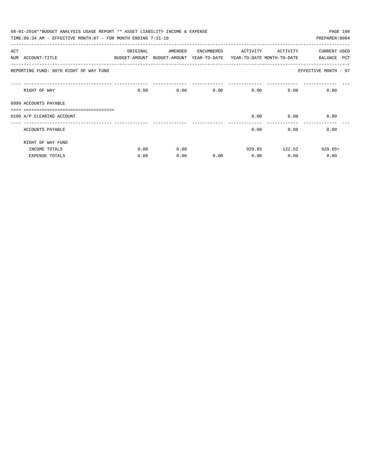|     | 08-01-2018**BUDGET ANALYSIS USAGE REPORT ** ASSET LIABILITY INCOME & EXPENSE |          |                                                                     |            |          |                   | PAGE 108             |
|-----|------------------------------------------------------------------------------|----------|---------------------------------------------------------------------|------------|----------|-------------------|----------------------|
|     | TIME:09:34 AM - EFFECTIVE MONTH:07 - FOR MONTH ENDING 7-31-18                |          |                                                                     |            |          |                   | PREPARER: 0004       |
| ACT |                                                                              | ORIGINAL | AMENDED                                                             | ENCUMBERED | ACTIVITY | ACTIVITY          | <b>CURRENT USED</b>  |
|     | NUM ACCOUNT-TITLE                                                            |          | BUDGET-AMOUNT BUDGET-AMOUNT YEAR-TO-DATE YEAR-TO-DATE MONTH-TO-DATE |            |          |                   | PCT<br>BALANCE       |
|     | REPORTING FUND: 0070 RIGHT OF WAY FUND                                       |          |                                                                     |            |          |                   | EFFECTIVE MONTH - 07 |
|     | RIGHT OF WAY                                                                 | 0.00     |                                                                     | 0.00       | 0.00     | $0.00$ and $0.00$ | 0.00<br>0.00         |
|     | 0999 ACCOUNTS PAYABLE                                                        |          |                                                                     |            |          |                   |                      |
|     |                                                                              |          |                                                                     |            |          |                   |                      |
|     | 0100 A/P CLEARING ACCOUNT                                                    |          |                                                                     |            | 0.00     | 0.00              | 0.00                 |
|     | ACCOUNTS PAYABLE                                                             |          |                                                                     |            | 0.00     | 0.00              | 0.00                 |
|     | RIGHT OF WAY FUND                                                            |          |                                                                     |            |          |                   |                      |
|     | INCOME TOTALS                                                                | 0.00     | 0.00                                                                |            |          | 929.65 122.52     | $929.65+$            |
|     | <b>EXPENSE TOTALS</b>                                                        | 0.00     | 0.00                                                                | 0.00       | 0.00     | 0.00              | 0.00                 |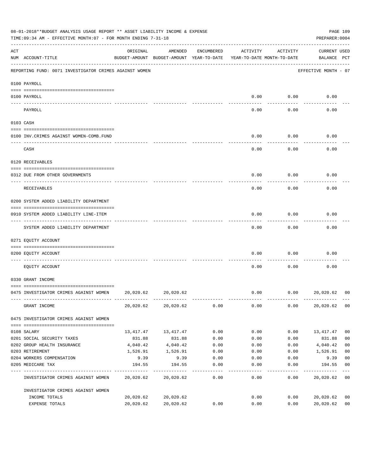|           | 08-01-2018**BUDGET ANALYSIS USAGE REPORT ** ASSET LIABILITY INCOME & EXPENSE<br>TIME: 09:34 AM - EFFECTIVE MONTH: 07 - FOR MONTH ENDING 7-31-18 |           |                                                                                |            |          |          | PREPARER: 0004              | PAGE 109       |
|-----------|-------------------------------------------------------------------------------------------------------------------------------------------------|-----------|--------------------------------------------------------------------------------|------------|----------|----------|-----------------------------|----------------|
| ACT       | NUM ACCOUNT-TITLE                                                                                                                               | ORIGINAL  | AMENDED<br>BUDGET-AMOUNT BUDGET-AMOUNT YEAR-TO-DATE YEAR-TO-DATE MONTH-TO-DATE | ENCUMBERED | ACTIVITY | ACTIVITY | CURRENT USED<br>BALANCE PCT |                |
|           | REPORTING FUND: 0071 INVESTIGATOR CRIMES AGAINST WOMEN                                                                                          |           |                                                                                |            |          |          | EFFECTIVE MONTH - 07        |                |
|           | 0100 PAYROLL                                                                                                                                    |           |                                                                                |            |          |          |                             |                |
|           | 0100 PAYROLL                                                                                                                                    |           |                                                                                |            | 0.00     | 0.00     | 0.00                        |                |
|           | ---- --------<br>PAYROLL                                                                                                                        |           |                                                                                |            | 0.00     | 0.00     | 0.00                        |                |
| 0103 CASH |                                                                                                                                                 |           |                                                                                |            |          |          |                             |                |
|           | 0100 INV. CRIMES AGAINST WOMEN-COMB. FUND                                                                                                       |           |                                                                                |            | 0.00     | 0.00     | 0.00                        |                |
|           | CASH                                                                                                                                            |           |                                                                                |            | 0.00     | 0.00     | 0.00                        |                |
|           | 0120 RECEIVABLES                                                                                                                                |           |                                                                                |            |          |          |                             |                |
|           | 0312 DUE FROM OTHER GOVERNMENTS                                                                                                                 |           |                                                                                |            | 0.00     | 0.00     | 0.00                        |                |
|           | RECEIVABLES                                                                                                                                     |           |                                                                                |            | 0.00     | 0.00     | 0.00                        |                |
|           | 0200 SYSTEM ADDED LIABILITY DEPARTMENT                                                                                                          |           |                                                                                |            |          |          |                             |                |
|           | 0910 SYSTEM ADDED LIABILITY LINE-ITEM                                                                                                           |           |                                                                                |            | 0.00     | 0.00     | 0.00                        |                |
|           | SYSTEM ADDED LIABILITY DEPARTMENT                                                                                                               |           |                                                                                |            | 0.00     | 0.00     | 0.00                        |                |
|           | 0271 EQUITY ACCOUNT                                                                                                                             |           |                                                                                |            |          |          |                             |                |
|           | 0200 EQUITY ACCOUNT                                                                                                                             |           |                                                                                |            | 0.00     | 0.00     | 0.00                        |                |
|           | EOUITY ACCOUNT                                                                                                                                  |           |                                                                                |            | 0.00     | 0.00     | 0.00                        |                |
|           | 0330 GRANT INCOME                                                                                                                               |           |                                                                                |            |          |          |                             |                |
|           | 0475 INVESTIGATOR CRIMES AGAINST WOMEN 20,020.62                                                                                                |           | 20,020.62                                                                      |            | 0.00     | 0.00     | 20,020.62                   | 00             |
|           | GRANT INCOME                                                                                                                                    |           | 20,020.62 20,020.62                                                            | 0.00       | 0.00     | 0.00     | 20,020.62                   | 0 <sub>0</sub> |
|           | 0475 INVESTIGATOR CRIMES AGAINST WOMEN                                                                                                          |           |                                                                                |            |          |          |                             |                |
|           | 0108 SALARY                                                                                                                                     |           | 13, 417. 47 13, 417. 47                                                        | 0.00       | 0.00     | 0.00     | 13,417.47                   | 0 <sub>0</sub> |
|           | 0201 SOCIAL SECURITY TAXES                                                                                                                      | 831.88    | 831.88                                                                         | 0.00       | 0.00     | 0.00     | 831.88                      | 0 <sub>0</sub> |
|           | 0202 GROUP HEALTH INSURANCE                                                                                                                     | 4,040.42  | 4,040.42                                                                       | 0.00       | 0.00     | 0.00     | 4,040.42                    | 0 <sub>0</sub> |
|           | 0203 RETIREMENT                                                                                                                                 | 1,526.91  | 1,526.91                                                                       | 0.00       | 0.00     | 0.00     | 1,526.91                    | 0 <sub>0</sub> |
|           | 0204 WORKERS COMPENSATION                                                                                                                       | 9.39      | 9.39                                                                           | 0.00       | 0.00     | 0.00     | 9.39                        | 0 <sub>0</sub> |
|           | 0205 MEDICARE TAX                                                                                                                               | 194.55    | 194.55                                                                         | 0.00       | 0.00     | 0.00     | 194.55                      | 0 <sub>0</sub> |
|           | INVESTIGATOR CRIMES AGAINST WOMEN                                                                                                               |           | 20,020.62 20,020.62                                                            | 0.00       | 0.00     | 0.00     | 20,020.62                   | 0 <sub>0</sub> |
|           | INVESTIGATOR CRIMES AGAINST WOMEN                                                                                                               |           |                                                                                |            |          |          |                             |                |
|           | INCOME TOTALS                                                                                                                                   | 20,020.62 | 20,020.62                                                                      |            | 0.00     | 0.00     | 20,020.62                   | 0 <sub>0</sub> |
|           | EXPENSE TOTALS                                                                                                                                  | 20,020.62 | 20,020.62                                                                      | 0.00       | 0.00     | 0.00     | 20,020.62                   | 0 <sub>0</sub> |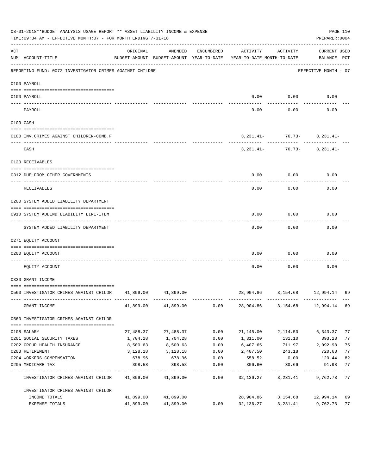|                   | 08-01-2018**BUDGET ANALYSIS USAGE REPORT ** ASSET LIABILITY INCOME & EXPENSE<br>TIME:09:34 AM - EFFECTIVE MONTH:07 - FOR MONTH ENDING 7-31-18 |           |                     |            |                                                                                 |                                                             | PREPARER: 0004                     | PAGE 110      |
|-------------------|-----------------------------------------------------------------------------------------------------------------------------------------------|-----------|---------------------|------------|---------------------------------------------------------------------------------|-------------------------------------------------------------|------------------------------------|---------------|
| ACT               | NUM ACCOUNT-TITLE                                                                                                                             | ORIGINAL  | AMENDED             | ENCUMBERED | ACTIVITY<br>BUDGET-AMOUNT BUDGET-AMOUNT YEAR-TO-DATE YEAR-TO-DATE MONTH-TO-DATE | ACTIVITY                                                    | <b>CURRENT USED</b><br>BALANCE PCT |               |
|                   | REPORTING FUND: 0072 INVESTIGATOR CRIMES AGAINST CHILDRE                                                                                      |           |                     |            |                                                                                 |                                                             | EFFECTIVE MONTH - 07               |               |
|                   | 0100 PAYROLL                                                                                                                                  |           |                     |            |                                                                                 |                                                             |                                    |               |
| $- - - - - - - -$ | 0100 PAYROLL                                                                                                                                  |           |                     |            | 0.00                                                                            | 0.00                                                        | 0.00                               |               |
|                   | PAYROLL                                                                                                                                       |           |                     |            | 0.00                                                                            | 0.00                                                        | 0.00                               |               |
|                   | 0103 CASH                                                                                                                                     |           |                     |            |                                                                                 |                                                             |                                    |               |
|                   | 0100 INV. CRIMES AGAINST CHILDREN-COMB.F                                                                                                      |           |                     |            |                                                                                 | $3,231.41 - 76.73 - 3,231.41 -$                             |                                    |               |
|                   | CASH                                                                                                                                          |           |                     |            |                                                                                 | ----------- ------------<br>$3,231.41 - 76.73 - 3,231.41 -$ |                                    |               |
|                   | 0120 RECEIVABLES                                                                                                                              |           |                     |            |                                                                                 |                                                             |                                    |               |
|                   | 0312 DUE FROM OTHER GOVERNMENTS                                                                                                               |           |                     |            | 0.00                                                                            | 0.00                                                        | 0.00                               |               |
|                   | RECEIVABLES                                                                                                                                   |           |                     |            | 0.00                                                                            | 0.00                                                        | 0.00                               |               |
|                   | 0200 SYSTEM ADDED LIABILITY DEPARTMENT                                                                                                        |           |                     |            |                                                                                 |                                                             |                                    |               |
|                   | 0910 SYSTEM ADDEND LIABILITY LINE-ITEM                                                                                                        |           |                     |            | 0.00                                                                            | 0.00                                                        | 0.00                               |               |
|                   | SYSTEM ADDED LIABILITY DEPARTMENT                                                                                                             |           |                     |            | 0.00                                                                            | 0.00                                                        | 0.00                               |               |
|                   | 0271 EQUITY ACCOUNT                                                                                                                           |           |                     |            |                                                                                 |                                                             |                                    |               |
|                   | 0200 EQUITY ACCOUNT                                                                                                                           |           |                     |            | 0.00                                                                            | 0.00                                                        | 0.00                               |               |
|                   | EOUITY ACCOUNT                                                                                                                                |           |                     |            | 0.00                                                                            | 0.00                                                        | 0.00                               |               |
|                   | 0330 GRANT INCOME                                                                                                                             |           |                     |            |                                                                                 |                                                             |                                    |               |
|                   | 0560 INVESTIGATOR CRIMES AGAINST CHILDR 41,899.00 41,899.00                                                                                   |           |                     |            |                                                                                 | 28,904.86 3,154.68 12,994.14 69                             |                                    |               |
|                   | GRANT INCOME                                                                                                                                  |           | 41,899.00 41,899.00 | 0.00       |                                                                                 | 28,904.86 3,154.68 12,994.14 69                             |                                    |               |
|                   | 0560 INVESTIGATOR CRIMES AGAINST CHILDR                                                                                                       |           |                     |            |                                                                                 |                                                             |                                    |               |
|                   | 0108 SALARY                                                                                                                                   | 27,488.37 | 27,488.37           | 0.00       | 21,145.00                                                                       | 2,114.50                                                    | 6,343.37                           | 77            |
|                   | 0201 SOCIAL SECURITY TAXES                                                                                                                    | 1,704.28  | 1,704.28            | 0.00       | 1,311.00                                                                        | 131.10                                                      | 393.28                             | 77            |
|                   | 0202 GROUP HEALTH INSURANCE                                                                                                                   | 8,500.63  | 8,500.63            | 0.00       | 6,407.65                                                                        | 711.97                                                      | 2,092.98                           | 75            |
|                   | 0203 RETIREMENT                                                                                                                               | 3,128.18  | 3,128.18            | 0.00       | 2,407.50                                                                        | 243.18                                                      | 720.68                             | 77            |
|                   | 0204 WORKERS COMPENSATION                                                                                                                     | 678.96    | 678.96              | 0.00       | 558.52                                                                          | 0.00                                                        | 120.44                             | 82            |
|                   | 0205 MEDICARE TAX                                                                                                                             | 398.58    | 398.58              | 0.00       | 306.60                                                                          | 30.66                                                       | 91.98                              | 77<br>$- - -$ |
|                   | INVESTIGATOR CRIMES AGAINST CHILDR                                                                                                            | 41,899.00 | 41,899.00           | 0.00       | 32,136.27                                                                       | 3,231.41                                                    | 9,762.73                           | 77            |
|                   | INVESTIGATOR CRIMES AGAINST CHILDR                                                                                                            |           |                     |            |                                                                                 |                                                             |                                    |               |
|                   | INCOME TOTALS                                                                                                                                 | 41,899.00 | 41,899.00           |            | 28,904.86                                                                       | 3,154.68                                                    | 12,994.14                          | 69            |
|                   | EXPENSE TOTALS                                                                                                                                | 41,899.00 | 41,899.00           | 0.00       | 32,136.27                                                                       | 3,231.41                                                    | 9,762.73                           | 77            |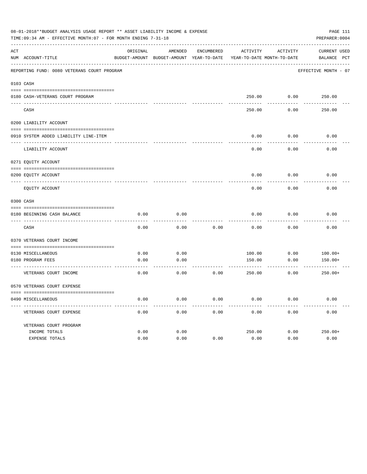|     | 08-01-2018**BUDGET ANALYSIS USAGE REPORT ** ASSET LIABILITY INCOME & EXPENSE<br>TIME: 09:34 AM - EFFECTIVE MONTH: 07 - FOR MONTH ENDING 7-31-18 |          |                                                     |            |                                        |          | PAGE 111<br>PREPARER: 0004  |
|-----|-------------------------------------------------------------------------------------------------------------------------------------------------|----------|-----------------------------------------------------|------------|----------------------------------------|----------|-----------------------------|
| ACT | NUM ACCOUNT-TITLE                                                                                                                               | ORIGINAL | AMENDED<br>BUDGET-AMOUNT BUDGET-AMOUNT YEAR-TO-DATE | ENCUMBERED | ACTIVITY<br>YEAR-TO-DATE MONTH-TO-DATE | ACTIVITY | CURRENT USED<br>BALANCE PCT |
|     | REPORTING FUND: 0080 VETERANS COURT PROGRAM                                                                                                     |          |                                                     |            |                                        |          | EFFECTIVE MONTH - 07        |
|     |                                                                                                                                                 |          |                                                     |            |                                        |          |                             |
|     | 0103 CASH                                                                                                                                       |          |                                                     |            |                                        |          |                             |
|     | 0180 CASH-VETERANS COURT PROGRAM                                                                                                                |          |                                                     |            |                                        |          | 250.00 0.00 250.00          |
|     | CASH                                                                                                                                            |          |                                                     |            | 250.00                                 | 0.00     | 250.00                      |
|     | 0200 LIABILITY ACCOUNT                                                                                                                          |          |                                                     |            |                                        |          |                             |
|     |                                                                                                                                                 |          |                                                     |            |                                        |          |                             |
|     | 0910 SYSTEM ADDED LIABILITY LINE-ITEM                                                                                                           |          |                                                     |            | 0.00                                   | 0.00     | 0.00                        |
|     | LIABILITY ACCOUNT                                                                                                                               |          |                                                     |            | 0.00                                   | 0.00     | 0.00                        |
|     | 0271 EQUITY ACCOUNT                                                                                                                             |          |                                                     |            |                                        |          |                             |
|     | 0200 EQUITY ACCOUNT                                                                                                                             |          |                                                     |            | 0.00                                   | 0.00     | 0.00                        |
|     | EQUITY ACCOUNT                                                                                                                                  |          |                                                     |            | 0.00                                   | 0.00     | 0.00                        |
|     | 0300 CASH                                                                                                                                       |          |                                                     |            |                                        |          |                             |
|     |                                                                                                                                                 |          |                                                     |            |                                        |          |                             |
|     | 0180 BEGINNING CASH BALANCE                                                                                                                     | 0.00     | 0.00                                                |            | 0.00                                   | 0.00     | 0.00                        |
|     | CASH                                                                                                                                            | 0.00     | 0.00                                                | 0.00       | 0.00                                   | 0.00     | 0.00                        |
|     | 0370 VETERANS COURT INCOME                                                                                                                      |          |                                                     |            |                                        |          |                             |
|     | 0130 MISCELLANEOUS                                                                                                                              | 0.00     | 0.00                                                |            | 100.00                                 | 0.00     | $100.00+$                   |
|     | 0180 PROGRAM FEES                                                                                                                               | 0.00     | 0.00                                                |            | 150.00                                 | 0.00     | $150.00+$                   |
|     | ----------------------------- ---<br>VETERANS COURT INCOME                                                                                      | 0.00     | 0.00                                                | 0.00       | 250.00                                 | 0.00     | $250.00+$                   |
|     | 0570 VETERANS COURT EXPENSE                                                                                                                     |          |                                                     |            |                                        |          |                             |
|     | 0490 MISCELLANEOUS                                                                                                                              | 0.00     | 0.00                                                | 0.00       | 0.00                                   | 0.00     | 0.00                        |
|     | VETERANS COURT EXPENSE                                                                                                                          | 0.00     | 0.00                                                | 0.00       | 0.00                                   | 0.00     | 0.00                        |
|     | VETERANS COURT PROGRAM                                                                                                                          |          |                                                     |            |                                        |          |                             |
|     | INCOME TOTALS                                                                                                                                   | 0.00     | 0.00                                                |            | 250.00                                 | 0.00     | $250.00+$                   |
|     | EXPENSE TOTALS                                                                                                                                  | 0.00     | 0.00                                                | 0.00       | 0.00                                   | 0.00     | 0.00                        |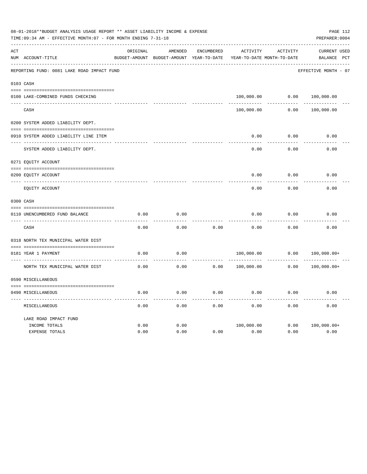|     | 08-01-2018**BUDGET ANALYSIS USAGE REPORT ** ASSET LIABILITY INCOME & EXPENSE<br>TIME:09:34 AM - EFFECTIVE MONTH:07 - FOR MONTH ENDING 7-31-18 |              |                                                     |                   |                    |                                               | PAGE 112<br>PREPARER: 0004                     |
|-----|-----------------------------------------------------------------------------------------------------------------------------------------------|--------------|-----------------------------------------------------|-------------------|--------------------|-----------------------------------------------|------------------------------------------------|
| ACT | NUM ACCOUNT-TITLE                                                                                                                             | ORIGINAL     | AMENDED<br>BUDGET-AMOUNT BUDGET-AMOUNT YEAR-TO-DATE | <b>ENCUMBERED</b> | <b>ACTIVITY</b>    | <b>ACTIVITY</b><br>YEAR-TO-DATE MONTH-TO-DATE | <b>CURRENT USED</b><br>BALANCE<br>$_{\rm PCT}$ |
|     | REPORTING FUND: 0081 LAKE ROAD IMPACT FUND                                                                                                    |              |                                                     |                   |                    |                                               | EFFECTIVE MONTH - 07                           |
|     | 0103 CASH                                                                                                                                     |              |                                                     |                   |                    |                                               |                                                |
|     | 0100 LAKE-COMBINED FUNDS CHECKING                                                                                                             |              |                                                     |                   | 100,000.00         | 0.00                                          | 100,000.00                                     |
|     | CASH                                                                                                                                          |              |                                                     |                   | 100,000.00         | 0.00                                          | 100,000.00                                     |
|     | 0200 SYSTEM ADDED LIABILITY DEPT.                                                                                                             |              |                                                     |                   |                    |                                               |                                                |
|     | 0910 SYSTEM ADDED LIABILITY LINE ITEM                                                                                                         |              |                                                     |                   | 0.00               | 0.00                                          | 0.00                                           |
|     | SYSTEM ADDED LIABILITY DEPT.                                                                                                                  |              |                                                     |                   | 0.00               | 0.00                                          | 0.00                                           |
|     | 0271 EQUITY ACCOUNT                                                                                                                           |              |                                                     |                   |                    |                                               |                                                |
|     | 0200 EQUITY ACCOUNT                                                                                                                           |              |                                                     |                   | 0.00               | 0.00                                          | 0.00                                           |
|     | ---- ------------<br>EQUITY ACCOUNT                                                                                                           |              |                                                     |                   | 0.00               | 0.00                                          | 0.00                                           |
|     | 0300 CASH                                                                                                                                     |              |                                                     |                   |                    |                                               |                                                |
|     | 0110 UNENCUMBERED FUND BALANCE                                                                                                                | 0.00         | 0.00                                                |                   | 0.00               | 0.00                                          | 0.00                                           |
|     | CASH                                                                                                                                          | 0.00         | 0.00                                                | 0.00              | 0.00               | 0.00                                          | 0.00                                           |
|     | 0318 NORTH TEX MUNICIPAL WATER DIST                                                                                                           |              |                                                     |                   |                    |                                               |                                                |
|     | 0181 YEAR 1 PAYMENT                                                                                                                           | 0.00         | 0.00                                                |                   | 100,000.00         | 0.00                                          | $100,000.00+$                                  |
|     | NORTH TEX MUNICIPAL WATER DIST                                                                                                                | 0.00         | 0.00                                                | 0.00              | 100,000.00         | 0.00                                          | $100,000.00+$                                  |
|     | 0590 MISCELLANEOUS                                                                                                                            |              |                                                     |                   |                    |                                               |                                                |
|     | 0490 MISCELLANEOUS                                                                                                                            | 0.00         | 0.00                                                | 0.00              | 0.00               | 0.00                                          | 0.00                                           |
|     | MISCELLANEOUS                                                                                                                                 | 0.00         | 0.00                                                | 0.00              | 0.00               | 0.00                                          | 0.00                                           |
|     | LAKE ROAD IMPACT FUND                                                                                                                         |              |                                                     |                   |                    |                                               |                                                |
|     | INCOME TOTALS<br>EXPENSE TOTALS                                                                                                               | 0.00<br>0.00 | 0.00<br>0.00                                        | 0.00              | 100,000.00<br>0.00 | 0.00<br>0.00                                  | $100,000.00+$<br>0.00                          |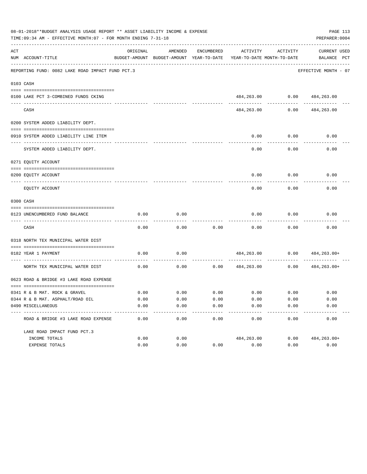|     | 08-01-2018**BUDGET ANALYSIS USAGE REPORT ** ASSET LIABILITY INCOME & EXPENSE<br>TIME: 09:34 AM - EFFECTIVE MONTH: 07 - FOR MONTH ENDING 7-31-18 |                     |                                                     |                       |                                        |                             | PAGE 113<br>PREPARER: 0004         |
|-----|-------------------------------------------------------------------------------------------------------------------------------------------------|---------------------|-----------------------------------------------------|-----------------------|----------------------------------------|-----------------------------|------------------------------------|
| ACT | NUM ACCOUNT-TITLE                                                                                                                               | ORIGINAL            | AMENDED<br>BUDGET-AMOUNT BUDGET-AMOUNT YEAR-TO-DATE | ENCUMBERED            | ACTIVITY<br>YEAR-TO-DATE MONTH-TO-DATE | ACTIVITY                    | <b>CURRENT USED</b><br>BALANCE PCT |
|     | REPORTING FUND: 0082 LAKE ROAD IMPACT FUND PCT.3                                                                                                |                     |                                                     |                       |                                        |                             | EFFECTIVE MONTH - 07               |
|     | 0103 CASH                                                                                                                                       |                     |                                                     |                       |                                        |                             |                                    |
|     | 0100 LAKE PCT 3-COMBINED FUNDS CKING                                                                                                            |                     |                                                     |                       |                                        | 484,263.00 0.00 484,263.00  |                                    |
|     | CASH                                                                                                                                            |                     |                                                     |                       | 484,263.00                             | 0.00                        | 484,263.00                         |
|     | 0200 SYSTEM ADDED LIABILITY DEPT.                                                                                                               |                     |                                                     |                       |                                        |                             |                                    |
|     | 0910 SYSTEM ADDED LIABILITY LINE ITEM                                                                                                           |                     |                                                     |                       | 0.00                                   | 0.00                        | 0.00                               |
|     | SYSTEM ADDED LIABILITY DEPT.                                                                                                                    |                     |                                                     |                       | 0.00                                   | . <u>.</u><br>0.00          | 0.00                               |
|     | 0271 EQUITY ACCOUNT                                                                                                                             |                     |                                                     |                       |                                        |                             |                                    |
|     | 0200 EQUITY ACCOUNT                                                                                                                             |                     |                                                     |                       | 0.00                                   | 0.00                        | 0.00                               |
|     | EQUITY ACCOUNT                                                                                                                                  |                     |                                                     |                       | 0.00                                   | 0.00                        | 0.00                               |
|     | 0300 CASH                                                                                                                                       |                     |                                                     |                       |                                        |                             |                                    |
|     | 0123 UNENCUMBERED FUND BALANCE                                                                                                                  | 0.00                | 0.00                                                |                       | 0.00                                   | 0.00                        | 0.00                               |
|     | CASH                                                                                                                                            | 0.00                | 0.00                                                | 0.00                  | 0.00                                   | 0.00                        | 0.00                               |
|     | 0318 NORTH TEX MUNICIPAL WATER DIST                                                                                                             |                     |                                                     |                       |                                        |                             |                                    |
|     | 0182 YEAR 1 PAYMENT                                                                                                                             | 0.00                | 0.00                                                |                       |                                        |                             | 484,263.00 0.00 484,263.00+        |
|     | NORTH TEX MUNICIPAL WATER DIST                                                                                                                  | 0.00                | 0.00                                                | 0.00                  | 484,263.00                             | 0.00                        | 484,263.00+                        |
|     | 0623 ROAD & BRIDGE #3 LAKE ROAD EXPENSE                                                                                                         |                     |                                                     |                       |                                        |                             |                                    |
|     | 0341 R & B MAT. ROCK & GRAVEL                                                                                                                   | 0.00                | 0.00                                                |                       |                                        | $0.00$ $0.00$ $0.00$ $0.00$ | 0.00                               |
|     | 0344 R & B MAT. ASPHALT/ROAD OIL                                                                                                                | 0.00                | 0.00                                                | 0.00                  | 0.00                                   | 0.00                        | 0.00                               |
|     | 0490 MISCELLANEOUS                                                                                                                              | 0.00                | 0.00                                                | 0.00                  | 0.00                                   | 0.00                        | 0.00                               |
|     | ROAD & BRIDGE #3 LAKE ROAD EXPENSE                                                                                                              | $- - - - -$<br>0.00 | --------<br>0.00                                    | $- - - - - -$<br>0.00 | ----------<br>0.00                     | ---------<br>0.00           | . <u>.</u> .<br>0.00               |
|     | LAKE ROAD IMPACT FUND PCT.3                                                                                                                     |                     |                                                     |                       |                                        |                             |                                    |
|     | INCOME TOTALS                                                                                                                                   | 0.00                | 0.00                                                |                       | 484,263.00                             | 0.00                        | 484, 263.00+                       |
|     | EXPENSE TOTALS                                                                                                                                  | 0.00                | 0.00                                                | 0.00                  | 0.00                                   | 0.00                        | 0.00                               |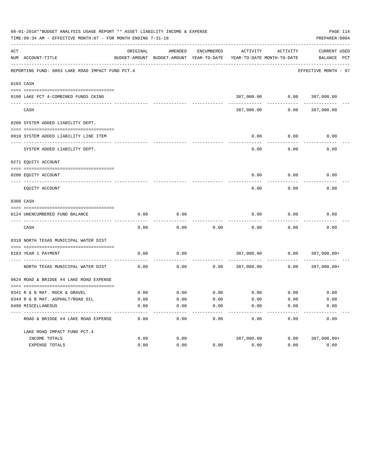|     | 08-01-2018**BUDGET ANALYSIS USAGE REPORT ** ASSET LIABILITY INCOME & EXPENSE<br>TIME: 09:34 AM - EFFECTIVE MONTH: 07 - FOR MONTH ENDING 7-31-18 |          |                                                     |            |            |                                        | PAGE 114<br>PREPARER: 0004         |
|-----|-------------------------------------------------------------------------------------------------------------------------------------------------|----------|-----------------------------------------------------|------------|------------|----------------------------------------|------------------------------------|
| ACT | NUM ACCOUNT-TITLE                                                                                                                               | ORIGINAL | AMENDED<br>BUDGET-AMOUNT BUDGET-AMOUNT YEAR-TO-DATE | ENCUMBERED | ACTIVITY   | ACTIVITY<br>YEAR-TO-DATE MONTH-TO-DATE | <b>CURRENT USED</b><br>BALANCE PCT |
|     | REPORTING FUND: 0083 LAKE ROAD IMPACT FUND PCT.4                                                                                                |          |                                                     |            |            |                                        | EFFECTIVE MONTH - 07               |
|     | 0103 CASH                                                                                                                                       |          |                                                     |            |            |                                        |                                    |
|     |                                                                                                                                                 |          |                                                     |            |            |                                        |                                    |
|     | 0100 LAKE PCT 4-COMBINED FUNDS CKING                                                                                                            |          |                                                     |            |            | 387,000.00   0.00   387,000.00         |                                    |
|     | CASH                                                                                                                                            |          |                                                     |            | 387,000.00 | 0.00                                   | 387,000.00                         |
|     | 0200 SYSTEM ADDED LIABILITY DEPT.                                                                                                               |          |                                                     |            |            |                                        |                                    |
|     |                                                                                                                                                 |          |                                                     |            |            |                                        |                                    |
|     | 0910 SYSTEM ADDED LIABILITY LINE ITEM                                                                                                           |          |                                                     |            | 0.00       | 0.00                                   | 0.00                               |
|     | SYSTEM ADDED LIABILITY DEPT.                                                                                                                    |          |                                                     |            | 0.00       | 0.00                                   | 0.00                               |
|     | 0271 EQUITY ACCOUNT                                                                                                                             |          |                                                     |            |            |                                        |                                    |
|     |                                                                                                                                                 |          |                                                     |            |            |                                        |                                    |
|     | 0200 EQUITY ACCOUNT                                                                                                                             |          |                                                     |            | 0.00       | 0.00                                   | 0.00                               |
|     | EQUITY ACCOUNT                                                                                                                                  |          |                                                     |            | 0.00       | 0.00                                   | 0.00                               |
|     | 0300 CASH                                                                                                                                       |          |                                                     |            |            |                                        |                                    |
|     | 0124 UNENCUMBERED FUND BALANCE                                                                                                                  | 0.00     | 0.00                                                |            | 0.00       | 0.00                                   | 0.00                               |
|     | CASH                                                                                                                                            | 0.00     | 0.00                                                | 0.00       | 0.00       | 0.00                                   | 0.00                               |
|     | 0318 NORTH TEXAS MUNICIPAL WATER DIST                                                                                                           |          |                                                     |            |            |                                        |                                    |
|     |                                                                                                                                                 |          |                                                     |            |            |                                        |                                    |
|     | 0183 YEAR 1 PAYMENT                                                                                                                             | 0.00     | 0.00                                                |            | 387,000.00 | 0.00                                   | 387,000.00+                        |
|     | NORTH TEXAS MUNICIPAL WATER DIST                                                                                                                | 0.00     | 0.00                                                | 0.00       | 387,000.00 | 0.00                                   | 387,000.00+                        |
|     | 0624 ROAD & BRIDGE #4 LAKE ROAD EXPENSE                                                                                                         |          |                                                     |            |            |                                        |                                    |
|     | 0341 R & B MAT. ROCK & GRAVEL                                                                                                                   | 0.00     | 0.00                                                | 0.00       |            | $0.00$ 0.00                            | 0.00                               |
|     | 0344 R & B MAT. ASPHALT/ROAD OIL                                                                                                                | 0.00     | 0.00                                                | 0.00       | 0.00       | 0.00                                   | 0.00                               |
|     | 0490 MISCELLANEOUS                                                                                                                              | 0.00     | 0.00                                                | 0.00       | 0.00       | 0.00                                   | 0.00                               |
|     | ROAD & BRIDGE #4 LAKE ROAD EXPENSE                                                                                                              | 0.00     | 0.00                                                | 0.00       | 0.00       | 0.00                                   | 0.00                               |
|     | LAKE ROAD IMPACT FUND PCT. 4                                                                                                                    |          |                                                     |            |            |                                        |                                    |
|     | INCOME TOTALS                                                                                                                                   | 0.00     | 0.00                                                |            | 387,000.00 | 0.00                                   | 387,000.00+                        |
|     | EXPENSE TOTALS                                                                                                                                  | 0.00     | 0.00                                                | 0.00       | 0.00       | 0.00                                   | 0.00                               |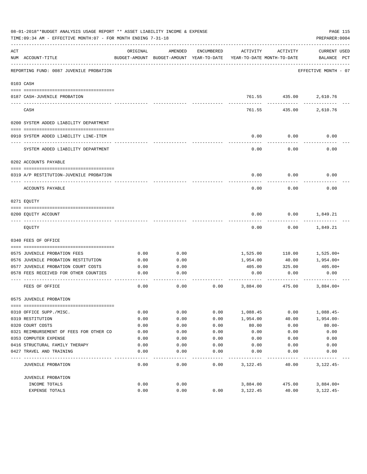|     | 08-01-2018**BUDGET ANALYSIS USAGE REPORT ** ASSET LIABILITY INCOME & EXPENSE<br>TIME: 09:34 AM - EFFECTIVE MONTH: 07 - FOR MONTH ENDING 7-31-18 |          |                                                     |            |                                        |               | PAGE 115<br>PREPARER: 0004         |
|-----|-------------------------------------------------------------------------------------------------------------------------------------------------|----------|-----------------------------------------------------|------------|----------------------------------------|---------------|------------------------------------|
| ACT | NUM ACCOUNT-TITLE                                                                                                                               | ORIGINAL | AMENDED<br>BUDGET-AMOUNT BUDGET-AMOUNT YEAR-TO-DATE | ENCUMBERED | ACTIVITY<br>YEAR-TO-DATE MONTH-TO-DATE | ACTIVITY      | <b>CURRENT USED</b><br>BALANCE PCT |
|     | REPORTING FUND: 0087 JUVENILE PROBATION                                                                                                         |          |                                                     |            |                                        |               | EFFECTIVE MONTH - 07               |
|     | 0103 CASH                                                                                                                                       |          |                                                     |            |                                        |               |                                    |
|     | 0187 CASH-JUVENILE PROBATION                                                                                                                    |          |                                                     |            |                                        | 761.55 435.00 | 2,610.76                           |
|     | CASH                                                                                                                                            |          |                                                     |            | 761.55                                 | 435.00        | 2,610.76                           |
|     | 0200 SYSTEM ADDED LIABILITY DEPARTMENT                                                                                                          |          |                                                     |            |                                        |               |                                    |
|     | 0910 SYSTEM ADDED LIABILITY LINE-ITEM                                                                                                           |          |                                                     |            | 0.00                                   | 0.00          | 0.00                               |
|     | SYSTEM ADDED LIABILITY DEPARTMENT                                                                                                               |          |                                                     |            | 0.00                                   | 0.00          | 0.00                               |
|     | 0202 ACCOUNTS PAYABLE                                                                                                                           |          |                                                     |            |                                        |               |                                    |
|     | 0319 A/P RESTITUTION-JUVENILE PROBATION                                                                                                         |          |                                                     |            | 0.00                                   | 0.00          | 0.00                               |
|     | ACCOUNTS PAYABLE                                                                                                                                |          |                                                     |            | 0.00                                   | 0.00          | 0.00                               |
|     | 0271 EOUITY                                                                                                                                     |          |                                                     |            |                                        |               |                                    |
|     | 0200 EQUITY ACCOUNT                                                                                                                             |          |                                                     |            | 0.00                                   | 0.00          | 1,849.21                           |
|     | EQUITY                                                                                                                                          |          |                                                     |            | 0.00                                   | 0.00          | 1,849.21                           |
|     | 0340 FEES OF OFFICE                                                                                                                             |          |                                                     |            |                                        |               |                                    |
|     | 0575 JUVENILE PROBATION FEES                                                                                                                    | 0.00     | 0.00                                                |            |                                        | 110.00        |                                    |
|     | 0576 JUVENILE PROBATION RESTITUTION                                                                                                             | 0.00     | 0.00                                                |            | 1,525.00<br>1,954.00                   | 40.00         | 1,525.00+<br>1,954.00+             |
|     | 0577 JUVENILE PROBATION COURT COSTS                                                                                                             | 0.00     | 0.00                                                |            | 405.00                                 | 325.00        | $405.00+$                          |
|     | 0578 FEES RECEIVED FOR OTHER COUNTIES                                                                                                           | 0.00     | 0.00                                                |            | 0.00                                   | 0.00          | 0.00                               |
|     | FEES OF OFFICE                                                                                                                                  | 0.00     | 0.00                                                | 0.00       | 3,884.00                               | 475.00        | $3,884.00+$                        |
|     | 0575 JUVENILE PROBATION                                                                                                                         |          |                                                     |            |                                        |               |                                    |
|     |                                                                                                                                                 |          |                                                     |            |                                        |               |                                    |
|     | 0310 OFFICE SUPP./MISC.                                                                                                                         | 0.00     | 0.00                                                | 0.00       | 1,088.45                               | 0.00          | $1,088.45-$                        |
|     | 0319 RESTITUTION                                                                                                                                | 0.00     | 0.00                                                | 0.00       | 1,954.00                               | 40.00         | $1,954.00 -$                       |
|     | 0320 COURT COSTS                                                                                                                                | 0.00     | 0.00                                                | 0.00       | 80.00                                  | 0.00          | $80.00 -$                          |
|     | 0321 REIMBURSEMENT OF FEES FOR OTHER CO                                                                                                         | 0.00     | 0.00                                                | 0.00       | 0.00                                   | 0.00          | 0.00                               |
|     | 0353 COMPUTER EXPENSE                                                                                                                           | 0.00     | 0.00                                                | 0.00       | 0.00                                   | 0.00          | 0.00                               |
|     | 0416 STRUCTURAL FAMILY THERAPY                                                                                                                  | 0.00     | 0.00                                                | 0.00       | 0.00                                   | 0.00          | 0.00                               |
|     | 0427 TRAVEL AND TRAINING                                                                                                                        | 0.00     | 0.00                                                | 0.00       | 0.00                                   | 0.00          | 0.00                               |
|     | JUVENILE PROBATION                                                                                                                              | 0.00     | 0.00                                                | 0.00       | 3,122.45                               | 40.00         | $3,122.45-$                        |
|     | JUVENILE PROBATION                                                                                                                              |          |                                                     |            |                                        |               |                                    |
|     | INCOME TOTALS                                                                                                                                   | 0.00     | 0.00                                                |            | 3,884.00                               | 475.00        | $3,884.00+$                        |
|     | EXPENSE TOTALS                                                                                                                                  | 0.00     | 0.00                                                | 0.00       | 3,122.45                               | 40.00         | $3,122.45-$                        |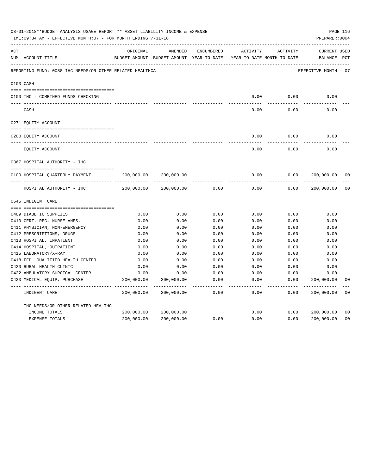|     | 08-01-2018**BUDGET ANALYSIS USAGE REPORT ** ASSET LIABILITY INCOME & EXPENSE<br>TIME: 09:34 AM - EFFECTIVE MONTH: 07 - FOR MONTH ENDING 7-31-18 |            |                                                                                |               |                     |                     | PREPARER: 0004                     | PAGE 116       |
|-----|-------------------------------------------------------------------------------------------------------------------------------------------------|------------|--------------------------------------------------------------------------------|---------------|---------------------|---------------------|------------------------------------|----------------|
| ACT | NUM ACCOUNT-TITLE                                                                                                                               | ORIGINAL   | AMENDED<br>BUDGET-AMOUNT BUDGET-AMOUNT YEAR-TO-DATE YEAR-TO-DATE MONTH-TO-DATE | ENCUMBERED    | ACTIVITY            | ACTIVITY            | <b>CURRENT USED</b><br>BALANCE PCT |                |
|     | REPORTING FUND: 0088 IHC NEEDS/OR OTHER RELATED HEALTHCA                                                                                        |            |                                                                                |               |                     |                     | EFFECTIVE MONTH - 07               |                |
|     | 0103 CASH                                                                                                                                       |            |                                                                                |               |                     |                     |                                    |                |
|     | 0100 IHC - COMBINED FUNDS CHECKING                                                                                                              |            |                                                                                |               | 0.00                | 0.00                | 0.00                               |                |
|     | CASH                                                                                                                                            |            |                                                                                |               | -----<br>0.00       | --------<br>0.00    | 0.00                               |                |
|     | 0271 EQUITY ACCOUNT                                                                                                                             |            |                                                                                |               |                     |                     |                                    |                |
|     | 0200 EQUITY ACCOUNT                                                                                                                             |            |                                                                                |               | 0.00                | 0.00                | 0.00                               |                |
|     | EQUITY ACCOUNT                                                                                                                                  |            |                                                                                |               | 0.00                | 0.00                | 0.00                               |                |
|     | 0367 HOSPITAL AUTHORITY - IHC                                                                                                                   |            |                                                                                |               |                     |                     |                                    |                |
|     |                                                                                                                                                 |            |                                                                                |               |                     |                     |                                    |                |
|     | 0100 HOSPITAL QUARTERLY PAYMENT                                                                                                                 | 200,000.00 | 200,000.00                                                                     |               | 0.00                | 0.00                | 200,000.00                         | 0 <sub>0</sub> |
|     |                                                                                                                                                 |            |                                                                                |               | $- - - - -$         |                     |                                    |                |
|     | HOSPITAL AUTHORITY - IHC                                                                                                                        | 200,000.00 | 200,000.00                                                                     | 0.00          | 0.00                | 0.00                | 200,000.00                         | 0 <sub>0</sub> |
|     | 0645 INDIGENT CARE                                                                                                                              |            |                                                                                |               |                     |                     |                                    |                |
|     |                                                                                                                                                 |            |                                                                                |               |                     |                     |                                    |                |
|     | 0409 DIABETIC SUPPLIES                                                                                                                          | 0.00       | 0.00                                                                           | 0.00          | 0.00                | 0.00                | 0.00                               |                |
|     | 0410 CERT. REG. NURSE ANES.                                                                                                                     | 0.00       | 0.00                                                                           | 0.00          | 0.00                | 0.00                | 0.00                               |                |
|     | 0411 PHYSICIAN, NON-EMERGENCY                                                                                                                   | 0.00       | 0.00                                                                           | 0.00          | 0.00                | 0.00                | 0.00                               |                |
|     | 0412 PRESCRIPTIONS, DRUGS                                                                                                                       | 0.00       | 0.00                                                                           | 0.00          | 0.00                | 0.00                | 0.00                               |                |
|     | 0413 HOSPITAL, INPATIENT                                                                                                                        | 0.00       | 0.00                                                                           | 0.00          | 0.00                | 0.00                | 0.00                               |                |
|     | 0414 HOSPITAL, OUTPATIENT                                                                                                                       | 0.00       | 0.00                                                                           | 0.00          | 0.00                | 0.00                | 0.00                               |                |
|     | 0415 LABORATORY/X-RAY                                                                                                                           | 0.00       | 0.00                                                                           | 0.00          | 0.00                | 0.00                | 0.00                               |                |
|     | 0418 FED. QUALIFIED HEALTH CENTER                                                                                                               | 0.00       | 0.00                                                                           | 0.00          | 0.00                | 0.00                | 0.00                               |                |
|     | 0420 RURAL HEALTH CLINIC                                                                                                                        | 0.00       | 0.00                                                                           | 0.00          | 0.00                | 0.00                | 0.00                               |                |
|     | 0422 AMBULATORY SURGICAL CENTER                                                                                                                 | 0.00       | 0.00                                                                           | 0.00          | 0.00                | 0.00                | 0.00                               |                |
|     | 0423 MEDICAL EQUIP. PURCHASE                                                                                                                    | 200,000.00 | 200,000.00                                                                     | 0.00          | 0.00                | 0.00                | 200,000.00                         | 0 <sub>0</sub> |
|     | INDIGENT CARE                                                                                                                                   | 200,000.00 | ---------- --------------<br>200,000.00                                        | -----<br>0.00 | $- - - - -$<br>0.00 | $- - - - -$<br>0.00 | . <u>.</u> .<br>200,000.00         | 0 <sub>0</sub> |
|     | IHC NEEDS/OR OTHER RELATED HEALTHC                                                                                                              |            |                                                                                |               |                     |                     |                                    |                |
|     | INCOME TOTALS                                                                                                                                   | 200,000.00 | 200,000.00                                                                     |               | 0.00                | 0.00                | 200,000.00                         | 0 <sub>0</sub> |
|     | EXPENSE TOTALS                                                                                                                                  | 200,000.00 | 200,000.00                                                                     | 0.00          | 0.00                | 0.00                | 200,000.00                         | 0 <sub>0</sub> |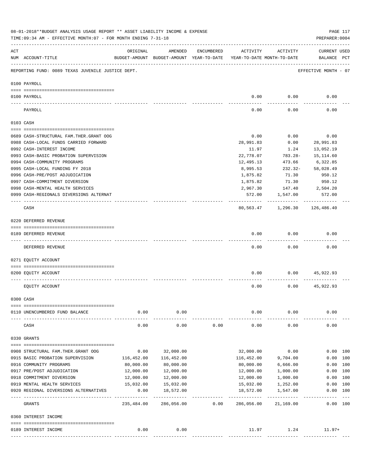|     | 08-01-2018**BUDGET ANALYSIS USAGE REPORT ** ASSET LIABILITY INCOME & EXPENSE<br>TIME: 09:34 AM - EFFECTIVE MONTH: 07 - FOR MONTH ENDING 7-31-18 |                                  |                                                     |            |                          |                                        | PREPARER: 0004                     | PAGE 117          |
|-----|-------------------------------------------------------------------------------------------------------------------------------------------------|----------------------------------|-----------------------------------------------------|------------|--------------------------|----------------------------------------|------------------------------------|-------------------|
| ACT | NUM ACCOUNT-TITLE                                                                                                                               | ORIGINAL                         | AMENDED<br>BUDGET-AMOUNT BUDGET-AMOUNT YEAR-TO-DATE | ENCUMBERED | ACTIVITY                 | ACTIVITY<br>YEAR-TO-DATE MONTH-TO-DATE | <b>CURRENT USED</b><br>BALANCE PCT |                   |
|     | REPORTING FUND: 0089 TEXAS JUVENILE JUSTICE DEPT.                                                                                               |                                  |                                                     |            |                          |                                        | EFFECTIVE MONTH - 07               |                   |
|     | 0100 PAYROLL                                                                                                                                    |                                  |                                                     |            |                          |                                        |                                    |                   |
|     | 0100 PAYROLL                                                                                                                                    |                                  |                                                     |            | 0.00                     | 0.00                                   | 0.00                               |                   |
|     | PAYROLL                                                                                                                                         |                                  |                                                     |            | 0.00                     | 0.00                                   | 0.00                               |                   |
|     | 0103 CASH                                                                                                                                       |                                  |                                                     |            |                          |                                        |                                    |                   |
|     | 0689 CASH-STRUCTURAL FAM.THER.GRANT OOG                                                                                                         |                                  |                                                     |            | 0.00                     | 0.00                                   | 0.00                               |                   |
|     | 0988 CASH-LOCAL FUNDS CARRIED FORWARD                                                                                                           |                                  |                                                     |            | 28,991.83                | 0.00                                   | 28,991.83                          |                   |
|     | 0992 CASH-INTEREST INCOME                                                                                                                       |                                  |                                                     |            | 11.97                    | 1.24                                   | 13,052.19                          |                   |
|     | 0993 CASH-BASIC PROBATION SUPERVISION                                                                                                           |                                  |                                                     |            | 22,778.07                | $783.28 -$                             | 15,114.60                          |                   |
|     | 0994 CASH-COMMUNITY PROGRAMS                                                                                                                    |                                  |                                                     |            | 12,495.13                | 473.66                                 | 6,322.85                           |                   |
|     | 0995 CASH-LOCAL FUNDING FY 2018                                                                                                                 |                                  |                                                     |            | 8,995.53                 | $232.32 -$                             | 58,028.49                          |                   |
|     | 0996 CASH-PRE/POST ADJUDICATION                                                                                                                 |                                  |                                                     |            | 1,875.82                 | 71.30                                  | 950.12                             |                   |
|     | 0997 CASH-COMMITMENT DIVERSION                                                                                                                  |                                  |                                                     |            | 1,875.82                 | 71.30                                  | 950.12                             |                   |
|     | 0998 CASH-MENTAL HEALTH SERVICES                                                                                                                |                                  |                                                     |            | 2,967.30                 |                                        | 147.40 2,504.20                    |                   |
|     | 0999 CASH-REGIONALS DIVERSIONS ALTERNAT                                                                                                         |                                  |                                                     |            | 572.00                   | 1,547.00<br>-----------                | 572.00                             |                   |
|     | CASH                                                                                                                                            |                                  |                                                     |            |                          | 80,563.47 1,296.30 126,486.40          |                                    |                   |
|     | 0220 DEFERRED REVENUE                                                                                                                           |                                  |                                                     |            |                          |                                        |                                    |                   |
|     | 0189 DEFERRED REVENUE                                                                                                                           |                                  |                                                     |            | 0.00                     | 0.00                                   | 0.00                               |                   |
|     | DEFERRED REVENUE                                                                                                                                |                                  |                                                     |            | 0.00                     | 0.00                                   | 0.00                               |                   |
|     | 0271 EQUITY ACCOUNT                                                                                                                             |                                  |                                                     |            |                          |                                        |                                    |                   |
|     | 0200 EQUITY ACCOUNT                                                                                                                             |                                  |                                                     |            | 0.00                     |                                        | $0.00$ 45,922.93                   |                   |
|     | EQUITY ACCOUNT                                                                                                                                  |                                  |                                                     |            | 0.00                     | 0.00                                   | 45,922.93                          |                   |
|     | 0300 CASH                                                                                                                                       |                                  |                                                     |            |                          |                                        |                                    |                   |
|     |                                                                                                                                                 |                                  |                                                     |            |                          |                                        |                                    |                   |
|     | 0110 UNENCUMBERED FUND BALANCE                                                                                                                  | 0.00                             | 0.00                                                |            | 0.00                     | 0.00                                   | 0.00                               |                   |
|     | CASH                                                                                                                                            | 0.00                             | 0.00                                                | 0.00       | 0.00                     | 0.00                                   | 0.00                               |                   |
|     | 0330 GRANTS                                                                                                                                     |                                  |                                                     |            |                          |                                        |                                    |                   |
|     |                                                                                                                                                 | 0.00                             | 32,000.00                                           |            | 32,000.00                | 0.00                                   |                                    | 0.00 100          |
|     | 0908 STRUCTURAL FAM. THER. GRANT OOG<br>0915 BASIC PROBATION SUPERVISION                                                                        | 116,452.00                       | 116,452.00                                          |            | 116,452.00               | 9,704.00                               |                                    | 0.00 100          |
|     | 0916 COMMUNITY PROGRAMS                                                                                                                         | 80,000.00                        | 80,000.00                                           |            | 80,000.00                | 6,666.00                               |                                    | 0.00 100          |
|     | 0917 PRE/POST ADJUDICATION                                                                                                                      | 12,000.00                        | 12,000.00                                           |            | 12,000.00                | 1,000.00                               |                                    | 0.00 100          |
|     | 0918 COMMITMENT DIVERSION                                                                                                                       | 12,000.00                        | 12,000.00                                           |            | 12,000.00                | 1,000.00                               |                                    | 0.00 100          |
|     | 0919 MENTAL HEALTH SERVICES                                                                                                                     | 15,032.00                        | 15,032.00                                           |            | 15,032.00                | 1,252.00                               | 0.00                               | 100               |
|     | 0920 REGIONAL DIVERSIONS ALTERNATIVES                                                                                                           | 0.00                             | 18,572.00                                           |            | 18,572.00                | 1,547.00                               |                                    | 0.00 100          |
|     | GRANTS                                                                                                                                          | --- --------------<br>235,484.00 | . <u>.</u> .<br>286,056.00                          | 0.00       | . <u>.</u><br>286,056.00 | ----------<br>21,169.00                | ----------                         | $---$<br>0.00 100 |
|     | 0360 INTEREST INCOME                                                                                                                            |                                  |                                                     |            |                          |                                        |                                    |                   |
|     |                                                                                                                                                 |                                  |                                                     |            |                          |                                        |                                    |                   |
|     | 0189 INTEREST INCOME                                                                                                                            | 0.00                             | 0.00                                                |            |                          | 11.97<br>1.24                          | $11.97+$                           |                   |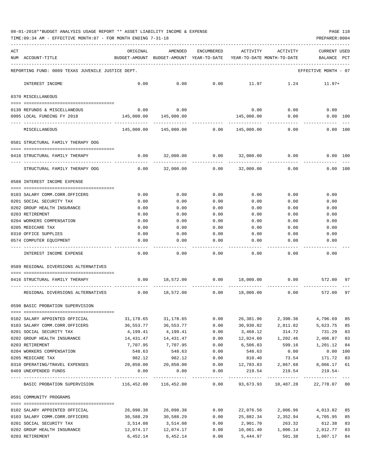08-01-2018\*\*BUDGET ANALYSIS USAGE REPORT \*\* ASSET LIABILITY INCOME & EXPENSE PAGE 118

TIME:09:34 AM - EFFECTIVE MONTH:07 - FOR MONTH ENDING 7-31-18

| ACT |                                                                                         | ORIGINAL                                                            | AMENDED                                     | ENCUMBERED   | ACTIVITY                                 | ACTIVITY        | <b>CURRENT USED</b>    |          |
|-----|-----------------------------------------------------------------------------------------|---------------------------------------------------------------------|---------------------------------------------|--------------|------------------------------------------|-----------------|------------------------|----------|
|     | NUM ACCOUNT-TITLE                                                                       | BUDGET-AMOUNT BUDGET-AMOUNT YEAR-TO-DATE YEAR-TO-DATE MONTH-TO-DATE |                                             |              |                                          |                 | BALANCE PCT            |          |
|     | REPORTING FUND: 0089 TEXAS JUVENILE JUSTICE DEPT.                                       |                                                                     |                                             |              |                                          |                 | EFFECTIVE MONTH - 07   |          |
|     | INTEREST INCOME                                                                         | 0.00                                                                | 0.00                                        | 0.00         | 11.97                                    | 1.24            | 11.97+                 |          |
|     |                                                                                         |                                                                     |                                             |              |                                          |                 |                        |          |
|     | 0370 MISCELLANEOUS                                                                      |                                                                     |                                             |              |                                          |                 |                        |          |
|     | 0130 REFUNDS & MISCELLANEOUS                                                            | 0.00                                                                | 0.00                                        |              |                                          | $0.00$ 0.00     | 0.00                   |          |
|     | 0995 LOCAL FUNDING FY 2018                                                              | 145,000.00                                                          | 145,000.00                                  |              | 145,000.00                               | 0.00            | $0.00$ 100             |          |
|     | MISCELLANEOUS                                                                           | 145,000.00                                                          |                                             |              |                                          | 0.00            |                        | 0.00 100 |
|     | 0581 STRUCTURAL FAMILY THERAPY OOG                                                      |                                                                     |                                             |              |                                          |                 |                        |          |
|     | 0416 STRUCTURAL FAMILY THERAPY                                                          |                                                                     | $0.00$ 32,000.00 0.00 32,000.00             |              |                                          | 0.00            | $0.00$ 100             |          |
|     |                                                                                         |                                                                     |                                             |              |                                          |                 |                        |          |
|     | STRUCTURAL FAMILY THERAPY OOG                                                           | 0.00                                                                | 32,000.00                                   |              | $0.00$ 32,000.00                         | 0.00            | $0.00$ 100             |          |
|     | 0588 INTEREST INCOME EXPENSE                                                            |                                                                     |                                             |              |                                          |                 |                        |          |
|     | 0103 SALARY COMM.CORR.OFFICERS                                                          | 0.00                                                                | 0.00                                        | 0.00         | 0.00                                     | 0.00            | 0.00                   |          |
|     | 0201 SOCIAL SECURITY TAX                                                                | 0.00                                                                | 0.00                                        | 0.00         | 0.00                                     | 0.00            | 0.00                   |          |
|     | 0202 GROUP HEALTH INSURANCE                                                             | 0.00                                                                | 0.00                                        | 0.00         | 0.00                                     | 0.00            | 0.00                   |          |
|     | 0203 RETIREMENT                                                                         | 0.00                                                                | 0.00                                        | 0.00         | 0.00                                     | 0.00            | 0.00                   |          |
|     | 0204 WORKERS COMPENSATION                                                               | 0.00                                                                | 0.00                                        | 0.00         | 0.00                                     | 0.00            | 0.00                   |          |
|     | 0205 MEDICARE TAX                                                                       | 0.00                                                                | 0.00                                        | 0.00         | 0.00                                     | 0.00            | 0.00                   |          |
|     | 0310 OFFICE SUPPLIES                                                                    | 0.00                                                                | 0.00                                        | 0.00         | 0.00                                     | 0.00            | 0.00                   |          |
|     | 0574 COMPUTER EQUIPMENT                                                                 | 0.00                                                                | 0.00                                        | 0.00         | 0.00                                     | 0.00            | 0.00                   |          |
|     | INTEREST INCOME EXPENSE                                                                 | 0.00                                                                | 0.00                                        | 0.00         | 0.00                                     | 0.00            | 0.00                   |          |
|     | 0589 REGIONAL DIVERSIONS ALTERNATIVES                                                   |                                                                     |                                             |              |                                          |                 |                        |          |
|     |                                                                                         |                                                                     |                                             |              |                                          |                 |                        |          |
|     | 0416 STRUCTURAL FAMILY THERAPY                                                          |                                                                     | $0.00$ 18,572.00 0.00 18,000.00 0.00 572.00 |              |                                          |                 |                        | 97       |
|     | REGIONAL DIVERSIONS ALTERNATIVES                                                        |                                                                     | $0.00$ 18,572.00 0.00                       |              | 18,000.00                                | 0.00            | 572.00                 | 97       |
|     | 0590 BASIC PROBATION SUPERVISION                                                        |                                                                     |                                             |              |                                          |                 |                        |          |
|     |                                                                                         |                                                                     |                                             |              |                                          |                 |                        |          |
|     | 0102 SALARY APPOINTED OFFICIAL                                                          | 31,178.65                                                           | 31,178.65                                   | 0.00         | 26,381.96                                | 2,398.36        | 4,796.69               | 85       |
|     | 0103 SALARY COMM.CORR.OFFICERS                                                          | 36,553.77                                                           | 36,553.77                                   | 0.00         | 30,930.02                                | 2,811.82        | 5,623.75               | 85       |
|     | 0201 SOCIAL SECURITY TAX                                                                | 4,199.41                                                            | 4,199.41                                    | 0.00         | 3,468.12                                 | 314.72          | 731.29                 | 83       |
|     | 0202 GROUP HEALTH INSURANCE<br>0203 RETIREMENT                                          | 14,431.47                                                           | 14,431.47                                   | 0.00         | 12,024.60                                | 1,202.46        | 2,406.87               | 83       |
|     | 0204 WORKERS COMPENSATION                                                               | 7,707.95<br>548.63                                                  | 7,707.95<br>548.63                          | 0.00<br>0.00 | 6,506.83<br>548.63                       | 599.16<br>0.00  | 1,201.12<br>$0.00$ 100 | 84       |
|     | 0205 MEDICARE TAX                                                                       | 982.12                                                              | 982.12                                      | 0.00         | 810.40                                   | 73.54           | 171.72                 | 83       |
|     | 0310 OPERATING/TRAVEL EXPENSES 20,850.00 20,850.00                                      |                                                                     |                                             |              | $0.00$ $12,783.83$ $2,867.68$            |                 | 8,066.17               | 61       |
|     | 0469 UNEXPENDED FUNDS                                                                   | 0.00                                                                | 0.00                                        | 0.00         | 219.54                                   | 219.54          | 219.54-                |          |
|     |                                                                                         |                                                                     |                                             | ------------ |                                          |                 |                        |          |
|     | BASIC PROBATION SUPERVISION 116,452.00 116,452.00 0.00 93,673.93 10,487.28 22,778.07 80 |                                                                     |                                             |              |                                          |                 |                        |          |
|     | 0591 COMMUNITY PROGRAMS                                                                 |                                                                     |                                             |              |                                          |                 |                        |          |
|     |                                                                                         |                                                                     |                                             |              |                                          |                 |                        | 85       |
|     | 0102 SALARY APPOINTED OFFICIAL<br>0103 SALARY COMM.CORR.OFFICERS                        | 26,090.38<br>30,588.29                                              | 26,090.38<br>30,588.29                      | 0.00         | 22,076.56<br>$0.00$ 25,882.34 2,352.94   | 2,006.96        | 4,013.82<br>4,705.95   | 85       |
|     | 0201 SOCIAL SECURITY TAX                                                                | 3,514.08                                                            | 3,514.08                                    | 0.00         |                                          | 2,901.70 263.32 | 612.38                 | 83       |
|     | 0202 GROUP HEALTH INSURANCE                                                             |                                                                     |                                             |              | $0.00$ $10,061.40$ $1,006.14$ $2,012.77$ |                 |                        | 83       |

0203 RETIREMENT 6,452.14 6,452.14 0.00 5,444.97 501.38 1,007.17 84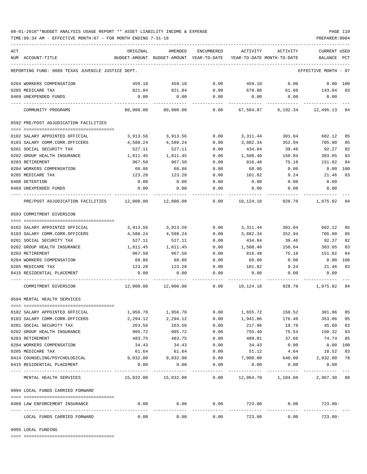## 08-01-2018\*\*BUDGET ANALYSIS USAGE REPORT \*\* ASSET LIABILITY INCOME & EXPENSE PAGE 119

TIME:09:34 AM - EFFECTIVE MONTH:07 - FOR MONTH ENDING 7-31-18

| ACT |                                                                                    | ORIGINAL                                              | AMENDED                                                             | ENCUMBERED           | ACTIVITY               | ACTIVITY                                                            | <b>CURRENT USED</b>  |     |
|-----|------------------------------------------------------------------------------------|-------------------------------------------------------|---------------------------------------------------------------------|----------------------|------------------------|---------------------------------------------------------------------|----------------------|-----|
|     | NUM ACCOUNT-TITLE                                                                  |                                                       | BUDGET-AMOUNT BUDGET-AMOUNT YEAR-TO-DATE YEAR-TO-DATE MONTH-TO-DATE |                      |                        |                                                                     | BALANCE PCT          |     |
|     | REPORTING FUND: 0089 TEXAS JUVENILE JUSTICE DEPT.                                  |                                                       |                                                                     |                      |                        |                                                                     | EFFECTIVE MONTH - 07 |     |
|     | 0204 WORKERS COMPENSATION                                                          | 459.10                                                | 459.10                                                              | 0.00                 | 459.10                 | 0.00                                                                | $0.00$ 100           |     |
|     | 0205 MEDICARE TAX                                                                  | 821.84                                                | 821.84                                                              | 0.00                 |                        | 678.80 61.60 143.04                                                 |                      | 83  |
|     | 0469 UNEXPENDED FUNDS                                                              | 0.00                                                  | 0.00                                                                | 0.00                 | 0.00                   | 0.00                                                                | 0.00                 |     |
|     | COMMUNITY PROGRAMS                                                                 |                                                       | 80,000.00 80,000.00                                                 | 0.00                 |                        | 67,504.87 6,192.34 12,495.13 84                                     |                      |     |
|     | 0592 PRE/POST ADJUDICATION FACILITIES                                              |                                                       |                                                                     |                      |                        |                                                                     |                      |     |
|     |                                                                                    |                                                       |                                                                     |                      |                        |                                                                     |                      |     |
|     | 0102 SALARY APPOINTED OFFICIAL                                                     | 3,913.56                                              | 3,913.56                                                            | 0.00                 | 3,311.44               | 301.04                                                              | 602.12               | 85  |
|     | 0103 SALARY COMM.CORR.OFFICERS                                                     | 4,588.24                                              | 4,588.24                                                            | 0.00                 | 3,882.34               | 352.94                                                              | 705.90               | 85  |
|     | 0201 SOCIAL SECURITY TAX                                                           | 527.11                                                | 527.11                                                              | 0.00                 | 434.84                 | 39.46                                                               | 92.27                | 82  |
|     | 0202 GROUP HEALTH INSURANCE                                                        | 1,811.45                                              | 1,811.45                                                            | 0.00                 | 1,508.40               | 150.84                                                              | 303.05               | 83  |
|     | 0203 RETIREMENT                                                                    | 967.50                                                | 967.50                                                              | 0.00                 | 816.48                 | 75.18                                                               | 151.02               | 84  |
|     | 0204 WORKERS COMPENSATION                                                          | 68.86                                                 | 68.86                                                               | 0.00                 | 68.86                  | 0.00                                                                | 0.00                 | 100 |
|     | 0205 MEDICARE TAX                                                                  | 123.28                                                | 123.28                                                              | 0.00                 | 101.82                 | 9.24                                                                | 21.46                | 83  |
|     | 0408 DETENTION                                                                     | 0.00                                                  | 0.00                                                                | 0.00                 | 0.00                   | 0.00                                                                | 0.00                 |     |
|     | 0469 UNEXPENDED FUNDS                                                              | 0.00                                                  | 0.00                                                                | 0.00                 | 0.00                   | 0.00                                                                | 0.00                 |     |
|     | PRE/POST ADJUDICATION FACILITIES $12,000.00$ $12,000.00$ $0.00$ $0.00$ $10,124.18$ |                                                       |                                                                     |                      |                        |                                                                     | 928.70 1,875.82 84   |     |
|     | 0593 COMMITMENT DIVERSION                                                          |                                                       |                                                                     |                      |                        |                                                                     |                      |     |
|     |                                                                                    |                                                       |                                                                     |                      |                        |                                                                     |                      |     |
|     | 0102 SALARY APPOINTED OFFICIAL                                                     |                                                       | 3,913.56 3,913.56                                                   | 0.00                 |                        | 3, 311. 44 301. 04                                                  | 602.12               | 85  |
|     | 0103 SALARY COMM.CORR.OFFICERS                                                     | 4,588.24                                              | 4,588.24                                                            | 0.00                 | 3,882.34               | 352.94                                                              | 705.90               | 85  |
|     | 0201 SOCIAL SECURITY TAX                                                           | 527.11                                                | 527.11                                                              | 0.00                 | 434.84                 | 39.46                                                               | 92.27                | 82  |
|     | 0202 GROUP HEALTH INSURANCE                                                        | 1,811.45                                              | 1,811.45                                                            | 0.00                 | 1,508.40               | 150.84                                                              | 303.05               | 83  |
|     | 0203 RETIREMENT                                                                    | 967.50                                                | 967.50                                                              | 0.00                 | 816.48                 | 75.18                                                               | 151.02               | 84  |
|     | 0204 WORKERS COMPENSATION                                                          | 68.86                                                 | 68.86                                                               | 0.00                 | 68.86                  | 0.00                                                                | 0.00 100             |     |
|     | 0205 MEDICARE TAX                                                                  | 123.28                                                | 123.28                                                              | 0.00                 | 101.82                 |                                                                     | 9.24 21.46           | 83  |
|     | 0415 RESIDENTIAL PLACEMENT                                                         | 0.00                                                  | 0.00                                                                | 0.00                 | 0.00                   | 0.00                                                                | 0.00                 |     |
|     | COMMITMENT DIVERSION                                                               |                                                       |                                                                     |                      |                        | $12,000.00$ $12,000.00$ $0.00$ $10,124.18$ $928.70$ $1,875.82$ $84$ |                      |     |
|     | 0594 MENTAL HEALTH SERVICES                                                        |                                                       |                                                                     |                      |                        |                                                                     |                      |     |
|     |                                                                                    |                                                       |                                                                     |                      |                        |                                                                     |                      |     |
|     | 0102 SALARY APPOINTED OFFICIAL                                                     | 1,956.78                                              | 1,956.78                                                            | 0.00                 | 1,655.72               | 150.52                                                              | 301.06               | 85  |
|     | 0103 SALARY COMM.CORR.OFFICERS                                                     | 2,294.12                                              | 2,294.12                                                            | 0.00                 | 1,941.06               | 176.46                                                              | 353.06               | 85  |
|     | 0201 SOCIAL SECURITY TAX                                                           | 263.56                                                | 263.56                                                              | 0.00                 | 217.96                 | 19.78                                                               | 45.60                | 83  |
|     | 0202 GROUP HEALTH INSURANCE                                                        | 905.72                                                | 905.72                                                              | 0.00                 | 755.40                 | 75.54                                                               | 150.32               | 83  |
|     | 0203 RETIREMENT                                                                    | 483.75                                                | 483.75                                                              | 0.00                 | 409.01                 | 37.66                                                               | 74.74                | 85  |
|     | 0204 WORKERS COMPENSATION                                                          | 34.43                                                 | 34.43                                                               | 0.00                 | 34.43                  | 0.00                                                                | $0.00$ 100           |     |
|     | 0205 MEDICARE TAX                                                                  | 61.64                                                 | 61.64                                                               | 0.00                 | 51.12                  | 4.64                                                                | 10.52                | 83  |
|     | 0414 COUNSELING/PSYCHOLOGICAL                                                      | 9,032.00                                              | 9,032.00                                                            | 0.00                 | 7,000.00               | 640.00                                                              | 2,032.00             | 78  |
|     | 0415 RESIDENTIAL PLACEMENT                                                         | 0.00                                                  | 0.00                                                                | 0.00                 | 0.00                   | 0.00                                                                | 0.00                 |     |
|     | -------------------------------<br>MENTAL HEALTH SERVICES                          | $15,032.00$ $15,032.00$ $0.00$ $12,064.70$ $1,104.60$ | ----------                                                          | -----------          |                        | ---------                                                           | 2,967.30 80          |     |
|     | 0994 LOCAL FUNDS CARRIED FORWARD                                                   |                                                       |                                                                     |                      |                        |                                                                     |                      |     |
|     | 0488 LAW ENFORCEMENT INSURANCE                                                     | 0.00                                                  | 0.00                                                                | 0.00                 | 723.00                 | 0.00                                                                | $723.00-$            |     |
|     | ----------------------<br>LOCAL FUNDS CARRIED FORWARD                              | ------------ --------------<br>0.00                   | 0.00                                                                | ------------<br>0.00 | ------------<br>723.00 | ------------<br>0.00                                                | $723.00 -$           |     |

0995 LOCAL FUNDING

==== ===================================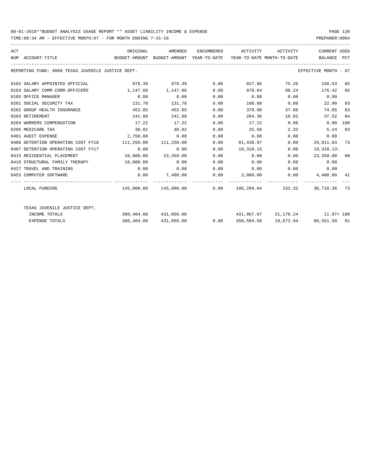## 08-01-2018\*\*BUDGET ANALYSIS USAGE REPORT \*\* ASSET LIABILITY INCOME & EXPENSE PAGE 120

TIME:09:34 AM - EFFECTIVE MONTH:07 - FOR MONTH ENDING 7-31-18

| ACT | NUM ACCOUNT-TITLE                                 | ORIGINAL<br>BUDGET-AMOUNT BUDGET-AMOUNT YEAR-TO-DATE YEAR-TO-DATE MONTH-TO-DATE | AMENDED                                             |      | ENCUMBERED ACTIVITY ACTIVITY |              | <b>CURRENT USED</b><br>BALANCE PCT |    |
|-----|---------------------------------------------------|---------------------------------------------------------------------------------|-----------------------------------------------------|------|------------------------------|--------------|------------------------------------|----|
|     | REPORTING FUND: 0089 TEXAS JUVENILE JUSTICE DEPT. |                                                                                 |                                                     |      |                              |              | EFFECTIVE MONTH - 07               |    |
|     | 0102 SALARY APPOINTED OFFICIAL                    |                                                                                 | 978.39 978.39 0.00                                  |      |                              | 827.86 75.26 | 150.53 85                          |    |
|     | 0103 SALARY COMM.CORR.OFFICERS                    | 1,147,06 1,147,06                                                               |                                                     | 0.00 | 970.64                       | 88.24        | 176.42 85                          |    |
|     | 0105 OFFICE MANAGER                               | 0.00                                                                            | 0.00                                                | 0.00 | $0.00$ 0.00                  |              | 0.00                               |    |
|     | 0201 SOCIAL SECURITY TAX                          | 131.78                                                                          | 131.78                                              | 0.00 | 108.88                       | 9.88         | 22.90                              | 83 |
|     | 0202 GROUP HEALTH INSURANCE                       | 452.85                                                                          | 452.85                                              | 0.00 | 378.00                       | 37.80        | 74.85                              | 83 |
|     | 0203 RETIREMENT                                   | 241.88                                                                          | 241.88                                              | 0.00 | 204.36                       | 18.82        | 37.52                              | 84 |
|     | 0204 WORKERS COMPENSATION                         | 17.22                                                                           | 17.22                                               | 0.00 | 17.22                        | 0.00         | 0.00 100                           |    |
|     | 0205 MEDICARE TAX                                 | 30.82                                                                           | 30.82                                               | 0.00 | 25.58                        | 2.32         | 5.24                               | 83 |
|     | 0401 AUDIT EXPENSE                                | 2,750.00                                                                        | 0.00                                                | 0.00 | 0.00                         | 0.00         | 0.00                               |    |
|     | 0406 DETENTION OPERATING COST FY18                | 111,250.00 111,250.00                                                           |                                                     | 0.00 | 81,438.97                    | 0.00         | 29,811.03 73                       |    |
|     | 0407 DETENTION OPERATING COST FY17                | 0.00                                                                            | 0.00                                                | 0.00 | 19,318.13                    | 0.00         | 19,318.13-                         |    |
|     | 0415 RESIDENTIAL PLACEMENT                        | $10,000.00$ $23,350.00$                                                         |                                                     | 0.00 | 0.00                         | 0.00         | 23,350.00 00                       |    |
|     | 0416 STRUCTURAL FAMILY THERAPY 18,000.00          |                                                                                 | 0.00                                                | 0.00 | 0.00                         | 0.00         | 0.00                               |    |
|     | 0427 TRAVEL AND TRAINING                          | 0.00                                                                            | 0.00                                                | 0.00 | $0.00$ 0.00                  |              | 0.00                               |    |
|     | 0453 COMPUTER SOFTWARE                            | 0.00                                                                            | $7,400.00$ $0.00$ $3,000.00$ $0.00$ $4,400.00$ $41$ |      |                              |              |                                    |    |
|     | LOCAL FUNDING                                     |                                                                                 | $145.000.00$ $145.000.00$ $0.00$ $106.289.64$       |      |                              |              | 232.32 38.710.36 73                |    |
|     | TEXAS JUVENILE JUSTICE DEPT.                      |                                                                                 |                                                     |      |                              |              |                                    |    |
|     | INCOME TOTALS                                     |                                                                                 | 380,484.00 431,056.00                               |      |                              |              | 431,067.97 21,170.24 11.97+100     |    |
|     | <b>EXPENSE TOTALS</b>                             |                                                                                 | 380,484.00 431,056.00                               | 0.00 | 350,504.50                   |              | 19,873.94 80,551.50 81             |    |
|     |                                                   |                                                                                 |                                                     |      |                              |              |                                    |    |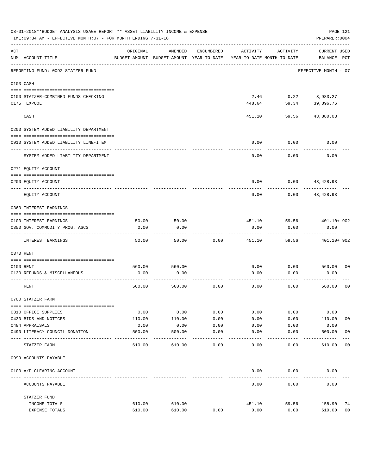| 08-01-2018**BUDGET ANALYSIS USAGE REPORT ** ASSET LIABILITY INCOME & EXPENSE<br>PAGE 121<br>TIME: 09:34 AM - EFFECTIVE MONTH: 07 - FOR MONTH ENDING 7-31-18<br>PREPARER: 0004 |                                                          |               |                                                     |            |                                        |               |                                    |                |  |
|-------------------------------------------------------------------------------------------------------------------------------------------------------------------------------|----------------------------------------------------------|---------------|-----------------------------------------------------|------------|----------------------------------------|---------------|------------------------------------|----------------|--|
| ACT                                                                                                                                                                           | NUM ACCOUNT-TITLE                                        | ORIGINAL      | AMENDED<br>BUDGET-AMOUNT BUDGET-AMOUNT YEAR-TO-DATE | ENCUMBERED | ACTIVITY<br>YEAR-TO-DATE MONTH-TO-DATE | ACTIVITY      | <b>CURRENT USED</b><br>BALANCE PCT |                |  |
|                                                                                                                                                                               | REPORTING FUND: 0092 STATZER FUND                        |               |                                                     |            |                                        |               | EFFECTIVE MONTH - 07               |                |  |
|                                                                                                                                                                               | 0103 CASH                                                |               |                                                     |            |                                        |               |                                    |                |  |
|                                                                                                                                                                               | 0100 STATZER-COMBINED FUNDS CHECKING<br>0175 TEXPOOL     |               |                                                     |            | 2.46<br>448.64                         | 59.34         | $0.22$ 3,983.27<br>39,896.76       |                |  |
|                                                                                                                                                                               | CASH                                                     |               |                                                     |            | 451.10                                 | 59.56         | 43,880.03                          |                |  |
|                                                                                                                                                                               | 0200 SYSTEM ADDED LIABILITY DEPARTMENT                   |               |                                                     |            |                                        |               |                                    |                |  |
|                                                                                                                                                                               | 0910 SYSTEM ADDED LIABILITY LINE-ITEM                    |               |                                                     |            | 0.00                                   | 0.00          | 0.00                               |                |  |
|                                                                                                                                                                               | SYSTEM ADDED LIABILITY DEPARTMENT                        |               |                                                     |            | 0.00                                   | 0.00          | 0.00                               |                |  |
|                                                                                                                                                                               | 0271 EQUITY ACCOUNT                                      |               |                                                     |            |                                        |               |                                    |                |  |
|                                                                                                                                                                               | 0200 EQUITY ACCOUNT                                      |               |                                                     |            | 0.00                                   |               | $0.00$ 43,428.93                   |                |  |
|                                                                                                                                                                               | EQUITY ACCOUNT                                           |               |                                                     |            | 0.00                                   | 0.00          | 43,428.93                          |                |  |
|                                                                                                                                                                               | 0360 INTEREST EARNINGS                                   |               |                                                     |            |                                        |               |                                    |                |  |
|                                                                                                                                                                               |                                                          |               |                                                     |            |                                        |               |                                    |                |  |
|                                                                                                                                                                               | 0100 INTEREST EARNINGS<br>0350 GOV. COMMODITY PROG. ASCS | 50.00<br>0.00 | 50.00<br>0.00                                       |            | 451.10<br>0.00                         | 59.56<br>0.00 | 401.10+ 902<br>0.00                |                |  |
|                                                                                                                                                                               |                                                          |               |                                                     |            |                                        |               |                                    |                |  |
|                                                                                                                                                                               | INTEREST EARNINGS                                        | 50.00         | 50.00                                               | 0.00       | 451.10                                 | 59.56         | 401.10+ 902                        |                |  |
|                                                                                                                                                                               | 0370 RENT                                                |               |                                                     |            |                                        |               |                                    |                |  |
|                                                                                                                                                                               | 0100 RENT                                                | 560.00        | 560.00                                              |            | 0.00                                   | 0.00          | 560.00                             | 0 <sub>0</sub> |  |
|                                                                                                                                                                               | 0130 REFUNDS & MISCELLANEOUS                             | 0.00          | 0.00                                                |            | 0.00                                   | 0.00          | 0.00                               |                |  |
|                                                                                                                                                                               | RENT                                                     | 560.00        | 560.00                                              | 0.00       | 0.00                                   | 0.00          | 560.00                             | 0 <sub>0</sub> |  |
|                                                                                                                                                                               | 0700 STATZER FARM                                        |               |                                                     |            |                                        |               |                                    |                |  |
|                                                                                                                                                                               | 0310 OFFICE SUPPLIES                                     | 0.00          | 0.00                                                | 0.00       | 0.00                                   | 0.00          | 0.00                               |                |  |
|                                                                                                                                                                               | 0430 BIDS AND NOTICES                                    | 110.00        | 110.00                                              | 0.00       | 0.00                                   | 0.00          | 110.00                             | 0 <sub>0</sub> |  |
|                                                                                                                                                                               | 0484 APPRAISALS                                          | 0.00          | 0.00                                                | 0.00       | 0.00                                   | 0.00          | 0.00                               |                |  |
|                                                                                                                                                                               | 0490 LITERACY COUNCIL DONATION                           | 500.00        | 500.00                                              | 0.00       | 0.00                                   | 0.00          | 500.00                             | 0 <sub>0</sub> |  |
|                                                                                                                                                                               | ---- -----<br>STATZER FARM                               | 610.00        | 610.00                                              | 0.00       | 0.00                                   | 0.00          | 610.00                             | 00             |  |
|                                                                                                                                                                               | 0999 ACCOUNTS PAYABLE                                    |               |                                                     |            |                                        |               |                                    |                |  |
|                                                                                                                                                                               | 0100 A/P CLEARING ACCOUNT                                |               |                                                     |            | 0.00                                   | 0.00          | 0.00                               |                |  |
|                                                                                                                                                                               | ACCOUNTS PAYABLE                                         |               |                                                     |            | 0.00                                   | 0.00          | 0.00                               |                |  |
|                                                                                                                                                                               | STATZER FUND                                             |               |                                                     |            |                                        |               |                                    |                |  |
|                                                                                                                                                                               | INCOME TOTALS                                            | 610.00        | 610.00                                              |            | 451.10                                 | 59.56         | 158.90                             | 74             |  |
|                                                                                                                                                                               | EXPENSE TOTALS                                           | 610.00        | 610.00                                              | 0.00       | 0.00                                   | 0.00          | 610.00                             | 0 <sub>0</sub> |  |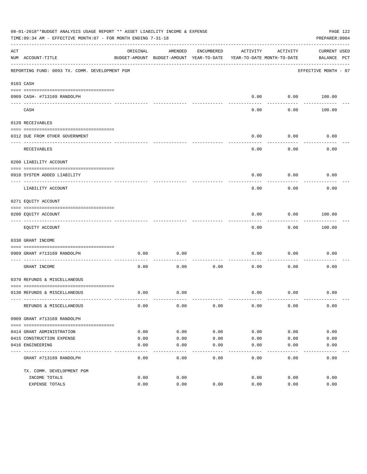| 08-01-2018**BUDGET ANALYSIS USAGE REPORT ** ASSET LIABILITY INCOME & EXPENSE<br>TIME: 09:34 AM - EFFECTIVE MONTH: 07 - FOR MONTH ENDING 7-31-18 |                                                             |          |                                          |            |                            |           |                      | PAGE 122<br>PREPARER: 0004 |
|-------------------------------------------------------------------------------------------------------------------------------------------------|-------------------------------------------------------------|----------|------------------------------------------|------------|----------------------------|-----------|----------------------|----------------------------|
| ACT                                                                                                                                             |                                                             | ORIGINAL | AMENDED                                  | ENCUMBERED | ACTIVITY                   | ACTIVITY  | <b>CURRENT USED</b>  |                            |
|                                                                                                                                                 | NUM ACCOUNT-TITLE                                           |          | BUDGET-AMOUNT BUDGET-AMOUNT YEAR-TO-DATE |            | YEAR-TO-DATE MONTH-TO-DATE |           | BALANCE PCT          |                            |
|                                                                                                                                                 | REPORTING FUND: 0093 TX. COMM. DEVELOPMENT PGM              |          |                                          |            |                            |           | EFFECTIVE MONTH - 07 |                            |
|                                                                                                                                                 | 0103 CASH                                                   |          |                                          |            |                            |           |                      |                            |
|                                                                                                                                                 |                                                             |          |                                          |            |                            |           |                      |                            |
|                                                                                                                                                 | 0909 CASH- #713169 RANDOLPH                                 |          |                                          |            | 0.00                       | --------- | $0.00$ 100.00        |                            |
|                                                                                                                                                 | CASH                                                        |          |                                          |            | 0.00                       | 0.00      | 100.00               |                            |
|                                                                                                                                                 | 0120 RECEIVABLES                                            |          |                                          |            |                            |           |                      |                            |
|                                                                                                                                                 | 0312 DUE FROM OTHER GOVERNMENT                              |          |                                          |            | 0.00                       | 0.00      | 0.00                 |                            |
|                                                                                                                                                 |                                                             |          |                                          |            |                            | --------  |                      |                            |
|                                                                                                                                                 | RECEIVABLES                                                 |          |                                          |            | 0.00                       | 0.00      | 0.00                 |                            |
|                                                                                                                                                 | 0200 LIABILITY ACCOUNT                                      |          |                                          |            |                            |           |                      |                            |
|                                                                                                                                                 | 0910 SYSTEM ADDED LIABILITY                                 |          |                                          |            | 0.00                       | 0.00      | 0.00                 |                            |
|                                                                                                                                                 | LIABILITY ACCOUNT                                           |          |                                          |            | 0.00                       | 0.00      | 0.00                 |                            |
|                                                                                                                                                 | 0271 EQUITY ACCOUNT                                         |          |                                          |            |                            |           |                      |                            |
|                                                                                                                                                 | 0200 EQUITY ACCOUNT                                         |          |                                          |            | 0.00                       | 0.00      | 100.00               |                            |
|                                                                                                                                                 | EQUITY ACCOUNT                                              |          |                                          |            | 0.00                       | 0.00      | 100.00               |                            |
|                                                                                                                                                 | 0330 GRANT INCOME                                           |          |                                          |            |                            |           |                      |                            |
|                                                                                                                                                 |                                                             |          |                                          |            |                            |           |                      |                            |
|                                                                                                                                                 | 0909 GRANT #713169 RANDOLPH<br>---------------------- ----- | 0.00     | 0.00                                     |            | 0.00                       | 0.00      | 0.00                 |                            |
|                                                                                                                                                 | GRANT INCOME                                                | 0.00     | 0.00                                     | 0.00       | 0.00                       | 0.00      | 0.00                 |                            |
|                                                                                                                                                 | 0370 REFUNDS & MISCELLANEOUS                                |          |                                          |            |                            |           |                      |                            |
|                                                                                                                                                 |                                                             |          |                                          |            |                            |           |                      |                            |
|                                                                                                                                                 | 0130 REFUNDS & MISCELLANEOUS                                | 0.00     | 0.00                                     |            | 0.00                       | 0.00      | 0.00                 |                            |
|                                                                                                                                                 | REFUNDS & MISCELLANEOUS                                     | 0.00     | 0.00                                     | 0.00       | 0.00                       | 0.00      | 0.00                 |                            |
|                                                                                                                                                 | 0909 GRANT #713169 RANDOLPH                                 |          |                                          |            |                            |           |                      |                            |
|                                                                                                                                                 |                                                             |          |                                          |            |                            |           |                      |                            |
|                                                                                                                                                 | 0414 GRANT ADMINISTRATION                                   | 0.00     | 0.00                                     | 0.00       | 0.00                       | 0.00      | 0.00                 |                            |
|                                                                                                                                                 | 0415 CONSTRUCTION EXPENSE                                   | 0.00     | 0.00                                     | 0.00       | 0.00                       | 0.00      | 0.00                 |                            |
|                                                                                                                                                 | 0416 ENGINEERING                                            | 0.00     | 0.00                                     | 0.00       | 0.00                       | 0.00      | 0.00                 |                            |
|                                                                                                                                                 | GRANT #713169 RANDOLPH                                      | 0.00     | 0.00                                     | 0.00       | 0.00                       | 0.00      | 0.00                 |                            |
|                                                                                                                                                 | TX. COMM. DEVELOPMENT PGM                                   |          |                                          |            |                            |           |                      |                            |
|                                                                                                                                                 | INCOME TOTALS                                               | 0.00     | 0.00                                     |            | 0.00                       | 0.00      | 0.00                 |                            |
|                                                                                                                                                 | EXPENSE TOTALS                                              | 0.00     | 0.00                                     | 0.00       | 0.00                       | 0.00      | 0.00                 |                            |
|                                                                                                                                                 |                                                             |          |                                          |            |                            |           |                      |                            |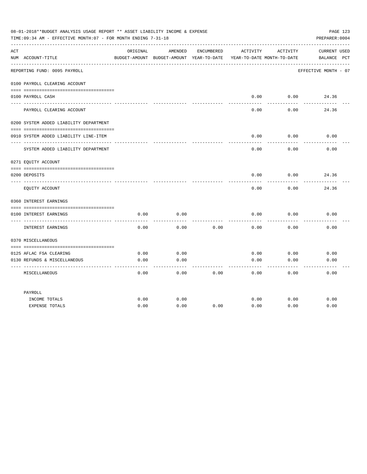| 08-01-2018**BUDGET ANALYSIS USAGE REPORT ** ASSET LIABILITY INCOME & EXPENSE<br>TIME:09:34 AM - EFFECTIVE MONTH:07 - FOR MONTH ENDING 7-31-18<br>PREPARER: 0004 |                                                  |          |                                                     |            |          |                                        |                                    |
|-----------------------------------------------------------------------------------------------------------------------------------------------------------------|--------------------------------------------------|----------|-----------------------------------------------------|------------|----------|----------------------------------------|------------------------------------|
| ACT                                                                                                                                                             | NUM ACCOUNT-TITLE                                | ORIGINAL | AMENDED<br>BUDGET-AMOUNT BUDGET-AMOUNT YEAR-TO-DATE | ENCUMBERED | ACTIVITY | ACTIVITY<br>YEAR-TO-DATE MONTH-TO-DATE | <b>CURRENT USED</b><br>BALANCE PCT |
|                                                                                                                                                                 | REPORTING FUND: 0095 PAYROLL                     |          |                                                     |            |          |                                        | EFFECTIVE MONTH - 07               |
|                                                                                                                                                                 | 0100 PAYROLL CLEARING ACCOUNT                    |          |                                                     |            |          |                                        |                                    |
|                                                                                                                                                                 | 0100 PAYROLL CASH                                |          |                                                     |            | 0.00     | 0.00                                   | 24.36                              |
|                                                                                                                                                                 | PAYROLL CLEARING ACCOUNT                         |          |                                                     |            | 0.00     | 0.00                                   | 24.36                              |
|                                                                                                                                                                 | 0200 SYSTEM ADDED LIABILITY DEPARTMENT           |          |                                                     |            |          |                                        |                                    |
|                                                                                                                                                                 | 0910 SYSTEM ADDED LIABILITY LINE-ITEM            |          |                                                     |            | 0.00     | 0.00                                   | 0.00                               |
|                                                                                                                                                                 | SYSTEM ADDED LIABILITY DEPARTMENT                |          |                                                     |            | 0.00     | 0.00                                   | 0.00                               |
|                                                                                                                                                                 | 0271 EQUITY ACCOUNT                              |          |                                                     |            |          |                                        |                                    |
|                                                                                                                                                                 | 0200 DEPOSITS                                    |          |                                                     |            | 0.00     | 0.00                                   | 24.36                              |
|                                                                                                                                                                 | EQUITY ACCOUNT                                   |          |                                                     |            | 0.00     | 0.00                                   | 24.36                              |
|                                                                                                                                                                 | 0360 INTEREST EARNINGS                           |          |                                                     |            |          |                                        |                                    |
|                                                                                                                                                                 | 0100 INTEREST EARNINGS                           | 0.00     | 0.00                                                |            | 0.00     | 0.00                                   | 0.00                               |
|                                                                                                                                                                 | ---- ---------------<br><b>INTEREST EARNINGS</b> | 0.00     | 0.00                                                | 0.00       | 0.00     | 0.00                                   | 0.00                               |
|                                                                                                                                                                 | 0370 MISCELLANEOUS                               |          |                                                     |            |          |                                        |                                    |
|                                                                                                                                                                 | 0125 AFLAC FSA CLEARING                          | 0.00     | 0.00                                                |            | 0.00     | 0.00                                   | 0.00                               |
|                                                                                                                                                                 | 0130 REFUNDS & MISCELLANEOUS                     | 0.00     | 0.00                                                |            | 0.00     | 0.00                                   | 0.00                               |
|                                                                                                                                                                 | MISCELLANEOUS                                    | 0.00     | $- - -$<br>0.00                                     | 0.00       | 0.00     | 0.00                                   | 0.00                               |
|                                                                                                                                                                 | PAYROLL                                          |          |                                                     |            |          |                                        |                                    |
|                                                                                                                                                                 | INCOME TOTALS                                    | 0.00     | 0.00                                                |            | 0.00     | 0.00                                   | 0.00                               |
|                                                                                                                                                                 | <b>EXPENSE TOTALS</b>                            | 0.00     | 0.00                                                | 0.00       | 0.00     | 0.00                                   | 0.00                               |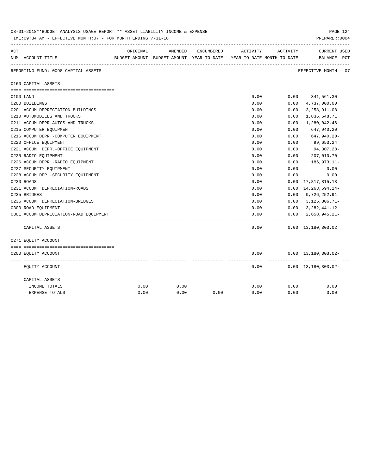| 08-01-2018**BUDGET ANALYSIS USAGE REPORT ** ASSET LIABILITY INCOME & EXPENSE<br>PAGE 124<br>PREPARER: 0004<br>TIME: 09:34 AM - EFFECTIVE MONTH: 07 - FOR MONTH ENDING 7-31-18 |                                        |          |                                                                                |            |          |          |                                    |  |  |
|-------------------------------------------------------------------------------------------------------------------------------------------------------------------------------|----------------------------------------|----------|--------------------------------------------------------------------------------|------------|----------|----------|------------------------------------|--|--|
| ACT                                                                                                                                                                           | NUM ACCOUNT-TITLE                      | ORIGINAL | AMENDED<br>BUDGET-AMOUNT BUDGET-AMOUNT YEAR-TO-DATE YEAR-TO-DATE MONTH-TO-DATE | ENCUMBERED | ACTIVITY | ACTIVITY | <b>CURRENT USED</b><br>BALANCE PCT |  |  |
|                                                                                                                                                                               | REPORTING FUND: 0098 CAPITAL ASSETS    |          |                                                                                |            |          |          | EFFECTIVE MONTH - 07               |  |  |
|                                                                                                                                                                               | 0160 CAPITAL ASSETS                    |          |                                                                                |            |          |          |                                    |  |  |
|                                                                                                                                                                               |                                        |          |                                                                                |            |          |          |                                    |  |  |
|                                                                                                                                                                               | 0100 LAND                              |          |                                                                                |            | 0.00     |          | $0.00$ $341,561.30$                |  |  |
|                                                                                                                                                                               | 0200 BUILDINGS                         |          |                                                                                |            | 0.00     | 0.00     | 4,737,000.00                       |  |  |
|                                                                                                                                                                               | 0201 ACCUM.DEPRECIATION-BUILDINGS      |          |                                                                                |            | 0.00     | 0.00     | $3,258,911.08-$                    |  |  |
|                                                                                                                                                                               | 0210 AUTOMOBILES AND TRUCKS            |          |                                                                                |            | 0.00     | 0.00     | 1,836,648.71                       |  |  |
|                                                                                                                                                                               | 0211 ACCUM.DEPR.AUTOS AND TRUCKS       |          |                                                                                |            | 0.00     | 0.00     | 1,280,042.46-                      |  |  |
|                                                                                                                                                                               | 0215 COMPUTER EQUIPMENT                |          |                                                                                |            | 0.00     | 0.00     | 647,940.20                         |  |  |
|                                                                                                                                                                               | 0216 ACCUM.DEPR.-COMPUTER EQUIPMENT    |          |                                                                                |            | 0.00     | 0.00     | 647,940.20-                        |  |  |
|                                                                                                                                                                               | 0220 OFFICE EQUIPMENT                  |          |                                                                                |            | 0.00     | 0.00     | 99,653.24                          |  |  |
|                                                                                                                                                                               | 0221 ACCUM. DEPR.-OFFICE EQUIPMENT     |          |                                                                                |            | 0.00     | 0.00     | 94,307.28-                         |  |  |
|                                                                                                                                                                               | 0225 RADIO EQUIPMENT                   |          |                                                                                |            | 0.00     | 0.00     | 207,010.70                         |  |  |
|                                                                                                                                                                               | 0226 ACCUM.DEPR.-RADIO EQUIPMENT       |          |                                                                                |            | 0.00     | 0.00     | $186,973.11-$                      |  |  |
|                                                                                                                                                                               | 0227 SECURITY EQUIPMENT                |          |                                                                                |            | 0.00     | 0.00     | 0.00                               |  |  |
|                                                                                                                                                                               | 0228 ACCUM.DEP. - SECURITY EQUIPMENT   |          |                                                                                |            | 0.00     | 0.00     | 0.00                               |  |  |
|                                                                                                                                                                               | 0230 ROADS                             |          |                                                                                |            | 0.00     |          | $0.00 \quad 17,817,815.13$         |  |  |
|                                                                                                                                                                               | 0231 ACCUM. DEPRECIATION-ROADS         |          |                                                                                |            | 0.00     | 0.00     | 14, 263, 594. 24-                  |  |  |
|                                                                                                                                                                               | 0235 BRIDGES                           |          |                                                                                |            | 0.00     | 0.00     | 9,726,252.91                       |  |  |
|                                                                                                                                                                               | 0236 ACCUM. DEPRECIATION-BRIDGES       |          |                                                                                |            | 0.00     | 0.00     | $3,125,306.71-$                    |  |  |
|                                                                                                                                                                               | 0300 ROAD EQUIPMENT                    |          |                                                                                |            | 0.00     | 0.00     | 3, 282, 441.12                     |  |  |
|                                                                                                                                                                               | 0301 ACCUM.DEPRECIATION-ROAD EQUIPMENT |          |                                                                                |            | 0.00     | 0.00     | $2,658,945.21-$<br>------------    |  |  |
|                                                                                                                                                                               | CAPITAL ASSETS                         |          |                                                                                |            | 0.00     |          | $0.00 \quad 13,180,303.02$         |  |  |
|                                                                                                                                                                               | 0271 EQUITY ACCOUNT                    |          |                                                                                |            |          |          |                                    |  |  |
|                                                                                                                                                                               |                                        |          |                                                                                |            |          |          |                                    |  |  |
|                                                                                                                                                                               | 0200 EQUITY ACCOUNT                    |          |                                                                                |            | 0.00     |          | $0.00 \quad 13,180,303.02 -$       |  |  |
|                                                                                                                                                                               | EQUITY ACCOUNT                         |          |                                                                                |            | 0.00     |          | $0.00 \quad 13,180,303.02 -$       |  |  |
|                                                                                                                                                                               | CAPITAL ASSETS                         |          |                                                                                |            |          |          |                                    |  |  |
|                                                                                                                                                                               | INCOME TOTALS                          | 0.00     | 0.00                                                                           |            | 0.00     | 0.00     | 0.00                               |  |  |
|                                                                                                                                                                               | <b>EXPENSE TOTALS</b>                  | 0.00     | 0.00                                                                           | 0.00       | 0.00     | 0.00     | 0.00                               |  |  |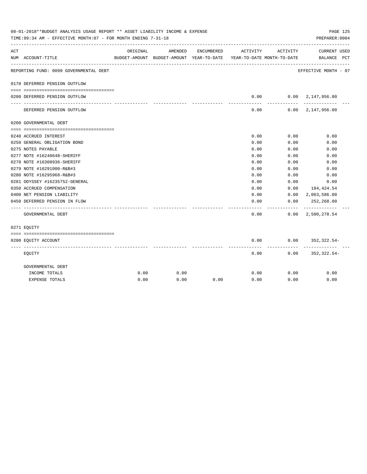| 08-01-2018**BUDGET ANALYSIS USAGE REPORT ** ASSET LIABILITY INCOME & EXPENSE<br>PAGE 125<br>TIME: 09:34 AM - EFFECTIVE MONTH: 07 - FOR MONTH ENDING 7-31-18<br>PREPARER: 0004 |                                                             |          |                                                     |            |                                        |              |                                            |  |  |
|-------------------------------------------------------------------------------------------------------------------------------------------------------------------------------|-------------------------------------------------------------|----------|-----------------------------------------------------|------------|----------------------------------------|--------------|--------------------------------------------|--|--|
| ACT                                                                                                                                                                           | NUM ACCOUNT-TITLE                                           | ORIGINAL | AMENDED<br>BUDGET-AMOUNT BUDGET-AMOUNT YEAR-TO-DATE | ENCUMBERED | ACTIVITY<br>YEAR-TO-DATE MONTH-TO-DATE | ACTIVITY     | CURRENT USED<br>BALANCE PCT                |  |  |
|                                                                                                                                                                               | REPORTING FUND: 0099 GOVERNMENTAL DEBT                      |          |                                                     |            |                                        |              | EFFECTIVE MONTH - 07                       |  |  |
|                                                                                                                                                                               | 0170 DEFERRED PENSION OUTFLOW                               |          |                                                     |            |                                        |              |                                            |  |  |
|                                                                                                                                                                               | 0200 DEFERRED PENSION OUTFLOW                               |          |                                                     |            | 0.00                                   |              | 0.00 2,147,956.00                          |  |  |
|                                                                                                                                                                               | DEFERRED PENSION OUTFLOW                                    |          |                                                     |            | ---------<br>0.00                      | ----------   | -------------<br>$0.00 \quad 2,147,956.00$ |  |  |
|                                                                                                                                                                               | 0200 GOVERNMENTAL DEBT                                      |          |                                                     |            |                                        |              |                                            |  |  |
|                                                                                                                                                                               |                                                             |          |                                                     |            |                                        |              |                                            |  |  |
|                                                                                                                                                                               | 0240 ACCRUED INTEREST                                       |          |                                                     |            | 0.00                                   | 0.00         | 0.00                                       |  |  |
|                                                                                                                                                                               | 0250 GENERAL OBLIGATION BOND                                |          |                                                     |            | 0.00                                   | 0.00         | 0.00                                       |  |  |
|                                                                                                                                                                               | 0275 NOTES PAYABLE                                          |          |                                                     |            | 0.00                                   | 0.00         | 0.00                                       |  |  |
|                                                                                                                                                                               | 0277 NOTE #16240648-SHERIFF                                 |          |                                                     |            | 0.00                                   | 0.00         | 0.00                                       |  |  |
|                                                                                                                                                                               | 0278 NOTE #16308936-SHERIFF                                 |          |                                                     |            | 0.00                                   | 0.00         | 0.00                                       |  |  |
|                                                                                                                                                                               | 0279 NOTE #16291000-R&B#3                                   |          |                                                     |            | 0.00<br>0.00                           | 0.00<br>0.00 | 0.00                                       |  |  |
|                                                                                                                                                                               | 0280 NOTE #16295968-R&B#3<br>0281 ODYSSEY #16235752-GENERAL |          |                                                     |            | 0.00                                   | 0.00         | 0.00<br>0.00                               |  |  |
|                                                                                                                                                                               | 0350 ACCRUED COMPENSATION                                   |          |                                                     |            | 0.00                                   | 0.00         | 184,424.54                                 |  |  |
|                                                                                                                                                                               | 0400 NET PENSION LIABILITY                                  |          |                                                     |            | 0.00                                   |              | $0.00 \quad 2,063,586.00$                  |  |  |
|                                                                                                                                                                               | 0450 DEFERRED PENSION IN FLOW                               |          |                                                     |            | 0.00                                   | 0.00         | 252,268.00                                 |  |  |
|                                                                                                                                                                               | GOVERNMENTAL DEBT                                           |          |                                                     |            | 0.00                                   |              | $0.00 \quad 2,500,278.54$                  |  |  |
|                                                                                                                                                                               | 0271 EOUITY                                                 |          |                                                     |            |                                        |              |                                            |  |  |
|                                                                                                                                                                               |                                                             |          |                                                     |            |                                        |              |                                            |  |  |
|                                                                                                                                                                               | 0200 EQUITY ACCOUNT                                         |          |                                                     |            | 0.00<br>--------                       | ---------    | $0.00$ $352,322.54$ -                      |  |  |
|                                                                                                                                                                               | EQUITY                                                      |          |                                                     |            | 0.00                                   |              | $0.00$ $352,322.54-$                       |  |  |
|                                                                                                                                                                               | GOVERNMENTAL DEBT                                           |          |                                                     |            |                                        |              |                                            |  |  |
|                                                                                                                                                                               | INCOME TOTALS                                               | 0.00     | 0.00                                                |            | 0.00                                   | 0.00         | 0.00                                       |  |  |
|                                                                                                                                                                               | <b>EXPENSE TOTALS</b>                                       | 0.00     | 0.00                                                | 0.00       | 0.00                                   | 0.00         | 0.00                                       |  |  |